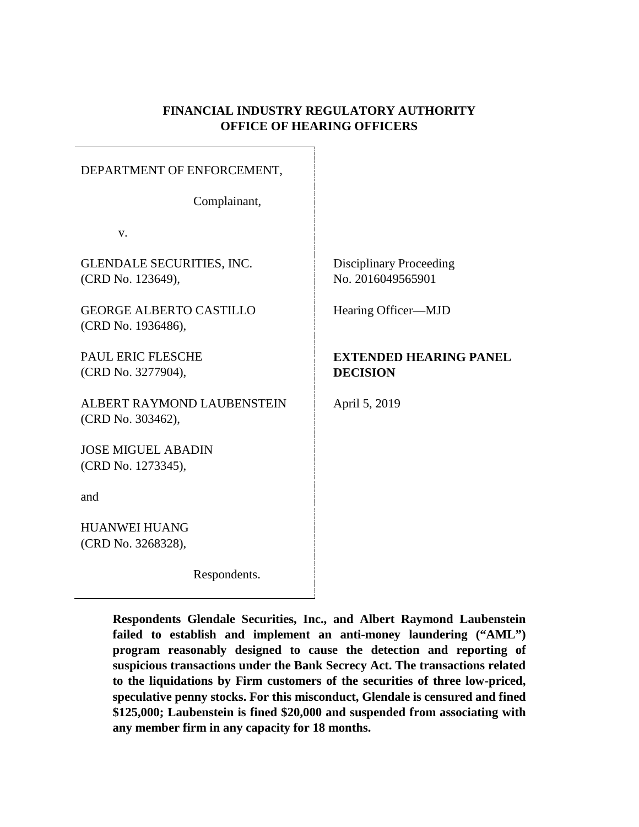## **FINANCIAL INDUSTRY REGULATORY AUTHORITY OFFICE OF HEARING OFFICERS**

#### DEPARTMENT OF ENFORCEMENT,

Complainant,

v.

GLENDALE SECURITIES, INC. (CRD No. 123649),

GEORGE ALBERTO CASTILLO (CRD No. 1936486),

PAUL ERIC FLESCHE (CRD No. 3277904),

ALBERT RAYMOND LAUBENSTEIN (CRD No. 303462),

JOSE MIGUEL ABADIN (CRD No. 1273345),

and

HUANWEI HUANG (CRD No. 3268328),

Respondents.

Disciplinary Proceeding No. 2016049565901

Hearing Officer—MJD

## **EXTENDED HEARING PANEL DECISION**

April 5, 2019

**Respondents Glendale Securities, Inc., and Albert Raymond Laubenstein failed to establish and implement an anti-money laundering ("AML") program reasonably designed to cause the detection and reporting of suspicious transactions under the Bank Secrecy Act. The transactions related to the liquidations by Firm customers of the securities of three low-priced, speculative penny stocks. For this misconduct, Glendale is censured and fined \$125,000; Laubenstein is fined \$20,000 and suspended from associating with any member firm in any capacity for 18 months.**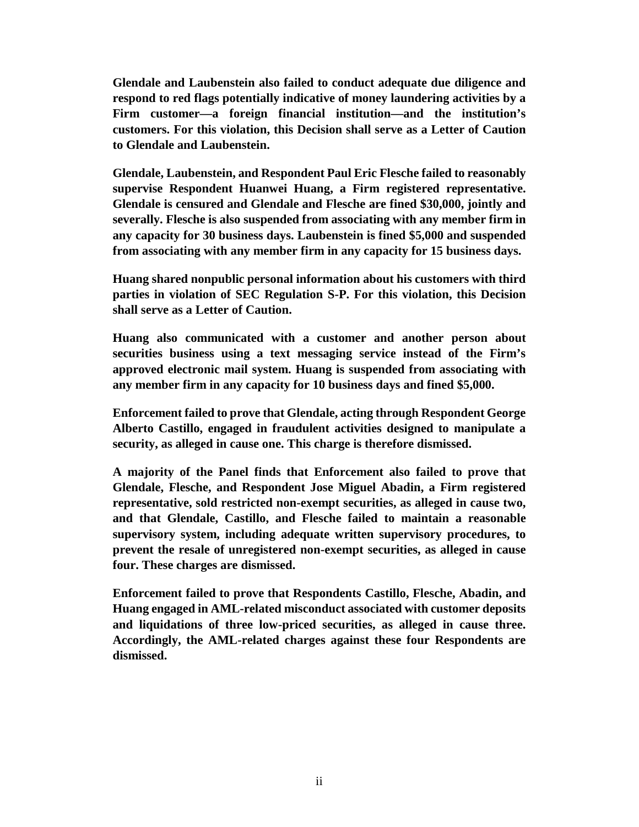**Glendale and Laubenstein also failed to conduct adequate due diligence and respond to red flags potentially indicative of money laundering activities by a Firm customer—a foreign financial institution—and the institution's customers. For this violation, this Decision shall serve as a Letter of Caution to Glendale and Laubenstein.**

**Glendale, Laubenstein, and Respondent Paul Eric Flesche failed to reasonably supervise Respondent Huanwei Huang, a Firm registered representative. Glendale is censured and Glendale and Flesche are fined \$30,000, jointly and severally. Flesche is also suspended from associating with any member firm in any capacity for 30 business days. Laubenstein is fined \$5,000 and suspended from associating with any member firm in any capacity for 15 business days.**

**Huang shared nonpublic personal information about his customers with third parties in violation of SEC Regulation S-P. For this violation, this Decision shall serve as a Letter of Caution.** 

**Huang also communicated with a customer and another person about securities business using a text messaging service instead of the Firm's approved electronic mail system. Huang is suspended from associating with any member firm in any capacity for 10 business days and fined \$5,000.**

**Enforcement failed to prove that Glendale, acting through Respondent George Alberto Castillo, engaged in fraudulent activities designed to manipulate a security, as alleged in cause one. This charge is therefore dismissed.** 

**A majority of the Panel finds that Enforcement also failed to prove that Glendale, Flesche, and Respondent Jose Miguel Abadin, a Firm registered representative, sold restricted non-exempt securities, as alleged in cause two, and that Glendale, Castillo, and Flesche failed to maintain a reasonable supervisory system, including adequate written supervisory procedures, to prevent the resale of unregistered non-exempt securities, as alleged in cause four. These charges are dismissed.** 

**Enforcement failed to prove that Respondents Castillo, Flesche, Abadin, and Huang engaged in AML-related misconduct associated with customer deposits and liquidations of three low-priced securities, as alleged in cause three. Accordingly, the AML-related charges against these four Respondents are dismissed.**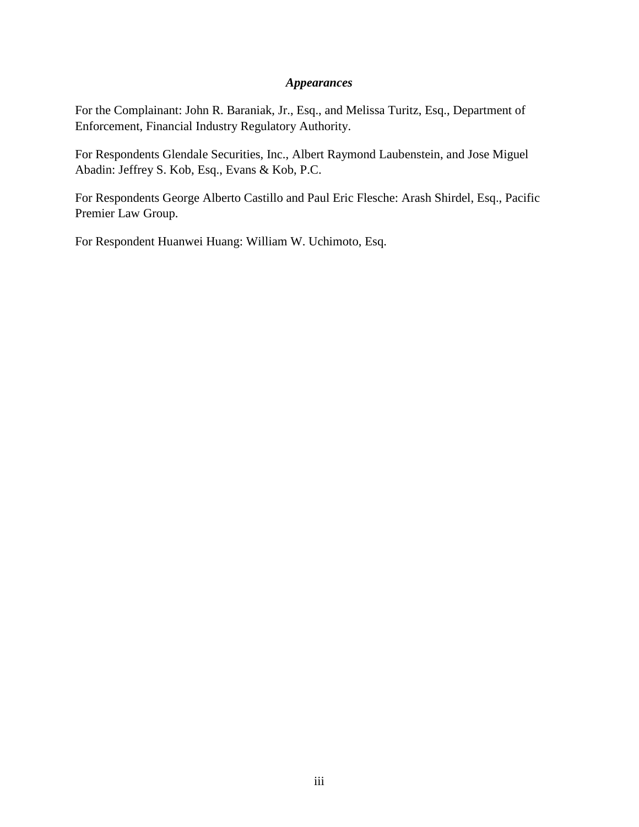## *Appearances*

For the Complainant: John R. Baraniak, Jr., Esq., and Melissa Turitz, Esq., Department of Enforcement, Financial Industry Regulatory Authority.

For Respondents Glendale Securities, Inc., Albert Raymond Laubenstein, and Jose Miguel Abadin: Jeffrey S. Kob, Esq., Evans & Kob, P.C.

For Respondents George Alberto Castillo and Paul Eric Flesche: Arash Shirdel, Esq., Pacific Premier Law Group.

For Respondent Huanwei Huang: William W. Uchimoto, Esq.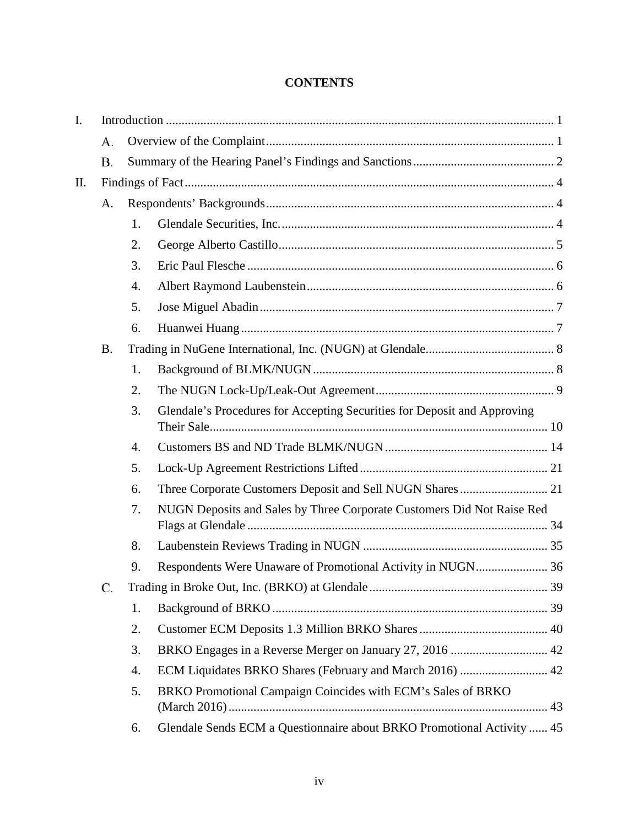# **CONTENTS**

| I. |           |                  |                                                                          |  |  |  |  |  |
|----|-----------|------------------|--------------------------------------------------------------------------|--|--|--|--|--|
|    | А.        |                  |                                                                          |  |  |  |  |  |
|    | <b>B.</b> |                  |                                                                          |  |  |  |  |  |
| Π. |           |                  |                                                                          |  |  |  |  |  |
|    | A.        |                  |                                                                          |  |  |  |  |  |
|    |           | 1.               |                                                                          |  |  |  |  |  |
|    |           | 2.               |                                                                          |  |  |  |  |  |
|    |           | 3.               |                                                                          |  |  |  |  |  |
|    |           | $\overline{4}$ . |                                                                          |  |  |  |  |  |
|    |           | 5.               |                                                                          |  |  |  |  |  |
|    |           | 6.               |                                                                          |  |  |  |  |  |
|    | <b>B.</b> |                  |                                                                          |  |  |  |  |  |
|    |           | 1.               |                                                                          |  |  |  |  |  |
|    |           | 2.               |                                                                          |  |  |  |  |  |
|    |           | 3.               | Glendale's Procedures for Accepting Securities for Deposit and Approving |  |  |  |  |  |
|    |           | 4.               |                                                                          |  |  |  |  |  |
|    |           | 5.               |                                                                          |  |  |  |  |  |
|    |           | 6.               | Three Corporate Customers Deposit and Sell NUGN Shares  21               |  |  |  |  |  |
|    |           | 7.               | NUGN Deposits and Sales by Three Corporate Customers Did Not Raise Red   |  |  |  |  |  |
|    |           | 8.               |                                                                          |  |  |  |  |  |
|    |           | 9.               |                                                                          |  |  |  |  |  |
|    | C.        |                  |                                                                          |  |  |  |  |  |
|    |           | 1.               |                                                                          |  |  |  |  |  |
|    |           | 2.               |                                                                          |  |  |  |  |  |
|    |           | 3.               |                                                                          |  |  |  |  |  |
|    |           | 4.               | ECM Liquidates BRKO Shares (February and March 2016)  42                 |  |  |  |  |  |
|    |           | 5.               | BRKO Promotional Campaign Coincides with ECM's Sales of BRKO             |  |  |  |  |  |
|    |           | 6.               | Glendale Sends ECM a Questionnaire about BRKO Promotional Activity  45   |  |  |  |  |  |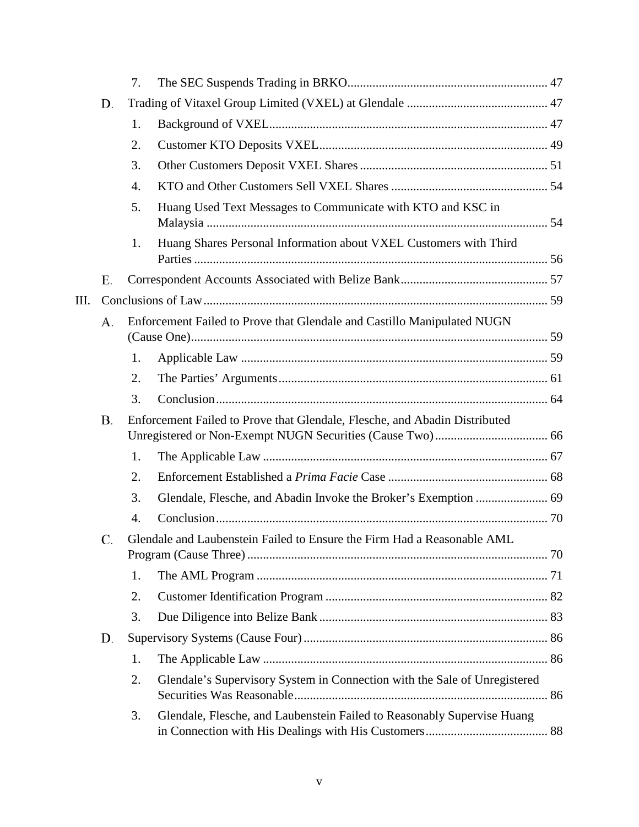|    |    | 7. |                                                                            |  |
|----|----|----|----------------------------------------------------------------------------|--|
|    | D. |    |                                                                            |  |
|    |    | 1. |                                                                            |  |
|    |    | 2. |                                                                            |  |
|    |    | 3. |                                                                            |  |
|    |    | 4. |                                                                            |  |
|    |    | 5. | Huang Used Text Messages to Communicate with KTO and KSC in                |  |
|    |    | 1. | Huang Shares Personal Information about VXEL Customers with Third          |  |
|    | Е. |    |                                                                            |  |
| Ш. |    |    |                                                                            |  |
|    | А. |    | Enforcement Failed to Prove that Glendale and Castillo Manipulated NUGN    |  |
|    |    |    |                                                                            |  |
|    |    | 1. |                                                                            |  |
|    |    | 2. |                                                                            |  |
|    |    | 3. |                                                                            |  |
|    | Β. |    | Enforcement Failed to Prove that Glendale, Flesche, and Abadin Distributed |  |
|    |    | 1. |                                                                            |  |
|    |    | 2. |                                                                            |  |
|    |    | 3. |                                                                            |  |
|    |    | 4. |                                                                            |  |
|    | C. |    | Glendale and Laubenstein Failed to Ensure the Firm Had a Reasonable AML    |  |
|    |    | 1. |                                                                            |  |
|    |    | 2. |                                                                            |  |
|    |    | 3. |                                                                            |  |
|    | D. |    |                                                                            |  |
|    |    | 1. |                                                                            |  |
|    |    | 2. | Glendale's Supervisory System in Connection with the Sale of Unregistered  |  |
|    |    | 3. | Glendale, Flesche, and Laubenstein Failed to Reasonably Supervise Huang    |  |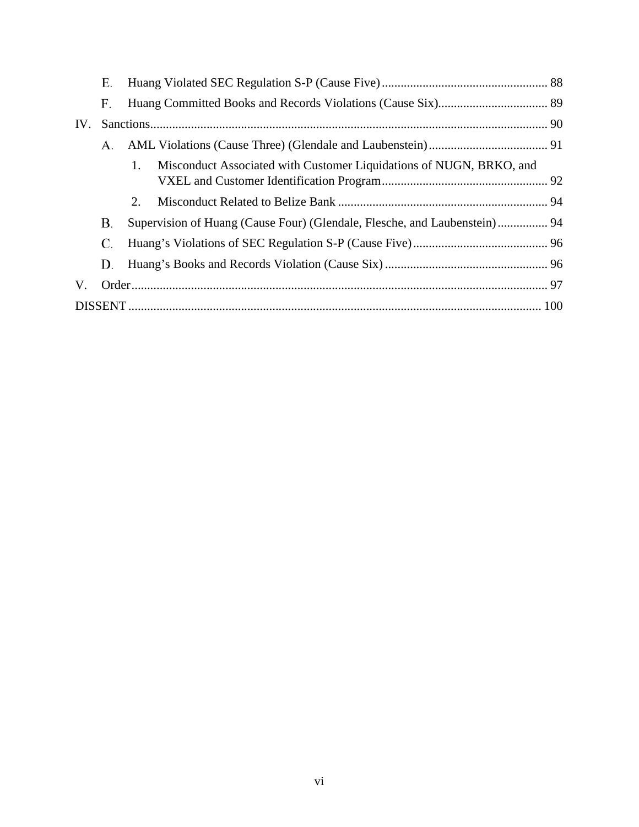|     | Е. |                                                                           |                                                                     |  |  |  |  |  |
|-----|----|---------------------------------------------------------------------------|---------------------------------------------------------------------|--|--|--|--|--|
|     | F. |                                                                           |                                                                     |  |  |  |  |  |
| IV. |    |                                                                           |                                                                     |  |  |  |  |  |
|     | А. |                                                                           |                                                                     |  |  |  |  |  |
|     |    | $1_{-}$                                                                   | Misconduct Associated with Customer Liquidations of NUGN, BRKO, and |  |  |  |  |  |
|     |    |                                                                           |                                                                     |  |  |  |  |  |
|     |    | 2.                                                                        |                                                                     |  |  |  |  |  |
|     | В. | Supervision of Huang (Cause Four) (Glendale, Flesche, and Laubenstein) 94 |                                                                     |  |  |  |  |  |
|     | C. |                                                                           |                                                                     |  |  |  |  |  |
|     | D. |                                                                           |                                                                     |  |  |  |  |  |
| V.  |    |                                                                           |                                                                     |  |  |  |  |  |
|     |    |                                                                           |                                                                     |  |  |  |  |  |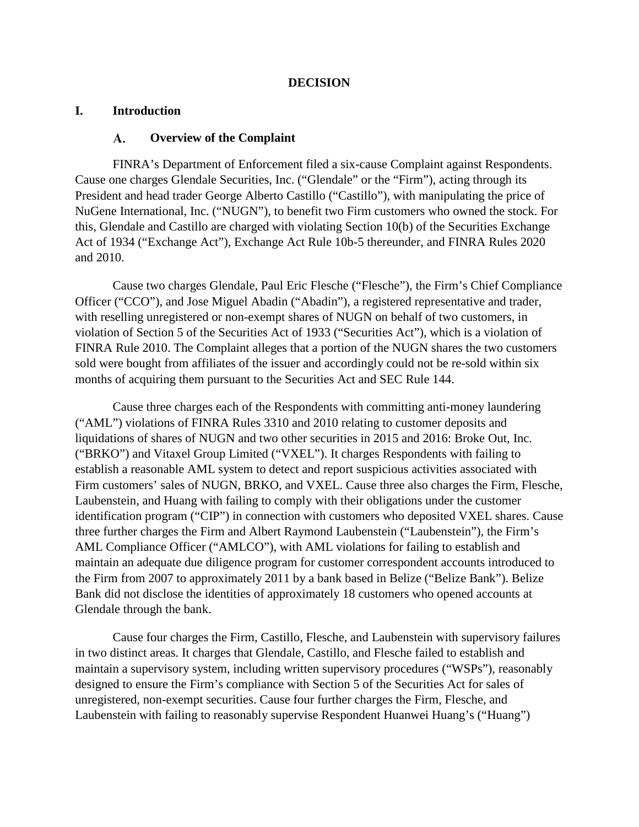## **DECISION**

## <span id="page-6-1"></span><span id="page-6-0"></span>**I. Introduction**

#### A. **Overview of the Complaint**

FINRA's Department of Enforcement filed a six-cause Complaint against Respondents. Cause one charges Glendale Securities, Inc. ("Glendale" or the "Firm"), acting through its President and head trader George Alberto Castillo ("Castillo"), with manipulating the price of NuGene International, Inc. ("NUGN"), to benefit two Firm customers who owned the stock. For this, Glendale and Castillo are charged with violating Section 10(b) of the Securities Exchange Act of 1934 ("Exchange Act"), Exchange Act Rule 10b-5 thereunder, and FINRA Rules 2020 and 2010.

Cause two charges Glendale, Paul Eric Flesche ("Flesche"), the Firm's Chief Compliance Officer ("CCO"), and Jose Miguel Abadin ("Abadin"), a registered representative and trader, with reselling unregistered or non-exempt shares of NUGN on behalf of two customers, in violation of Section 5 of the Securities Act of 1933 ("Securities Act"), which is a violation of FINRA Rule 2010. The Complaint alleges that a portion of the NUGN shares the two customers sold were bought from affiliates of the issuer and accordingly could not be re-sold within six months of acquiring them pursuant to the Securities Act and SEC Rule 144.

Cause three charges each of the Respondents with committing anti-money laundering ("AML") violations of FINRA Rules 3310 and 2010 relating to customer deposits and liquidations of shares of NUGN and two other securities in 2015 and 2016: Broke Out, Inc. ("BRKO") and Vitaxel Group Limited ("VXEL"). It charges Respondents with failing to establish a reasonable AML system to detect and report suspicious activities associated with Firm customers' sales of NUGN, BRKO, and VXEL. Cause three also charges the Firm, Flesche, Laubenstein, and Huang with failing to comply with their obligations under the customer identification program ("CIP") in connection with customers who deposited VXEL shares. Cause three further charges the Firm and Albert Raymond Laubenstein ("Laubenstein"), the Firm's AML Compliance Officer ("AMLCO"), with AML violations for failing to establish and maintain an adequate due diligence program for customer correspondent accounts introduced to the Firm from 2007 to approximately 2011 by a bank based in Belize ("Belize Bank"). Belize Bank did not disclose the identities of approximately 18 customers who opened accounts at Glendale through the bank.

Cause four charges the Firm, Castillo, Flesche, and Laubenstein with supervisory failures in two distinct areas. It charges that Glendale, Castillo, and Flesche failed to establish and maintain a supervisory system, including written supervisory procedures ("WSPs"), reasonably designed to ensure the Firm's compliance with Section 5 of the Securities Act for sales of unregistered, non-exempt securities. Cause four further charges the Firm, Flesche, and Laubenstein with failing to reasonably supervise Respondent Huanwei Huang's ("Huang")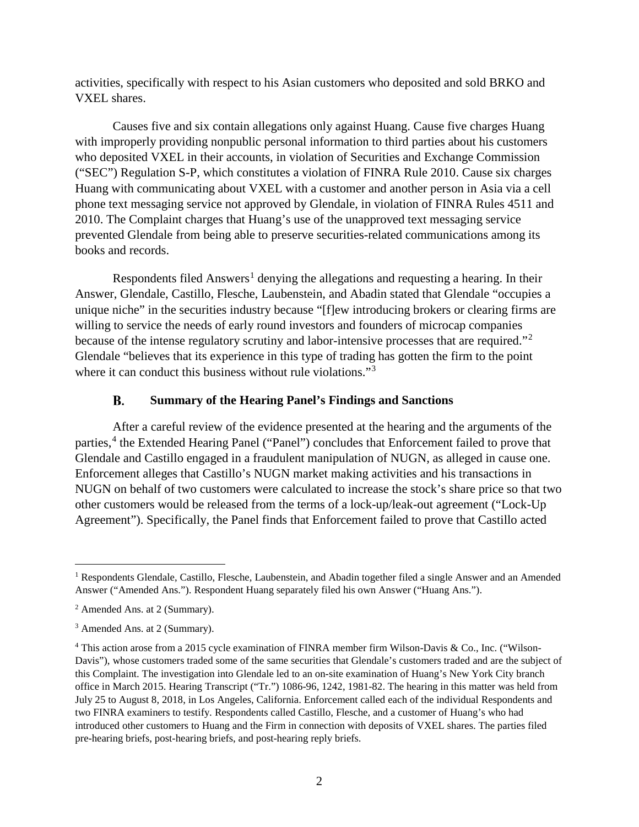activities, specifically with respect to his Asian customers who deposited and sold BRKO and VXEL shares.

Causes five and six contain allegations only against Huang. Cause five charges Huang with improperly providing nonpublic personal information to third parties about his customers who deposited VXEL in their accounts, in violation of Securities and Exchange Commission ("SEC") Regulation S-P, which constitutes a violation of FINRA Rule 2010. Cause six charges Huang with communicating about VXEL with a customer and another person in Asia via a cell phone text messaging service not approved by Glendale, in violation of FINRA Rules 4511 and 2010. The Complaint charges that Huang's use of the unapproved text messaging service prevented Glendale from being able to preserve securities-related communications among its books and records.

Respondents filed  $\text{Answers}^1$  $\text{Answers}^1$  denying the allegations and requesting a hearing. In their Answer, Glendale, Castillo, Flesche, Laubenstein, and Abadin stated that Glendale "occupies a unique niche" in the securities industry because "[f]ew introducing brokers or clearing firms are willing to service the needs of early round investors and founders of microcap companies because of the intense regulatory scrutiny and labor-intensive processes that are required."[2](#page-7-2) Glendale "believes that its experience in this type of trading has gotten the firm to the point where it can conduct this business without rule violations."<sup>[3](#page-7-3)</sup>

#### В. **Summary of the Hearing Panel's Findings and Sanctions**

<span id="page-7-0"></span>After a careful review of the evidence presented at the hearing and the arguments of the parties,<sup>[4](#page-7-4)</sup> the Extended Hearing Panel ("Panel") concludes that Enforcement failed to prove that Glendale and Castillo engaged in a fraudulent manipulation of NUGN, as alleged in cause one. Enforcement alleges that Castillo's NUGN market making activities and his transactions in NUGN on behalf of two customers were calculated to increase the stock's share price so that two other customers would be released from the terms of a lock-up/leak-out agreement ("Lock-Up Agreement"). Specifically, the Panel finds that Enforcement failed to prove that Castillo acted

<span id="page-7-1"></span><sup>&</sup>lt;sup>1</sup> Respondents Glendale, Castillo, Flesche, Laubenstein, and Abadin together filed a single Answer and an Amended Answer ("Amended Ans."). Respondent Huang separately filed his own Answer ("Huang Ans.").

<span id="page-7-2"></span><sup>2</sup> Amended Ans. at 2 (Summary).

<span id="page-7-3"></span><sup>3</sup> Amended Ans. at 2 (Summary).

<span id="page-7-4"></span><sup>4</sup> This action arose from a 2015 cycle examination of FINRA member firm Wilson-Davis & Co., Inc. ("Wilson-Davis"), whose customers traded some of the same securities that Glendale's customers traded and are the subject of this Complaint. The investigation into Glendale led to an on-site examination of Huang's New York City branch office in March 2015. Hearing Transcript ("Tr.") 1086-96, 1242, 1981-82. The hearing in this matter was held from July 25 to August 8, 2018, in Los Angeles, California. Enforcement called each of the individual Respondents and two FINRA examiners to testify. Respondents called Castillo, Flesche, and a customer of Huang's who had introduced other customers to Huang and the Firm in connection with deposits of VXEL shares. The parties filed pre-hearing briefs, post-hearing briefs, and post-hearing reply briefs.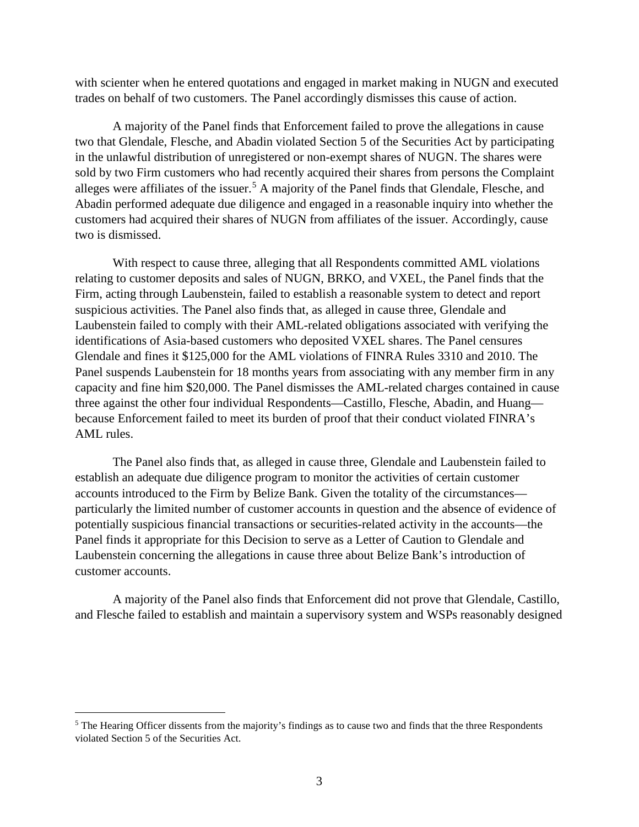with scienter when he entered quotations and engaged in market making in NUGN and executed trades on behalf of two customers. The Panel accordingly dismisses this cause of action.

A majority of the Panel finds that Enforcement failed to prove the allegations in cause two that Glendale, Flesche, and Abadin violated Section 5 of the Securities Act by participating in the unlawful distribution of unregistered or non-exempt shares of NUGN. The shares were sold by two Firm customers who had recently acquired their shares from persons the Complaint alleges were affiliates of the issuer.<sup>[5](#page-8-0)</sup> A majority of the Panel finds that Glendale, Flesche, and Abadin performed adequate due diligence and engaged in a reasonable inquiry into whether the customers had acquired their shares of NUGN from affiliates of the issuer. Accordingly, cause two is dismissed.

With respect to cause three, alleging that all Respondents committed AML violations relating to customer deposits and sales of NUGN, BRKO, and VXEL, the Panel finds that the Firm, acting through Laubenstein, failed to establish a reasonable system to detect and report suspicious activities. The Panel also finds that, as alleged in cause three, Glendale and Laubenstein failed to comply with their AML-related obligations associated with verifying the identifications of Asia-based customers who deposited VXEL shares. The Panel censures Glendale and fines it \$125,000 for the AML violations of FINRA Rules 3310 and 2010. The Panel suspends Laubenstein for 18 months years from associating with any member firm in any capacity and fine him \$20,000. The Panel dismisses the AML-related charges contained in cause three against the other four individual Respondents—Castillo, Flesche, Abadin, and Huang because Enforcement failed to meet its burden of proof that their conduct violated FINRA's AML rules.

The Panel also finds that, as alleged in cause three, Glendale and Laubenstein failed to establish an adequate due diligence program to monitor the activities of certain customer accounts introduced to the Firm by Belize Bank. Given the totality of the circumstances particularly the limited number of customer accounts in question and the absence of evidence of potentially suspicious financial transactions or securities-related activity in the accounts—the Panel finds it appropriate for this Decision to serve as a Letter of Caution to Glendale and Laubenstein concerning the allegations in cause three about Belize Bank's introduction of customer accounts.

A majority of the Panel also finds that Enforcement did not prove that Glendale, Castillo, and Flesche failed to establish and maintain a supervisory system and WSPs reasonably designed

<span id="page-8-0"></span><sup>&</sup>lt;sup>5</sup> The Hearing Officer dissents from the majority's findings as to cause two and finds that the three Respondents violated Section 5 of the Securities Act.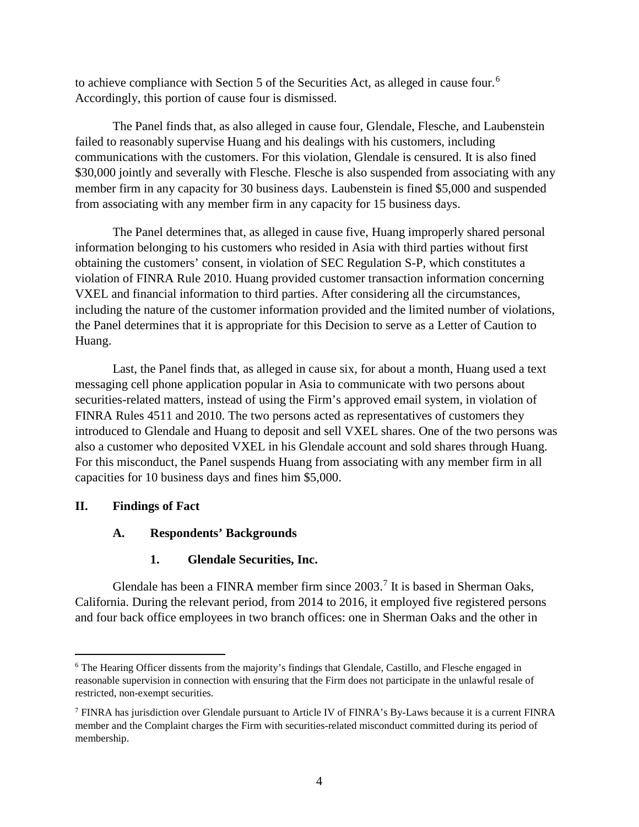to achieve compliance with Section 5 of the Securities Act, as alleged in cause four.<sup>[6](#page-9-3)</sup> Accordingly, this portion of cause four is dismissed.

The Panel finds that, as also alleged in cause four, Glendale, Flesche, and Laubenstein failed to reasonably supervise Huang and his dealings with his customers, including communications with the customers. For this violation, Glendale is censured. It is also fined \$30,000 jointly and severally with Flesche. Flesche is also suspended from associating with any member firm in any capacity for 30 business days. Laubenstein is fined \$5,000 and suspended from associating with any member firm in any capacity for 15 business days.

The Panel determines that, as alleged in cause five, Huang improperly shared personal information belonging to his customers who resided in Asia with third parties without first obtaining the customers' consent, in violation of SEC Regulation S-P, which constitutes a violation of FINRA Rule 2010. Huang provided customer transaction information concerning VXEL and financial information to third parties. After considering all the circumstances, including the nature of the customer information provided and the limited number of violations, the Panel determines that it is appropriate for this Decision to serve as a Letter of Caution to Huang.

Last, the Panel finds that, as alleged in cause six, for about a month, Huang used a text messaging cell phone application popular in Asia to communicate with two persons about securities-related matters, instead of using the Firm's approved email system, in violation of FINRA Rules 4511 and 2010. The two persons acted as representatives of customers they introduced to Glendale and Huang to deposit and sell VXEL shares. One of the two persons was also a customer who deposited VXEL in his Glendale account and sold shares through Huang. For this misconduct, the Panel suspends Huang from associating with any member firm in all capacities for 10 business days and fines him \$5,000.

## <span id="page-9-1"></span><span id="page-9-0"></span>**II. Findings of Fact**

# **A. Respondents' Backgrounds**

# **1. Glendale Securities, Inc.**

<span id="page-9-2"></span>Glendale has been a FINRA member firm since 2003.<sup>[7](#page-9-4)</sup> It is based in Sherman Oaks, California. During the relevant period, from 2014 to 2016, it employed five registered persons and four back office employees in two branch offices: one in Sherman Oaks and the other in

<span id="page-9-3"></span><sup>&</sup>lt;sup>6</sup> The Hearing Officer dissents from the majority's findings that Glendale, Castillo, and Flesche engaged in reasonable supervision in connection with ensuring that the Firm does not participate in the unlawful resale of restricted, non-exempt securities.

<span id="page-9-4"></span><sup>7</sup> FINRA has jurisdiction over Glendale pursuant to Article IV of FINRA's By-Laws because it is a current FINRA member and the Complaint charges the Firm with securities-related misconduct committed during its period of membership.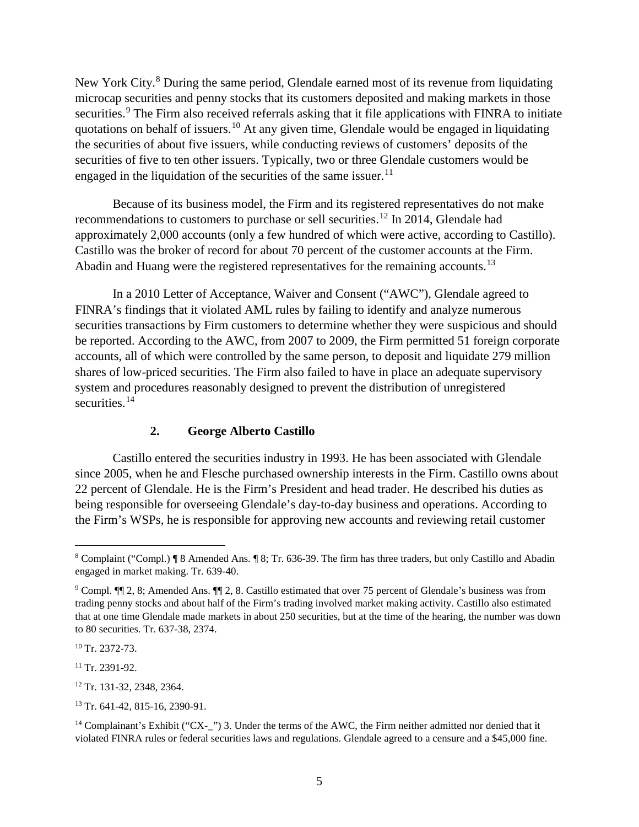New York City.<sup>[8](#page-10-1)</sup> During the same period, Glendale earned most of its revenue from liquidating microcap securities and penny stocks that its customers deposited and making markets in those securities.<sup>[9](#page-10-2)</sup> The Firm also received referrals asking that it file applications with FINRA to initiate quotations on behalf of issuers.<sup>[10](#page-10-3)</sup> At any given time, Glendale would be engaged in liquidating the securities of about five issuers, while conducting reviews of customers' deposits of the securities of five to ten other issuers. Typically, two or three Glendale customers would be engaged in the liquidation of the securities of the same issuer.<sup>[11](#page-10-4)</sup>

Because of its business model, the Firm and its registered representatives do not make recommendations to customers to purchase or sell securities.<sup>[12](#page-10-5)</sup> In 2014, Glendale had approximately 2,000 accounts (only a few hundred of which were active, according to Castillo). Castillo was the broker of record for about 70 percent of the customer accounts at the Firm. Abadin and Huang were the registered representatives for the remaining accounts.<sup>13</sup>

In a 2010 Letter of Acceptance, Waiver and Consent ("AWC"), Glendale agreed to FINRA's findings that it violated AML rules by failing to identify and analyze numerous securities transactions by Firm customers to determine whether they were suspicious and should be reported. According to the AWC, from 2007 to 2009, the Firm permitted 51 foreign corporate accounts, all of which were controlled by the same person, to deposit and liquidate 279 million shares of low-priced securities. The Firm also failed to have in place an adequate supervisory system and procedures reasonably designed to prevent the distribution of unregistered securities.<sup>[14](#page-10-7)</sup>

## **2. George Alberto Castillo**

<span id="page-10-0"></span>Castillo entered the securities industry in 1993. He has been associated with Glendale since 2005, when he and Flesche purchased ownership interests in the Firm. Castillo owns about 22 percent of Glendale. He is the Firm's President and head trader. He described his duties as being responsible for overseeing Glendale's day-to-day business and operations. According to the Firm's WSPs, he is responsible for approving new accounts and reviewing retail customer

<span id="page-10-5"></span><sup>12</sup> Tr. 131-32, 2348, 2364.

<span id="page-10-1"></span> <sup>8</sup> Complaint ("Compl.) ¶ 8 Amended Ans. ¶ 8; Tr. 636-39. The firm has three traders, but only Castillo and Abadin engaged in market making. Tr. 639-40.

<span id="page-10-2"></span><sup>9</sup> Compl. ¶¶ 2, 8; Amended Ans. ¶¶ 2, 8. Castillo estimated that over 75 percent of Glendale's business was from trading penny stocks and about half of the Firm's trading involved market making activity. Castillo also estimated that at one time Glendale made markets in about 250 securities, but at the time of the hearing, the number was down to 80 securities. Tr. 637-38, 2374.

<span id="page-10-3"></span> $10$  Tr. 2372-73.

<span id="page-10-4"></span> $11$  Tr. 2391-92.

<span id="page-10-6"></span><sup>13</sup> Tr. 641-42, 815-16, 2390-91.

<span id="page-10-7"></span><sup>&</sup>lt;sup>14</sup> Complainant's Exhibit ("CX-\_") 3. Under the terms of the AWC, the Firm neither admitted nor denied that it violated FINRA rules or federal securities laws and regulations. Glendale agreed to a censure and a \$45,000 fine.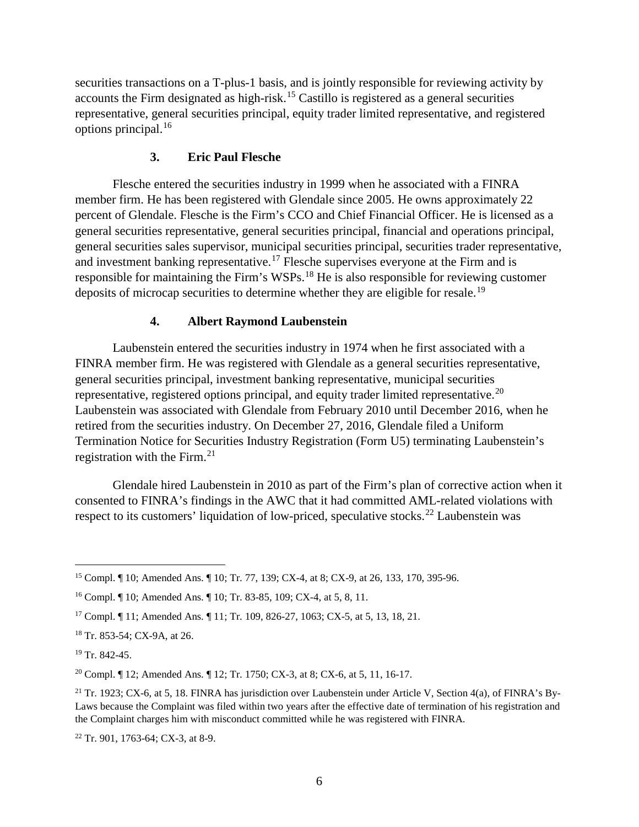securities transactions on a T-plus-1 basis, and is jointly responsible for reviewing activity by accounts the Firm designated as high-risk.<sup>[15](#page-11-2)</sup> Castillo is registered as a general securities representative, general securities principal, equity trader limited representative, and registered options principal.[16](#page-11-3)

#### **3. Eric Paul Flesche**

<span id="page-11-0"></span>Flesche entered the securities industry in 1999 when he associated with a FINRA member firm. He has been registered with Glendale since 2005. He owns approximately 22 percent of Glendale. Flesche is the Firm's CCO and Chief Financial Officer. He is licensed as a general securities representative, general securities principal, financial and operations principal, general securities sales supervisor, municipal securities principal, securities trader representative, and investment banking representative.<sup>[17](#page-11-4)</sup> Flesche supervises everyone at the Firm and is responsible for maintaining the Firm's WSPs.<sup>[18](#page-11-5)</sup> He is also responsible for reviewing customer deposits of microcap securities to determine whether they are eligible for resale.[19](#page-11-6)

## **4. Albert Raymond Laubenstein**

<span id="page-11-1"></span>Laubenstein entered the securities industry in 1974 when he first associated with a FINRA member firm. He was registered with Glendale as a general securities representative, general securities principal, investment banking representative, municipal securities representative, registered options principal, and equity trader limited representative.<sup>[20](#page-11-7)</sup> Laubenstein was associated with Glendale from February 2010 until December 2016, when he retired from the securities industry. On December 27, 2016, Glendale filed a Uniform Termination Notice for Securities Industry Registration (Form U5) terminating Laubenstein's registration with the Firm. $21$ 

Glendale hired Laubenstein in 2010 as part of the Firm's plan of corrective action when it consented to FINRA's findings in the AWC that it had committed AML-related violations with respect to its customers' liquidation of low-priced, speculative stocks.<sup>[22](#page-11-9)</sup> Laubenstein was

<span id="page-11-9"></span><sup>22</sup> Tr. 901, 1763-64; CX-3, at 8-9.

<span id="page-11-2"></span> <sup>15</sup> Compl. ¶ 10; Amended Ans. ¶ 10; Tr. 77, 139; CX-4, at 8; CX-9, at 26, 133, 170, 395-96.

<span id="page-11-3"></span><sup>16</sup> Compl. ¶ 10; Amended Ans. ¶ 10; Tr. 83-85, 109; CX-4, at 5, 8, 11.

<span id="page-11-4"></span><sup>17</sup> Compl. ¶ 11; Amended Ans. ¶ 11; Tr. 109, 826-27, 1063; CX-5, at 5, 13, 18, 21.

<span id="page-11-5"></span><sup>18</sup> Tr. 853-54; CX-9A, at 26.

<span id="page-11-6"></span> $19$  Tr. 842-45.

<span id="page-11-7"></span><sup>&</sup>lt;sup>20</sup> Compl. ¶ 12; Amended Ans. ¶ 12; Tr. 1750; CX-3, at 8; CX-6, at 5, 11, 16-17.

<span id="page-11-8"></span><sup>&</sup>lt;sup>21</sup> Tr. 1923; CX-6, at 5, 18. FINRA has jurisdiction over Laubenstein under Article V, Section 4(a), of FINRA's By-Laws because the Complaint was filed within two years after the effective date of termination of his registration and the Complaint charges him with misconduct committed while he was registered with FINRA.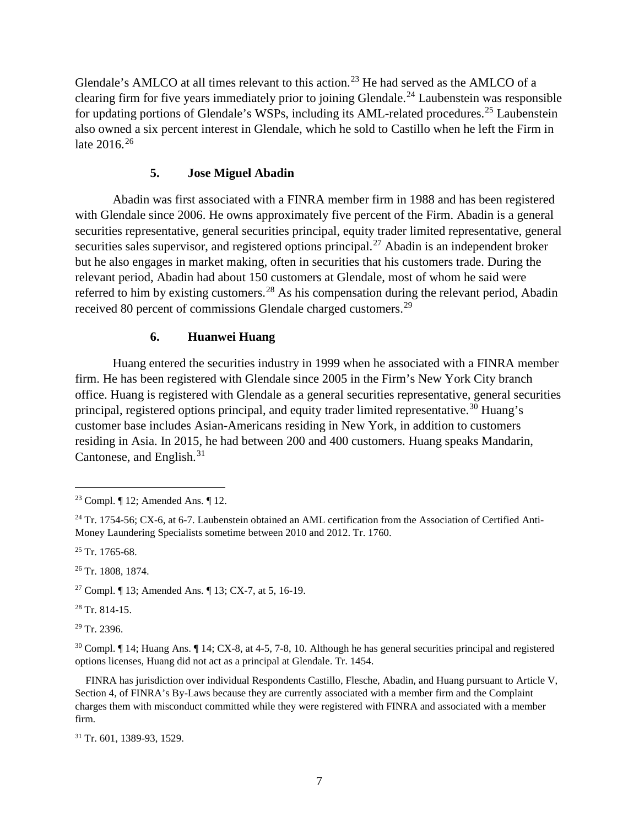Glendale's AMLCO at all times relevant to this action.<sup>[23](#page-12-2)</sup> He had served as the AMLCO of a clearing firm for five years immediately prior to joining Glendale. [24](#page-12-3) Laubenstein was responsible for updating portions of Glendale's WSPs, including its AML-related procedures.<sup>[25](#page-12-4)</sup> Laubenstein also owned a six percent interest in Glendale, which he sold to Castillo when he left the Firm in late 2016. [26](#page-12-5)

## **5. Jose Miguel Abadin**

<span id="page-12-0"></span>Abadin was first associated with a FINRA member firm in 1988 and has been registered with Glendale since 2006. He owns approximately five percent of the Firm. Abadin is a general securities representative, general securities principal, equity trader limited representative, general securities sales supervisor, and registered options principal.<sup>[27](#page-12-6)</sup> Abadin is an independent broker but he also engages in market making, often in securities that his customers trade. During the relevant period, Abadin had about 150 customers at Glendale, most of whom he said were referred to him by existing customers.<sup>[28](#page-12-7)</sup> As his compensation during the relevant period, Abadin received 80 percent of commissions Glendale charged customers.<sup>[29](#page-12-8)</sup>

## **6. Huanwei Huang**

<span id="page-12-1"></span>Huang entered the securities industry in 1999 when he associated with a FINRA member firm. He has been registered with Glendale since 2005 in the Firm's New York City branch office. Huang is registered with Glendale as a general securities representative, general securities principal, registered options principal, and equity trader limited representative.[30](#page-12-9) Huang's customer base includes Asian-Americans residing in New York, in addition to customers residing in Asia. In 2015, he had between 200 and 400 customers. Huang speaks Mandarin, Cantonese, and English.<sup>[31](#page-12-10)</sup>

<span id="page-12-5"></span><sup>26</sup> Tr. 1808, 1874.

<span id="page-12-6"></span><sup>27</sup> Compl. ¶ 13; Amended Ans. ¶ 13; CX-7, at 5, 16-19.

<span id="page-12-7"></span> $28$  Tr. 814-15.

<span id="page-12-8"></span><sup>29</sup> Tr. 2396.

<span id="page-12-9"></span> $30$  Compl.  $\P$  14; Huang Ans.  $\P$  14; CX-8, at 4-5, 7-8, 10. Although he has general securities principal and registered options licenses, Huang did not act as a principal at Glendale. Tr. 1454.

 FINRA has jurisdiction over individual Respondents Castillo, Flesche, Abadin, and Huang pursuant to Article V, Section 4, of FINRA's By-Laws because they are currently associated with a member firm and the Complaint charges them with misconduct committed while they were registered with FINRA and associated with a member firm.

<span id="page-12-10"></span><sup>31</sup> Tr. 601, 1389-93, 1529.

<span id="page-12-2"></span> <sup>23</sup> Compl. ¶ 12; Amended Ans. ¶ 12.

<span id="page-12-3"></span> $^{24}$  Tr. 1754-56; CX-6, at 6-7. Laubenstein obtained an AML certification from the Association of Certified Anti-Money Laundering Specialists sometime between 2010 and 2012. Tr. 1760.

<span id="page-12-4"></span> $25$  Tr. 1765-68.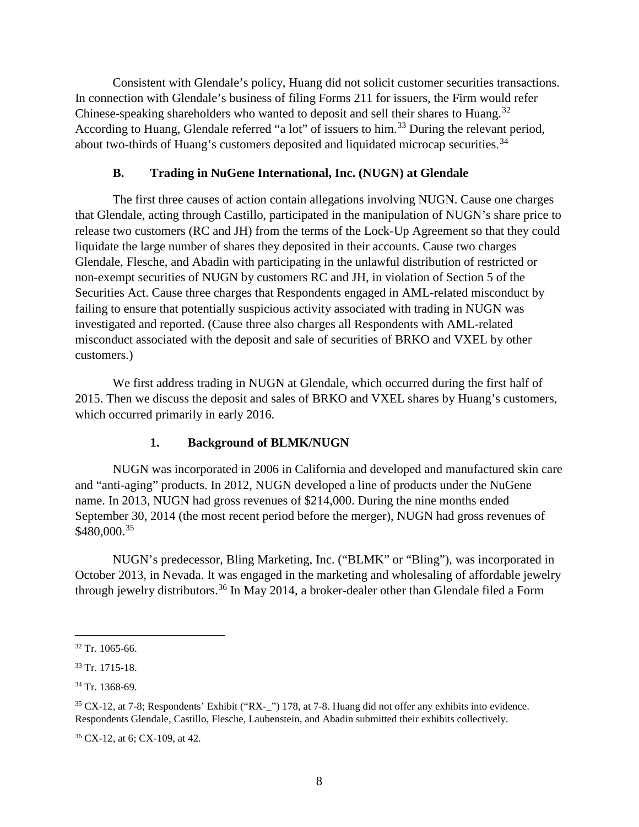Consistent with Glendale's policy, Huang did not solicit customer securities transactions. In connection with Glendale's business of filing Forms 211 for issuers, the Firm would refer Chinese-speaking shareholders who wanted to deposit and sell their shares to Huang.<sup>[32](#page-13-2)</sup> According to Huang, Glendale referred "a lot" of issuers to him.<sup>[33](#page-13-3)</sup> During the relevant period, about two-thirds of Huang's customers deposited and liquidated microcap securities.<sup>[34](#page-13-4)</sup>

## **B. Trading in NuGene International, Inc. (NUGN) at Glendale**

<span id="page-13-0"></span>The first three causes of action contain allegations involving NUGN. Cause one charges that Glendale, acting through Castillo, participated in the manipulation of NUGN's share price to release two customers (RC and JH) from the terms of the Lock-Up Agreement so that they could liquidate the large number of shares they deposited in their accounts. Cause two charges Glendale, Flesche, and Abadin with participating in the unlawful distribution of restricted or non-exempt securities of NUGN by customers RC and JH, in violation of Section 5 of the Securities Act. Cause three charges that Respondents engaged in AML-related misconduct by failing to ensure that potentially suspicious activity associated with trading in NUGN was investigated and reported. (Cause three also charges all Respondents with AML-related misconduct associated with the deposit and sale of securities of BRKO and VXEL by other customers.)

We first address trading in NUGN at Glendale, which occurred during the first half of 2015. Then we discuss the deposit and sales of BRKO and VXEL shares by Huang's customers, which occurred primarily in early 2016.

## **1. Background of BLMK/NUGN**

<span id="page-13-1"></span>NUGN was incorporated in 2006 in California and developed and manufactured skin care and "anti-aging" products. In 2012, NUGN developed a line of products under the NuGene name. In 2013, NUGN had gross revenues of \$214,000. During the nine months ended September 30, 2014 (the most recent period before the merger), NUGN had gross revenues of \$480,000.<sup>[35](#page-13-5)</sup>

NUGN's predecessor, Bling Marketing, Inc. ("BLMK" or "Bling"), was incorporated in October 2013, in Nevada. It was engaged in the marketing and wholesaling of affordable jewelry through jewelry distributors.<sup>[36](#page-13-6)</sup> In May 2014, a broker-dealer other than Glendale filed a Form

<span id="page-13-2"></span> $32$  Tr. 1065-66.

<span id="page-13-3"></span> $33$  Tr. 1715-18.

<span id="page-13-4"></span><sup>34</sup> Tr. 1368-69.

<span id="page-13-5"></span><sup>35</sup> CX-12, at 7-8; Respondents' Exhibit ("RX-\_") 178, at 7-8. Huang did not offer any exhibits into evidence. Respondents Glendale, Castillo, Flesche, Laubenstein, and Abadin submitted their exhibits collectively.

<span id="page-13-6"></span><sup>36</sup> CX-12, at 6; CX-109, at 42.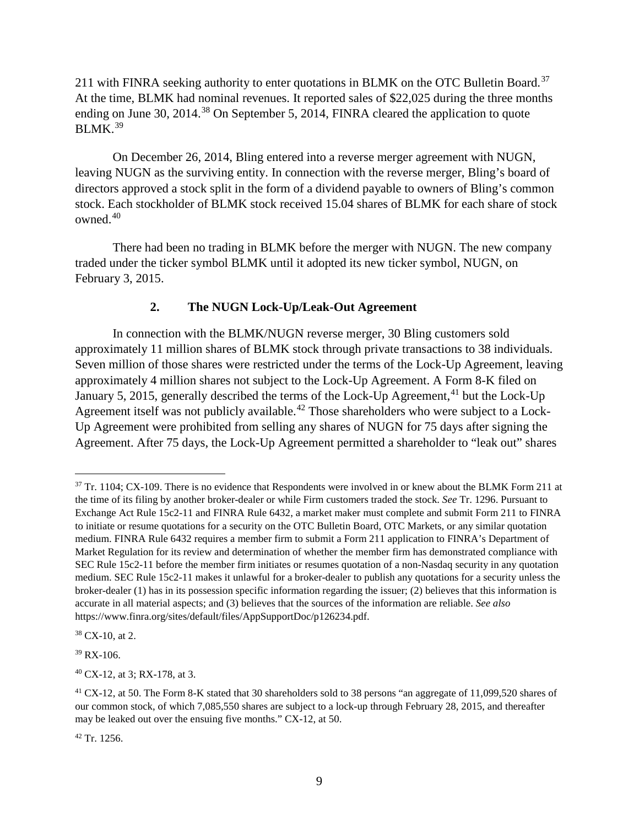211 with FINRA seeking authority to enter quotations in BLMK on the OTC Bulletin Board.<sup>[37](#page-14-1)</sup> At the time, BLMK had nominal revenues. It reported sales of \$22,025 during the three months ending on June 30, 2014.<sup>[38](#page-14-2)</sup> On September 5, 2014, FINRA cleared the application to quote  $BLMK.<sup>39</sup>$  $BLMK.<sup>39</sup>$  $BLMK.<sup>39</sup>$ 

On December 26, 2014, Bling entered into a reverse merger agreement with NUGN, leaving NUGN as the surviving entity. In connection with the reverse merger, Bling's board of directors approved a stock split in the form of a dividend payable to owners of Bling's common stock. Each stockholder of BLMK stock received 15.04 shares of BLMK for each share of stock owned.[40](#page-14-4) 

There had been no trading in BLMK before the merger with NUGN. The new company traded under the ticker symbol BLMK until it adopted its new ticker symbol, NUGN, on February 3, 2015.

## **2. The NUGN Lock-Up/Leak-Out Agreement**

<span id="page-14-0"></span>In connection with the BLMK/NUGN reverse merger, 30 Bling customers sold approximately 11 million shares of BLMK stock through private transactions to 38 individuals. Seven million of those shares were restricted under the terms of the Lock-Up Agreement, leaving approximately 4 million shares not subject to the Lock-Up Agreement. A Form 8-K filed on January 5, 2015, generally described the terms of the Lock-Up Agreement,<sup>[41](#page-14-5)</sup> but the Lock-Up Agreement itself was not publicly available.<sup>[42](#page-14-6)</sup> Those shareholders who were subject to a Lock-Up Agreement were prohibited from selling any shares of NUGN for 75 days after signing the Agreement. After 75 days, the Lock-Up Agreement permitted a shareholder to "leak out" shares

<span id="page-14-2"></span><sup>38</sup> CX-10, at 2.

<span id="page-14-3"></span><sup>39</sup> RX-106.

<span id="page-14-4"></span><sup>40</sup> CX-12, at 3; RX-178, at 3.

<span id="page-14-6"></span><sup>42</sup> Tr. 1256.

<span id="page-14-1"></span><sup>&</sup>lt;sup>37</sup> Tr. 1104; CX-109. There is no evidence that Respondents were involved in or knew about the BLMK Form 211 at the time of its filing by another broker-dealer or while Firm customers traded the stock. *See* Tr. 1296. Pursuant to Exchange Act Rule 15c2-11 and FINRA Rule 6432, a market maker must complete and submit Form 211 to FINRA to initiate or resume quotations for a security on the OTC Bulletin Board, OTC Markets, or any similar quotation medium. FINRA Rule 6432 requires a member firm to submit a Form 211 application to FINRA's Department of Market Regulation for its review and determination of whether the member firm has demonstrated compliance with SEC Rule 15c2-11 before the member firm initiates or resumes quotation of a non-Nasdaq security in any quotation medium. SEC Rule 15c2-11 makes it unlawful for a broker-dealer to publish any quotations for a security unless the broker-dealer (1) has in its possession specific information regarding the issuer; (2) believes that this information is accurate in all material aspects; and (3) believes that the sources of the information are reliable. *See also* https://www.finra.org/sites/default/files/AppSupportDoc/p126234.pdf.

<span id="page-14-5"></span><sup>&</sup>lt;sup>41</sup> CX-12, at 50. The Form 8-K stated that 30 shareholders sold to 38 persons "an aggregate of 11,099,520 shares of our common stock, of which 7,085,550 shares are subject to a lock-up through February 28, 2015, and thereafter may be leaked out over the ensuing five months." CX-12, at 50.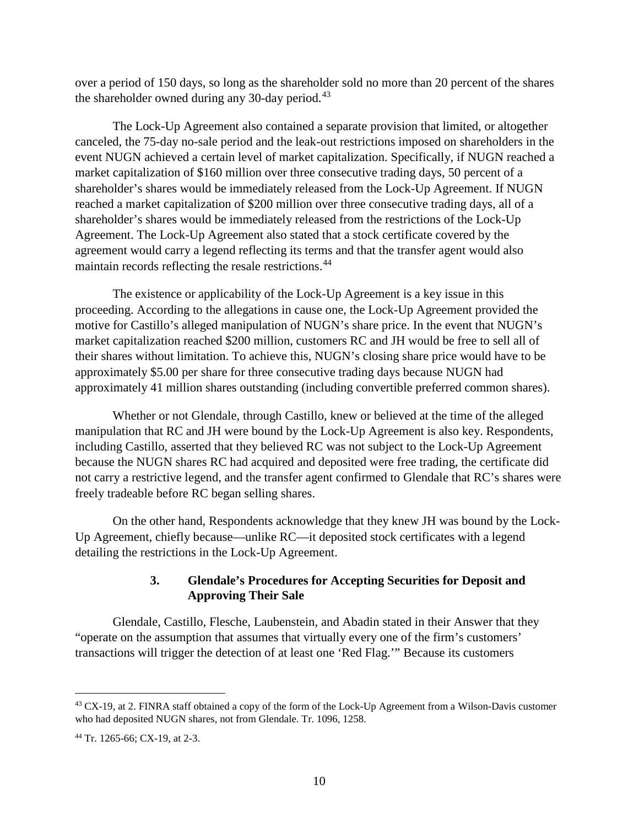over a period of 150 days, so long as the shareholder sold no more than 20 percent of the shares the shareholder owned during any 30-day period.<sup>[43](#page-15-1)</sup>

The Lock-Up Agreement also contained a separate provision that limited, or altogether canceled, the 75-day no-sale period and the leak-out restrictions imposed on shareholders in the event NUGN achieved a certain level of market capitalization. Specifically, if NUGN reached a market capitalization of \$160 million over three consecutive trading days, 50 percent of a shareholder's shares would be immediately released from the Lock-Up Agreement. If NUGN reached a market capitalization of \$200 million over three consecutive trading days, all of a shareholder's shares would be immediately released from the restrictions of the Lock-Up Agreement. The Lock-Up Agreement also stated that a stock certificate covered by the agreement would carry a legend reflecting its terms and that the transfer agent would also maintain records reflecting the resale restrictions.<sup>[44](#page-15-2)</sup>

The existence or applicability of the Lock-Up Agreement is a key issue in this proceeding. According to the allegations in cause one, the Lock-Up Agreement provided the motive for Castillo's alleged manipulation of NUGN's share price. In the event that NUGN's market capitalization reached \$200 million, customers RC and JH would be free to sell all of their shares without limitation. To achieve this, NUGN's closing share price would have to be approximately \$5.00 per share for three consecutive trading days because NUGN had approximately 41 million shares outstanding (including convertible preferred common shares).

Whether or not Glendale, through Castillo, knew or believed at the time of the alleged manipulation that RC and JH were bound by the Lock-Up Agreement is also key. Respondents, including Castillo, asserted that they believed RC was not subject to the Lock-Up Agreement because the NUGN shares RC had acquired and deposited were free trading, the certificate did not carry a restrictive legend, and the transfer agent confirmed to Glendale that RC's shares were freely tradeable before RC began selling shares.

On the other hand, Respondents acknowledge that they knew JH was bound by the Lock-Up Agreement, chiefly because—unlike RC—it deposited stock certificates with a legend detailing the restrictions in the Lock-Up Agreement.

## **3. Glendale's Procedures for Accepting Securities for Deposit and Approving Their Sale**

<span id="page-15-0"></span>Glendale, Castillo, Flesche, Laubenstein, and Abadin stated in their Answer that they "operate on the assumption that assumes that virtually every one of the firm's customers' transactions will trigger the detection of at least one 'Red Flag.'" Because its customers

<span id="page-15-1"></span><sup>&</sup>lt;sup>43</sup> CX-19, at 2. FINRA staff obtained a copy of the form of the Lock-Up Agreement from a Wilson-Davis customer who had deposited NUGN shares, not from Glendale. Tr. 1096, 1258.

<span id="page-15-2"></span><sup>44</sup> Tr. 1265-66; CX-19, at 2-3.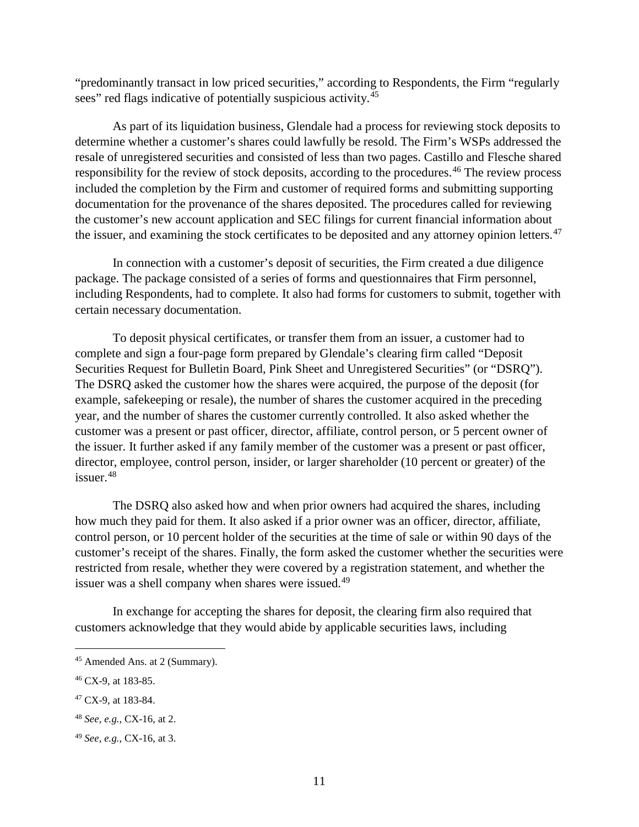"predominantly transact in low priced securities," according to Respondents, the Firm "regularly sees" red flags indicative of potentially suspicious activity.<sup>[45](#page-16-0)</sup>

As part of its liquidation business, Glendale had a process for reviewing stock deposits to determine whether a customer's shares could lawfully be resold. The Firm's WSPs addressed the resale of unregistered securities and consisted of less than two pages. Castillo and Flesche shared responsibility for the review of stock deposits, according to the procedures.<sup>[46](#page-16-1)</sup> The review process included the completion by the Firm and customer of required forms and submitting supporting documentation for the provenance of the shares deposited. The procedures called for reviewing the customer's new account application and SEC filings for current financial information about the issuer, and examining the stock certificates to be deposited and any attorney opinion letters.<sup>[47](#page-16-2)</sup>

In connection with a customer's deposit of securities, the Firm created a due diligence package. The package consisted of a series of forms and questionnaires that Firm personnel, including Respondents, had to complete. It also had forms for customers to submit, together with certain necessary documentation.

To deposit physical certificates, or transfer them from an issuer, a customer had to complete and sign a four-page form prepared by Glendale's clearing firm called "Deposit Securities Request for Bulletin Board, Pink Sheet and Unregistered Securities" (or "DSRQ"). The DSRQ asked the customer how the shares were acquired, the purpose of the deposit (for example, safekeeping or resale), the number of shares the customer acquired in the preceding year, and the number of shares the customer currently controlled. It also asked whether the customer was a present or past officer, director, affiliate, control person, or 5 percent owner of the issuer. It further asked if any family member of the customer was a present or past officer, director, employee, control person, insider, or larger shareholder (10 percent or greater) of the issuer. [48](#page-16-3)

The DSRQ also asked how and when prior owners had acquired the shares, including how much they paid for them. It also asked if a prior owner was an officer, director, affiliate, control person, or 10 percent holder of the securities at the time of sale or within 90 days of the customer's receipt of the shares. Finally, the form asked the customer whether the securities were restricted from resale, whether they were covered by a registration statement, and whether the issuer was a shell company when shares were issued.<sup>[49](#page-16-4)</sup>

In exchange for accepting the shares for deposit, the clearing firm also required that customers acknowledge that they would abide by applicable securities laws, including

<span id="page-16-0"></span> <sup>45</sup> Amended Ans. at 2 (Summary).

<span id="page-16-1"></span><sup>46</sup> CX-9, at 183-85.

<span id="page-16-2"></span><sup>47</sup> CX-9, at 183-84.

<span id="page-16-3"></span><sup>48</sup> *See, e.g.*, CX-16, at 2.

<span id="page-16-4"></span><sup>49</sup> *See, e.g.*, CX-16, at 3.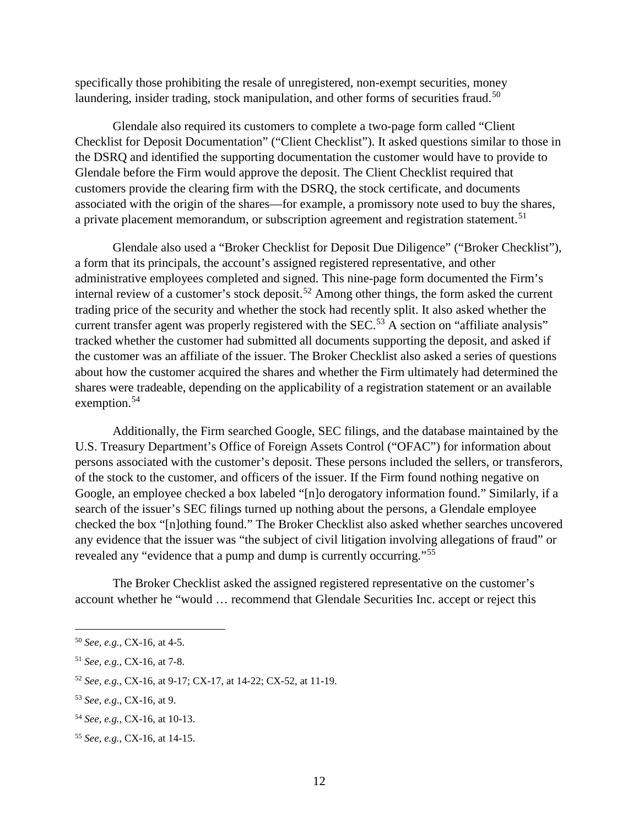specifically those prohibiting the resale of unregistered, non-exempt securities, money laundering, insider trading, stock manipulation, and other forms of securities fraud.<sup>[50](#page-17-0)</sup>

Glendale also required its customers to complete a two-page form called "Client Checklist for Deposit Documentation" ("Client Checklist"). It asked questions similar to those in the DSRQ and identified the supporting documentation the customer would have to provide to Glendale before the Firm would approve the deposit. The Client Checklist required that customers provide the clearing firm with the DSRQ, the stock certificate, and documents associated with the origin of the shares—for example, a promissory note used to buy the shares, a private placement memorandum, or subscription agreement and registration statement.<sup>[51](#page-17-1)</sup>

Glendale also used a "Broker Checklist for Deposit Due Diligence" ("Broker Checklist"), a form that its principals, the account's assigned registered representative, and other administrative employees completed and signed. This nine-page form documented the Firm's internal review of a customer's stock deposit.<sup>[52](#page-17-2)</sup> Among other things, the form asked the current trading price of the security and whether the stock had recently split. It also asked whether the current transfer agent was properly registered with the SEC.<sup>[53](#page-17-3)</sup> A section on "affiliate analysis" tracked whether the customer had submitted all documents supporting the deposit, and asked if the customer was an affiliate of the issuer. The Broker Checklist also asked a series of questions about how the customer acquired the shares and whether the Firm ultimately had determined the shares were tradeable, depending on the applicability of a registration statement or an available exemption.<sup>[54](#page-17-4)</sup>

Additionally, the Firm searched Google, SEC filings, and the database maintained by the U.S. Treasury Department's Office of Foreign Assets Control ("OFAC") for information about persons associated with the customer's deposit. These persons included the sellers, or transferors, of the stock to the customer, and officers of the issuer. If the Firm found nothing negative on Google, an employee checked a box labeled "[n]o derogatory information found." Similarly, if a search of the issuer's SEC filings turned up nothing about the persons, a Glendale employee checked the box "[n]othing found." The Broker Checklist also asked whether searches uncovered any evidence that the issuer was "the subject of civil litigation involving allegations of fraud" or revealed any "evidence that a pump and dump is currently occurring."[55](#page-17-5)

The Broker Checklist asked the assigned registered representative on the customer's account whether he "would … recommend that Glendale Securities Inc. accept or reject this

<span id="page-17-0"></span> <sup>50</sup> *See, e.g.*, CX-16, at 4-5.

<span id="page-17-1"></span><sup>51</sup> *See, e.g.*, CX-16, at 7-8.

<span id="page-17-2"></span><sup>52</sup> *See, e.g.*, CX-16, at 9-17; CX-17, at 14-22; CX-52, at 11-19.

<span id="page-17-3"></span><sup>53</sup> *See, e.g*., CX-16, at 9.

<span id="page-17-4"></span><sup>54</sup> *See, e.g.*, CX-16, at 10-13.

<span id="page-17-5"></span><sup>55</sup> *See, e.g.*, CX-16, at 14-15.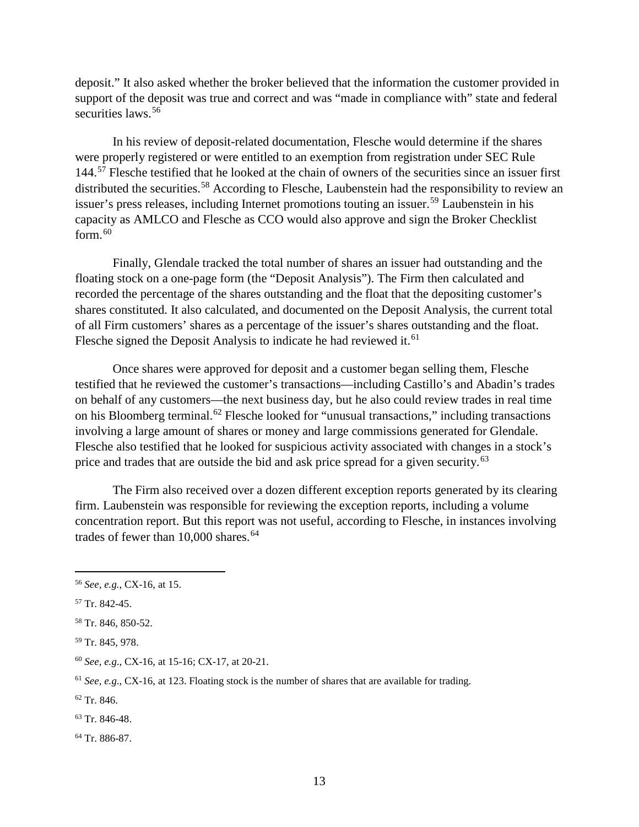deposit." It also asked whether the broker believed that the information the customer provided in support of the deposit was true and correct and was "made in compliance with" state and federal securities laws.<sup>[56](#page-18-0)</sup>

In his review of deposit-related documentation, Flesche would determine if the shares were properly registered or were entitled to an exemption from registration under SEC Rule 144.[57](#page-18-1) Flesche testified that he looked at the chain of owners of the securities since an issuer first distributed the securities.<sup>[58](#page-18-2)</sup> According to Flesche, Laubenstein had the responsibility to review an issuer's press releases, including Internet promotions touting an issuer.<sup>[59](#page-18-3)</sup> Laubenstein in his capacity as AMLCO and Flesche as CCO would also approve and sign the Broker Checklist form. [60](#page-18-4)

Finally, Glendale tracked the total number of shares an issuer had outstanding and the floating stock on a one-page form (the "Deposit Analysis"). The Firm then calculated and recorded the percentage of the shares outstanding and the float that the depositing customer's shares constituted. It also calculated, and documented on the Deposit Analysis, the current total of all Firm customers' shares as a percentage of the issuer's shares outstanding and the float. Flesche signed the Deposit Analysis to indicate he had reviewed it.<sup>[61](#page-18-5)</sup>

Once shares were approved for deposit and a customer began selling them, Flesche testified that he reviewed the customer's transactions—including Castillo's and Abadin's trades on behalf of any customers—the next business day, but he also could review trades in real time on his Bloomberg terminal.<sup>[62](#page-18-6)</sup> Flesche looked for "unusual transactions," including transactions involving a large amount of shares or money and large commissions generated for Glendale. Flesche also testified that he looked for suspicious activity associated with changes in a stock's price and trades that are outside the bid and ask price spread for a given security.<sup>[63](#page-18-7)</sup>

The Firm also received over a dozen different exception reports generated by its clearing firm. Laubenstein was responsible for reviewing the exception reports, including a volume concentration report. But this report was not useful, according to Flesche, in instances involving trades of fewer than  $10,000$  shares.<sup>[64](#page-18-8)</sup>

<span id="page-18-1"></span><sup>57</sup> Tr. 842-45.

<span id="page-18-6"></span><sup>62</sup> Tr. 846.

<span id="page-18-8"></span><sup>64</sup> Tr. 886-87.

<span id="page-18-0"></span> <sup>56</sup> *See, e.g.*, CX-16, at 15.

<span id="page-18-2"></span><sup>58</sup> Tr. 846, 850-52.

<span id="page-18-3"></span><sup>59</sup> Tr. 845, 978.

<span id="page-18-4"></span><sup>60</sup> *See, e.g*., CX-16, at 15-16; CX-17, at 20-21.

<span id="page-18-5"></span><sup>61</sup> *See, e.g*., CX-16, at 123. Floating stock is the number of shares that are available for trading.

<span id="page-18-7"></span><sup>63</sup> Tr. 846-48.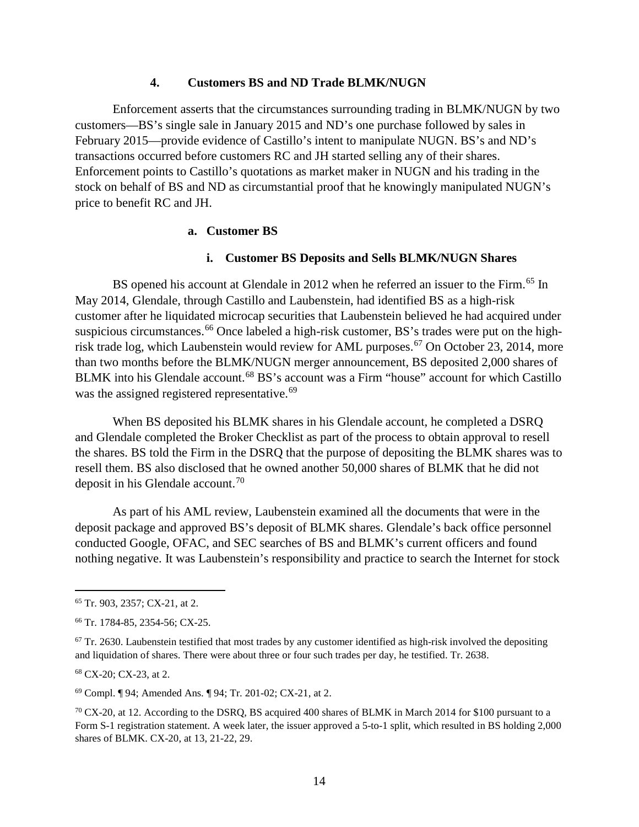#### **4. Customers BS and ND Trade BLMK/NUGN**

<span id="page-19-0"></span>Enforcement asserts that the circumstances surrounding trading in BLMK/NUGN by two customers—BS's single sale in January 2015 and ND's one purchase followed by sales in February 2015—provide evidence of Castillo's intent to manipulate NUGN. BS's and ND's transactions occurred before customers RC and JH started selling any of their shares. Enforcement points to Castillo's quotations as market maker in NUGN and his trading in the stock on behalf of BS and ND as circumstantial proof that he knowingly manipulated NUGN's price to benefit RC and JH.

## **a. Customer BS**

## **i. Customer BS Deposits and Sells BLMK/NUGN Shares**

BS opened his account at Glendale in 2012 when he referred an issuer to the Firm.<sup>[65](#page-19-1)</sup> In May 2014, Glendale, through Castillo and Laubenstein, had identified BS as a high-risk customer after he liquidated microcap securities that Laubenstein believed he had acquired under suspicious circumstances.<sup>[66](#page-19-2)</sup> Once labeled a high-risk customer, BS's trades were put on the high-risk trade log, which Laubenstein would review for AML purposes.<sup>[67](#page-19-3)</sup> On October 23, 2014, more than two months before the BLMK/NUGN merger announcement, BS deposited 2,000 shares of BLMK into his Glendale account.<sup>[68](#page-19-4)</sup> BS's account was a Firm "house" account for which Castillo was the assigned registered representative.<sup>[69](#page-19-5)</sup>

When BS deposited his BLMK shares in his Glendale account, he completed a DSRQ and Glendale completed the Broker Checklist as part of the process to obtain approval to resell the shares. BS told the Firm in the DSRQ that the purpose of depositing the BLMK shares was to resell them. BS also disclosed that he owned another 50,000 shares of BLMK that he did not deposit in his Glendale account. [70](#page-19-6)

As part of his AML review, Laubenstein examined all the documents that were in the deposit package and approved BS's deposit of BLMK shares. Glendale's back office personnel conducted Google, OFAC, and SEC searches of BS and BLMK's current officers and found nothing negative. It was Laubenstein's responsibility and practice to search the Internet for stock

<span id="page-19-4"></span><sup>68</sup> CX-20; CX-23, at 2.

<span id="page-19-5"></span><sup>69</sup> Compl. ¶ 94; Amended Ans. ¶ 94; Tr. 201-02; CX-21, at 2.

<span id="page-19-1"></span> <sup>65</sup> Tr. 903, 2357; CX-21, at 2.

<span id="page-19-2"></span><sup>66</sup> Tr. 1784-85, 2354-56; CX-25.

<span id="page-19-3"></span> $67$  Tr. 2630. Laubenstein testified that most trades by any customer identified as high-risk involved the depositing and liquidation of shares. There were about three or four such trades per day, he testified. Tr. 2638.

<span id="page-19-6"></span><sup>70</sup> CX-20, at 12. According to the DSRQ, BS acquired 400 shares of BLMK in March 2014 for \$100 pursuant to a Form S-1 registration statement. A week later, the issuer approved a 5-to-1 split, which resulted in BS holding 2,000 shares of BLMK. CX-20, at 13, 21-22, 29.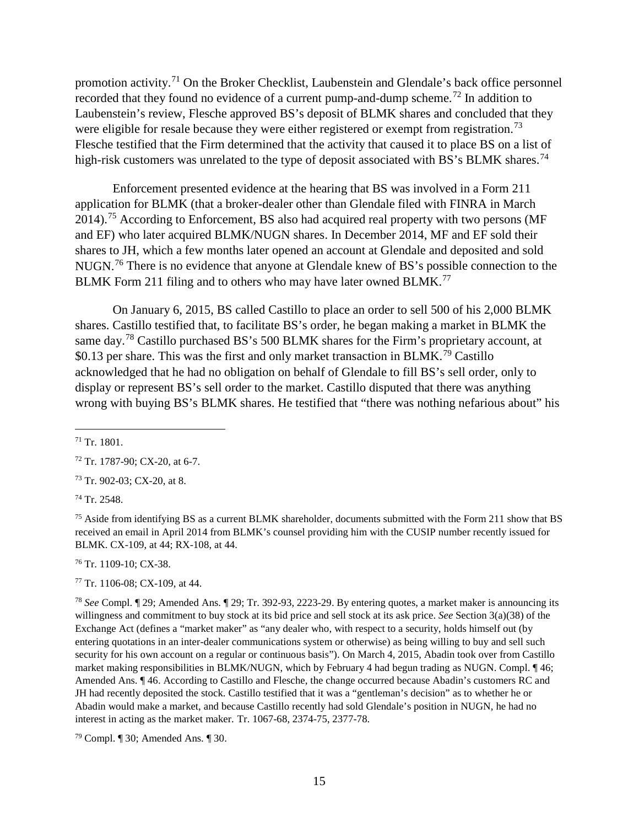promotion activity.[71](#page-20-0) On the Broker Checklist, Laubenstein and Glendale's back office personnel recorded that they found no evidence of a current pump-and-dump scheme.<sup>[72](#page-20-1)</sup> In addition to Laubenstein's review, Flesche approved BS's deposit of BLMK shares and concluded that they were eligible for resale because they were either registered or exempt from registration.<sup>[73](#page-20-2)</sup> Flesche testified that the Firm determined that the activity that caused it to place BS on a list of high-risk customers was unrelated to the type of deposit associated with BS's BLMK shares.<sup>74</sup>

Enforcement presented evidence at the hearing that BS was involved in a Form 211 application for BLMK (that a broker-dealer other than Glendale filed with FINRA in March 2014).<sup>[75](#page-20-4)</sup> According to Enforcement, BS also had acquired real property with two persons (MF and EF) who later acquired BLMK/NUGN shares. In December 2014, MF and EF sold their shares to JH, which a few months later opened an account at Glendale and deposited and sold NUGN.<sup>[76](#page-20-5)</sup> There is no evidence that anyone at Glendale knew of BS's possible connection to the BLMK Form 211 filing and to others who may have later owned BLMK.<sup>[77](#page-20-6)</sup>

On January 6, 2015, BS called Castillo to place an order to sell 500 of his 2,000 BLMK shares. Castillo testified that, to facilitate BS's order, he began making a market in BLMK the same day.<sup>[78](#page-20-7)</sup> Castillo purchased BS's 500 BLMK shares for the Firm's proprietary account, at  $$0.13$  per share. This was the first and only market transaction in BLMK.<sup>[79](#page-20-8)</sup> Castillo acknowledged that he had no obligation on behalf of Glendale to fill BS's sell order, only to display or represent BS's sell order to the market. Castillo disputed that there was anything wrong with buying BS's BLMK shares. He testified that "there was nothing nefarious about" his

<span id="page-20-2"></span><sup>73</sup> Tr. 902-03; CX-20, at 8.

<span id="page-20-3"></span><sup>74</sup> Tr. 2548.

<span id="page-20-4"></span><sup>75</sup> Aside from identifying BS as a current BLMK shareholder, documents submitted with the Form 211 show that BS received an email in April 2014 from BLMK's counsel providing him with the CUSIP number recently issued for BLMK. CX-109, at 44; RX-108, at 44.

<span id="page-20-5"></span><sup>76</sup> Tr. 1109-10; CX-38.

<span id="page-20-6"></span><sup>77</sup> Tr. 1106-08; CX-109, at 44.

<span id="page-20-7"></span><sup>78</sup> *See* Compl. ¶ 29; Amended Ans. ¶ 29; Tr. 392-93, 2223-29. By entering quotes, a market maker is announcing its willingness and commitment to buy stock at its bid price and sell stock at its ask price. *See* Section 3(a)(38) of the Exchange Act (defines a "market maker" as "any dealer who, with respect to a security, holds himself out (by entering quotations in an inter-dealer communications system or otherwise) as being willing to buy and sell such security for his own account on a regular or continuous basis"). On March 4, 2015, Abadin took over from Castillo market making responsibilities in BLMK/NUGN, which by February 4 had begun trading as NUGN. Compl. ¶ 46; Amended Ans. ¶ 46. According to Castillo and Flesche, the change occurred because Abadin's customers RC and JH had recently deposited the stock. Castillo testified that it was a "gentleman's decision" as to whether he or Abadin would make a market, and because Castillo recently had sold Glendale's position in NUGN, he had no interest in acting as the market maker. Tr. 1067-68, 2374-75, 2377-78.

<span id="page-20-8"></span><sup>79</sup> Compl. ¶ 30; Amended Ans. ¶ 30.

<span id="page-20-0"></span> $71$  Tr. 1801.

<span id="page-20-1"></span><sup>72</sup> Tr. 1787-90; CX-20, at 6-7.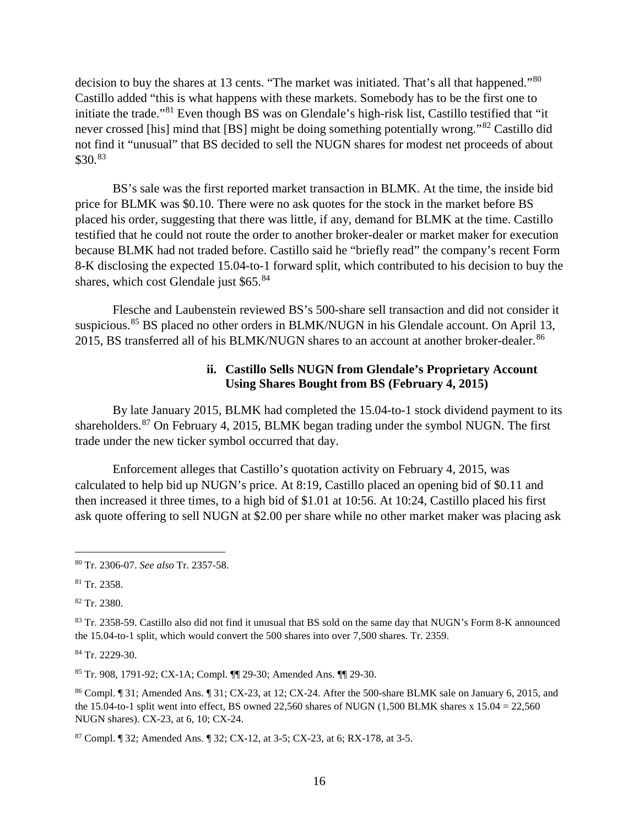decision to buy the shares at 13 cents. "The market was initiated. That's all that happened."[80](#page-21-0) Castillo added "this is what happens with these markets. Somebody has to be the first one to initiate the trade."[81](#page-21-1) Even though BS was on Glendale's high-risk list, Castillo testified that "it never crossed [his] mind that [BS] might be doing something potentially wrong."[82](#page-21-2) Castillo did not find it "unusual" that BS decided to sell the NUGN shares for modest net proceeds of about \$30.<sup>[83](#page-21-3)</sup>

BS's sale was the first reported market transaction in BLMK. At the time, the inside bid price for BLMK was \$0.10. There were no ask quotes for the stock in the market before BS placed his order, suggesting that there was little, if any, demand for BLMK at the time. Castillo testified that he could not route the order to another broker-dealer or market maker for execution because BLMK had not traded before. Castillo said he "briefly read" the company's recent Form 8-K disclosing the expected 15.04-to-1 forward split, which contributed to his decision to buy the shares, which cost Glendale just \$65.[84](#page-21-4)

Flesche and Laubenstein reviewed BS's 500-share sell transaction and did not consider it suspicious.<sup>[85](#page-21-5)</sup> BS placed no other orders in BLMK/NUGN in his Glendale account. On April 13, 2015, BS transferred all of his BLMK/NUGN shares to an account at another broker-dealer.<sup>[86](#page-21-6)</sup>

## **ii. Castillo Sells NUGN from Glendale's Proprietary Account Using Shares Bought from BS (February 4, 2015)**

By late January 2015, BLMK had completed the 15.04-to-1 stock dividend payment to its shareholders.[87](#page-21-7) On February 4, 2015, BLMK began trading under the symbol NUGN. The first trade under the new ticker symbol occurred that day.

Enforcement alleges that Castillo's quotation activity on February 4, 2015, was calculated to help bid up NUGN's price. At 8:19, Castillo placed an opening bid of \$0.11 and then increased it three times, to a high bid of \$1.01 at 10:56. At 10:24, Castillo placed his first ask quote offering to sell NUGN at \$2.00 per share while no other market maker was placing ask

<span id="page-21-2"></span><sup>82</sup> Tr. 2380.

<span id="page-21-4"></span><sup>84</sup> Tr. 2229-30.

<span id="page-21-5"></span><sup>85</sup> Tr. 908, 1791-92; CX-1A; Compl. ¶¶ 29-30; Amended Ans. ¶¶ 29-30.

<span id="page-21-6"></span><sup>86</sup> Compl. ¶ 31; Amended Ans. ¶ 31; CX-23, at 12; CX-24. After the 500-share BLMK sale on January 6, 2015, and the 15.04-to-1 split went into effect, BS owned 22,560 shares of NUGN  $(1,500$  BLMK shares x 15.04 = 22,560 NUGN shares). CX-23, at 6, 10; CX-24.

<span id="page-21-7"></span><sup>87</sup> Compl. ¶ 32; Amended Ans. ¶ 32; CX-12, at 3-5; CX-23, at 6; RX-178, at 3-5.

<span id="page-21-0"></span> <sup>80</sup> Tr. 2306-07. *See also* Tr. 2357-58.

<span id="page-21-1"></span><sup>81</sup> Tr. 2358.

<span id="page-21-3"></span><sup>83</sup> Tr. 2358-59. Castillo also did not find it unusual that BS sold on the same day that NUGN's Form 8-K announced the 15.04-to-1 split, which would convert the 500 shares into over 7,500 shares. Tr. 2359.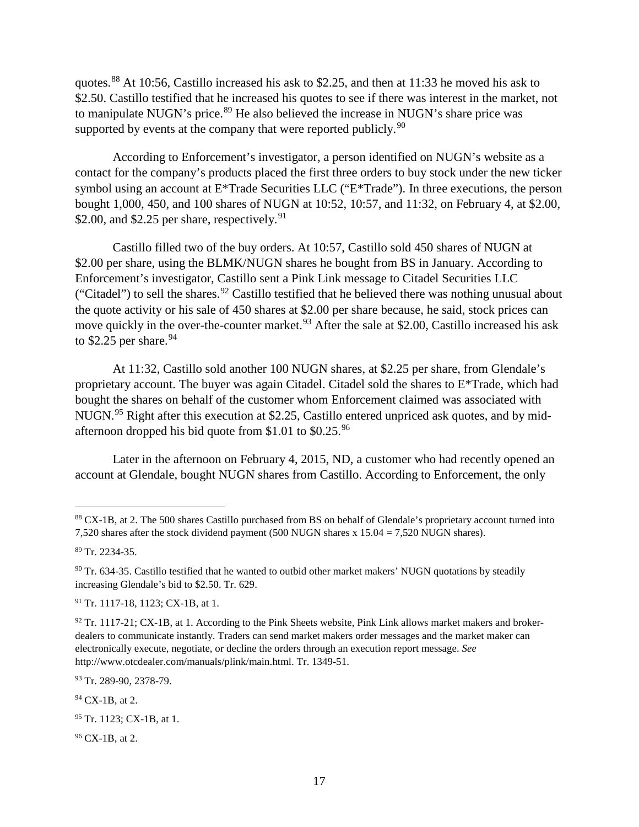quotes.[88](#page-22-0) At 10:56, Castillo increased his ask to \$2.25, and then at 11:33 he moved his ask to \$2.50. Castillo testified that he increased his quotes to see if there was interest in the market, not to manipulate NUGN's price.<sup>[89](#page-22-1)</sup> He also believed the increase in NUGN's share price was supported by events at the company that were reported publicly.<sup>[90](#page-22-2)</sup>

According to Enforcement's investigator, a person identified on NUGN's website as a contact for the company's products placed the first three orders to buy stock under the new ticker symbol using an account at E\*Trade Securities LLC ("E\*Trade"). In three executions, the person bought 1,000, 450, and 100 shares of NUGN at 10:52, 10:57, and 11:32, on February 4, at \$2.00, \$2.00, and \$2.25 per share, respectively.  $91$ 

Castillo filled two of the buy orders. At 10:57, Castillo sold 450 shares of NUGN at \$2.00 per share, using the BLMK/NUGN shares he bought from BS in January. According to Enforcement's investigator, Castillo sent a Pink Link message to Citadel Securities LLC ("Citadel") to sell the shares.<sup>[92](#page-22-4)</sup> Castillo testified that he believed there was nothing unusual about the quote activity or his sale of 450 shares at \$2.00 per share because, he said, stock prices can move quickly in the over-the-counter market.<sup>[93](#page-22-5)</sup> After the sale at \$2.00, Castillo increased his ask to \$2.25 per share.  $94$ 

At 11:32, Castillo sold another 100 NUGN shares, at \$2.25 per share, from Glendale's proprietary account. The buyer was again Citadel. Citadel sold the shares to E\*Trade, which had bought the shares on behalf of the customer whom Enforcement claimed was associated with NUGN.<sup>[95](#page-22-7)</sup> Right after this execution at \$2.25, Castillo entered unpriced ask quotes, and by mid-afternoon dropped his bid quote from \$1.01 to \$0.25.<sup>[96](#page-22-8)</sup>

Later in the afternoon on February 4, 2015, ND, a customer who had recently opened an account at Glendale, bought NUGN shares from Castillo. According to Enforcement, the only

<span id="page-22-5"></span>93 Tr. 289-90, 2378-79.

<span id="page-22-6"></span><sup>94</sup> CX-1B, at 2.

<span id="page-22-8"></span><sup>96</sup> CX-1B, at 2.

<span id="page-22-0"></span><sup>88</sup> CX-1B, at 2. The 500 shares Castillo purchased from BS on behalf of Glendale's proprietary account turned into 7,520 shares after the stock dividend payment (500 NUGN shares x 15.04 = 7,520 NUGN shares).

<span id="page-22-1"></span><sup>89</sup> Tr. 2234-35.

<span id="page-22-2"></span><sup>&</sup>lt;sup>90</sup> Tr. 634-35. Castillo testified that he wanted to outbid other market makers' NUGN quotations by steadily increasing Glendale's bid to \$2.50. Tr. 629.

<span id="page-22-3"></span><sup>91</sup> Tr. 1117-18, 1123; CX-1B, at 1.

<span id="page-22-4"></span> $92$  Tr. 1117-21; CX-1B, at 1. According to the Pink Sheets website, Pink Link allows market makers and brokerdealers to communicate instantly. Traders can send market makers order messages and the market maker can electronically execute, negotiate, or decline the orders through an execution report message. *See* http://www.otcdealer.com/manuals/plink/main.html. Tr. 1349-51.

<span id="page-22-7"></span><sup>&</sup>lt;sup>95</sup> Tr. 1123; CX-1B, at 1.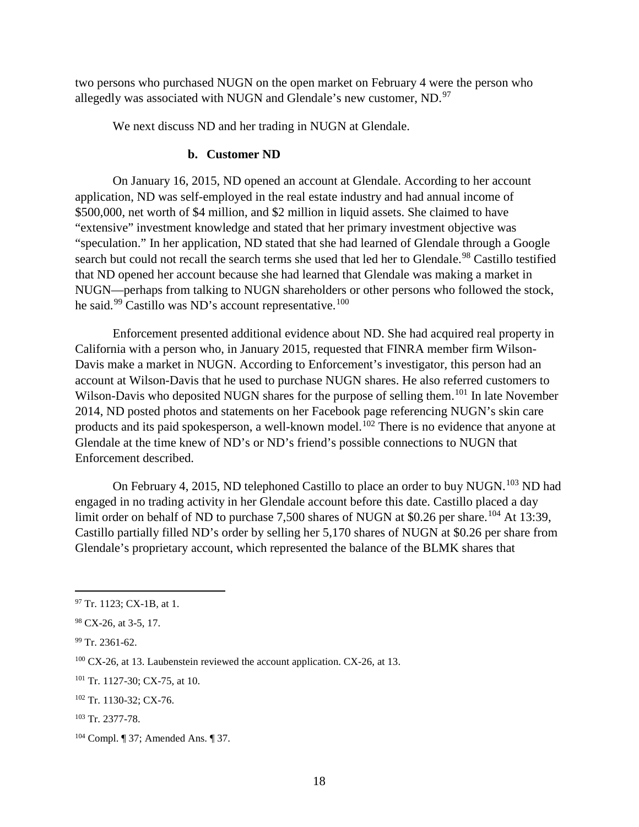two persons who purchased NUGN on the open market on February 4 were the person who allegedly was associated with NUGN and Glendale's new customer, ND.<sup>[97](#page-23-0)</sup>

We next discuss ND and her trading in NUGN at Glendale.

## **b. Customer ND**

On January 16, 2015, ND opened an account at Glendale. According to her account application, ND was self-employed in the real estate industry and had annual income of \$500,000, net worth of \$4 million, and \$2 million in liquid assets. She claimed to have "extensive" investment knowledge and stated that her primary investment objective was "speculation." In her application, ND stated that she had learned of Glendale through a Google search but could not recall the search terms she used that led her to Glendale.<sup>[98](#page-23-1)</sup> Castillo testified that ND opened her account because she had learned that Glendale was making a market in NUGN—perhaps from talking to NUGN shareholders or other persons who followed the stock, he said.<sup>[99](#page-23-2)</sup> Castillo was ND's account representative.<sup>[100](#page-23-3)</sup>

Enforcement presented additional evidence about ND. She had acquired real property in California with a person who, in January 2015, requested that FINRA member firm Wilson-Davis make a market in NUGN. According to Enforcement's investigator, this person had an account at Wilson-Davis that he used to purchase NUGN shares. He also referred customers to Wilson-Davis who deposited NUGN shares for the purpose of selling them.<sup>[101](#page-23-4)</sup> In late November 2014, ND posted photos and statements on her Facebook page referencing NUGN's skin care products and its paid spokesperson, a well-known model.<sup>[102](#page-23-5)</sup> There is no evidence that anyone at Glendale at the time knew of ND's or ND's friend's possible connections to NUGN that Enforcement described.

On February 4, 2015, ND telephoned Castillo to place an order to buy NUGN.<sup>[103](#page-23-6)</sup> ND had engaged in no trading activity in her Glendale account before this date. Castillo placed a day limit order on behalf of ND to purchase 7,500 shares of NUGN at \$0.26 per share.<sup>[104](#page-23-7)</sup> At 13:39, Castillo partially filled ND's order by selling her 5,170 shares of NUGN at \$0.26 per share from Glendale's proprietary account, which represented the balance of the BLMK shares that

<span id="page-23-0"></span> <sup>97</sup> Tr. 1123; CX-1B, at 1.

<span id="page-23-1"></span><sup>98</sup> CX-26, at 3-5, 17.

<span id="page-23-2"></span> $99$  Tr. 2361-62.

<span id="page-23-3"></span> $100$  CX-26, at 13. Laubenstein reviewed the account application. CX-26, at 13.

<span id="page-23-4"></span><sup>101</sup> Tr. 1127-30; CX-75, at 10.

<span id="page-23-5"></span><sup>102</sup> Tr. 1130-32; CX-76.

<span id="page-23-6"></span><sup>103</sup> Tr. 2377-78.

<span id="page-23-7"></span><sup>104</sup> Compl. ¶ 37; Amended Ans. ¶ 37.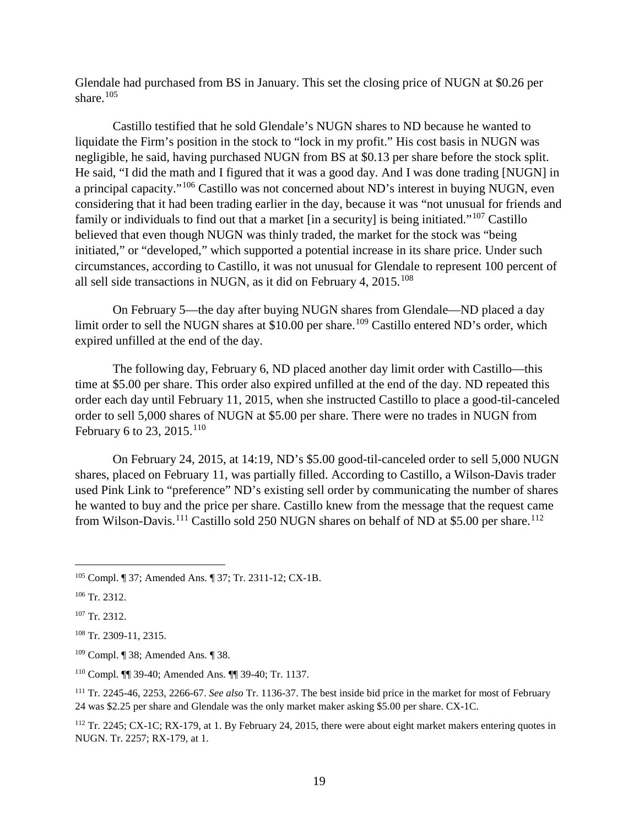Glendale had purchased from BS in January. This set the closing price of NUGN at \$0.26 per share. [105](#page-24-0)

Castillo testified that he sold Glendale's NUGN shares to ND because he wanted to liquidate the Firm's position in the stock to "lock in my profit." His cost basis in NUGN was negligible, he said, having purchased NUGN from BS at \$0.13 per share before the stock split. He said, "I did the math and I figured that it was a good day. And I was done trading [NUGN] in a principal capacity."[106](#page-24-1) Castillo was not concerned about ND's interest in buying NUGN, even considering that it had been trading earlier in the day, because it was "not unusual for friends and family or individuals to find out that a market [in a security] is being initiated."<sup>[107](#page-24-2)</sup> Castillo believed that even though NUGN was thinly traded, the market for the stock was "being initiated," or "developed," which supported a potential increase in its share price. Under such circumstances, according to Castillo, it was not unusual for Glendale to represent 100 percent of all sell side transactions in NUGN, as it did on February 4,  $2015$ .<sup>[108](#page-24-3)</sup>

On February 5—the day after buying NUGN shares from Glendale—ND placed a day limit order to sell the NUGN shares at \$10.00 per share.<sup>[109](#page-24-4)</sup> Castillo entered ND's order, which expired unfilled at the end of the day.

The following day, February 6, ND placed another day limit order with Castillo—this time at \$5.00 per share. This order also expired unfilled at the end of the day. ND repeated this order each day until February 11, 2015, when she instructed Castillo to place a good-til-canceled order to sell 5,000 shares of NUGN at \$5.00 per share. There were no trades in NUGN from February 6 to 23, 2015.<sup>[110](#page-24-5)</sup>

On February 24, 2015, at 14:19, ND's \$5.00 good-til-canceled order to sell 5,000 NUGN shares, placed on February 11, was partially filled. According to Castillo, a Wilson-Davis trader used Pink Link to "preference" ND's existing sell order by communicating the number of shares he wanted to buy and the price per share. Castillo knew from the message that the request came from Wilson-Davis.<sup>[111](#page-24-6)</sup> Castillo sold 250 NUGN shares on behalf of ND at \$5.00 per share.<sup>[112](#page-24-7)</sup>

<span id="page-24-0"></span> <sup>105</sup> Compl. ¶ 37; Amended Ans. ¶ 37; Tr. 2311-12; CX-1B.

<span id="page-24-1"></span><sup>106</sup> Tr. 2312.

<span id="page-24-2"></span><sup>107</sup> Tr. 2312.

<span id="page-24-3"></span><sup>108</sup> Tr. 2309-11, 2315.

<span id="page-24-4"></span><sup>109</sup> Compl. ¶ 38; Amended Ans. ¶ 38.

<span id="page-24-5"></span><sup>110</sup> Compl. ¶¶ 39-40; Amended Ans. ¶¶ 39-40; Tr. 1137.

<span id="page-24-6"></span><sup>111</sup> Tr. 2245-46, 2253, 2266-67. *See also* Tr. 1136-37. The best inside bid price in the market for most of February 24 was \$2.25 per share and Glendale was the only market maker asking \$5.00 per share. CX-1C.

<span id="page-24-7"></span><sup>&</sup>lt;sup>112</sup> Tr. 2245; CX-1C; RX-179, at 1. By February 24, 2015, there were about eight market makers entering quotes in NUGN. Tr. 2257; RX-179, at 1.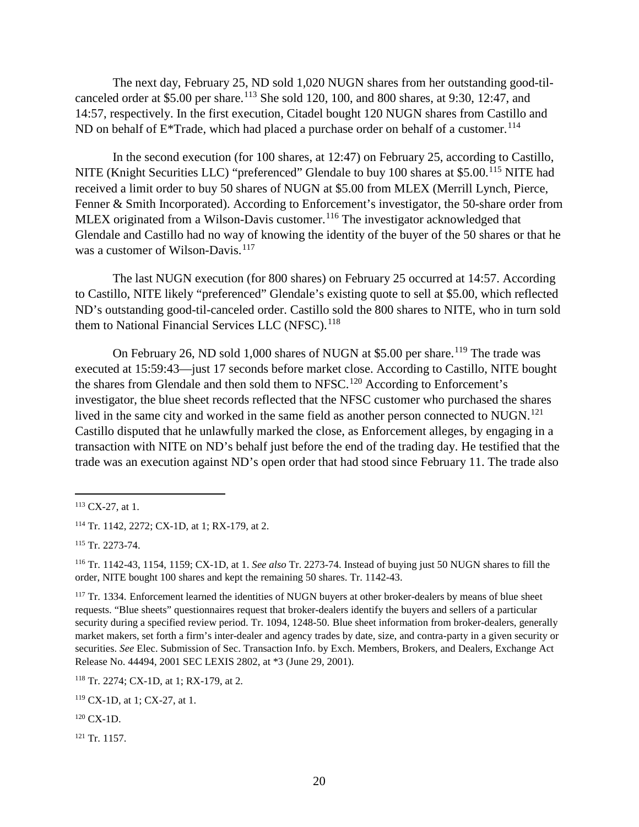The next day, February 25, ND sold 1,020 NUGN shares from her outstanding good-til-canceled order at \$5.00 per share.<sup>[113](#page-25-0)</sup> She sold 120, 100, and 800 shares, at 9:30, 12:47, and 14:57, respectively. In the first execution, Citadel bought 120 NUGN shares from Castillo and ND on behalf of  $E^*$ Trade, which had placed a purchase order on behalf of a customer.<sup>[114](#page-25-1)</sup>

In the second execution (for 100 shares, at 12:47) on February 25, according to Castillo, NITE (Knight Securities LLC) "preferenced" Glendale to buy 100 shares at \$5.00.<sup>[115](#page-25-2)</sup> NITE had received a limit order to buy 50 shares of NUGN at \$5.00 from MLEX (Merrill Lynch, Pierce, Fenner & Smith Incorporated). According to Enforcement's investigator, the 50-share order from MLEX originated from a Wilson-Davis customer.<sup>[116](#page-25-3)</sup> The investigator acknowledged that Glendale and Castillo had no way of knowing the identity of the buyer of the 50 shares or that he was a customer of Wilson-Davis.<sup>[117](#page-25-4)</sup>

The last NUGN execution (for 800 shares) on February 25 occurred at 14:57. According to Castillo, NITE likely "preferenced" Glendale's existing quote to sell at \$5.00, which reflected ND's outstanding good-til-canceled order. Castillo sold the 800 shares to NITE, who in turn sold them to National Financial Services LLC (NFSC).<sup>[118](#page-25-5)</sup>

On February 26, ND sold 1,000 shares of NUGN at \$5.00 per share.<sup>[119](#page-25-6)</sup> The trade was executed at 15:59:43—just 17 seconds before market close. According to Castillo, NITE bought the shares from Glendale and then sold them to NFSC.<sup>[120](#page-25-7)</sup> According to Enforcement's investigator, the blue sheet records reflected that the NFSC customer who purchased the shares lived in the same city and worked in the same field as another person connected to NUGN.<sup>[121](#page-25-8)</sup> Castillo disputed that he unlawfully marked the close, as Enforcement alleges, by engaging in a transaction with NITE on ND's behalf just before the end of the trading day. He testified that the trade was an execution against ND's open order that had stood since February 11. The trade also

<span id="page-25-8"></span><sup>121</sup> Tr. 1157.

<span id="page-25-0"></span> $113$  CX-27, at 1.

<span id="page-25-1"></span><sup>114</sup> Tr. 1142, 2272; CX-1D, at 1; RX-179, at 2.

<span id="page-25-2"></span><sup>115</sup> Tr. 2273-74.

<span id="page-25-3"></span><sup>116</sup> Tr. 1142-43, 1154, 1159; CX-1D, at 1. *See also* Tr. 2273-74. Instead of buying just 50 NUGN shares to fill the order, NITE bought 100 shares and kept the remaining 50 shares. Tr. 1142-43.

<span id="page-25-4"></span><sup>&</sup>lt;sup>117</sup> Tr. 1334. Enforcement learned the identities of NUGN buyers at other broker-dealers by means of blue sheet requests. "Blue sheets" questionnaires request that broker-dealers identify the buyers and sellers of a particular security during a specified review period. Tr. 1094, 1248-50. Blue sheet information from broker-dealers, generally market makers, set forth a firm's inter-dealer and agency trades by date, size, and contra-party in a given security or securities. *See* Elec. Submission of Sec. Transaction Info. by Exch. Members, Brokers, and Dealers, Exchange Act Release No. 44494, 2001 SEC LEXIS 2802, at \*3 (June 29, 2001).

<span id="page-25-5"></span><sup>118</sup> Tr. 2274; CX-1D, at 1; RX-179, at 2.

<span id="page-25-6"></span><sup>119</sup> CX-1D, at 1; CX-27, at 1.

<span id="page-25-7"></span> $120$  CX-1D.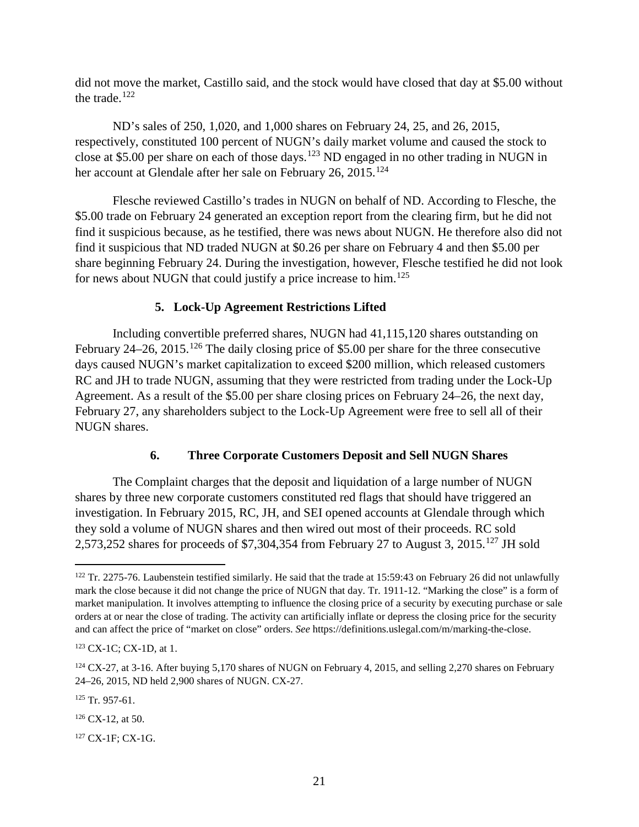did not move the market, Castillo said, and the stock would have closed that day at \$5.00 without the trade.<sup>[122](#page-26-2)</sup>

ND's sales of 250, 1,020, and 1,000 shares on February 24, 25, and 26, 2015, respectively, constituted 100 percent of NUGN's daily market volume and caused the stock to close at \$5.00 per share on each of those days.<sup>[123](#page-26-3)</sup> ND engaged in no other trading in NUGN in her account at Glendale after her sale on February 26, 2015.<sup>[124](#page-26-4)</sup>

Flesche reviewed Castillo's trades in NUGN on behalf of ND. According to Flesche, the \$5.00 trade on February 24 generated an exception report from the clearing firm, but he did not find it suspicious because, as he testified, there was news about NUGN. He therefore also did not find it suspicious that ND traded NUGN at \$0.26 per share on February 4 and then \$5.00 per share beginning February 24. During the investigation, however, Flesche testified he did not look for news about NUGN that could justify a price increase to him.<sup>[125](#page-26-5)</sup>

## **5. Lock-Up Agreement Restrictions Lifted**

<span id="page-26-0"></span>Including convertible preferred shares, NUGN had 41,115,120 shares outstanding on February  $24-26$ ,  $2015$ .<sup>[126](#page-26-6)</sup> The daily closing price of \$5.00 per share for the three consecutive days caused NUGN's market capitalization to exceed \$200 million, which released customers RC and JH to trade NUGN, assuming that they were restricted from trading under the Lock-Up Agreement. As a result of the \$5.00 per share closing prices on February 24–26, the next day, February 27, any shareholders subject to the Lock-Up Agreement were free to sell all of their NUGN shares.

## **6. Three Corporate Customers Deposit and Sell NUGN Shares**

<span id="page-26-1"></span>The Complaint charges that the deposit and liquidation of a large number of NUGN shares by three new corporate customers constituted red flags that should have triggered an investigation. In February 2015, RC, JH, and SEI opened accounts at Glendale through which they sold a volume of NUGN shares and then wired out most of their proceeds. RC sold 2,573,252 shares for proceeds of \$7,304,354 from February 27 to August 3, 2015.<sup>[127](#page-26-7)</sup> JH sold

<span id="page-26-2"></span><sup>&</sup>lt;sup>122</sup> Tr. 2275-76. Laubenstein testified similarly. He said that the trade at 15:59:43 on February 26 did not unlawfully mark the close because it did not change the price of NUGN that day. Tr. 1911-12. "Marking the close" is a form of market manipulation. It involves attempting to influence the closing price of a security by executing purchase or sale orders at or near the close of trading. The activity can artificially inflate or depress the closing price for the security and can affect the price of "market on close" orders. *See* https://definitions.uslegal.com/m/marking-the-close.

<span id="page-26-3"></span><sup>123</sup> CX-1C; CX-1D, at 1.

<span id="page-26-4"></span> $124$  CX-27, at 3-16. After buying 5,170 shares of NUGN on February 4, 2015, and selling 2,270 shares on February 24–26, 2015, ND held 2,900 shares of NUGN. CX-27.

<span id="page-26-5"></span> $125$  Tr. 957-61.

<span id="page-26-6"></span> $126$  CX-12, at 50.

<span id="page-26-7"></span><sup>127</sup> CX-1F; CX-1G.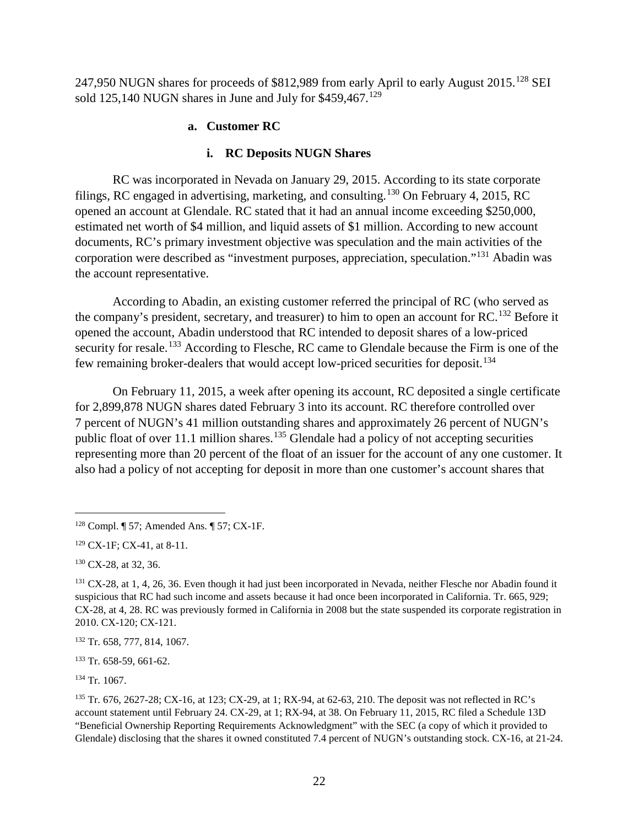247,950 NUGN shares for proceeds of \$812,989 from early April to early August 2015.<sup>[128](#page-27-0)</sup> SEI sold 125,140 NUGN shares in June and July for  $$459,467$ .<sup>[129](#page-27-1)</sup>

## **a. Customer RC**

## **i. RC Deposits NUGN Shares**

RC was incorporated in Nevada on January 29, 2015. According to its state corporate filings, RC engaged in advertising, marketing, and consulting.<sup>[130](#page-27-2)</sup> On February 4, 2015, RC opened an account at Glendale. RC stated that it had an annual income exceeding \$250,000, estimated net worth of \$4 million, and liquid assets of \$1 million. According to new account documents, RC's primary investment objective was speculation and the main activities of the corporation were described as "investment purposes, appreciation, speculation."[131](#page-27-3) Abadin was the account representative.

According to Abadin, an existing customer referred the principal of RC (who served as the company's president, secretary, and treasurer) to him to open an account for RC.<sup>[132](#page-27-4)</sup> Before it opened the account, Abadin understood that RC intended to deposit shares of a low-priced security for resale.<sup>[133](#page-27-5)</sup> According to Flesche, RC came to Glendale because the Firm is one of the few remaining broker-dealers that would accept low-priced securities for deposit.[134](#page-27-6)

On February 11, 2015, a week after opening its account, RC deposited a single certificate for 2,899,878 NUGN shares dated February 3 into its account. RC therefore controlled over 7 percent of NUGN's 41 million outstanding shares and approximately 26 percent of NUGN's public float of over 11.1 million shares.<sup>[135](#page-27-7)</sup> Glendale had a policy of not accepting securities representing more than 20 percent of the float of an issuer for the account of any one customer. It also had a policy of not accepting for deposit in more than one customer's account shares that

<span id="page-27-2"></span><sup>130</sup> CX-28, at 32, 36.

<span id="page-27-6"></span><sup>134</sup> Tr. 1067.

<span id="page-27-0"></span> <sup>128</sup> Compl. ¶ 57; Amended Ans. ¶ 57; CX-1F.

<span id="page-27-1"></span><sup>129</sup> CX-1F; CX-41, at 8-11.

<span id="page-27-3"></span><sup>&</sup>lt;sup>131</sup> CX-28, at 1, 4, 26, 36. Even though it had just been incorporated in Nevada, neither Flesche nor Abadin found it suspicious that RC had such income and assets because it had once been incorporated in California. Tr. 665, 929; CX-28, at 4, 28. RC was previously formed in California in 2008 but the state suspended its corporate registration in 2010. CX-120; CX-121.

<span id="page-27-4"></span><sup>132</sup> Tr. 658, 777, 814, 1067.

<span id="page-27-5"></span><sup>133</sup> Tr. 658-59, 661-62.

<span id="page-27-7"></span><sup>135</sup> Tr. 676, 2627-28; CX-16, at 123; CX-29, at 1; RX-94, at 62-63, 210. The deposit was not reflected in RC's account statement until February 24. CX-29, at 1; RX-94, at 38. On February 11, 2015, RC filed a Schedule 13D "Beneficial Ownership Reporting Requirements Acknowledgment" with the SEC (a copy of which it provided to Glendale) disclosing that the shares it owned constituted 7.4 percent of NUGN's outstanding stock. CX-16, at 21-24.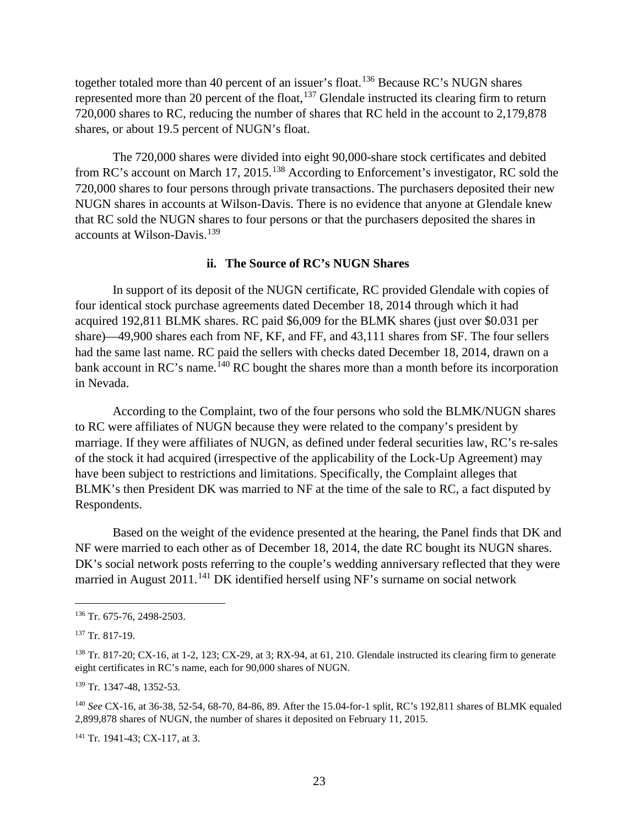together totaled more than 40 percent of an issuer's float.<sup>[136](#page-28-0)</sup> Because RC's NUGN shares represented more than 20 percent of the float, $137$  Glendale instructed its clearing firm to return 720,000 shares to RC, reducing the number of shares that RC held in the account to 2,179,878 shares, or about 19.5 percent of NUGN's float.

The 720,000 shares were divided into eight 90,000-share stock certificates and debited from RC's account on March 17, 2015.<sup>[138](#page-28-2)</sup> According to Enforcement's investigator, RC sold the 720,000 shares to four persons through private transactions. The purchasers deposited their new NUGN shares in accounts at Wilson-Davis. There is no evidence that anyone at Glendale knew that RC sold the NUGN shares to four persons or that the purchasers deposited the shares in accounts at Wilson-Davis.<sup>[139](#page-28-3)</sup>

#### **ii. The Source of RC's NUGN Shares**

In support of its deposit of the NUGN certificate, RC provided Glendale with copies of four identical stock purchase agreements dated December 18, 2014 through which it had acquired 192,811 BLMK shares. RC paid \$6,009 for the BLMK shares (just over \$0.031 per share)—49,900 shares each from NF, KF, and FF, and 43,111 shares from SF. The four sellers had the same last name. RC paid the sellers with checks dated December 18, 2014, drawn on a bank account in RC's name.<sup>[140](#page-28-4)</sup> RC bought the shares more than a month before its incorporation in Nevada.

According to the Complaint, two of the four persons who sold the BLMK/NUGN shares to RC were affiliates of NUGN because they were related to the company's president by marriage. If they were affiliates of NUGN, as defined under federal securities law, RC's re-sales of the stock it had acquired (irrespective of the applicability of the Lock-Up Agreement) may have been subject to restrictions and limitations. Specifically, the Complaint alleges that BLMK's then President DK was married to NF at the time of the sale to RC, a fact disputed by Respondents.

Based on the weight of the evidence presented at the hearing, the Panel finds that DK and NF were married to each other as of December 18, 2014, the date RC bought its NUGN shares. DK's social network posts referring to the couple's wedding anniversary reflected that they were married in August 2011.<sup>[141](#page-28-5)</sup> DK identified herself using NF's surname on social network

<span id="page-28-3"></span><sup>139</sup> Tr. 1347-48, 1352-53.

<span id="page-28-5"></span><sup>141</sup> Tr. 1941-43; CX-117, at 3.

<span id="page-28-0"></span> <sup>136</sup> Tr. 675-76, 2498-2503.

<span id="page-28-1"></span><sup>137</sup> Tr. 817-19.

<span id="page-28-2"></span><sup>&</sup>lt;sup>138</sup> Tr. 817-20; CX-16, at 1-2, 123; CX-29, at 3; RX-94, at 61, 210. Glendale instructed its clearing firm to generate eight certificates in RC's name, each for 90,000 shares of NUGN.

<span id="page-28-4"></span><sup>140</sup> *See* CX-16, at 36-38, 52-54, 68-70, 84-86, 89. After the 15.04-for-1 split, RC's 192,811 shares of BLMK equaled 2,899,878 shares of NUGN, the number of shares it deposited on February 11, 2015.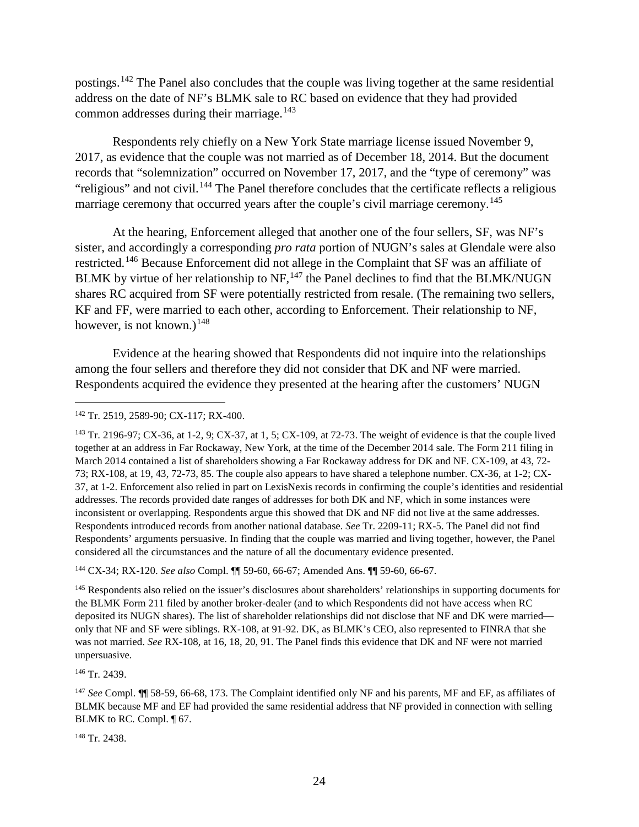postings.<sup>[142](#page-29-0)</sup> The Panel also concludes that the couple was living together at the same residential address on the date of NF's BLMK sale to RC based on evidence that they had provided common addresses during their marriage.<sup>[143](#page-29-1)</sup>

Respondents rely chiefly on a New York State marriage license issued November 9, 2017, as evidence that the couple was not married as of December 18, 2014. But the document records that "solemnization" occurred on November 17, 2017, and the "type of ceremony" was "religious" and not civil.<sup>[144](#page-29-2)</sup> The Panel therefore concludes that the certificate reflects a religious marriage ceremony that occurred years after the couple's civil marriage ceremony.<sup>[145](#page-29-3)</sup>

At the hearing, Enforcement alleged that another one of the four sellers, SF, was NF's sister, and accordingly a corresponding *pro rata* portion of NUGN's sales at Glendale were also restricted.[146](#page-29-4) Because Enforcement did not allege in the Complaint that SF was an affiliate of BLMK by virtue of her relationship to  $NF$ ,  $^{147}$  $^{147}$  $^{147}$  the Panel declines to find that the BLMK/NUGN shares RC acquired from SF were potentially restricted from resale. (The remaining two sellers, KF and FF, were married to each other, according to Enforcement. Their relationship to NF, however, is not known.)<sup>[148](#page-29-6)</sup>

Evidence at the hearing showed that Respondents did not inquire into the relationships among the four sellers and therefore they did not consider that DK and NF were married. Respondents acquired the evidence they presented at the hearing after the customers' NUGN

<span id="page-29-2"></span><sup>144</sup> CX-34; RX-120. *See also* Compl. ¶¶ 59-60, 66-67; Amended Ans. ¶¶ 59-60, 66-67.

<span id="page-29-3"></span><sup>145</sup> Respondents also relied on the issuer's disclosures about shareholders' relationships in supporting documents for the BLMK Form 211 filed by another broker-dealer (and to which Respondents did not have access when RC deposited its NUGN shares). The list of shareholder relationships did not disclose that NF and DK were married only that NF and SF were siblings. RX-108, at 91-92. DK, as BLMK's CEO, also represented to FINRA that she was not married. *See* RX-108, at 16, 18, 20, 91. The Panel finds this evidence that DK and NF were not married unpersuasive.

<span id="page-29-4"></span><sup>146</sup> Tr. 2439.

<span id="page-29-5"></span><sup>147</sup> *See* Compl. ¶¶ 58-59, 66-68, 173. The Complaint identified only NF and his parents, MF and EF, as affiliates of BLMK because MF and EF had provided the same residential address that NF provided in connection with selling BLMK to RC. Compl. ¶ 67.

<span id="page-29-6"></span><sup>148</sup> Tr. 2438.

<span id="page-29-0"></span> <sup>142</sup> Tr. 2519, 2589-90; CX-117; RX-400.

<span id="page-29-1"></span><sup>143</sup> Tr. 2196-97; CX-36, at 1-2, 9; CX-37, at 1, 5; CX-109, at 72-73. The weight of evidence is that the couple lived together at an address in Far Rockaway, New York, at the time of the December 2014 sale. The Form 211 filing in March 2014 contained a list of shareholders showing a Far Rockaway address for DK and NF. CX-109, at 43, 72- 73; RX-108, at 19, 43, 72-73, 85. The couple also appears to have shared a telephone number. CX-36, at 1-2; CX-37, at 1-2. Enforcement also relied in part on LexisNexis records in confirming the couple's identities and residential addresses. The records provided date ranges of addresses for both DK and NF, which in some instances were inconsistent or overlapping. Respondents argue this showed that DK and NF did not live at the same addresses. Respondents introduced records from another national database. *See* Tr. 2209-11; RX-5. The Panel did not find Respondents' arguments persuasive. In finding that the couple was married and living together, however, the Panel considered all the circumstances and the nature of all the documentary evidence presented.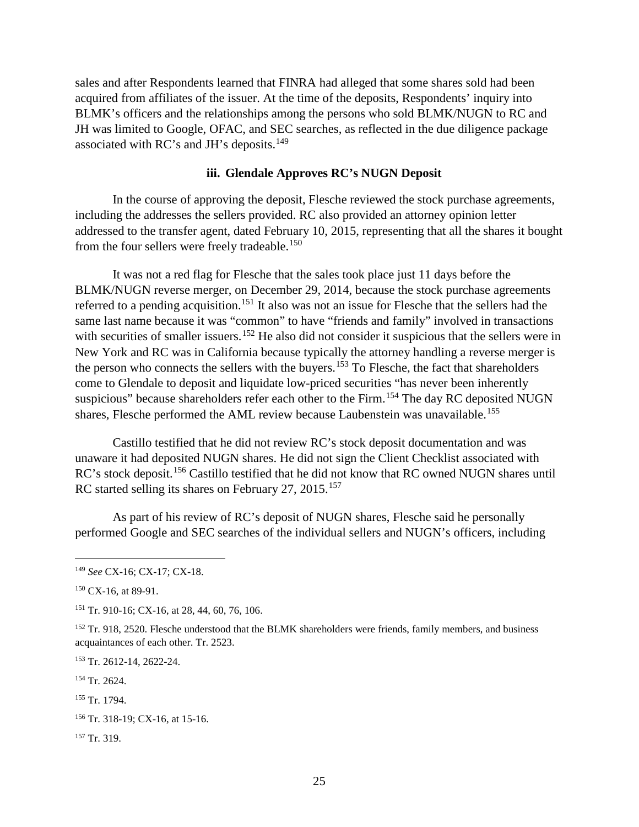sales and after Respondents learned that FINRA had alleged that some shares sold had been acquired from affiliates of the issuer. At the time of the deposits, Respondents' inquiry into BLMK's officers and the relationships among the persons who sold BLMK/NUGN to RC and JH was limited to Google, OFAC, and SEC searches, as reflected in the due diligence package associated with RC's and JH's deposits.<sup>149</sup>

## **iii. Glendale Approves RC's NUGN Deposit**

In the course of approving the deposit, Flesche reviewed the stock purchase agreements, including the addresses the sellers provided. RC also provided an attorney opinion letter addressed to the transfer agent, dated February 10, 2015, representing that all the shares it bought from the four sellers were freely tradeable.<sup>[150](#page-30-1)</sup>

It was not a red flag for Flesche that the sales took place just 11 days before the BLMK/NUGN reverse merger, on December 29, 2014, because the stock purchase agreements referred to a pending acquisition.<sup>[151](#page-30-2)</sup> It also was not an issue for Flesche that the sellers had the same last name because it was "common" to have "friends and family" involved in transactions with securities of smaller issuers.<sup>[152](#page-30-3)</sup> He also did not consider it suspicious that the sellers were in New York and RC was in California because typically the attorney handling a reverse merger is the person who connects the sellers with the buyers.<sup>[153](#page-30-4)</sup> To Flesche, the fact that shareholders come to Glendale to deposit and liquidate low-priced securities "has never been inherently suspicious" because shareholders refer each other to the Firm.<sup>[154](#page-30-5)</sup> The day RC deposited NUGN shares, Flesche performed the AML review because Laubenstein was unavailable.<sup>[155](#page-30-6)</sup>

Castillo testified that he did not review RC's stock deposit documentation and was unaware it had deposited NUGN shares. He did not sign the Client Checklist associated with RC's stock deposit.<sup>[156](#page-30-7)</sup> Castillo testified that he did not know that RC owned NUGN shares until RC started selling its shares on February 27, 2015.<sup>[157](#page-30-8)</sup>

As part of his review of RC's deposit of NUGN shares, Flesche said he personally performed Google and SEC searches of the individual sellers and NUGN's officers, including

<span id="page-30-4"></span><sup>153</sup> Tr. 2612-14, 2622-24.

<span id="page-30-5"></span><sup>154</sup> Tr. 2624.

<span id="page-30-0"></span> <sup>149</sup> *See* CX-16; CX-17; CX-18.

<span id="page-30-1"></span> $150$  CX-16, at 89-91.

<span id="page-30-2"></span><sup>151</sup> Tr. 910-16; CX-16, at 28, 44, 60, 76, 106.

<span id="page-30-3"></span><sup>&</sup>lt;sup>152</sup> Tr. 918, 2520. Flesche understood that the BLMK shareholders were friends, family members, and business acquaintances of each other. Tr. 2523.

<span id="page-30-6"></span><sup>155</sup> Tr. 1794.

<span id="page-30-7"></span><sup>156</sup> Tr. 318-19; CX-16, at 15-16.

<span id="page-30-8"></span><sup>157</sup> Tr. 319.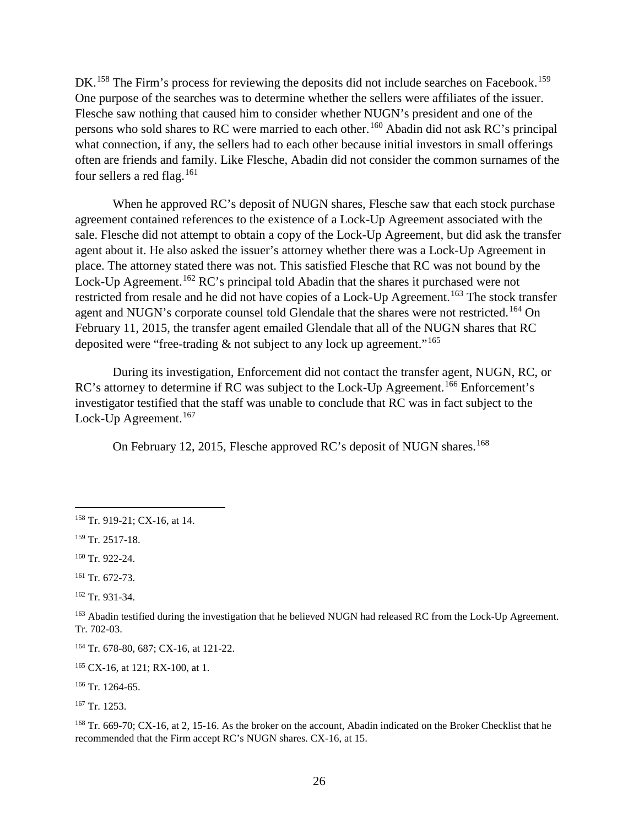DK.<sup>[158](#page-31-0)</sup> The Firm's process for reviewing the deposits did not include searches on Facebook.<sup>[159](#page-31-1)</sup> One purpose of the searches was to determine whether the sellers were affiliates of the issuer. Flesche saw nothing that caused him to consider whether NUGN's president and one of the persons who sold shares to RC were married to each other.[160](#page-31-2) Abadin did not ask RC's principal what connection, if any, the sellers had to each other because initial investors in small offerings often are friends and family. Like Flesche, Abadin did not consider the common surnames of the four sellers a red flag.<sup>[161](#page-31-3)</sup>

When he approved RC's deposit of NUGN shares, Flesche saw that each stock purchase agreement contained references to the existence of a Lock-Up Agreement associated with the sale. Flesche did not attempt to obtain a copy of the Lock-Up Agreement, but did ask the transfer agent about it. He also asked the issuer's attorney whether there was a Lock-Up Agreement in place. The attorney stated there was not. This satisfied Flesche that RC was not bound by the Lock-Up Agreement.<sup>[162](#page-31-4)</sup> RC's principal told Abadin that the shares it purchased were not restricted from resale and he did not have copies of a Lock-Up Agreement.<sup>[163](#page-31-5)</sup> The stock transfer agent and NUGN's corporate counsel told Glendale that the shares were not restricted.<sup>[164](#page-31-6)</sup> On February 11, 2015, the transfer agent emailed Glendale that all of the NUGN shares that RC deposited were "free-trading  $\&$  not subject to any lock up agreement."<sup>[165](#page-31-7)</sup>

During its investigation, Enforcement did not contact the transfer agent, NUGN, RC, or RC's attorney to determine if RC was subject to the Lock-Up Agreement.<sup>[166](#page-31-8)</sup> Enforcement's investigator testified that the staff was unable to conclude that RC was in fact subject to the Lock-Up Agreement.<sup>[167](#page-31-9)</sup>

On February 12, 2015, Flesche approved RC's deposit of NUGN shares. [168](#page-31-10)

<span id="page-31-3"></span><sup>161</sup> Tr. 672-73.

<span id="page-31-4"></span><sup>162</sup> Tr. 931-34.

<span id="page-31-0"></span> <sup>158</sup> Tr. 919-21; CX-16, at 14.

<span id="page-31-1"></span><sup>159</sup> Tr. 2517-18.

<span id="page-31-2"></span><sup>160</sup> Tr. 922-24.

<span id="page-31-5"></span><sup>&</sup>lt;sup>163</sup> Abadin testified during the investigation that he believed NUGN had released RC from the Lock-Up Agreement. Tr. 702-03.

<span id="page-31-6"></span><sup>164</sup> Tr. 678-80, 687; CX-16, at 121-22.

<span id="page-31-7"></span><sup>165</sup> CX-16, at 121; RX-100, at 1.

<span id="page-31-8"></span><sup>166</sup> Tr. 1264-65.

<span id="page-31-9"></span><sup>167</sup> Tr. 1253.

<span id="page-31-10"></span><sup>&</sup>lt;sup>168</sup> Tr. 669-70; CX-16, at 2, 15-16. As the broker on the account, Abadin indicated on the Broker Checklist that he recommended that the Firm accept RC's NUGN shares. CX-16, at 15.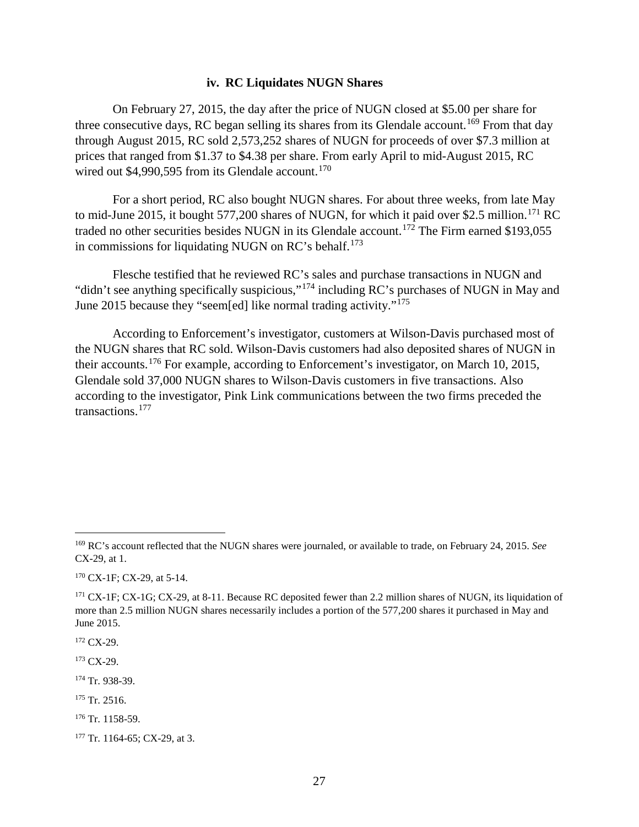#### **iv. RC Liquidates NUGN Shares**

On February 27, 2015, the day after the price of NUGN closed at \$5.00 per share for three consecutive days, RC began selling its shares from its Glendale account.<sup>[169](#page-32-0)</sup> From that day through August 2015, RC sold 2,573,252 shares of NUGN for proceeds of over \$7.3 million at prices that ranged from \$1.37 to \$4.38 per share. From early April to mid-August 2015, RC wired out  $$4,990,595$  from its Glendale account.<sup>[170](#page-32-1)</sup>

For a short period, RC also bought NUGN shares. For about three weeks, from late May to mid-June 2015, it bought 577,200 shares of NUGN, for which it paid over \$2.5 million.<sup>[171](#page-32-2)</sup> RC traded no other securities besides NUGN in its Glendale account.<sup>[172](#page-32-3)</sup> The Firm earned \$193,055 in commissions for liquidating NUGN on  $RC$ 's behalf.<sup>[173](#page-32-4)</sup>

Flesche testified that he reviewed RC's sales and purchase transactions in NUGN and "didn't see anything specifically suspicious,"[174](#page-32-5) including RC's purchases of NUGN in May and June 2015 because they "seem[ed] like normal trading activity."[175](#page-32-6)

According to Enforcement's investigator, customers at Wilson-Davis purchased most of the NUGN shares that RC sold. Wilson-Davis customers had also deposited shares of NUGN in their accounts.<sup>[176](#page-32-7)</sup> For example, according to Enforcement's investigator, on March 10, 2015, Glendale sold 37,000 NUGN shares to Wilson-Davis customers in five transactions. Also according to the investigator, Pink Link communications between the two firms preceded the transactions.[177](#page-32-8)

<span id="page-32-1"></span><sup>170</sup> CX-1F; CX-29, at 5-14.

<span id="page-32-3"></span> $172$  CX-29.

<span id="page-32-4"></span> $173$  CX-29.

<span id="page-32-5"></span><sup>174</sup> Tr. 938-39.

- <span id="page-32-6"></span><sup>175</sup> Tr. 2516.
- <span id="page-32-7"></span><sup>176</sup> Tr. 1158-59.

<span id="page-32-0"></span> <sup>169</sup> RC's account reflected that the NUGN shares were journaled, or available to trade, on February 24, 2015. *See* CX-29, at 1.

<span id="page-32-2"></span><sup>&</sup>lt;sup>171</sup> CX-1F; CX-1G; CX-29, at 8-11. Because RC deposited fewer than 2.2 million shares of NUGN, its liquidation of more than 2.5 million NUGN shares necessarily includes a portion of the 577,200 shares it purchased in May and June 2015.

<span id="page-32-8"></span><sup>177</sup> Tr. 1164-65; CX-29, at 3.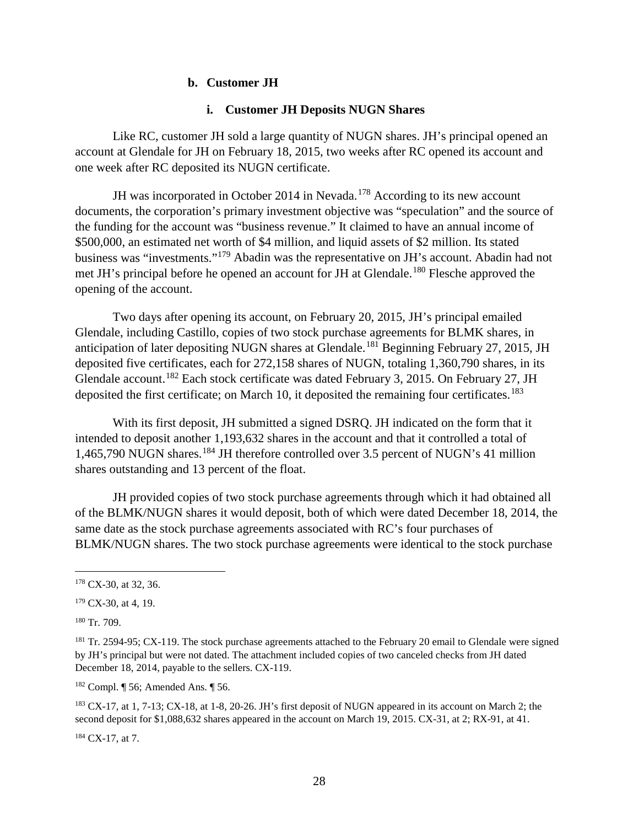#### **b. Customer JH**

#### **i. Customer JH Deposits NUGN Shares**

Like RC, customer JH sold a large quantity of NUGN shares. JH's principal opened an account at Glendale for JH on February 18, 2015, two weeks after RC opened its account and one week after RC deposited its NUGN certificate.

JH was incorporated in October 2014 in Nevada.<sup>[178](#page-33-0)</sup> According to its new account documents, the corporation's primary investment objective was "speculation" and the source of the funding for the account was "business revenue." It claimed to have an annual income of \$500,000, an estimated net worth of \$4 million, and liquid assets of \$2 million. Its stated business was "investments."[179](#page-33-1) Abadin was the representative on JH's account. Abadin had not met JH's principal before he opened an account for JH at Glendale.<sup>[180](#page-33-2)</sup> Flesche approved the opening of the account.

Two days after opening its account, on February 20, 2015, JH's principal emailed Glendale, including Castillo, copies of two stock purchase agreements for BLMK shares, in anticipation of later depositing NUGN shares at Glendale.<sup>[181](#page-33-3)</sup> Beginning February 27, 2015, JH deposited five certificates, each for 272,158 shares of NUGN, totaling 1,360,790 shares, in its Glendale account.[182](#page-33-4) Each stock certificate was dated February 3, 2015. On February 27, JH deposited the first certificate; on March 10, it deposited the remaining four certificates.<sup>[183](#page-33-5)</sup>

With its first deposit, JH submitted a signed DSRQ. JH indicated on the form that it intended to deposit another 1,193,632 shares in the account and that it controlled a total of 1,465,790 NUGN shares.<sup>[184](#page-33-6)</sup> JH therefore controlled over 3.5 percent of NUGN's 41 million shares outstanding and 13 percent of the float.

JH provided copies of two stock purchase agreements through which it had obtained all of the BLMK/NUGN shares it would deposit, both of which were dated December 18, 2014, the same date as the stock purchase agreements associated with RC's four purchases of BLMK/NUGN shares. The two stock purchase agreements were identical to the stock purchase

<span id="page-33-2"></span><sup>180</sup> Tr. 709.

<span id="page-33-4"></span><sup>182</sup> Compl. ¶ 56; Amended Ans. ¶ 56.

<span id="page-33-5"></span><sup>183</sup> CX-17, at 1, 7-13; CX-18, at 1-8, 20-26. JH's first deposit of NUGN appeared in its account on March 2; the second deposit for \$1,088,632 shares appeared in the account on March 19, 2015. CX-31, at 2; RX-91, at 41.

<span id="page-33-6"></span><sup>184</sup> CX-17, at 7.

<span id="page-33-0"></span> <sup>178</sup> CX-30, at 32, 36.

<span id="page-33-1"></span><sup>179</sup> CX-30, at 4, 19.

<span id="page-33-3"></span><sup>&</sup>lt;sup>181</sup> Tr. 2594-95; CX-119. The stock purchase agreements attached to the February 20 email to Glendale were signed by JH's principal but were not dated. The attachment included copies of two canceled checks from JH dated December 18, 2014, payable to the sellers. CX-119.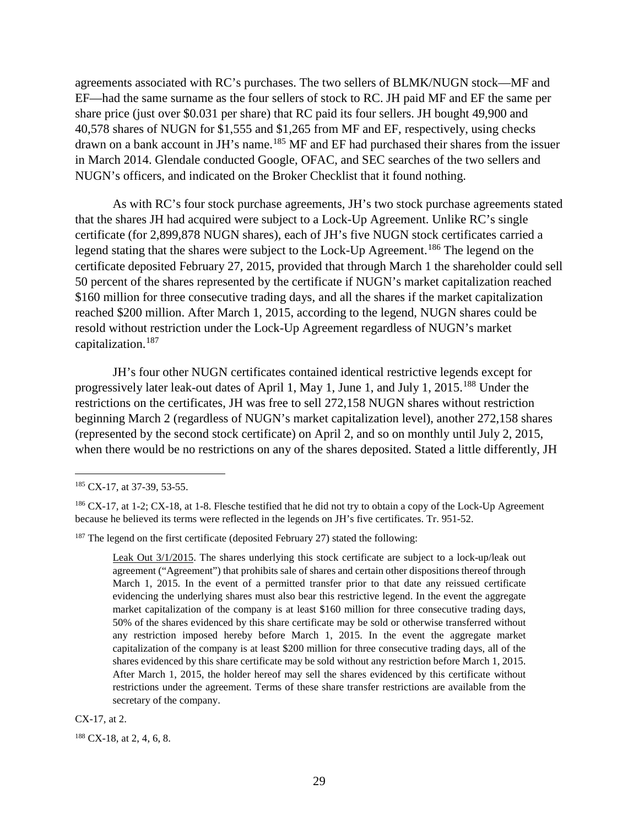agreements associated with RC's purchases. The two sellers of BLMK/NUGN stock—MF and EF—had the same surname as the four sellers of stock to RC. JH paid MF and EF the same per share price (just over \$0.031 per share) that RC paid its four sellers. JH bought 49,900 and 40,578 shares of NUGN for \$1,555 and \$1,265 from MF and EF, respectively, using checks drawn on a bank account in JH's name.<sup>[185](#page-34-0)</sup> MF and EF had purchased their shares from the issuer in March 2014. Glendale conducted Google, OFAC, and SEC searches of the two sellers and NUGN's officers, and indicated on the Broker Checklist that it found nothing.

As with RC's four stock purchase agreements, JH's two stock purchase agreements stated that the shares JH had acquired were subject to a Lock-Up Agreement. Unlike RC's single certificate (for 2,899,878 NUGN shares), each of JH's five NUGN stock certificates carried a legend stating that the shares were subject to the Lock-Up Agreement.<sup>[186](#page-34-1)</sup> The legend on the certificate deposited February 27, 2015, provided that through March 1 the shareholder could sell 50 percent of the shares represented by the certificate if NUGN's market capitalization reached \$160 million for three consecutive trading days, and all the shares if the market capitalization reached \$200 million. After March 1, 2015, according to the legend, NUGN shares could be resold without restriction under the Lock-Up Agreement regardless of NUGN's market capitalization.[187](#page-34-2)

JH's four other NUGN certificates contained identical restrictive legends except for progressively later leak-out dates of April 1, May 1, June 1, and July 1, 2015.<sup>[188](#page-34-3)</sup> Under the restrictions on the certificates, JH was free to sell 272,158 NUGN shares without restriction beginning March 2 (regardless of NUGN's market capitalization level), another 272,158 shares (represented by the second stock certificate) on April 2, and so on monthly until July 2, 2015, when there would be no restrictions on any of the shares deposited. Stated a little differently, JH

CX-17, at 2.

<span id="page-34-3"></span><sup>188</sup> CX-18, at 2, 4, 6, 8.

<span id="page-34-0"></span><sup>&</sup>lt;sup>185</sup> CX-17, at 37-39, 53-55.

<span id="page-34-1"></span><sup>&</sup>lt;sup>186</sup> CX-17, at 1-2; CX-18, at 1-8. Flesche testified that he did not try to obtain a copy of the Lock-Up Agreement because he believed its terms were reflected in the legends on JH's five certificates. Tr. 951-52.

<span id="page-34-2"></span> $187$  The legend on the first certificate (deposited February 27) stated the following:

Leak Out 3/1/2015. The shares underlying this stock certificate are subject to a lock-up/leak out agreement ("Agreement") that prohibits sale of shares and certain other dispositions thereof through March 1, 2015. In the event of a permitted transfer prior to that date any reissued certificate evidencing the underlying shares must also bear this restrictive legend. In the event the aggregate market capitalization of the company is at least \$160 million for three consecutive trading days, 50% of the shares evidenced by this share certificate may be sold or otherwise transferred without any restriction imposed hereby before March 1, 2015. In the event the aggregate market capitalization of the company is at least \$200 million for three consecutive trading days, all of the shares evidenced by this share certificate may be sold without any restriction before March 1, 2015. After March 1, 2015, the holder hereof may sell the shares evidenced by this certificate without restrictions under the agreement. Terms of these share transfer restrictions are available from the secretary of the company.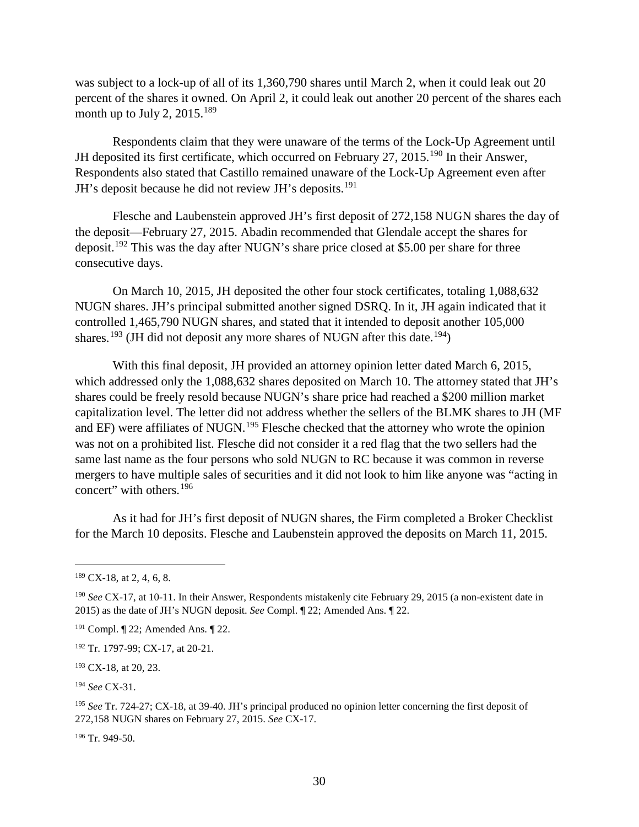was subject to a lock-up of all of its 1,360,790 shares until March 2, when it could leak out 20 percent of the shares it owned. On April 2, it could leak out another 20 percent of the shares each month up to July 2,  $2015.^{189}$ 

Respondents claim that they were unaware of the terms of the Lock-Up Agreement until JH deposited its first certificate, which occurred on February 27, 2015.<sup>[190](#page-35-1)</sup> In their Answer, Respondents also stated that Castillo remained unaware of the Lock-Up Agreement even after JH's deposit because he did not review JH's deposits.<sup>[191](#page-35-2)</sup>

Flesche and Laubenstein approved JH's first deposit of 272,158 NUGN shares the day of the deposit—February 27, 2015. Abadin recommended that Glendale accept the shares for deposit.<sup>[192](#page-35-3)</sup> This was the day after NUGN's share price closed at \$5.00 per share for three consecutive days.

On March 10, 2015, JH deposited the other four stock certificates, totaling 1,088,632 NUGN shares. JH's principal submitted another signed DSRQ. In it, JH again indicated that it controlled 1,465,790 NUGN shares, and stated that it intended to deposit another 105,000 shares.<sup>[193](#page-35-4)</sup> (JH did not deposit any more shares of NUGN after this date.<sup>[194](#page-35-5)</sup>)

With this final deposit, JH provided an attorney opinion letter dated March 6, 2015, which addressed only the 1,088,632 shares deposited on March 10. The attorney stated that JH's shares could be freely resold because NUGN's share price had reached a \$200 million market capitalization level. The letter did not address whether the sellers of the BLMK shares to JH (MF and EF) were affiliates of NUGN.[195](#page-35-6) Flesche checked that the attorney who wrote the opinion was not on a prohibited list. Flesche did not consider it a red flag that the two sellers had the same last name as the four persons who sold NUGN to RC because it was common in reverse mergers to have multiple sales of securities and it did not look to him like anyone was "acting in concert" with others. [196](#page-35-7)

As it had for JH's first deposit of NUGN shares, the Firm completed a Broker Checklist for the March 10 deposits. Flesche and Laubenstein approved the deposits on March 11, 2015.

<span id="page-35-5"></span><sup>194</sup> *See* CX-31.

<span id="page-35-6"></span><sup>195</sup> *See* Tr. 724-27; CX-18, at 39-40. JH's principal produced no opinion letter concerning the first deposit of 272,158 NUGN shares on February 27, 2015. *See* CX-17.

<span id="page-35-7"></span><sup>196</sup> Tr. 949-50.

<span id="page-35-0"></span> $189$  CX-18, at 2, 4, 6, 8.

<span id="page-35-1"></span><sup>190</sup> *See* CX-17, at 10-11. In their Answer, Respondents mistakenly cite February 29, 2015 (a non-existent date in 2015) as the date of JH's NUGN deposit. *See* Compl. ¶ 22; Amended Ans. ¶ 22.

<span id="page-35-2"></span><sup>191</sup> Compl. ¶ 22; Amended Ans. ¶ 22.

<span id="page-35-3"></span><sup>192</sup> Tr. 1797-99; CX-17, at 20-21.

<span id="page-35-4"></span><sup>193</sup> CX-18, at 20, 23.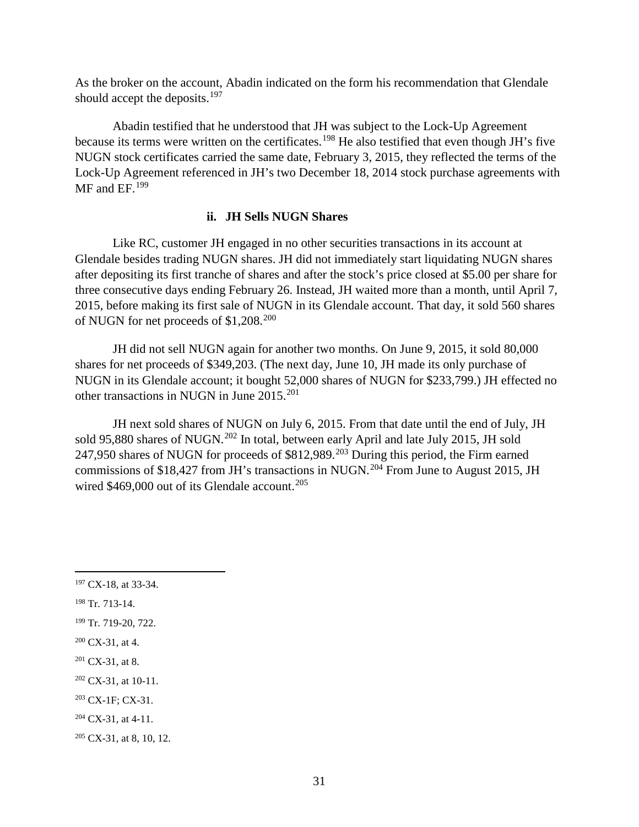As the broker on the account, Abadin indicated on the form his recommendation that Glendale should accept the deposits.<sup>[197](#page-36-0)</sup>

Abadin testified that he understood that JH was subject to the Lock-Up Agreement because its terms were written on the certificates.<sup>[198](#page-36-1)</sup> He also testified that even though JH's five NUGN stock certificates carried the same date, February 3, 2015, they reflected the terms of the Lock-Up Agreement referenced in JH's two December 18, 2014 stock purchase agreements with MF and EF.<sup>[199](#page-36-2)</sup>

#### **ii. JH Sells NUGN Shares**

Like RC, customer JH engaged in no other securities transactions in its account at Glendale besides trading NUGN shares. JH did not immediately start liquidating NUGN shares after depositing its first tranche of shares and after the stock's price closed at \$5.00 per share for three consecutive days ending February 26. Instead, JH waited more than a month, until April 7, 2015, before making its first sale of NUGN in its Glendale account. That day, it sold 560 shares of NUGN for net proceeds of \$1,208.[200](#page-36-3)

JH did not sell NUGN again for another two months. On June 9, 2015, it sold 80,000 shares for net proceeds of \$349,203. (The next day, June 10, JH made its only purchase of NUGN in its Glendale account; it bought 52,000 shares of NUGN for \$233,799.) JH effected no other transactions in NUGN in June [201](#page-36-4)5.<sup>201</sup>

JH next sold shares of NUGN on July 6, 2015. From that date until the end of July, JH sold 95,880 shares of NUGN.<sup>[202](#page-36-5)</sup> In total, between early April and late July 2015, JH sold 247,950 shares of NUGN for proceeds of \$812,989.<sup>[203](#page-36-6)</sup> During this period, the Firm earned commissions of \$18,427 from JH's transactions in NUGN.<sup>[204](#page-36-7)</sup> From June to August 2015, JH wired  $$469,000$  out of its Glendale account.<sup>[205](#page-36-8)</sup>

<span id="page-36-1"></span><sup>198</sup> Tr. 713-14.

<span id="page-36-0"></span> <sup>197</sup> CX-18, at 33-34.

<span id="page-36-2"></span><sup>199</sup> Tr. 719-20, 722.

<span id="page-36-3"></span> $200$  CX-31, at 4.

<span id="page-36-4"></span> $201$  CX-31, at 8.

<span id="page-36-5"></span> $202$  CX-31, at 10-11.

<span id="page-36-6"></span><sup>203</sup> CX-1F; CX-31.

<span id="page-36-7"></span> $204$  CX-31, at 4-11.

<span id="page-36-8"></span><sup>&</sup>lt;sup>205</sup> CX-31, at 8, 10, 12.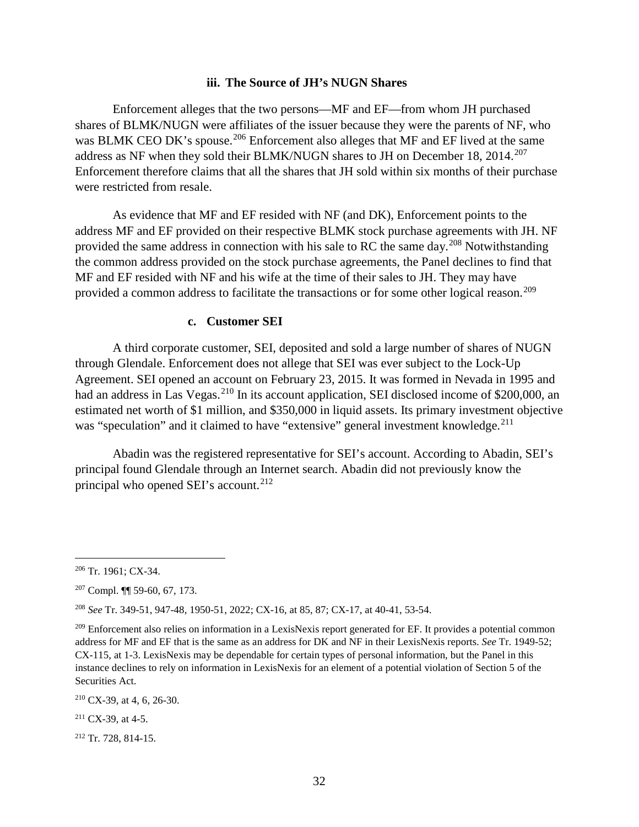#### **iii. The Source of JH's NUGN Shares**

Enforcement alleges that the two persons—MF and EF—from whom JH purchased shares of BLMK/NUGN were affiliates of the issuer because they were the parents of NF, who was BLMK CEO DK's spouse.<sup>[206](#page-37-0)</sup> Enforcement also alleges that MF and EF lived at the same address as NF when they sold their BLMK/NUGN shares to JH on December 18,  $2014$ <sup>[207](#page-37-1)</sup> Enforcement therefore claims that all the shares that JH sold within six months of their purchase were restricted from resale.

As evidence that MF and EF resided with NF (and DK), Enforcement points to the address MF and EF provided on their respective BLMK stock purchase agreements with JH. NF provided the same address in connection with his sale to RC the same day.<sup>[208](#page-37-2)</sup> Notwithstanding the common address provided on the stock purchase agreements, the Panel declines to find that MF and EF resided with NF and his wife at the time of their sales to JH. They may have provided a common address to facilitate the transactions or for some other logical reason.<sup>[209](#page-37-3)</sup>

#### **c. Customer SEI**

A third corporate customer, SEI, deposited and sold a large number of shares of NUGN through Glendale. Enforcement does not allege that SEI was ever subject to the Lock-Up Agreement. SEI opened an account on February 23, 2015. It was formed in Nevada in 1995 and had an address in Las Vegas.<sup>[210](#page-37-4)</sup> In its account application, SEI disclosed income of \$200,000, an estimated net worth of \$1 million, and \$350,000 in liquid assets. Its primary investment objective was "speculation" and it claimed to have "extensive" general investment knowledge.<sup>[211](#page-37-5)</sup>

Abadin was the registered representative for SEI's account. According to Abadin, SEI's principal found Glendale through an Internet search. Abadin did not previously know the principal who opened SEI's account.<sup>212</sup>

<span id="page-37-6"></span><sup>212</sup> Tr. 728, 814-15.

<span id="page-37-0"></span> <sup>206</sup> Tr. 1961; CX-34.

<span id="page-37-1"></span><sup>207</sup> Compl. ¶¶ 59-60, 67, 173.

<span id="page-37-2"></span><sup>208</sup> *See* Tr. 349-51, 947-48, 1950-51, 2022; CX-16, at 85, 87; CX-17, at 40-41, 53-54.

<span id="page-37-3"></span><sup>&</sup>lt;sup>209</sup> Enforcement also relies on information in a LexisNexis report generated for EF. It provides a potential common address for MF and EF that is the same as an address for DK and NF in their LexisNexis reports. *See* Tr. 1949-52; CX-115, at 1-3. LexisNexis may be dependable for certain types of personal information, but the Panel in this instance declines to rely on information in LexisNexis for an element of a potential violation of Section 5 of the Securities Act.

<span id="page-37-4"></span><sup>210</sup> CX-39, at 4, 6, 26-30.

<span id="page-37-5"></span> $211$  CX-39, at 4-5.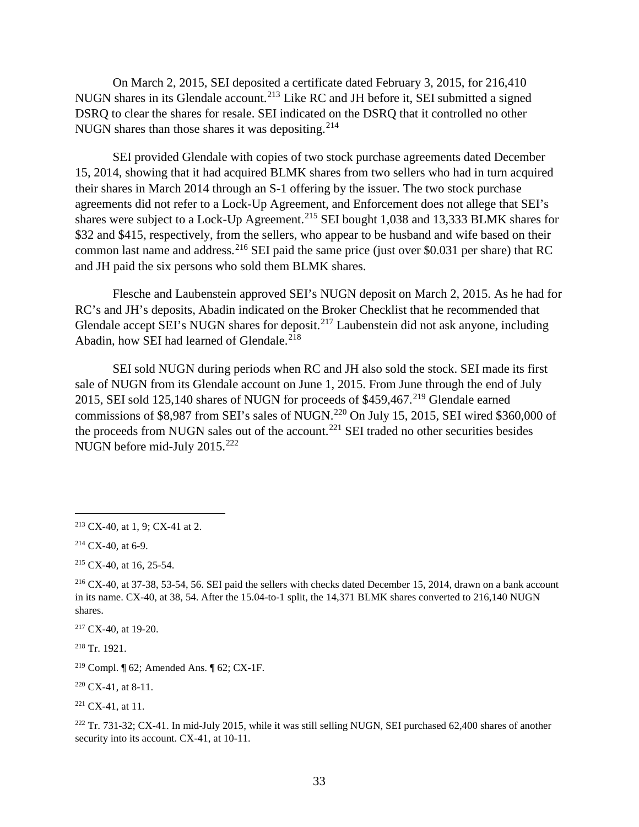On March 2, 2015, SEI deposited a certificate dated February 3, 2015, for 216,410 NUGN shares in its Glendale account.<sup>[213](#page-38-0)</sup> Like RC and JH before it, SEI submitted a signed DSRQ to clear the shares for resale. SEI indicated on the DSRQ that it controlled no other NUGN shares than those shares it was depositing.  $2^{14}$ 

SEI provided Glendale with copies of two stock purchase agreements dated December 15, 2014, showing that it had acquired BLMK shares from two sellers who had in turn acquired their shares in March 2014 through an S-1 offering by the issuer. The two stock purchase agreements did not refer to a Lock-Up Agreement, and Enforcement does not allege that SEI's shares were subject to a Lock-Up Agreement.<sup>[215](#page-38-2)</sup> SEI bought 1,038 and 13,333 BLMK shares for \$32 and \$415, respectively, from the sellers, who appear to be husband and wife based on their common last name and address.<sup>[216](#page-38-3)</sup> SEI paid the same price (just over \$0.031 per share) that RC and JH paid the six persons who sold them BLMK shares.

Flesche and Laubenstein approved SEI's NUGN deposit on March 2, 2015. As he had for RC's and JH's deposits, Abadin indicated on the Broker Checklist that he recommended that Glendale accept SEI's NUGN shares for deposit.<sup>[217](#page-38-4)</sup> Laubenstein did not ask anyone, including Abadin, how SEI had learned of Glendale.<sup>[218](#page-38-5)</sup>

SEI sold NUGN during periods when RC and JH also sold the stock. SEI made its first sale of NUGN from its Glendale account on June 1, 2015. From June through the end of July 2015, SEI sold 125,140 shares of NUGN for proceeds of  $$459,467<sup>219</sup>$  $$459,467<sup>219</sup>$  $$459,467<sup>219</sup>$  Glendale earned commissions of \$8,987 from SEI's sales of NUGN.<sup>[220](#page-38-7)</sup> On July 15, 2015, SEI wired \$360,000 of the proceeds from NUGN sales out of the account.<sup>[221](#page-38-8)</sup> SEI traded no other securities besides NUGN before mid-July 2015.<sup>[222](#page-38-9)</sup>

<span id="page-38-5"></span><sup>218</sup> Tr. 1921.

<span id="page-38-7"></span> $220$  CX-41, at 8-11.

<span id="page-38-9"></span> $222$  Tr. 731-32; CX-41. In mid-July 2015, while it was still selling NUGN, SEI purchased 62,400 shares of another security into its account. CX-41, at 10-11.

<span id="page-38-0"></span> <sup>213</sup> CX-40, at 1, 9; CX-41 at 2.

<span id="page-38-1"></span> $214$  CX-40, at 6-9.

<span id="page-38-2"></span> $215$  CX-40, at 16, 25-54.

<span id="page-38-3"></span><sup>216</sup> CX-40, at 37-38, 53-54, 56. SEI paid the sellers with checks dated December 15, 2014, drawn on a bank account in its name. CX-40, at 38, 54. After the 15.04-to-1 split, the 14,371 BLMK shares converted to 216,140 NUGN shares.

<span id="page-38-4"></span><sup>217</sup> CX-40, at 19-20.

<span id="page-38-6"></span><sup>&</sup>lt;sup>219</sup> Compl. ¶ 62; Amended Ans. ¶ 62; CX-1F.

<span id="page-38-8"></span> $221$  CX-41, at 11.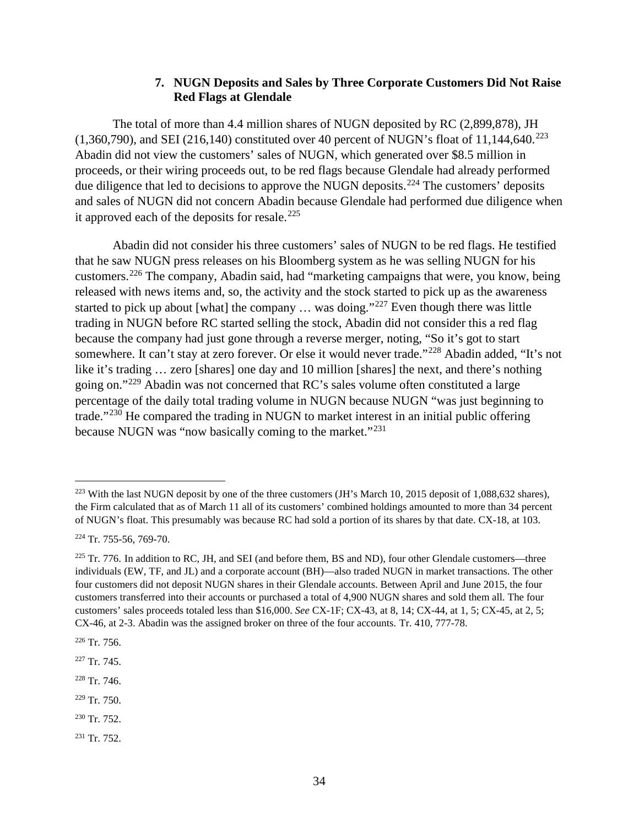# **7. NUGN Deposits and Sales by Three Corporate Customers Did Not Raise Red Flags at Glendale**

The total of more than 4.4 million shares of NUGN deposited by RC (2,899,878), JH  $(1,360,790)$ , and SEI  $(216,140)$  constituted over 40 percent of NUGN's float of 11,144,640.<sup>[223](#page-39-0)</sup> Abadin did not view the customers' sales of NUGN, which generated over \$8.5 million in proceeds, or their wiring proceeds out, to be red flags because Glendale had already performed due diligence that led to decisions to approve the NUGN deposits.<sup>[224](#page-39-1)</sup> The customers' deposits and sales of NUGN did not concern Abadin because Glendale had performed due diligence when it approved each of the deposits for resale. $^{225}$  $^{225}$  $^{225}$ 

Abadin did not consider his three customers' sales of NUGN to be red flags. He testified that he saw NUGN press releases on his Bloomberg system as he was selling NUGN for his customers.[226](#page-39-3) The company, Abadin said, had "marketing campaigns that were, you know, being released with news items and, so, the activity and the stock started to pick up as the awareness started to pick up about [what] the company  $\ldots$  was doing."<sup>[227](#page-39-4)</sup> Even though there was little trading in NUGN before RC started selling the stock, Abadin did not consider this a red flag because the company had just gone through a reverse merger, noting, "So it's got to start somewhere. It can't stay at zero forever. Or else it would never trade."<sup>[228](#page-39-5)</sup> Abadin added, "It's not like it's trading … zero [shares] one day and 10 million [shares] the next, and there's nothing going on."[229](#page-39-6) Abadin was not concerned that RC's sales volume often constituted a large percentage of the daily total trading volume in NUGN because NUGN "was just beginning to trade."<sup>[230](#page-39-7)</sup> He compared the trading in NUGN to market interest in an initial public offering because NUGN was "now basically coming to the market."<sup>[231](#page-39-8)</sup>

<span id="page-39-6"></span><sup>229</sup> Tr. 750.

<span id="page-39-8"></span><sup>231</sup> Tr. 752.

<span id="page-39-0"></span><sup>&</sup>lt;sup>223</sup> With the last NUGN deposit by one of the three customers (JH's March 10, 2015 deposit of 1,088,632 shares), the Firm calculated that as of March 11 all of its customers' combined holdings amounted to more than 34 percent of NUGN's float. This presumably was because RC had sold a portion of its shares by that date. CX-18, at 103.

<span id="page-39-1"></span><sup>224</sup> Tr. 755-56, 769-70.

<span id="page-39-2"></span> $225$  Tr. 776. In addition to RC, JH, and SEI (and before them, BS and ND), four other Glendale customers—three individuals (EW, TF, and JL) and a corporate account (BH)—also traded NUGN in market transactions. The other four customers did not deposit NUGN shares in their Glendale accounts. Between April and June 2015, the four customers transferred into their accounts or purchased a total of 4,900 NUGN shares and sold them all. The four customers' sales proceeds totaled less than \$16,000. *See* CX-1F; CX-43, at 8, 14; CX-44, at 1, 5; CX-45, at 2, 5; CX-46, at 2-3. Abadin was the assigned broker on three of the four accounts. Tr. 410, 777-78.

<span id="page-39-3"></span> $226$  Tr. 756.

<span id="page-39-4"></span> $227$  Tr. 745.

<span id="page-39-5"></span> $228$  Tr. 746.

<span id="page-39-7"></span><sup>230</sup> Tr. 752.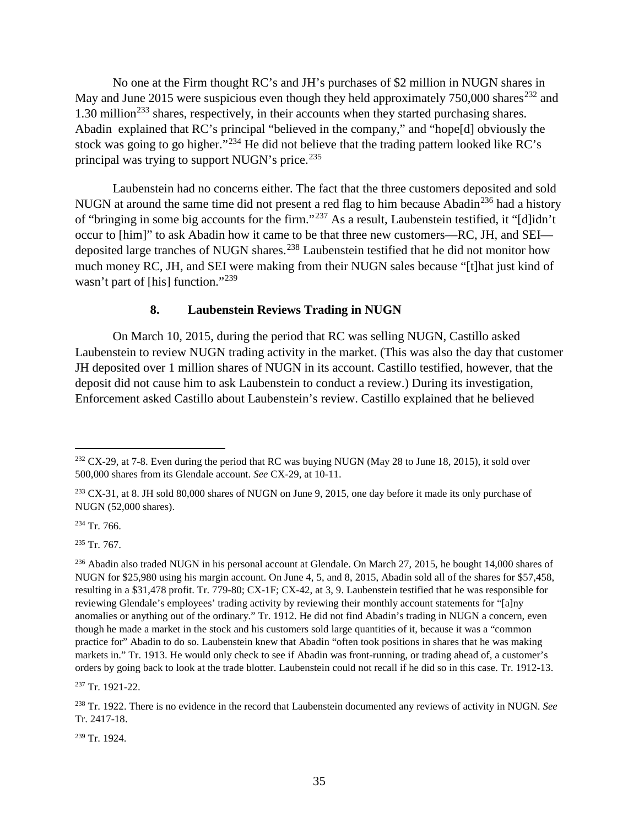No one at the Firm thought RC's and JH's purchases of \$2 million in NUGN shares in May and June 2015 were suspicious even though they held approximately  $750,000$  shares<sup>[232](#page-40-0)</sup> and 1.30 million<sup>[233](#page-40-1)</sup> shares, respectively, in their accounts when they started purchasing shares. Abadin explained that RC's principal "believed in the company," and "hope[d] obviously the stock was going to go higher."<sup>[234](#page-40-2)</sup> He did not believe that the trading pattern looked like RC's principal was trying to support NUGN's price. $^{235}$  $^{235}$  $^{235}$ 

Laubenstein had no concerns either. The fact that the three customers deposited and sold NUGN at around the same time did not present a red flag to him because Abadin<sup>[236](#page-40-4)</sup> had a history of "bringing in some big accounts for the firm."[237](#page-40-5) As a result, Laubenstein testified, it "[d]idn't occur to [him]" to ask Abadin how it came to be that three new customers—RC, JH, and SEI— deposited large tranches of NUGN shares.<sup>[238](#page-40-6)</sup> Laubenstein testified that he did not monitor how much money RC, JH, and SEI were making from their NUGN sales because "[t]hat just kind of wasn't part of [his] function."<sup>[239](#page-40-7)</sup>

# **8. Laubenstein Reviews Trading in NUGN**

On March 10, 2015, during the period that RC was selling NUGN, Castillo asked Laubenstein to review NUGN trading activity in the market. (This was also the day that customer JH deposited over 1 million shares of NUGN in its account. Castillo testified, however, that the deposit did not cause him to ask Laubenstein to conduct a review.) During its investigation, Enforcement asked Castillo about Laubenstein's review. Castillo explained that he believed

<span id="page-40-2"></span> $234$  Tr. 766.

<span id="page-40-3"></span> $235$  Tr. 767.

<span id="page-40-5"></span><sup>237</sup> Tr. 1921-22.

<span id="page-40-7"></span><sup>239</sup> Tr. 1924.

<span id="page-40-0"></span> $232$  CX-29, at 7-8. Even during the period that RC was buying NUGN (May 28 to June 18, 2015), it sold over 500,000 shares from its Glendale account. *See* CX-29, at 10-11.

<span id="page-40-1"></span> $233$  CX-31, at 8. JH sold 80,000 shares of NUGN on June 9, 2015, one day before it made its only purchase of NUGN (52,000 shares).

<span id="page-40-4"></span><sup>&</sup>lt;sup>236</sup> Abadin also traded NUGN in his personal account at Glendale. On March 27, 2015, he bought 14,000 shares of NUGN for \$25,980 using his margin account. On June 4, 5, and 8, 2015, Abadin sold all of the shares for \$57,458, resulting in a \$31,478 profit. Tr. 779-80; CX-1F; CX-42, at 3, 9. Laubenstein testified that he was responsible for reviewing Glendale's employees' trading activity by reviewing their monthly account statements for "[a]ny anomalies or anything out of the ordinary." Tr. 1912. He did not find Abadin's trading in NUGN a concern, even though he made a market in the stock and his customers sold large quantities of it, because it was a "common practice for" Abadin to do so. Laubenstein knew that Abadin "often took positions in shares that he was making markets in." Tr. 1913. He would only check to see if Abadin was front-running, or trading ahead of, a customer's orders by going back to look at the trade blotter. Laubenstein could not recall if he did so in this case. Tr. 1912-13.

<span id="page-40-6"></span><sup>238</sup> Tr. 1922. There is no evidence in the record that Laubenstein documented any reviews of activity in NUGN. *See* Tr. 2417-18.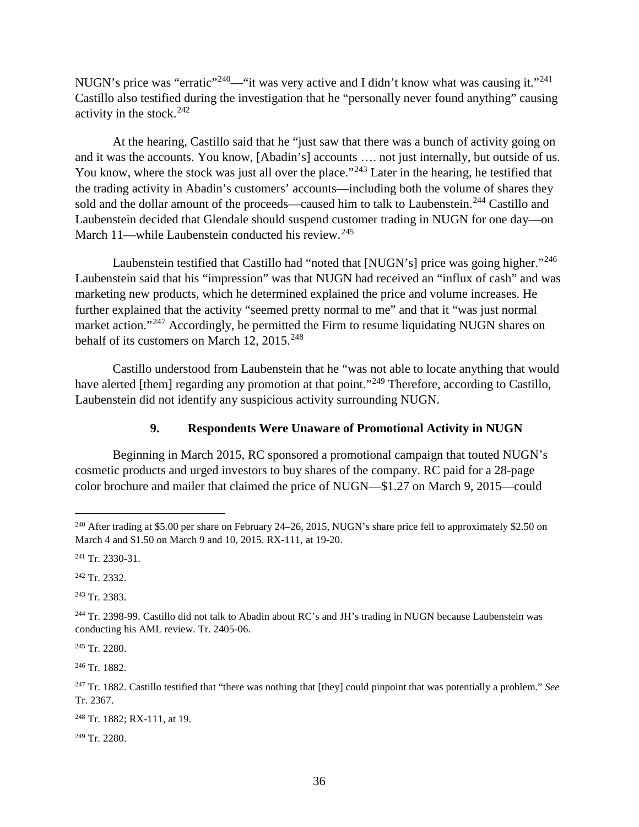NUGN's price was "erratic"<sup>[240](#page-41-0)</sup>—"it was very active and I didn't know what was causing it."<sup>[241](#page-41-1)</sup> Castillo also testified during the investigation that he "personally never found anything" causing activity in the stock. $242$ 

At the hearing, Castillo said that he "just saw that there was a bunch of activity going on and it was the accounts. You know, [Abadin's] accounts …. not just internally, but outside of us. You know, where the stock was just all over the place."<sup>[243](#page-41-3)</sup> Later in the hearing, he testified that the trading activity in Abadin's customers' accounts—including both the volume of shares they sold and the dollar amount of the proceeds—caused him to talk to Laubenstein.<sup>[244](#page-41-4)</sup> Castillo and Laubenstein decided that Glendale should suspend customer trading in NUGN for one day—on March 11—while Laubenstein conducted his review.<sup>[245](#page-41-5)</sup>

Laubenstein testified that Castillo had "noted that [NUGN's] price was going higher."<sup>[246](#page-41-6)</sup> Laubenstein said that his "impression" was that NUGN had received an "influx of cash" and was marketing new products, which he determined explained the price and volume increases. He further explained that the activity "seemed pretty normal to me" and that it "was just normal market action."<sup>[247](#page-41-7)</sup> Accordingly, he permitted the Firm to resume liquidating NUGN shares on behalf of its customers on March 12, 2015.<sup>[248](#page-41-8)</sup>

Castillo understood from Laubenstein that he "was not able to locate anything that would have alerted [them] regarding any promotion at that point."<sup>[249](#page-41-9)</sup> Therefore, according to Castillo, Laubenstein did not identify any suspicious activity surrounding NUGN.

# **9. Respondents Were Unaware of Promotional Activity in NUGN**

Beginning in March 2015, RC sponsored a promotional campaign that touted NUGN's cosmetic products and urged investors to buy shares of the company. RC paid for a 28-page color brochure and mailer that claimed the price of NUGN—\$1.27 on March 9, 2015—could

<span id="page-41-3"></span><sup>243</sup> Tr. 2383.

<span id="page-41-5"></span><sup>245</sup> Tr. 2280.

<span id="page-41-6"></span><sup>246</sup> Tr. 1882.

<span id="page-41-9"></span><sup>249</sup> Tr. 2280.

<span id="page-41-0"></span><sup>&</sup>lt;sup>240</sup> After trading at \$5.00 per share on February 24–26, 2015, NUGN's share price fell to approximately \$2.50 on March 4 and \$1.50 on March 9 and 10, 2015. RX-111, at 19-20.

<span id="page-41-1"></span><sup>241</sup> Tr. 2330-31.

<span id="page-41-2"></span><sup>242</sup> Tr. 2332.

<span id="page-41-4"></span><sup>&</sup>lt;sup>244</sup> Tr. 2398-99. Castillo did not talk to Abadin about RC's and JH's trading in NUGN because Laubenstein was conducting his AML review. Tr. 2405-06.

<span id="page-41-7"></span><sup>247</sup> Tr. 1882. Castillo testified that "there was nothing that [they] could pinpoint that was potentially a problem." *See* Tr. 2367.

<span id="page-41-8"></span><sup>248</sup> Tr. 1882; RX-111, at 19.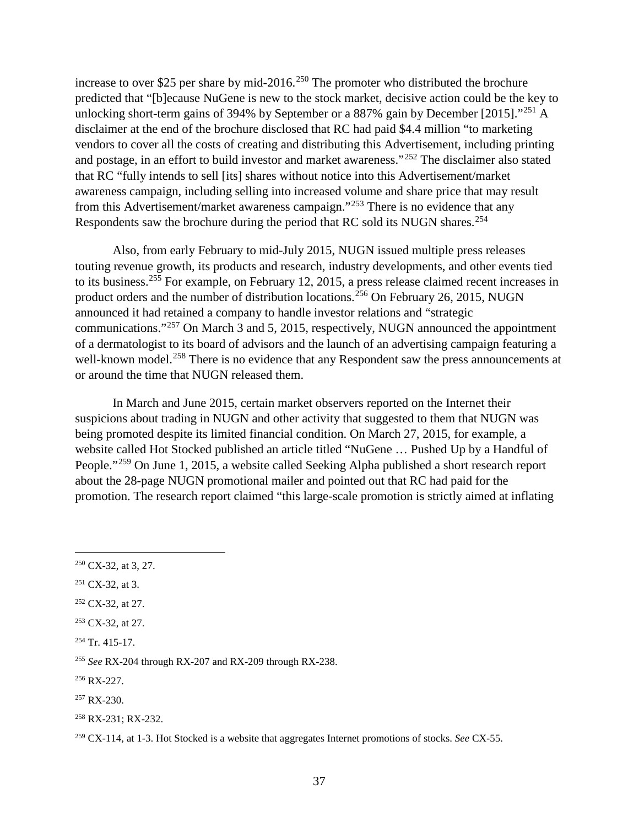increase to over \$25 per share by mid-2016.<sup>[250](#page-42-0)</sup> The promoter who distributed the brochure predicted that "[b]ecause NuGene is new to the stock market, decisive action could be the key to unlocking short-term gains of 394% by September or a 887% gain by December [2015]."<sup>[251](#page-42-1)</sup> A disclaimer at the end of the brochure disclosed that RC had paid \$4.4 million "to marketing vendors to cover all the costs of creating and distributing this Advertisement, including printing and postage, in an effort to build investor and market awareness."[252](#page-42-2) The disclaimer also stated that RC "fully intends to sell [its] shares without notice into this Advertisement/market awareness campaign, including selling into increased volume and share price that may result from this Advertisement/market awareness campaign."[253](#page-42-3) There is no evidence that any Respondents saw the brochure during the period that RC sold its NUGN shares.<sup>[254](#page-42-4)</sup>

Also, from early February to mid-July 2015, NUGN issued multiple press releases touting revenue growth, its products and research, industry developments, and other events tied to its business.[255](#page-42-5) For example, on February 12, 2015, a press release claimed recent increases in product orders and the number of distribution locations.<sup>[256](#page-42-6)</sup> On February 26, 2015, NUGN announced it had retained a company to handle investor relations and "strategic communications."[257](#page-42-7) On March 3 and 5, 2015, respectively, NUGN announced the appointment of a dermatologist to its board of advisors and the launch of an advertising campaign featuring a well-known model.<sup>[258](#page-42-8)</sup> There is no evidence that any Respondent saw the press announcements at or around the time that NUGN released them.

In March and June 2015, certain market observers reported on the Internet their suspicions about trading in NUGN and other activity that suggested to them that NUGN was being promoted despite its limited financial condition. On March 27, 2015, for example, a website called Hot Stocked published an article titled "NuGene … Pushed Up by a Handful of People."[259](#page-42-9) On June 1, 2015, a website called Seeking Alpha published a short research report about the 28-page NUGN promotional mailer and pointed out that RC had paid for the promotion. The research report claimed "this large-scale promotion is strictly aimed at inflating

<span id="page-42-1"></span> $251$  CX-32, at 3.

<span id="page-42-0"></span> $250$  CX-32, at 3, 27.

<span id="page-42-2"></span><sup>&</sup>lt;sup>252</sup> CX-32, at 27.

<span id="page-42-3"></span><sup>&</sup>lt;sup>253</sup> CX-32, at 27.

<span id="page-42-4"></span> $254$  Tr. 415-17.

<span id="page-42-5"></span><sup>255</sup> *See* RX-204 through RX-207 and RX-209 through RX-238.

<span id="page-42-6"></span><sup>256</sup> RX-227.

<span id="page-42-7"></span> $257$  RX-230.

<span id="page-42-8"></span><sup>258</sup> RX-231; RX-232.

<span id="page-42-9"></span><sup>259</sup> CX-114, at 1-3. Hot Stocked is a website that aggregates Internet promotions of stocks. *See* CX-55.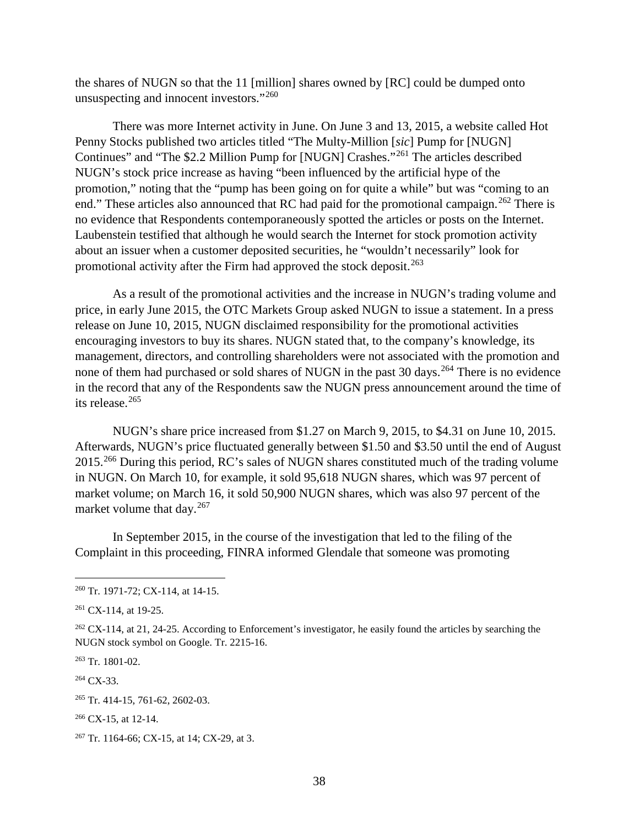the shares of NUGN so that the 11 [million] shares owned by [RC] could be dumped onto unsuspecting and innocent investors."[260](#page-43-0)

There was more Internet activity in June. On June 3 and 13, 2015, a website called Hot Penny Stocks published two articles titled "The Multy-Million [*sic*] Pump for [NUGN] Continues" and "The \$2.2 Million Pump for [NUGN] Crashes."[261](#page-43-1) The articles described NUGN's stock price increase as having "been influenced by the artificial hype of the promotion," noting that the "pump has been going on for quite a while" but was "coming to an end." These articles also announced that RC had paid for the promotional campaign.<sup>[262](#page-43-2)</sup> There is no evidence that Respondents contemporaneously spotted the articles or posts on the Internet. Laubenstein testified that although he would search the Internet for stock promotion activity about an issuer when a customer deposited securities, he "wouldn't necessarily" look for promotional activity after the Firm had approved the stock deposit.<sup>[263](#page-43-3)</sup>

As a result of the promotional activities and the increase in NUGN's trading volume and price, in early June 2015, the OTC Markets Group asked NUGN to issue a statement. In a press release on June 10, 2015, NUGN disclaimed responsibility for the promotional activities encouraging investors to buy its shares. NUGN stated that, to the company's knowledge, its management, directors, and controlling shareholders were not associated with the promotion and none of them had purchased or sold shares of NUGN in the past 30 days.<sup>[264](#page-43-4)</sup> There is no evidence in the record that any of the Respondents saw the NUGN press announcement around the time of its release. [265](#page-43-5)

NUGN's share price increased from \$1.27 on March 9, 2015, to \$4.31 on June 10, 2015. Afterwards, NUGN's price fluctuated generally between \$1.50 and \$3.50 until the end of August 2015.<sup>[266](#page-43-6)</sup> During this period, RC's sales of NUGN shares constituted much of the trading volume in NUGN. On March 10, for example, it sold 95,618 NUGN shares, which was 97 percent of market volume; on March 16, it sold 50,900 NUGN shares, which was also 97 percent of the market volume that day.<sup>[267](#page-43-7)</sup>

In September 2015, in the course of the investigation that led to the filing of the Complaint in this proceeding, FINRA informed Glendale that someone was promoting

<span id="page-43-3"></span><sup>263</sup> Tr. 1801-02.

<span id="page-43-4"></span> $264$  CX-33.

<span id="page-43-0"></span> <sup>260</sup> Tr. 1971-72; CX-114, at 14-15.

<span id="page-43-1"></span><sup>261</sup> CX-114, at 19-25.

<span id="page-43-2"></span> $262$  CX-114, at 21, 24-25. According to Enforcement's investigator, he easily found the articles by searching the NUGN stock symbol on Google. Tr. 2215-16.

<span id="page-43-5"></span><sup>265</sup> Tr. 414-15, 761-62, 2602-03.

<span id="page-43-6"></span> $266$  CX-15, at 12-14.

<span id="page-43-7"></span><sup>&</sup>lt;sup>267</sup> Tr. 1164-66; CX-15, at 14; CX-29, at 3.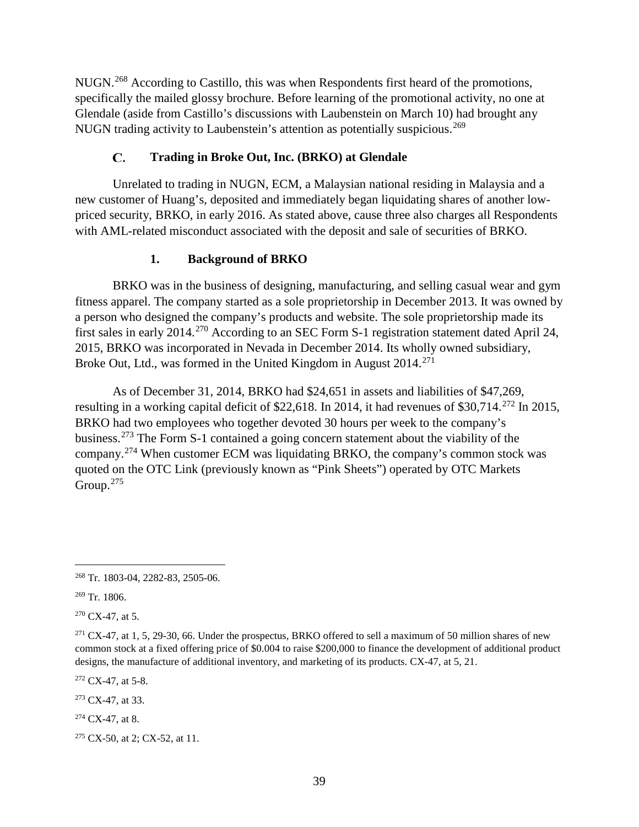NUGN.[268](#page-44-0) According to Castillo, this was when Respondents first heard of the promotions, specifically the mailed glossy brochure. Before learning of the promotional activity, no one at Glendale (aside from Castillo's discussions with Laubenstein on March 10) had brought any NUGN trading activity to Laubenstein's attention as potentially suspicious.<sup>[269](#page-44-1)</sup>

#### $\mathbf{C}$ . **Trading in Broke Out, Inc. (BRKO) at Glendale**

Unrelated to trading in NUGN, ECM, a Malaysian national residing in Malaysia and a new customer of Huang's, deposited and immediately began liquidating shares of another lowpriced security, BRKO, in early 2016. As stated above, cause three also charges all Respondents with AML-related misconduct associated with the deposit and sale of securities of BRKO.

# **1. Background of BRKO**

BRKO was in the business of designing, manufacturing, and selling casual wear and gym fitness apparel. The company started as a sole proprietorship in December 2013. It was owned by a person who designed the company's products and website. The sole proprietorship made its first sales in early 2014.<sup>[270](#page-44-2)</sup> According to an SEC Form S-1 registration statement dated April 24, 2015, BRKO was incorporated in Nevada in December 2014. Its wholly owned subsidiary, Broke Out, Ltd., was formed in the United Kingdom in August  $2014$ <sup>[271](#page-44-3)</sup>

As of December 31, 2014, BRKO had \$24,651 in assets and liabilities of \$47,269, resulting in a working capital deficit of \$22,618. In 2014, it had revenues of \$30,714.<sup>[272](#page-44-4)</sup> In 2015, BRKO had two employees who together devoted 30 hours per week to the company's business.[273](#page-44-5) The Form S-1 contained a going concern statement about the viability of the company.[274](#page-44-6) When customer ECM was liquidating BRKO, the company's common stock was quoted on the OTC Link (previously known as "Pink Sheets") operated by OTC Markets Group.<sup>[275](#page-44-7)</sup>

<span id="page-44-2"></span> $270$  CX-47, at 5.

<span id="page-44-4"></span> $272$  CX-47, at 5-8.

<span id="page-44-5"></span><sup>273</sup> CX-47, at 33.

<span id="page-44-6"></span> $274$  CX-47, at 8.

<span id="page-44-7"></span><sup>275</sup> CX-50, at 2; CX-52, at 11.

<span id="page-44-0"></span> <sup>268</sup> Tr. 1803-04, 2282-83, 2505-06.

<span id="page-44-1"></span><sup>269</sup> Tr. 1806.

<span id="page-44-3"></span> $271$  CX-47, at 1, 5, 29-30, 66. Under the prospectus, BRKO offered to sell a maximum of 50 million shares of new common stock at a fixed offering price of \$0.004 to raise \$200,000 to finance the development of additional product designs, the manufacture of additional inventory, and marketing of its products. CX-47, at 5, 21.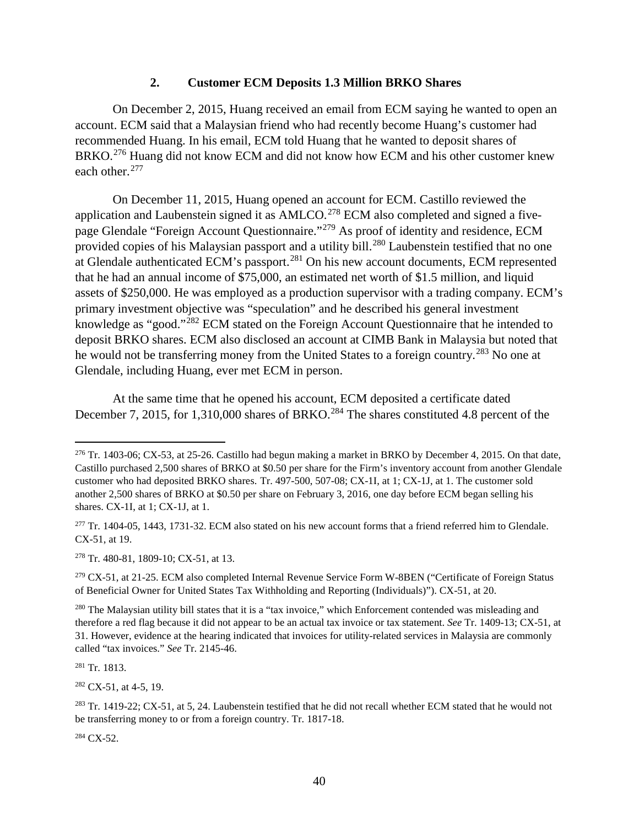#### **2. Customer ECM Deposits 1.3 Million BRKO Shares**

On December 2, 2015, Huang received an email from ECM saying he wanted to open an account. ECM said that a Malaysian friend who had recently become Huang's customer had recommended Huang. In his email, ECM told Huang that he wanted to deposit shares of BRKO.<sup>[276](#page-45-0)</sup> Huang did not know ECM and did not know how ECM and his other customer knew each other.<sup>[277](#page-45-1)</sup>

On December 11, 2015, Huang opened an account for ECM. Castillo reviewed the application and Laubenstein signed it as  $AMLCO.<sup>278</sup> ECM$  $AMLCO.<sup>278</sup> ECM$  $AMLCO.<sup>278</sup> ECM$  also completed and signed a fivepage Glendale "Foreign Account Questionnaire."[279](#page-45-3) As proof of identity and residence, ECM provided copies of his Malaysian passport and a utility bill.<sup>[280](#page-45-4)</sup> Laubenstein testified that no one at Glendale authenticated ECM's passport.[281](#page-45-5) On his new account documents, ECM represented that he had an annual income of \$75,000, an estimated net worth of \$1.5 million, and liquid assets of \$250,000. He was employed as a production supervisor with a trading company. ECM's primary investment objective was "speculation" and he described his general investment knowledge as "good."[282](#page-45-6) ECM stated on the Foreign Account Questionnaire that he intended to deposit BRKO shares. ECM also disclosed an account at CIMB Bank in Malaysia but noted that he would not be transferring money from the United States to a foreign country.<sup>[283](#page-45-7)</sup> No one at Glendale, including Huang, ever met ECM in person.

At the same time that he opened his account, ECM deposited a certificate dated December 7, 2015, for 1,310,000 shares of BRKO.<sup>[284](#page-45-8)</sup> The shares constituted 4.8 percent of the

<span id="page-45-2"></span><sup>278</sup> Tr. 480-81, 1809-10; CX-51, at 13.

<span id="page-45-3"></span><sup>279</sup> CX-51, at 21-25. ECM also completed Internal Revenue Service Form W-8BEN ("Certificate of Foreign Status of Beneficial Owner for United States Tax Withholding and Reporting (Individuals)"). CX-51, at 20.

<span id="page-45-5"></span><sup>281</sup> Tr. 1813.

<span id="page-45-6"></span> $282$  CX-51, at 4-5, 19.

<span id="page-45-8"></span> $284$  CX-52.

<span id="page-45-0"></span> <sup>276</sup> Tr. 1403-06; CX-53, at 25-26. Castillo had begun making a market in BRKO by December 4, 2015. On that date, Castillo purchased 2,500 shares of BRKO at \$0.50 per share for the Firm's inventory account from another Glendale customer who had deposited BRKO shares. Tr. 497-500, 507-08; CX-1I, at 1; CX-1J, at 1. The customer sold another 2,500 shares of BRKO at \$0.50 per share on February 3, 2016, one day before ECM began selling his shares. CX-1I, at 1; CX-1J, at 1.

<span id="page-45-1"></span> $277$  Tr. 1404-05, 1443, 1731-32. ECM also stated on his new account forms that a friend referred him to Glendale. CX-51, at 19.

<span id="page-45-4"></span><sup>&</sup>lt;sup>280</sup> The Malaysian utility bill states that it is a "tax invoice," which Enforcement contended was misleading and therefore a red flag because it did not appear to be an actual tax invoice or tax statement. *See* Tr. 1409-13; CX-51, at 31. However, evidence at the hearing indicated that invoices for utility-related services in Malaysia are commonly called "tax invoices." *See* Tr. 2145-46.

<span id="page-45-7"></span> $^{283}$  Tr. 1419-22; CX-51, at 5, 24. Laubenstein testified that he did not recall whether ECM stated that he would not be transferring money to or from a foreign country. Tr. 1817-18.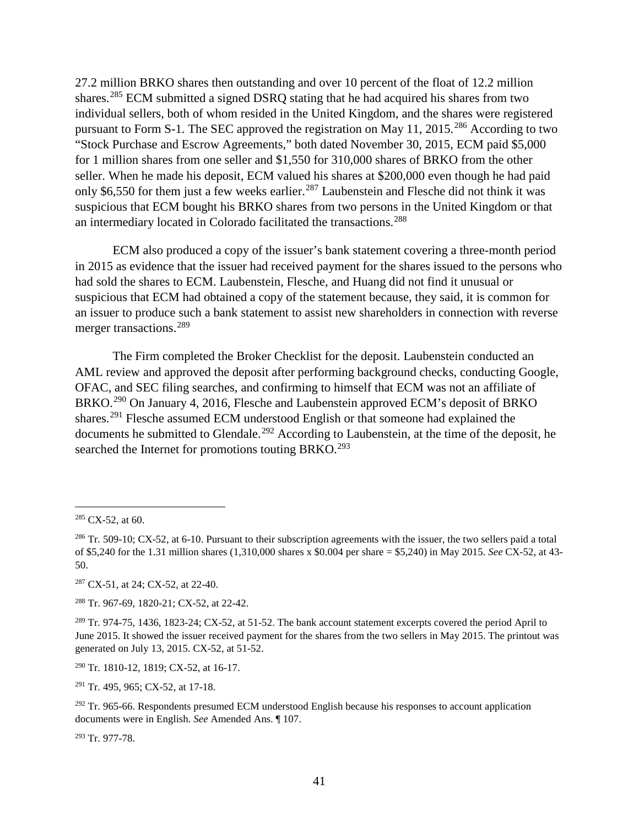27.2 million BRKO shares then outstanding and over 10 percent of the float of 12.2 million shares.<sup>[285](#page-46-0)</sup> ECM submitted a signed DSRQ stating that he had acquired his shares from two individual sellers, both of whom resided in the United Kingdom, and the shares were registered pursuant to Form S-1. The SEC approved the registration on May 11, 2015.<sup>[286](#page-46-1)</sup> According to two "Stock Purchase and Escrow Agreements," both dated November 30, 2015, ECM paid \$5,000 for 1 million shares from one seller and \$1,550 for 310,000 shares of BRKO from the other seller. When he made his deposit, ECM valued his shares at \$200,000 even though he had paid only \$6,550 for them just a few weeks earlier.<sup>[287](#page-46-2)</sup> Laubenstein and Flesche did not think it was suspicious that ECM bought his BRKO shares from two persons in the United Kingdom or that an intermediary located in Colorado facilitated the transactions. [288](#page-46-3)

ECM also produced a copy of the issuer's bank statement covering a three-month period in 2015 as evidence that the issuer had received payment for the shares issued to the persons who had sold the shares to ECM. Laubenstein, Flesche, and Huang did not find it unusual or suspicious that ECM had obtained a copy of the statement because, they said, it is common for an issuer to produce such a bank statement to assist new shareholders in connection with reverse merger transactions.<sup>[289](#page-46-4)</sup>

The Firm completed the Broker Checklist for the deposit. Laubenstein conducted an AML review and approved the deposit after performing background checks, conducting Google, OFAC, and SEC filing searches, and confirming to himself that ECM was not an affiliate of BRKO.<sup>[290](#page-46-5)</sup> On January 4, 2016, Flesche and Laubenstein approved ECM's deposit of BRKO shares.<sup>[291](#page-46-6)</sup> Flesche assumed ECM understood English or that someone had explained the documents he submitted to Glendale.<sup>[292](#page-46-7)</sup> According to Laubenstein, at the time of the deposit, he searched the Internet for promotions touting BRKO.<sup>[293](#page-46-8)</sup>

<span id="page-46-2"></span><sup>287</sup> CX-51, at 24; CX-52, at 22-40.

<span id="page-46-3"></span><sup>288</sup> Tr. 967-69, 1820-21; CX-52, at 22-42.

<span id="page-46-5"></span><sup>290</sup> Tr. 1810-12, 1819; CX-52, at 16-17.

<span id="page-46-6"></span><sup>291</sup> Tr. 495, 965; CX-52, at 17-18.

<span id="page-46-7"></span> $292$  Tr. 965-66. Respondents presumed ECM understood English because his responses to account application documents were in English. *See* Amended Ans. ¶ 107.

<span id="page-46-8"></span><sup>293</sup> Tr. 977-78.

<span id="page-46-0"></span> $285$  CX-52, at 60.

<span id="page-46-1"></span> $286$  Tr. 509-10; CX-52, at 6-10. Pursuant to their subscription agreements with the issuer, the two sellers paid a total of \$5,240 for the 1.31 million shares (1,310,000 shares x \$0.004 per share = \$5,240) in May 2015. *See* CX-52, at 43- 50.

<span id="page-46-4"></span><sup>289</sup> Tr. 974-75, 1436, 1823-24; CX-52, at 51-52. The bank account statement excerpts covered the period April to June 2015. It showed the issuer received payment for the shares from the two sellers in May 2015. The printout was generated on July 13, 2015. CX-52, at 51-52.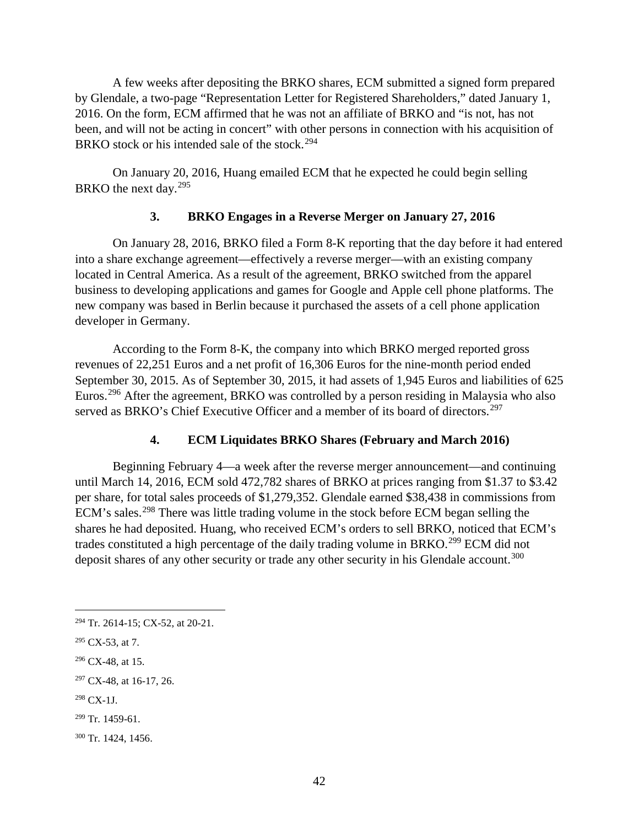A few weeks after depositing the BRKO shares, ECM submitted a signed form prepared by Glendale, a two-page "Representation Letter for Registered Shareholders," dated January 1, 2016. On the form, ECM affirmed that he was not an affiliate of BRKO and "is not, has not been, and will not be acting in concert" with other persons in connection with his acquisition of BRKO stock or his intended sale of the stock.<sup>[294](#page-47-0)</sup>

On January 20, 2016, Huang emailed ECM that he expected he could begin selling BRKO the next day.<sup>[295](#page-47-1)</sup>

# **3. BRKO Engages in a Reverse Merger on January 27, 2016**

On January 28, 2016, BRKO filed a Form 8-K reporting that the day before it had entered into a share exchange agreement—effectively a reverse merger—with an existing company located in Central America. As a result of the agreement, BRKO switched from the apparel business to developing applications and games for Google and Apple cell phone platforms. The new company was based in Berlin because it purchased the assets of a cell phone application developer in Germany.

According to the Form 8-K, the company into which BRKO merged reported gross revenues of 22,251 Euros and a net profit of 16,306 Euros for the nine-month period ended September 30, 2015. As of September 30, 2015, it had assets of 1,945 Euros and liabilities of 625 Euros.<sup>[296](#page-47-2)</sup> After the agreement, BRKO was controlled by a person residing in Malaysia who also served as BRKO's Chief Executive Officer and a member of its board of directors.<sup>[297](#page-47-3)</sup>

# **4. ECM Liquidates BRKO Shares (February and March 2016)**

Beginning February 4—a week after the reverse merger announcement—and continuing until March 14, 2016, ECM sold 472,782 shares of BRKO at prices ranging from \$1.37 to \$3.42 per share, for total sales proceeds of \$1,279,352. Glendale earned \$38,438 in commissions from ECM's sales.<sup>[298](#page-47-4)</sup> There was little trading volume in the stock before ECM began selling the shares he had deposited. Huang, who received ECM's orders to sell BRKO, noticed that ECM's trades constituted a high percentage of the daily trading volume in BRKO.[299](#page-47-5) ECM did not deposit shares of any other security or trade any other security in his Glendale account.<sup>[300](#page-47-6)</sup>

<span id="page-47-2"></span> $296$  CX-48, at 15.

<span id="page-47-4"></span> $298$  CX-1J.

<span id="page-47-0"></span> <sup>294</sup> Tr. 2614-15; CX-52, at 20-21.

<span id="page-47-1"></span> $295$  CX-53, at 7.

<span id="page-47-3"></span><sup>&</sup>lt;sup>297</sup> CX-48, at 16-17, 26.

<span id="page-47-5"></span> $299$  Tr. 1459-61.

<span id="page-47-6"></span><sup>300</sup> Tr. 1424, 1456.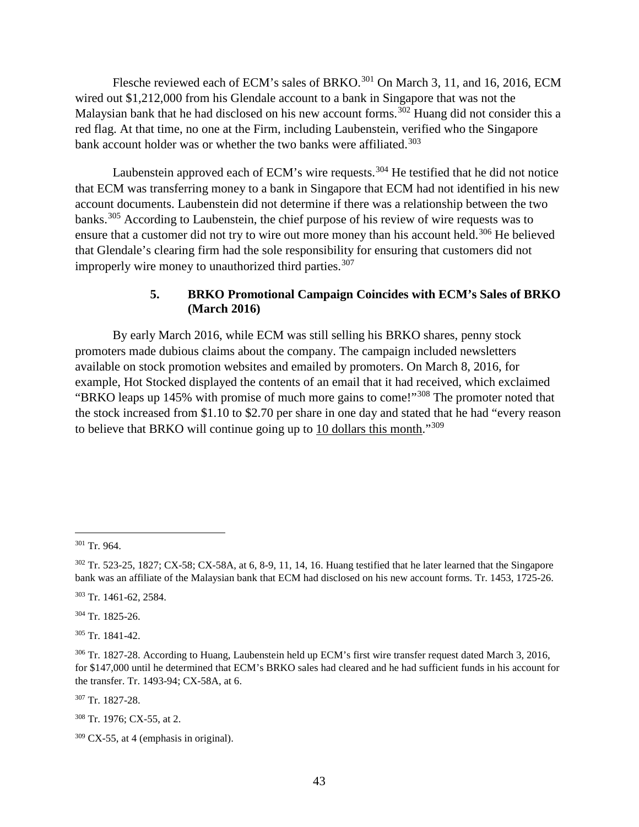Flesche reviewed each of ECM's sales of BRKO.<sup>[301](#page-48-0)</sup> On March 3, 11, and 16, 2016, ECM wired out \$1,212,000 from his Glendale account to a bank in Singapore that was not the Malaysian bank that he had disclosed on his new account forms.<sup>[302](#page-48-1)</sup> Huang did not consider this a red flag. At that time, no one at the Firm, including Laubenstein, verified who the Singapore bank account holder was or whether the two banks were affiliated.<sup>[303](#page-48-2)</sup>

Laubenstein approved each of ECM's wire requests.<sup>[304](#page-48-3)</sup> He testified that he did not notice that ECM was transferring money to a bank in Singapore that ECM had not identified in his new account documents. Laubenstein did not determine if there was a relationship between the two banks.<sup>[305](#page-48-4)</sup> According to Laubenstein, the chief purpose of his review of wire requests was to ensure that a customer did not try to wire out more money than his account held.<sup>[306](#page-48-5)</sup> He believed that Glendale's clearing firm had the sole responsibility for ensuring that customers did not improperly wire money to unauthorized third parties.<sup>[307](#page-48-6)</sup>

# **5. BRKO Promotional Campaign Coincides with ECM's Sales of BRKO (March 2016)**

By early March 2016, while ECM was still selling his BRKO shares, penny stock promoters made dubious claims about the company. The campaign included newsletters available on stock promotion websites and emailed by promoters. On March 8, 2016, for example, Hot Stocked displayed the contents of an email that it had received, which exclaimed "BRKO leaps up 145% with promise of much more gains to come!"[308](#page-48-7) The promoter noted that the stock increased from \$1.10 to \$2.70 per share in one day and stated that he had "every reason to believe that BRKO will continue going up to 10 dollars this month."[309](#page-48-8)

<span id="page-48-3"></span><sup>304</sup> Tr. 1825-26.

<span id="page-48-4"></span><sup>305</sup> Tr. 1841-42.

<span id="page-48-6"></span><sup>307</sup> Tr. 1827-28.

<span id="page-48-0"></span> <sup>301</sup> Tr. 964.

<span id="page-48-1"></span> $302$  Tr. 523-25, 1827; CX-58; CX-58A, at 6, 8-9, 11, 14, 16. Huang testified that he later learned that the Singapore bank was an affiliate of the Malaysian bank that ECM had disclosed on his new account forms. Tr. 1453, 1725-26.

<span id="page-48-2"></span><sup>303</sup> Tr. 1461-62, 2584.

<span id="page-48-5"></span><sup>306</sup> Tr. 1827-28. According to Huang, Laubenstein held up ECM's first wire transfer request dated March 3, 2016, for \$147,000 until he determined that ECM's BRKO sales had cleared and he had sufficient funds in his account for the transfer. Tr. 1493-94; CX-58A, at 6.

<span id="page-48-7"></span><sup>308</sup> Tr. 1976; CX-55, at 2.

<span id="page-48-8"></span> $309$  CX-55, at 4 (emphasis in original).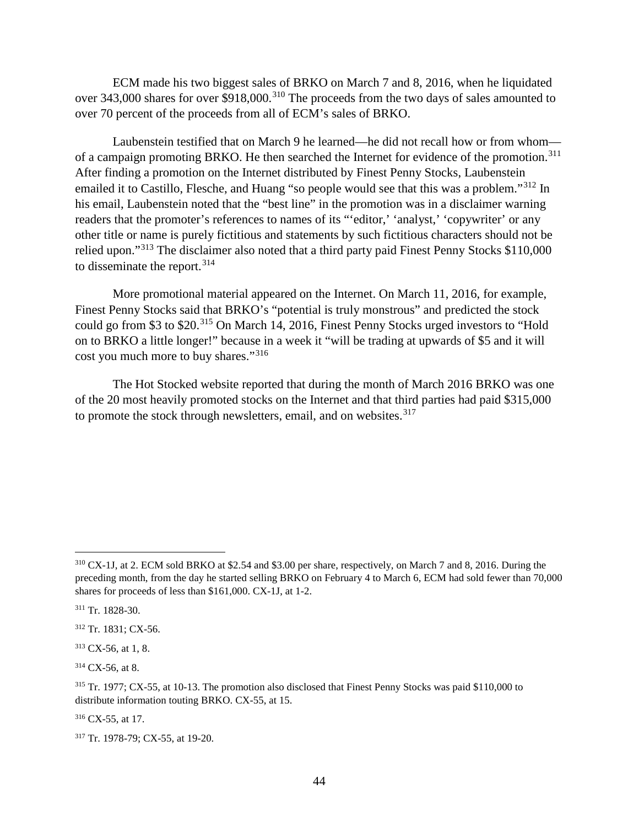ECM made his two biggest sales of BRKO on March 7 and 8, 2016, when he liquidated over 343,000 shares for over \$918,000.<sup>[310](#page-49-0)</sup> The proceeds from the two days of sales amounted to over 70 percent of the proceeds from all of ECM's sales of BRKO.

Laubenstein testified that on March 9 he learned—he did not recall how or from whom— of a campaign promoting BRKO. He then searched the Internet for evidence of the promotion.<sup>[311](#page-49-1)</sup> After finding a promotion on the Internet distributed by Finest Penny Stocks, Laubenstein emailed it to Castillo, Flesche, and Huang "so people would see that this was a problem."<sup>[312](#page-49-2)</sup> In his email, Laubenstein noted that the "best line" in the promotion was in a disclaimer warning readers that the promoter's references to names of its "'editor,' 'analyst,' 'copywriter' or any other title or name is purely fictitious and statements by such fictitious characters should not be relied upon."[313](#page-49-3) The disclaimer also noted that a third party paid Finest Penny Stocks \$110,000 to disseminate the report.<sup>[314](#page-49-4)</sup>

More promotional material appeared on the Internet. On March 11, 2016, for example, Finest Penny Stocks said that BRKO's "potential is truly monstrous" and predicted the stock could go from \$3 to \$20.[315](#page-49-5) On March 14, 2016, Finest Penny Stocks urged investors to "Hold on to BRKO a little longer!" because in a week it "will be trading at upwards of \$5 and it will cost you much more to buy shares."<sup>[316](#page-49-6)</sup>

The Hot Stocked website reported that during the month of March 2016 BRKO was one of the 20 most heavily promoted stocks on the Internet and that third parties had paid \$315,000 to promote the stock through newsletters, email, and on websites.<sup>[317](#page-49-7)</sup>

<span id="page-49-4"></span> $314$  CX-56, at 8.

<span id="page-49-6"></span> $316$  CX-55, at 17.

<span id="page-49-0"></span> <sup>310</sup> CX-1J, at 2. ECM sold BRKO at \$2.54 and \$3.00 per share, respectively, on March 7 and 8, 2016. During the preceding month, from the day he started selling BRKO on February 4 to March 6, ECM had sold fewer than 70,000 shares for proceeds of less than \$161,000. CX-1J, at 1-2.

<span id="page-49-1"></span><sup>311</sup> Tr. 1828-30.

<span id="page-49-2"></span><sup>312</sup> Tr. 1831; CX-56.

<span id="page-49-3"></span> $313$  CX-56, at 1, 8.

<span id="page-49-5"></span><sup>&</sup>lt;sup>315</sup> Tr. 1977; CX-55, at 10-13. The promotion also disclosed that Finest Penny Stocks was paid \$110,000 to distribute information touting BRKO. CX-55, at 15.

<span id="page-49-7"></span><sup>317</sup> Tr. 1978-79; CX-55, at 19-20.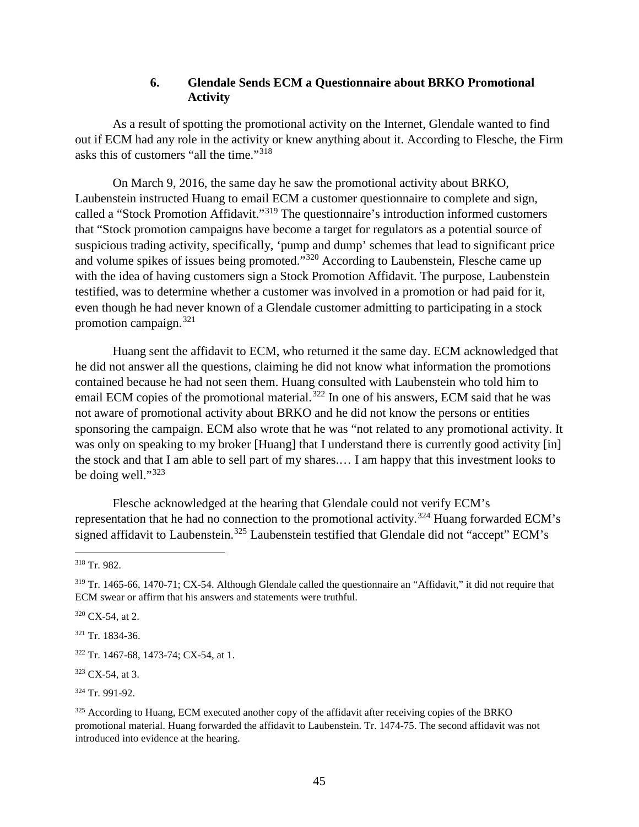# **6. Glendale Sends ECM a Questionnaire about BRKO Promotional Activity**

As a result of spotting the promotional activity on the Internet, Glendale wanted to find out if ECM had any role in the activity or knew anything about it. According to Flesche, the Firm asks this of customers "all the time."[318](#page-50-0)

On March 9, 2016, the same day he saw the promotional activity about BRKO, Laubenstein instructed Huang to email ECM a customer questionnaire to complete and sign, called a "Stock Promotion Affidavit."[319](#page-50-1) The questionnaire's introduction informed customers that "Stock promotion campaigns have become a target for regulators as a potential source of suspicious trading activity, specifically, 'pump and dump' schemes that lead to significant price and volume spikes of issues being promoted."[320](#page-50-2) According to Laubenstein, Flesche came up with the idea of having customers sign a Stock Promotion Affidavit. The purpose, Laubenstein testified, was to determine whether a customer was involved in a promotion or had paid for it, even though he had never known of a Glendale customer admitting to participating in a stock promotion campaign.[321](#page-50-3)

Huang sent the affidavit to ECM, who returned it the same day. ECM acknowledged that he did not answer all the questions, claiming he did not know what information the promotions contained because he had not seen them. Huang consulted with Laubenstein who told him to email ECM copies of the promotional material.<sup>[322](#page-50-4)</sup> In one of his answers, ECM said that he was not aware of promotional activity about BRKO and he did not know the persons or entities sponsoring the campaign. ECM also wrote that he was "not related to any promotional activity. It was only on speaking to my broker [Huang] that I understand there is currently good activity [in] the stock and that I am able to sell part of my shares.… I am happy that this investment looks to be doing well."<sup>[323](#page-50-5)</sup>

Flesche acknowledged at the hearing that Glendale could not verify ECM's representation that he had no connection to the promotional activity.<sup>[324](#page-50-6)</sup> Huang forwarded ECM's signed affidavit to Laubenstein.<sup>[325](#page-50-7)</sup> Laubenstein testified that Glendale did not "accept" ECM's

<span id="page-50-2"></span><sup>320</sup> CX-54, at 2.

<span id="page-50-3"></span><sup>321</sup> Tr. 1834-36.

<span id="page-50-0"></span> <sup>318</sup> Tr. 982.

<span id="page-50-1"></span><sup>319</sup> Tr. 1465-66, 1470-71; CX-54. Although Glendale called the questionnaire an "Affidavit," it did not require that ECM swear or affirm that his answers and statements were truthful.

<span id="page-50-4"></span><sup>322</sup> Tr. 1467-68, 1473-74; CX-54, at 1.

<span id="page-50-5"></span> $323$  CX-54, at 3.

<span id="page-50-6"></span><sup>324</sup> Tr. 991-92.

<span id="page-50-7"></span><sup>325</sup> According to Huang, ECM executed another copy of the affidavit after receiving copies of the BRKO promotional material. Huang forwarded the affidavit to Laubenstein. Tr. 1474-75. The second affidavit was not introduced into evidence at the hearing.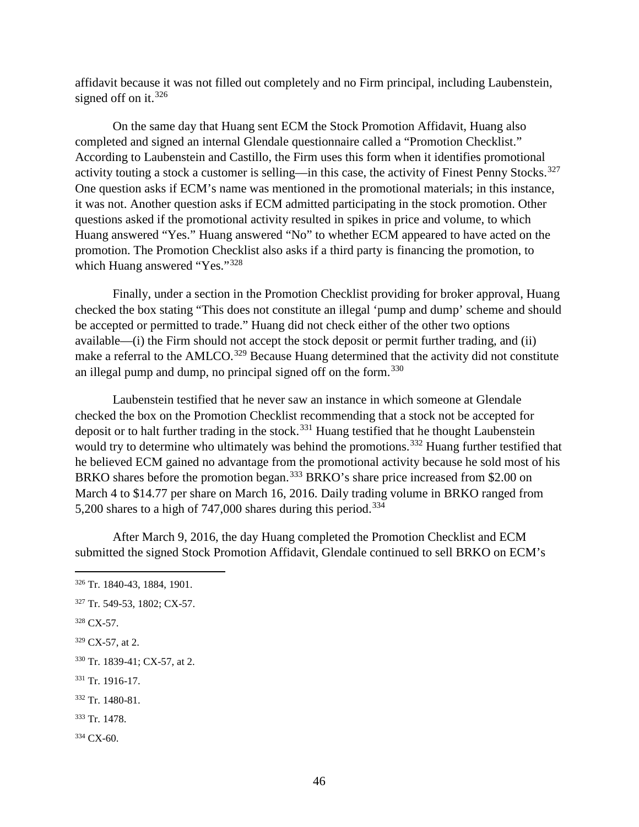affidavit because it was not filled out completely and no Firm principal, including Laubenstein, signed off on it.  $326$ 

On the same day that Huang sent ECM the Stock Promotion Affidavit, Huang also completed and signed an internal Glendale questionnaire called a "Promotion Checklist." According to Laubenstein and Castillo, the Firm uses this form when it identifies promotional activity touting a stock a customer is selling—in this case, the activity of Finest Penny Stocks.<sup>[327](#page-51-1)</sup> One question asks if ECM's name was mentioned in the promotional materials; in this instance, it was not. Another question asks if ECM admitted participating in the stock promotion. Other questions asked if the promotional activity resulted in spikes in price and volume, to which Huang answered "Yes." Huang answered "No" to whether ECM appeared to have acted on the promotion. The Promotion Checklist also asks if a third party is financing the promotion, to which Huang answered "Yes."<sup>[328](#page-51-2)</sup>

Finally, under a section in the Promotion Checklist providing for broker approval, Huang checked the box stating "This does not constitute an illegal 'pump and dump' scheme and should be accepted or permitted to trade." Huang did not check either of the other two options available—(i) the Firm should not accept the stock deposit or permit further trading, and (ii) make a referral to the AMLCO.<sup>[329](#page-51-3)</sup> Because Huang determined that the activity did not constitute an illegal pump and dump, no principal signed off on the form.<sup>[330](#page-51-4)</sup>

Laubenstein testified that he never saw an instance in which someone at Glendale checked the box on the Promotion Checklist recommending that a stock not be accepted for deposit or to halt further trading in the stock.<sup>[331](#page-51-5)</sup> Huang testified that he thought Laubenstein would try to determine who ultimately was behind the promotions.<sup>[332](#page-51-6)</sup> Huang further testified that he believed ECM gained no advantage from the promotional activity because he sold most of his BRKO shares before the promotion began.<sup>[333](#page-51-7)</sup> BRKO's share price increased from \$2.00 on March 4 to \$14.77 per share on March 16, 2016. Daily trading volume in BRKO ranged from 5,200 shares to a high of 747,000 shares during this period.<sup>[334](#page-51-8)</sup>

After March 9, 2016, the day Huang completed the Promotion Checklist and ECM submitted the signed Stock Promotion Affidavit, Glendale continued to sell BRKO on ECM's

<span id="page-51-5"></span><sup>331</sup> Tr. 1916-17.

<span id="page-51-0"></span> <sup>326</sup> Tr. 1840-43, 1884, 1901.

<span id="page-51-1"></span><sup>327</sup> Tr. 549-53, 1802; CX-57.

<span id="page-51-2"></span><sup>328</sup> CX-57.

<span id="page-51-3"></span> $329$  CX-57, at 2.

<span id="page-51-4"></span><sup>330</sup> Tr. 1839-41; CX-57, at 2.

<span id="page-51-6"></span><sup>332</sup> Tr. 1480-81.

<span id="page-51-7"></span><sup>333</sup> Tr. 1478.

<span id="page-51-8"></span><sup>334</sup> CX-60.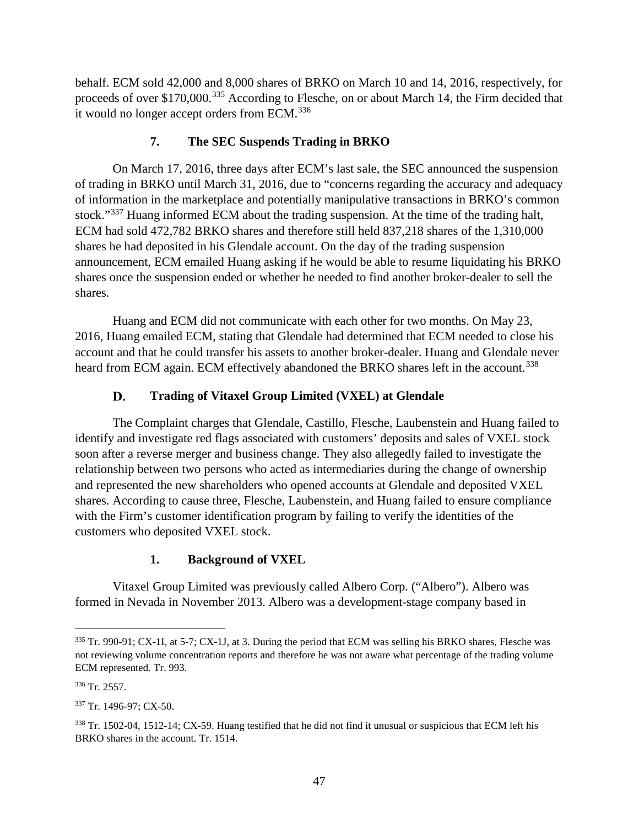behalf. ECM sold 42,000 and 8,000 shares of BRKO on March 10 and 14, 2016, respectively, for proceeds of over \$170,000.<sup>[335](#page-52-0)</sup> According to Flesche, on or about March 14, the Firm decided that it would no longer accept orders from ECM.<sup>[336](#page-52-1)</sup>

# **7. The SEC Suspends Trading in BRKO**

On March 17, 2016, three days after ECM's last sale, the SEC announced the suspension of trading in BRKO until March 31, 2016, due to "concerns regarding the accuracy and adequacy of information in the marketplace and potentially manipulative transactions in BRKO's common stock."<sup>[337](#page-52-2)</sup> Huang informed ECM about the trading suspension. At the time of the trading halt, ECM had sold 472,782 BRKO shares and therefore still held 837,218 shares of the 1,310,000 shares he had deposited in his Glendale account. On the day of the trading suspension announcement, ECM emailed Huang asking if he would be able to resume liquidating his BRKO shares once the suspension ended or whether he needed to find another broker-dealer to sell the shares.

Huang and ECM did not communicate with each other for two months. On May 23, 2016, Huang emailed ECM, stating that Glendale had determined that ECM needed to close his account and that he could transfer his assets to another broker-dealer. Huang and Glendale never heard from ECM again. ECM effectively abandoned the BRKO shares left in the account.<sup>[338](#page-52-3)</sup>

#### D. **Trading of Vitaxel Group Limited (VXEL) at Glendale**

The Complaint charges that Glendale, Castillo, Flesche, Laubenstein and Huang failed to identify and investigate red flags associated with customers' deposits and sales of VXEL stock soon after a reverse merger and business change. They also allegedly failed to investigate the relationship between two persons who acted as intermediaries during the change of ownership and represented the new shareholders who opened accounts at Glendale and deposited VXEL shares. According to cause three, Flesche, Laubenstein, and Huang failed to ensure compliance with the Firm's customer identification program by failing to verify the identities of the customers who deposited VXEL stock.

# **1. Background of VXEL**

Vitaxel Group Limited was previously called Albero Corp. ("Albero"). Albero was formed in Nevada in November 2013. Albero was a development-stage company based in

<span id="page-52-0"></span> <sup>335</sup> Tr. 990-91; CX-1I, at 5-7; CX-1J, at 3. During the period that ECM was selling his BRKO shares, Flesche was not reviewing volume concentration reports and therefore he was not aware what percentage of the trading volume ECM represented. Tr. 993.

<span id="page-52-1"></span><sup>336</sup> Tr. 2557.

<span id="page-52-2"></span><sup>337</sup> Tr. 1496-97; CX-50.

<span id="page-52-3"></span><sup>&</sup>lt;sup>338</sup> Tr. 1502-04, 1512-14; CX-59. Huang testified that he did not find it unusual or suspicious that ECM left his BRKO shares in the account. Tr. 1514.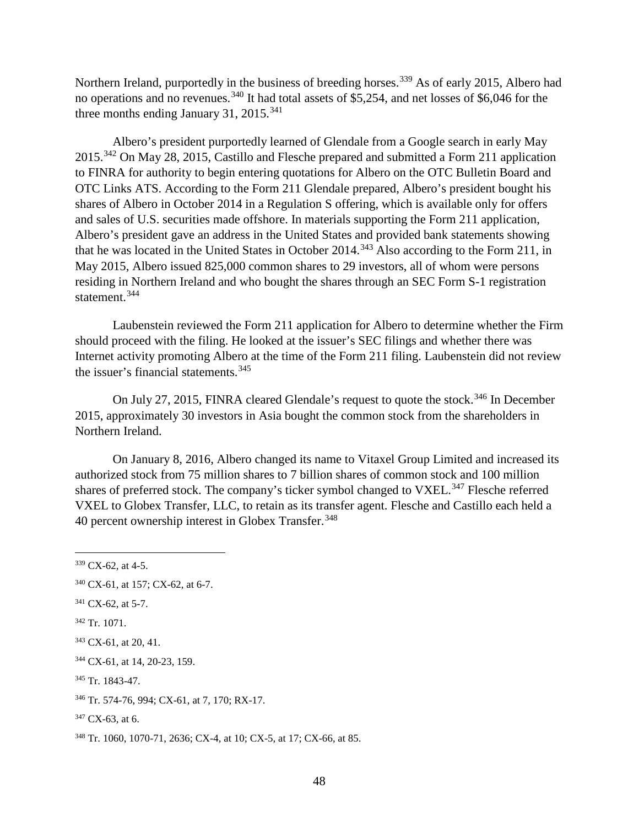Northern Ireland, purportedly in the business of breeding horses.<sup>[339](#page-53-0)</sup> As of early 2015, Albero had no operations and no revenues.<sup>[340](#page-53-1)</sup> It had total assets of \$5,254, and net losses of \$6,046 for the three months ending January 31, 2015.<sup>[341](#page-53-2)</sup>

Albero's president purportedly learned of Glendale from a Google search in early May 2015.[342](#page-53-3) On May 28, 2015, Castillo and Flesche prepared and submitted a Form 211 application to FINRA for authority to begin entering quotations for Albero on the OTC Bulletin Board and OTC Links ATS. According to the Form 211 Glendale prepared, Albero's president bought his shares of Albero in October 2014 in a Regulation S offering, which is available only for offers and sales of U.S. securities made offshore. In materials supporting the Form 211 application, Albero's president gave an address in the United States and provided bank statements showing that he was located in the United States in October 2014.<sup>[343](#page-53-4)</sup> Also according to the Form 211, in May 2015, Albero issued 825,000 common shares to 29 investors, all of whom were persons residing in Northern Ireland and who bought the shares through an SEC Form S-1 registration statement.<sup>[344](#page-53-5)</sup>

Laubenstein reviewed the Form 211 application for Albero to determine whether the Firm should proceed with the filing. He looked at the issuer's SEC filings and whether there was Internet activity promoting Albero at the time of the Form 211 filing. Laubenstein did not review the issuer's financial statements. [345](#page-53-6)

On July 27, 2015, FINRA cleared Glendale's request to quote the stock.<sup>[346](#page-53-7)</sup> In December 2015, approximately 30 investors in Asia bought the common stock from the shareholders in Northern Ireland.

On January 8, 2016, Albero changed its name to Vitaxel Group Limited and increased its authorized stock from 75 million shares to 7 billion shares of common stock and 100 million shares of preferred stock. The company's ticker symbol changed to VXEL.<sup>[347](#page-53-8)</sup> Flesche referred VXEL to Globex Transfer, LLC, to retain as its transfer agent. Flesche and Castillo each held a 40 percent ownership interest in Globex Transfer. [348](#page-53-9)

<span id="page-53-2"></span><sup>341</sup> CX-62, at 5-7.

<span id="page-53-0"></span> <sup>339</sup> CX-62, at 4-5.

<span id="page-53-1"></span><sup>340</sup> CX-61, at 157; CX-62, at 6-7.

<span id="page-53-3"></span><sup>342</sup> Tr. 1071.

<span id="page-53-4"></span><sup>343</sup> CX-61, at 20, 41.

<span id="page-53-5"></span><sup>344</sup> CX-61, at 14, 20-23, 159.

<span id="page-53-6"></span><sup>345</sup> Tr. 1843-47.

<span id="page-53-7"></span><sup>346</sup> Tr. 574-76, 994; CX-61, at 7, 170; RX-17.

<span id="page-53-8"></span> $347$  CX-63, at 6.

<span id="page-53-9"></span><sup>348</sup> Tr. 1060, 1070-71, 2636; CX-4, at 10; CX-5, at 17; CX-66, at 85.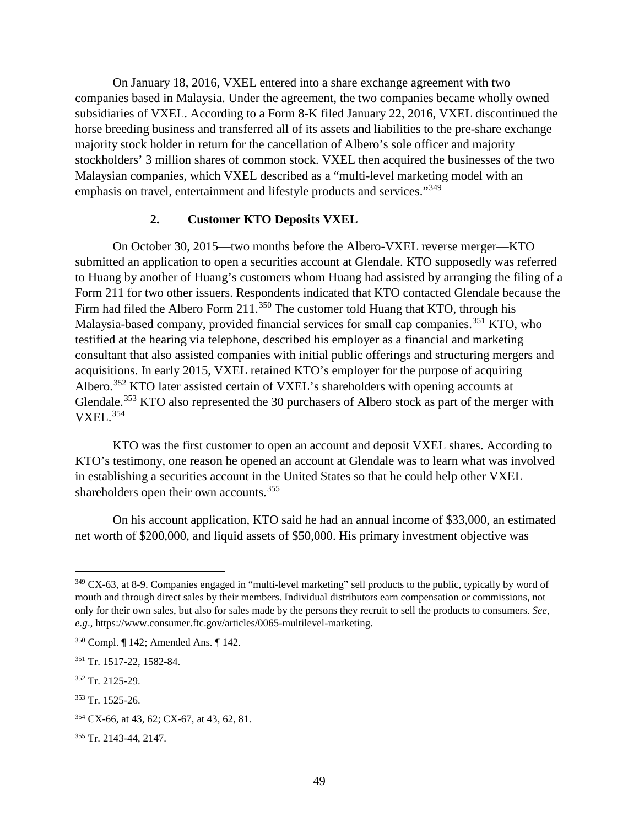On January 18, 2016, VXEL entered into a share exchange agreement with two companies based in Malaysia. Under the agreement, the two companies became wholly owned subsidiaries of VXEL. According to a Form 8-K filed January 22, 2016, VXEL discontinued the horse breeding business and transferred all of its assets and liabilities to the pre-share exchange majority stock holder in return for the cancellation of Albero's sole officer and majority stockholders' 3 million shares of common stock. VXEL then acquired the businesses of the two Malaysian companies, which VXEL described as a "multi-level marketing model with an emphasis on travel, entertainment and lifestyle products and services."<sup>[349](#page-54-0)</sup>

# **2. Customer KTO Deposits VXEL**

On October 30, 2015—two months before the Albero-VXEL reverse merger—KTO submitted an application to open a securities account at Glendale. KTO supposedly was referred to Huang by another of Huang's customers whom Huang had assisted by arranging the filing of a Form 211 for two other issuers. Respondents indicated that KTO contacted Glendale because the Firm had filed the Albero Form 211.<sup>[350](#page-54-1)</sup> The customer told Huang that KTO, through his Malaysia-based company, provided financial services for small cap companies.<sup>[351](#page-54-2)</sup> KTO, who testified at the hearing via telephone, described his employer as a financial and marketing consultant that also assisted companies with initial public offerings and structuring mergers and acquisitions. In early 2015, VXEL retained KTO's employer for the purpose of acquiring Albero.<sup>[352](#page-54-3)</sup> KTO later assisted certain of VXEL's shareholders with opening accounts at Glendale.<sup>[353](#page-54-4)</sup> KTO also represented the 30 purchasers of Albero stock as part of the merger with VXEL. [354](#page-54-5)

KTO was the first customer to open an account and deposit VXEL shares. According to KTO's testimony, one reason he opened an account at Glendale was to learn what was involved in establishing a securities account in the United States so that he could help other VXEL shareholders open their own accounts.<sup>[355](#page-54-6)</sup>

On his account application, KTO said he had an annual income of \$33,000, an estimated net worth of \$200,000, and liquid assets of \$50,000. His primary investment objective was

<span id="page-54-0"></span><sup>349</sup> CX-63, at 8-9. Companies engaged in "multi-level marketing" sell products to the public, typically by word of mouth and through direct sales by their members. Individual distributors earn compensation or commissions, not only for their own sales, but also for sales made by the persons they recruit to sell the products to consumers. *See, e.g*., https://www.consumer.ftc.gov/articles/0065-multilevel-marketing.

<span id="page-54-1"></span><sup>350</sup> Compl. ¶ 142; Amended Ans. ¶ 142.

<span id="page-54-2"></span><sup>351</sup> Tr. 1517-22, 1582-84.

<span id="page-54-3"></span><sup>352</sup> Tr. 2125-29.

<span id="page-54-4"></span><sup>353</sup> Tr. 1525-26.

<span id="page-54-5"></span><sup>354</sup> CX-66, at 43, 62; CX-67, at 43, 62, 81.

<span id="page-54-6"></span><sup>355</sup> Tr. 2143-44, 2147.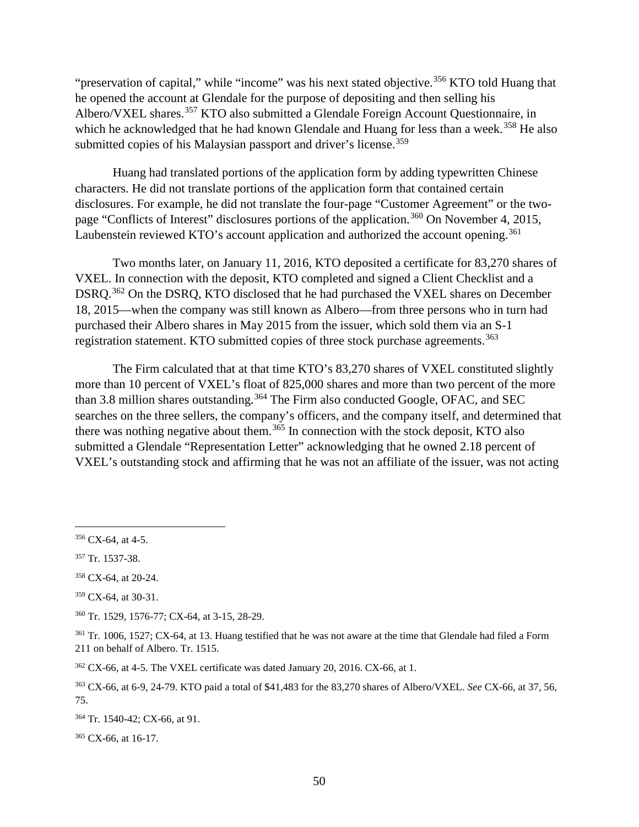"preservation of capital," while "income" was his next stated objective.<sup>[356](#page-55-0)</sup> KTO told Huang that he opened the account at Glendale for the purpose of depositing and then selling his Albero/VXEL shares.<sup>[357](#page-55-1)</sup> KTO also submitted a Glendale Foreign Account Questionnaire, in which he acknowledged that he had known Glendale and Huang for less than a week.<sup>[358](#page-55-2)</sup> He also submitted copies of his Malaysian passport and driver's license.<sup>[359](#page-55-3)</sup>

Huang had translated portions of the application form by adding typewritten Chinese characters. He did not translate portions of the application form that contained certain disclosures. For example, he did not translate the four-page "Customer Agreement" or the two-page "Conflicts of Interest" disclosures portions of the application.<sup>[360](#page-55-4)</sup> On November 4, 2015, Laubenstein reviewed KTO's account application and authorized the account opening.<sup>[361](#page-55-5)</sup>

Two months later, on January 11, 2016, KTO deposited a certificate for 83,270 shares of VXEL. In connection with the deposit, KTO completed and signed a Client Checklist and a DSRQ.<sup>[362](#page-55-6)</sup> On the DSRQ, KTO disclosed that he had purchased the VXEL shares on December 18, 2015—when the company was still known as Albero—from three persons who in turn had purchased their Albero shares in May 2015 from the issuer, which sold them via an S-1 registration statement. KTO submitted copies of three stock purchase agreements.<sup>[363](#page-55-7)</sup>

The Firm calculated that at that time KTO's 83,270 shares of VXEL constituted slightly more than 10 percent of VXEL's float of 825,000 shares and more than two percent of the more than 3.8 million shares outstanding.<sup>[364](#page-55-8)</sup> The Firm also conducted Google, OFAC, and SEC searches on the three sellers, the company's officers, and the company itself, and determined that there was nothing negative about them.<sup>[365](#page-55-9)</sup> In connection with the stock deposit, KTO also submitted a Glendale "Representation Letter" acknowledging that he owned 2.18 percent of VXEL's outstanding stock and affirming that he was not an affiliate of the issuer, was not acting

<span id="page-55-3"></span><sup>359</sup> CX-64, at 30-31.

<span id="page-55-4"></span><sup>360</sup> Tr. 1529, 1576-77; CX-64, at 3-15, 28-29.

<span id="page-55-7"></span><sup>363</sup> CX-66, at 6-9, 24-79. KTO paid a total of \$41,483 for the 83,270 shares of Albero/VXEL. *See* CX-66, at 37, 56, 75.

<span id="page-55-8"></span><sup>364</sup> Tr. 1540-42; CX-66, at 91.

<span id="page-55-9"></span><sup>365</sup> CX-66, at 16-17.

<span id="page-55-0"></span> $356$  CX-64, at 4-5.

<span id="page-55-1"></span><sup>357</sup> Tr. 1537-38.

<span id="page-55-2"></span><sup>358</sup> CX-64, at 20-24.

<span id="page-55-5"></span><sup>&</sup>lt;sup>361</sup> Tr. 1006, 1527; CX-64, at 13. Huang testified that he was not aware at the time that Glendale had filed a Form 211 on behalf of Albero. Tr. 1515.

<span id="page-55-6"></span> $362$  CX-66, at 4-5. The VXEL certificate was dated January 20, 2016. CX-66, at 1.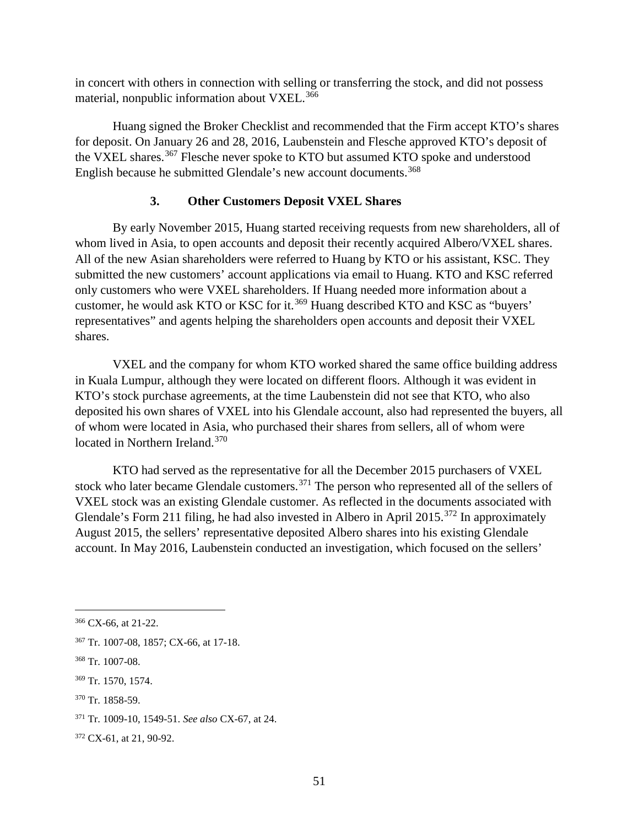in concert with others in connection with selling or transferring the stock, and did not possess material, nonpublic information about VXEL.<sup>[366](#page-56-0)</sup>

Huang signed the Broker Checklist and recommended that the Firm accept KTO's shares for deposit. On January 26 and 28, 2016, Laubenstein and Flesche approved KTO's deposit of the VXEL shares.<sup>[367](#page-56-1)</sup> Flesche never spoke to KTO but assumed KTO spoke and understood English because he submitted Glendale's new account documents.<sup>[368](#page-56-2)</sup>

# **3. Other Customers Deposit VXEL Shares**

By early November 2015, Huang started receiving requests from new shareholders, all of whom lived in Asia, to open accounts and deposit their recently acquired Albero/VXEL shares. All of the new Asian shareholders were referred to Huang by KTO or his assistant, KSC. They submitted the new customers' account applications via email to Huang. KTO and KSC referred only customers who were VXEL shareholders. If Huang needed more information about a customer, he would ask KTO or KSC for it.<sup>[369](#page-56-3)</sup> Huang described KTO and KSC as "buyers" representatives" and agents helping the shareholders open accounts and deposit their VXEL shares.

VXEL and the company for whom KTO worked shared the same office building address in Kuala Lumpur, although they were located on different floors. Although it was evident in KTO's stock purchase agreements, at the time Laubenstein did not see that KTO, who also deposited his own shares of VXEL into his Glendale account, also had represented the buyers, all of whom were located in Asia, who purchased their shares from sellers, all of whom were located in Northern Ireland.<sup>[370](#page-56-4)</sup>

KTO had served as the representative for all the December 2015 purchasers of VXEL stock who later became Glendale customers.<sup>[371](#page-56-5)</sup> The person who represented all of the sellers of VXEL stock was an existing Glendale customer. As reflected in the documents associated with Glendale's Form 211 filing, he had also invested in Albero in April 2015.<sup>[372](#page-56-6)</sup> In approximately August 2015, the sellers' representative deposited Albero shares into his existing Glendale account. In May 2016, Laubenstein conducted an investigation, which focused on the sellers'

<span id="page-56-4"></span><sup>370</sup> Tr. 1858-59.

<span id="page-56-0"></span> <sup>366</sup> CX-66, at 21-22.

<span id="page-56-1"></span><sup>367</sup> Tr. 1007-08, 1857; CX-66, at 17-18.

<span id="page-56-2"></span><sup>368</sup> Tr. 1007-08.

<span id="page-56-3"></span><sup>369</sup> Tr. 1570, 1574.

<span id="page-56-5"></span><sup>371</sup> Tr. 1009-10, 1549-51. *See also* CX-67, at 24.

<span id="page-56-6"></span><sup>372</sup> CX-61, at 21, 90-92.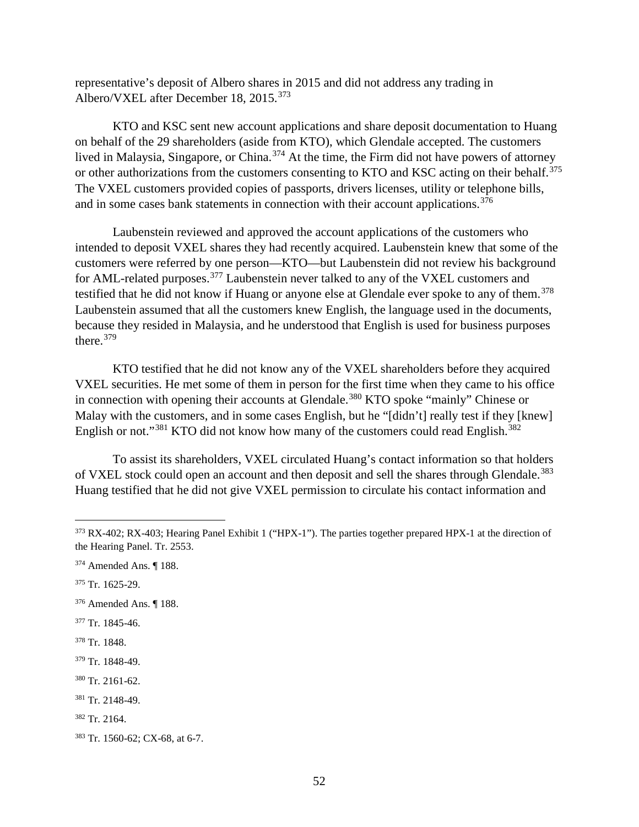representative's deposit of Albero shares in 2015 and did not address any trading in Albero/VXEL after December 18, 2015.<sup>[373](#page-57-0)</sup>

KTO and KSC sent new account applications and share deposit documentation to Huang on behalf of the 29 shareholders (aside from KTO), which Glendale accepted. The customers lived in Malaysia, Singapore, or China.<sup>[374](#page-57-1)</sup> At the time, the Firm did not have powers of attorney or other authorizations from the customers consenting to KTO and KSC acting on their behalf.<sup>[375](#page-57-2)</sup> The VXEL customers provided copies of passports, drivers licenses, utility or telephone bills, and in some cases bank statements in connection with their account applications.<sup>[376](#page-57-3)</sup>

Laubenstein reviewed and approved the account applications of the customers who intended to deposit VXEL shares they had recently acquired. Laubenstein knew that some of the customers were referred by one person—KTO—but Laubenstein did not review his background for AML-related purposes.[377](#page-57-4) Laubenstein never talked to any of the VXEL customers and testified that he did not know if Huang or anyone else at Glendale ever spoke to any of them.<sup>[378](#page-57-5)</sup> Laubenstein assumed that all the customers knew English, the language used in the documents, because they resided in Malaysia, and he understood that English is used for business purposes there. [379](#page-57-6)

KTO testified that he did not know any of the VXEL shareholders before they acquired VXEL securities. He met some of them in person for the first time when they came to his office in connection with opening their accounts at Glendale.<sup>[380](#page-57-7)</sup> KTO spoke "mainly" Chinese or Malay with the customers, and in some cases English, but he "[didn't] really test if they [knew] English or not."<sup>[381](#page-57-8)</sup> KTO did not know how many of the customers could read English.<sup>[382](#page-57-9)</sup>

To assist its shareholders, VXEL circulated Huang's contact information so that holders of VXEL stock could open an account and then deposit and sell the shares through Glendale.<sup>[383](#page-57-10)</sup> Huang testified that he did not give VXEL permission to circulate his contact information and

<span id="page-57-2"></span><sup>375</sup> Tr. 1625-29.

- <span id="page-57-3"></span><sup>376</sup> Amended Ans. ¶ 188.
- <span id="page-57-4"></span><sup>377</sup> Tr. 1845-46.
- <span id="page-57-5"></span><sup>378</sup> Tr. 1848.

- <span id="page-57-7"></span><sup>380</sup> Tr. 2161-62.
- <span id="page-57-8"></span><sup>381</sup> Tr. 2148-49.
- <span id="page-57-9"></span><sup>382</sup> Tr. 2164.

<span id="page-57-0"></span><sup>&</sup>lt;sup>373</sup> RX-402; RX-403; Hearing Panel Exhibit 1 ("HPX-1"). The parties together prepared HPX-1 at the direction of the Hearing Panel. Tr. 2553.

<span id="page-57-1"></span><sup>374</sup> Amended Ans. ¶ 188.

<span id="page-57-6"></span><sup>379</sup> Tr. 1848-49.

<span id="page-57-10"></span><sup>383</sup> Tr. 1560-62; CX-68, at 6-7.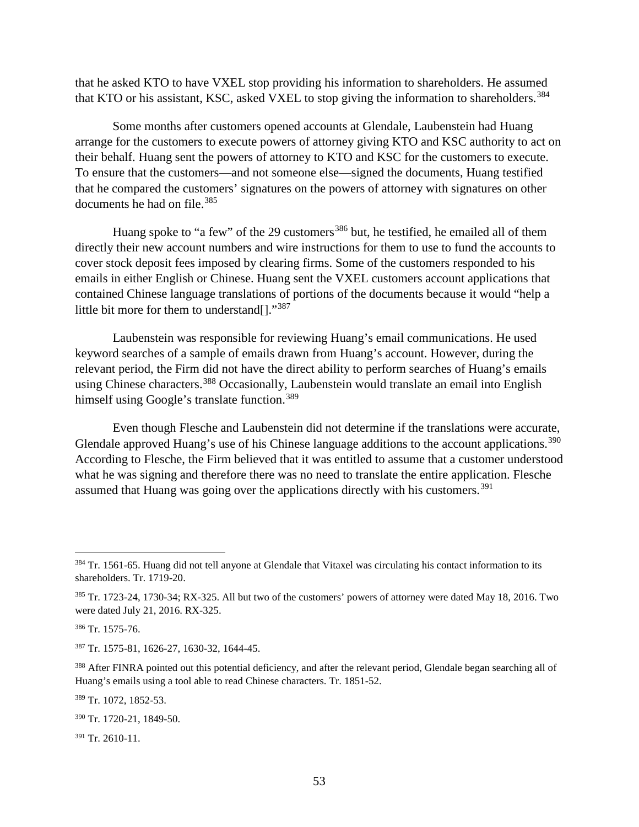that he asked KTO to have VXEL stop providing his information to shareholders. He assumed that KTO or his assistant, KSC, asked VXEL to stop giving the information to shareholders.<sup>[384](#page-58-0)</sup>

Some months after customers opened accounts at Glendale, Laubenstein had Huang arrange for the customers to execute powers of attorney giving KTO and KSC authority to act on their behalf. Huang sent the powers of attorney to KTO and KSC for the customers to execute. To ensure that the customers—and not someone else—signed the documents, Huang testified that he compared the customers' signatures on the powers of attorney with signatures on other documents he had on file.<sup>[385](#page-58-1)</sup>

Huang spoke to "a few" of the 29 customers<sup>[386](#page-58-2)</sup> but, he testified, he emailed all of them directly their new account numbers and wire instructions for them to use to fund the accounts to cover stock deposit fees imposed by clearing firms. Some of the customers responded to his emails in either English or Chinese. Huang sent the VXEL customers account applications that contained Chinese language translations of portions of the documents because it would "help a little bit more for them to understand[]."[387](#page-58-3)

Laubenstein was responsible for reviewing Huang's email communications. He used keyword searches of a sample of emails drawn from Huang's account. However, during the relevant period, the Firm did not have the direct ability to perform searches of Huang's emails using Chinese characters.<sup>[388](#page-58-4)</sup> Occasionally, Laubenstein would translate an email into English himself using Google's translate function.<sup>[389](#page-58-5)</sup>

Even though Flesche and Laubenstein did not determine if the translations were accurate, Glendale approved Huang's use of his Chinese language additions to the account applications.<sup>[390](#page-58-6)</sup> According to Flesche, the Firm believed that it was entitled to assume that a customer understood what he was signing and therefore there was no need to translate the entire application. Flesche assumed that Huang was going over the applications directly with his customers.<sup>[391](#page-58-7)</sup>

<span id="page-58-0"></span><sup>&</sup>lt;sup>384</sup> Tr. 1561-65. Huang did not tell anyone at Glendale that Vitaxel was circulating his contact information to its shareholders. Tr. 1719-20.

<span id="page-58-1"></span><sup>385</sup> Tr. 1723-24, 1730-34; RX-325. All but two of the customers' powers of attorney were dated May 18, 2016. Two were dated July 21, 2016. RX-325.

<span id="page-58-2"></span><sup>386</sup> Tr. 1575-76.

<span id="page-58-3"></span><sup>387</sup> Tr. 1575-81, 1626-27, 1630-32, 1644-45.

<span id="page-58-4"></span><sup>&</sup>lt;sup>388</sup> After FINRA pointed out this potential deficiency, and after the relevant period, Glendale began searching all of Huang's emails using a tool able to read Chinese characters. Tr. 1851-52.

<span id="page-58-5"></span><sup>389</sup> Tr. 1072, 1852-53.

<span id="page-58-6"></span><sup>390</sup> Tr. 1720-21, 1849-50.

<span id="page-58-7"></span> $391$  Tr. 2610-11.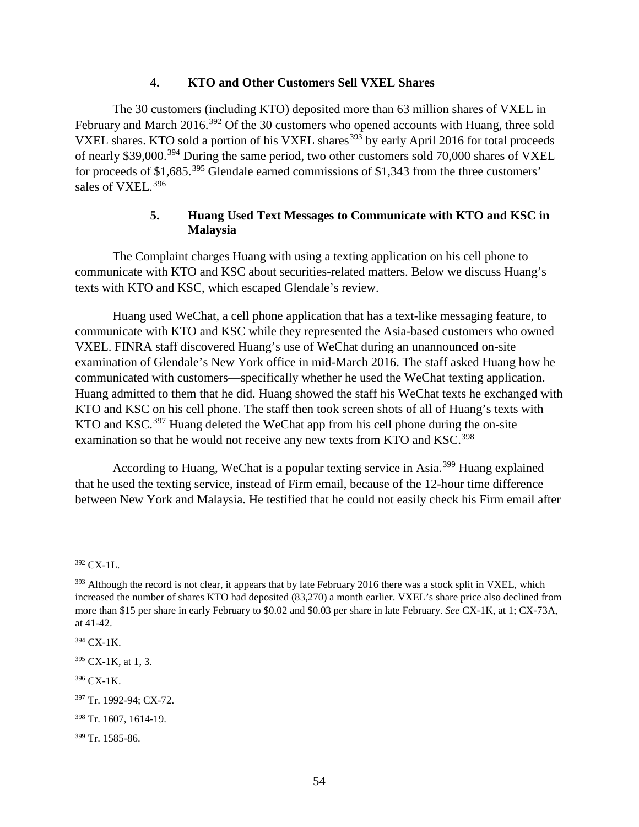### **4. KTO and Other Customers Sell VXEL Shares**

The 30 customers (including KTO) deposited more than 63 million shares of VXEL in February and March 2016.<sup>[392](#page-59-0)</sup> Of the 30 customers who opened accounts with Huang, three sold VXEL shares. KTO sold a portion of his VXEL shares<sup>[393](#page-59-1)</sup> by early April 2016 for total proceeds of nearly \$39,000.<sup>[394](#page-59-2)</sup> During the same period, two other customers sold 70,000 shares of VXEL for proceeds of \$1,685.<sup>[395](#page-59-3)</sup> Glendale earned commissions of \$1,343 from the three customers' sales of VXEL.<sup>[396](#page-59-4)</sup>

# **5. Huang Used Text Messages to Communicate with KTO and KSC in Malaysia**

The Complaint charges Huang with using a texting application on his cell phone to communicate with KTO and KSC about securities-related matters. Below we discuss Huang's texts with KTO and KSC, which escaped Glendale's review.

Huang used WeChat, a cell phone application that has a text-like messaging feature, to communicate with KTO and KSC while they represented the Asia-based customers who owned VXEL. FINRA staff discovered Huang's use of WeChat during an unannounced on-site examination of Glendale's New York office in mid-March 2016. The staff asked Huang how he communicated with customers—specifically whether he used the WeChat texting application. Huang admitted to them that he did. Huang showed the staff his WeChat texts he exchanged with KTO and KSC on his cell phone. The staff then took screen shots of all of Huang's texts with KTO and KSC.<sup>[397](#page-59-5)</sup> Huang deleted the WeChat app from his cell phone during the on-site examination so that he would not receive any new texts from KTO and KSC.<sup>[398](#page-59-6)</sup>

According to Huang, WeChat is a popular texting service in Asia.[399](#page-59-7) Huang explained that he used the texting service, instead of Firm email, because of the 12-hour time difference between New York and Malaysia. He testified that he could not easily check his Firm email after

<span id="page-59-0"></span> <sup>392</sup> CX-1L.

<span id="page-59-1"></span><sup>&</sup>lt;sup>393</sup> Although the record is not clear, it appears that by late February 2016 there was a stock split in VXEL, which increased the number of shares KTO had deposited (83,270) a month earlier. VXEL's share price also declined from more than \$15 per share in early February to \$0.02 and \$0.03 per share in late February. *See* CX-1K, at 1; CX-73A, at 41-42.

<span id="page-59-2"></span><sup>394</sup> CX-1K.

<span id="page-59-3"></span> $395$  CX-1K, at 1, 3.

<span id="page-59-4"></span><sup>396</sup> CX-1K.

<span id="page-59-5"></span><sup>397</sup> Tr. 1992-94; CX-72.

<span id="page-59-6"></span><sup>398</sup> Tr. 1607, 1614-19.

<span id="page-59-7"></span><sup>399</sup> Tr. 1585-86.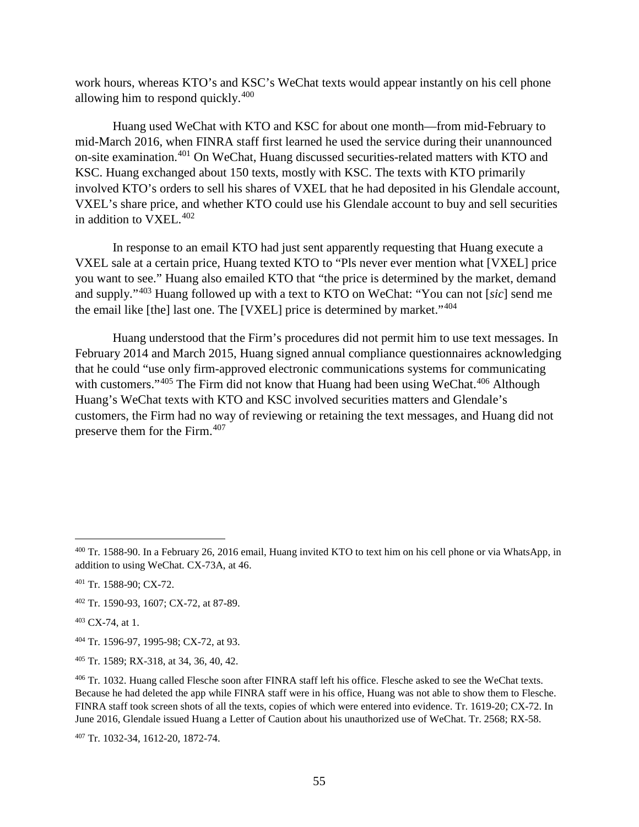work hours, whereas KTO's and KSC's WeChat texts would appear instantly on his cell phone allowing him to respond quickly.<sup>[400](#page-60-0)</sup>

Huang used WeChat with KTO and KSC for about one month—from mid-February to mid-March 2016, when FINRA staff first learned he used the service during their unannounced on-site examination. [401](#page-60-1) On WeChat, Huang discussed securities-related matters with KTO and KSC. Huang exchanged about 150 texts, mostly with KSC. The texts with KTO primarily involved KTO's orders to sell his shares of VXEL that he had deposited in his Glendale account, VXEL's share price, and whether KTO could use his Glendale account to buy and sell securities in addition to VXEL.<sup>[402](#page-60-2)</sup>

In response to an email KTO had just sent apparently requesting that Huang execute a VXEL sale at a certain price, Huang texted KTO to "Pls never ever mention what [VXEL] price you want to see." Huang also emailed KTO that "the price is determined by the market, demand and supply."[403](#page-60-3) Huang followed up with a text to KTO on WeChat: "You can not [*sic*] send me the email like [the] last one. The [VXEL] price is determined by market."[404](#page-60-4)

Huang understood that the Firm's procedures did not permit him to use text messages. In February 2014 and March 2015, Huang signed annual compliance questionnaires acknowledging that he could "use only firm-approved electronic communications systems for communicating with customers." $405$  The Firm did not know that Huang had been using WeChat. $406$  Although Huang's WeChat texts with KTO and KSC involved securities matters and Glendale's customers, the Firm had no way of reviewing or retaining the text messages, and Huang did not preserve them for the Firm.[407](#page-60-7)

<span id="page-60-2"></span><sup>402</sup> Tr. 1590-93, 1607; CX-72, at 87-89.

<span id="page-60-4"></span><sup>404</sup> Tr. 1596-97, 1995-98; CX-72, at 93.

<span id="page-60-7"></span><sup>407</sup> Tr. 1032-34, 1612-20, 1872-74.

<span id="page-60-0"></span> <sup>400</sup> Tr. 1588-90. In a February 26, 2016 email, Huang invited KTO to text him on his cell phone or via WhatsApp, in addition to using WeChat. CX-73A, at 46.

<span id="page-60-1"></span><sup>401</sup> Tr. 1588-90; CX-72.

<span id="page-60-3"></span><sup>403</sup> CX-74, at 1.

<span id="page-60-5"></span><sup>405</sup> Tr. 1589; RX-318, at 34, 36, 40, 42.

<span id="page-60-6"></span><sup>406</sup> Tr. 1032. Huang called Flesche soon after FINRA staff left his office. Flesche asked to see the WeChat texts. Because he had deleted the app while FINRA staff were in his office, Huang was not able to show them to Flesche. FINRA staff took screen shots of all the texts, copies of which were entered into evidence. Tr. 1619-20; CX-72. In June 2016, Glendale issued Huang a Letter of Caution about his unauthorized use of WeChat. Tr. 2568; RX-58.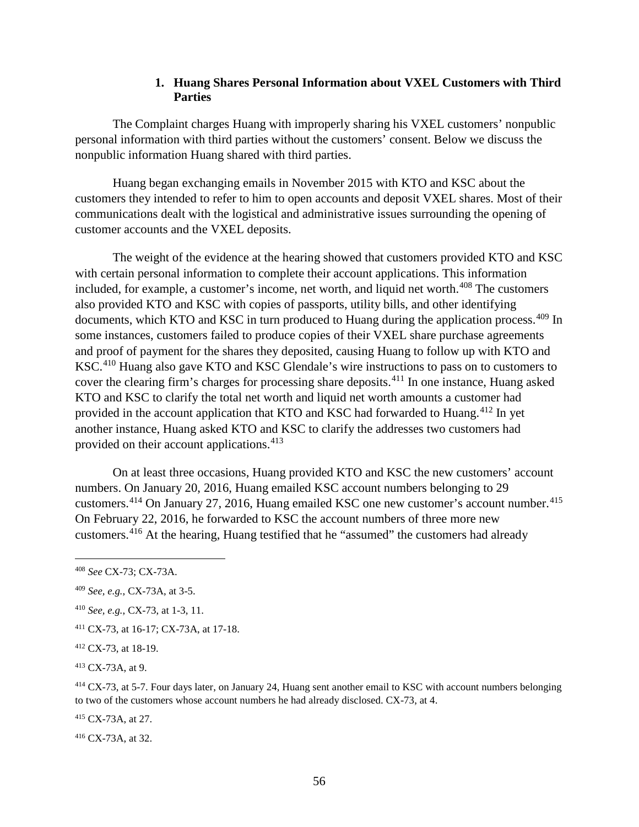# **1. Huang Shares Personal Information about VXEL Customers with Third Parties**

The Complaint charges Huang with improperly sharing his VXEL customers' nonpublic personal information with third parties without the customers' consent. Below we discuss the nonpublic information Huang shared with third parties.

Huang began exchanging emails in November 2015 with KTO and KSC about the customers they intended to refer to him to open accounts and deposit VXEL shares. Most of their communications dealt with the logistical and administrative issues surrounding the opening of customer accounts and the VXEL deposits.

The weight of the evidence at the hearing showed that customers provided KTO and KSC with certain personal information to complete their account applications. This information included, for example, a customer's income, net worth, and liquid net worth.<sup>[408](#page-61-0)</sup> The customers also provided KTO and KSC with copies of passports, utility bills, and other identifying documents, which KTO and KSC in turn produced to Huang during the application process.<sup>[409](#page-61-1)</sup> In some instances, customers failed to produce copies of their VXEL share purchase agreements and proof of payment for the shares they deposited, causing Huang to follow up with KTO and KSC.[410](#page-61-2) Huang also gave KTO and KSC Glendale's wire instructions to pass on to customers to cover the clearing firm's charges for processing share deposits.[411](#page-61-3) In one instance, Huang asked KTO and KSC to clarify the total net worth and liquid net worth amounts a customer had provided in the account application that KTO and KSC had forwarded to Huang.<sup>[412](#page-61-4)</sup> In yet another instance, Huang asked KTO and KSC to clarify the addresses two customers had provided on their account applications.<sup>[413](#page-61-5)</sup>

On at least three occasions, Huang provided KTO and KSC the new customers' account numbers. On January 20, 2016, Huang emailed KSC account numbers belonging to 29 customers.<sup>[414](#page-61-6)</sup> On January 27, 2016, Huang emailed KSC one new customer's account number.<sup>[415](#page-61-7)</sup> On February 22, 2016, he forwarded to KSC the account numbers of three more new customers.[416](#page-61-8) At the hearing, Huang testified that he "assumed" the customers had already

<span id="page-61-3"></span><sup>411</sup> CX-73, at 16-17; CX-73A, at 17-18.

<span id="page-61-6"></span><sup>414</sup> CX-73, at 5-7. Four days later, on January 24, Huang sent another email to KSC with account numbers belonging to two of the customers whose account numbers he had already disclosed. CX-73, at 4.

<span id="page-61-7"></span><sup>415</sup> CX-73A, at 27.

<span id="page-61-8"></span><sup>416</sup> CX-73A, at 32.

<span id="page-61-0"></span> <sup>408</sup> *See* CX-73; CX-73A.

<span id="page-61-1"></span><sup>409</sup> *See, e.g.*, CX-73A, at 3-5.

<span id="page-61-2"></span><sup>410</sup> *See, e.g.*, CX-73, at 1-3, 11.

<span id="page-61-4"></span><sup>412</sup> CX-73, at 18-19.

<span id="page-61-5"></span><sup>413</sup> CX-73A, at 9.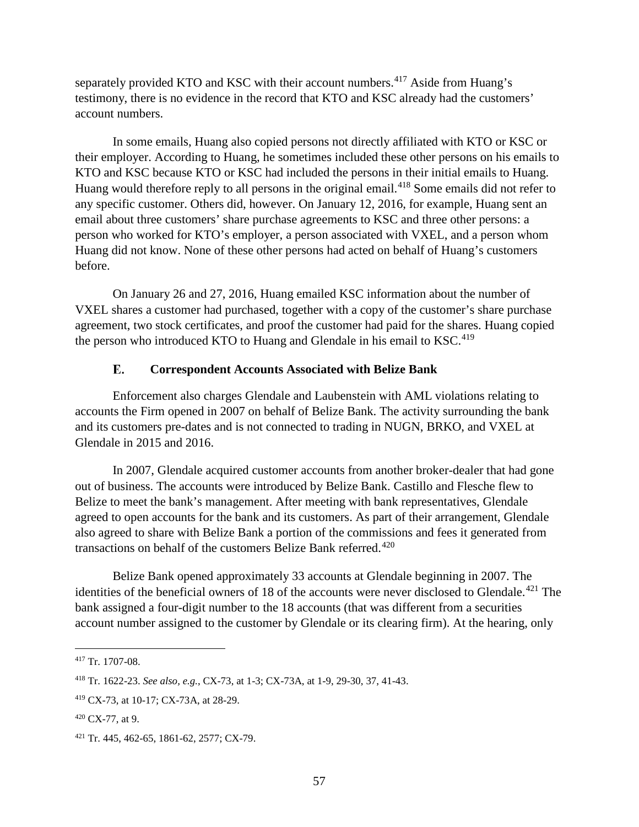separately provided KTO and KSC with their account numbers.<sup>[417](#page-62-0)</sup> Aside from Huang's testimony, there is no evidence in the record that KTO and KSC already had the customers' account numbers.

In some emails, Huang also copied persons not directly affiliated with KTO or KSC or their employer. According to Huang, he sometimes included these other persons on his emails to KTO and KSC because KTO or KSC had included the persons in their initial emails to Huang. Huang would therefore reply to all persons in the original email.<sup>[418](#page-62-1)</sup> Some emails did not refer to any specific customer. Others did, however. On January 12, 2016, for example, Huang sent an email about three customers' share purchase agreements to KSC and three other persons: a person who worked for KTO's employer, a person associated with VXEL, and a person whom Huang did not know. None of these other persons had acted on behalf of Huang's customers before.

On January 26 and 27, 2016, Huang emailed KSC information about the number of VXEL shares a customer had purchased, together with a copy of the customer's share purchase agreement, two stock certificates, and proof the customer had paid for the shares. Huang copied the person who introduced KTO to Huang and Glendale in his email to  $KSC^{419}$ 

#### E. **Correspondent Accounts Associated with Belize Bank**

Enforcement also charges Glendale and Laubenstein with AML violations relating to accounts the Firm opened in 2007 on behalf of Belize Bank. The activity surrounding the bank and its customers pre-dates and is not connected to trading in NUGN, BRKO, and VXEL at Glendale in 2015 and 2016.

In 2007, Glendale acquired customer accounts from another broker-dealer that had gone out of business. The accounts were introduced by Belize Bank. Castillo and Flesche flew to Belize to meet the bank's management. After meeting with bank representatives, Glendale agreed to open accounts for the bank and its customers. As part of their arrangement, Glendale also agreed to share with Belize Bank a portion of the commissions and fees it generated from transactions on behalf of the customers Belize Bank referred.<sup>[420](#page-62-3)</sup>

Belize Bank opened approximately 33 accounts at Glendale beginning in 2007. The identities of the beneficial owners of 18 of the accounts were never disclosed to Glendale.<sup>[421](#page-62-4)</sup> The bank assigned a four-digit number to the 18 accounts (that was different from a securities account number assigned to the customer by Glendale or its clearing firm). At the hearing, only

<span id="page-62-0"></span> <sup>417</sup> Tr. 1707-08.

<span id="page-62-1"></span><sup>418</sup> Tr. 1622-23. *See also, e.g.*, CX-73, at 1-3; CX-73A, at 1-9, 29-30, 37, 41-43.

<span id="page-62-2"></span><sup>419</sup> CX-73, at 10-17; CX-73A, at 28-29.

<span id="page-62-3"></span> $420$  CX-77, at 9.

<span id="page-62-4"></span><sup>421</sup> Tr. 445, 462-65, 1861-62, 2577; CX-79.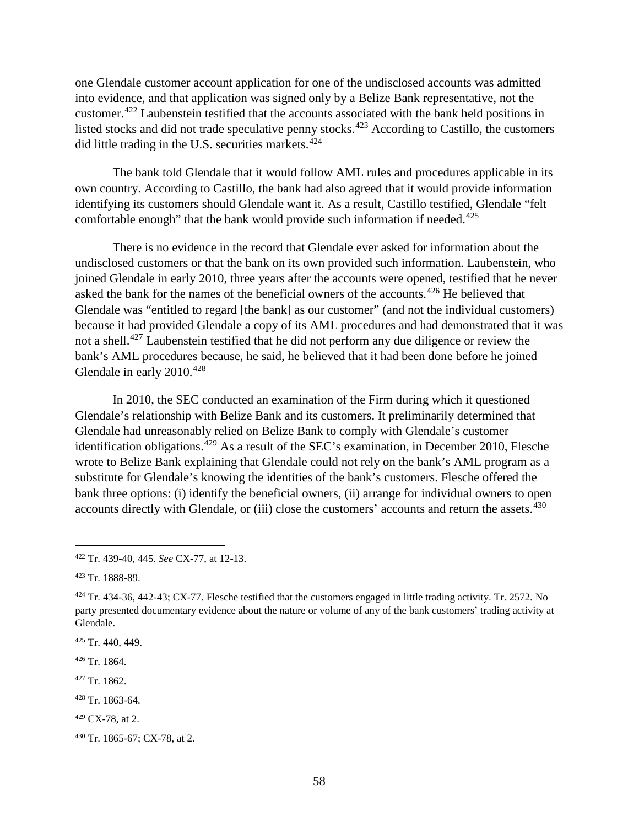one Glendale customer account application for one of the undisclosed accounts was admitted into evidence, and that application was signed only by a Belize Bank representative, not the customer.<sup>[422](#page-63-0)</sup> Laubenstein testified that the accounts associated with the bank held positions in listed stocks and did not trade speculative penny stocks.<sup>[423](#page-63-1)</sup> According to Castillo, the customers did little trading in the U.S. securities markets. $424$ 

The bank told Glendale that it would follow AML rules and procedures applicable in its own country. According to Castillo, the bank had also agreed that it would provide information identifying its customers should Glendale want it. As a result, Castillo testified, Glendale "felt comfortable enough" that the bank would provide such information if needed.<sup>[425](#page-63-3)</sup>

There is no evidence in the record that Glendale ever asked for information about the undisclosed customers or that the bank on its own provided such information. Laubenstein, who joined Glendale in early 2010, three years after the accounts were opened, testified that he never asked the bank for the names of the beneficial owners of the accounts.<sup>[426](#page-63-4)</sup> He believed that Glendale was "entitled to regard [the bank] as our customer" (and not the individual customers) because it had provided Glendale a copy of its AML procedures and had demonstrated that it was not a shell.<sup>[427](#page-63-5)</sup> Laubenstein testified that he did not perform any due diligence or review the bank's AML procedures because, he said, he believed that it had been done before he joined Glendale in early  $2010.<sup>428</sup>$  $2010.<sup>428</sup>$  $2010.<sup>428</sup>$ 

In 2010, the SEC conducted an examination of the Firm during which it questioned Glendale's relationship with Belize Bank and its customers. It preliminarily determined that Glendale had unreasonably relied on Belize Bank to comply with Glendale's customer identification obligations.<sup>[429](#page-63-7)</sup> As a result of the SEC's examination, in December 2010, Flesche wrote to Belize Bank explaining that Glendale could not rely on the bank's AML program as a substitute for Glendale's knowing the identities of the bank's customers. Flesche offered the bank three options: (i) identify the beneficial owners, (ii) arrange for individual owners to open accounts directly with Glendale, or (iii) close the customers' accounts and return the assets.<sup>[430](#page-63-8)</sup>

- <span id="page-63-4"></span><sup>426</sup> Tr. 1864.
- <span id="page-63-5"></span><sup>427</sup> Tr. 1862.
- <span id="page-63-6"></span><sup>428</sup> Tr. 1863-64.
- <span id="page-63-7"></span><sup>429</sup> CX-78, at 2.

<span id="page-63-0"></span> <sup>422</sup> Tr. 439-40, 445. *See* CX-77, at 12-13.

<span id="page-63-1"></span><sup>423</sup> Tr. 1888-89.

<span id="page-63-2"></span> $424$  Tr. 434-36, 442-43; CX-77. Flesche testified that the customers engaged in little trading activity. Tr. 2572. No party presented documentary evidence about the nature or volume of any of the bank customers' trading activity at Glendale.

<span id="page-63-3"></span> $425$  Tr. 440, 449.

<span id="page-63-8"></span><sup>430</sup> Tr. 1865-67; CX-78, at 2.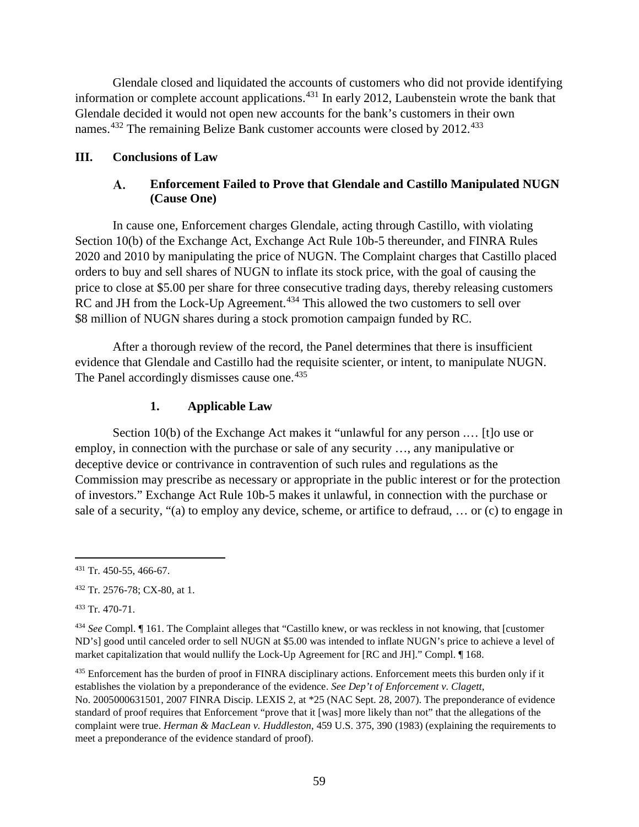Glendale closed and liquidated the accounts of customers who did not provide identifying information or complete account applications. [431](#page-64-0) In early 2012, Laubenstein wrote the bank that Glendale decided it would not open new accounts for the bank's customers in their own names.<sup>[432](#page-64-1)</sup> The remaining Belize Bank customer accounts were closed by 2012.<sup>[433](#page-64-2)</sup>

# **III. Conclusions of Law**

#### **Enforcement Failed to Prove that Glendale and Castillo Manipulated NUGN** A. **(Cause One)**

In cause one, Enforcement charges Glendale, acting through Castillo, with violating Section 10(b) of the Exchange Act, Exchange Act Rule 10b-5 thereunder, and FINRA Rules 2020 and 2010 by manipulating the price of NUGN. The Complaint charges that Castillo placed orders to buy and sell shares of NUGN to inflate its stock price, with the goal of causing the price to close at \$5.00 per share for three consecutive trading days, thereby releasing customers RC and JH from the Lock-Up Agreement.<sup>[434](#page-64-3)</sup> This allowed the two customers to sell over \$8 million of NUGN shares during a stock promotion campaign funded by RC.

After a thorough review of the record, the Panel determines that there is insufficient evidence that Glendale and Castillo had the requisite scienter, or intent, to manipulate NUGN. The Panel accordingly dismisses cause one.<sup>[435](#page-64-4)</sup>

# **1. Applicable Law**

Section 10(b) of the Exchange Act makes it "unlawful for any person .… [t]o use or employ, in connection with the purchase or sale of any security …, any manipulative or deceptive device or contrivance in contravention of such rules and regulations as the Commission may prescribe as necessary or appropriate in the public interest or for the protection of investors." Exchange Act Rule 10b-5 makes it unlawful, in connection with the purchase or sale of a security, "(a) to employ any device, scheme, or artifice to defraud, … or (c) to engage in

<span id="page-64-2"></span><sup>433</sup> Tr. 470-71.

<span id="page-64-0"></span> <sup>431</sup> Tr. 450-55, 466-67.

<span id="page-64-1"></span><sup>432</sup> Tr. 2576-78; CX-80, at 1.

<span id="page-64-3"></span><sup>434</sup> *See* Compl. ¶ 161. The Complaint alleges that "Castillo knew, or was reckless in not knowing, that [customer ND's] good until canceled order to sell NUGN at \$5.00 was intended to inflate NUGN's price to achieve a level of market capitalization that would nullify the Lock-Up Agreement for [RC and JH]." Compl. ¶ 168.

<span id="page-64-4"></span><sup>&</sup>lt;sup>435</sup> Enforcement has the burden of proof in FINRA disciplinary actions. Enforcement meets this burden only if it establishes the violation by a preponderance of the evidence. *See Dep't of Enforcement v. Clagett*, No. 2005000631501, 2007 FINRA Discip. LEXIS 2, at \*25 (NAC Sept. 28, 2007). The preponderance of evidence standard of proof requires that Enforcement "prove that it [was] more likely than not" that the allegations of the complaint were true. *Herman & MacLean v. Huddleston*, 459 U.S. 375, 390 (1983) (explaining the requirements to meet a preponderance of the evidence standard of proof).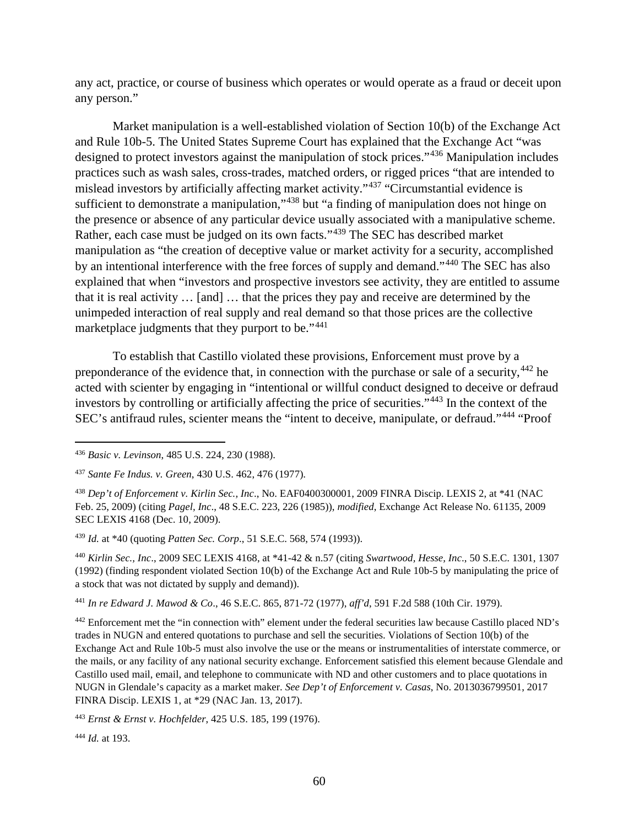any act, practice, or course of business which operates or would operate as a fraud or deceit upon any person."

Market manipulation is a well-established violation of Section 10(b) of the Exchange Act and Rule 10b-5. The United States Supreme Court has explained that the Exchange Act "was designed to protect investors against the manipulation of stock prices."[436](#page-65-0) Manipulation includes practices such as wash sales, cross-trades, matched orders, or rigged prices "that are intended to mislead investors by artificially affecting market activity."[437](#page-65-1) "Circumstantial evidence is sufficient to demonstrate a manipulation,"<sup>[438](#page-65-2)</sup> but "a finding of manipulation does not hinge on the presence or absence of any particular device usually associated with a manipulative scheme. Rather, each case must be judged on its own facts."[439](#page-65-3) The SEC has described market manipulation as "the creation of deceptive value or market activity for a security, accomplished by an intentional interference with the free forces of supply and demand."[440](#page-65-4) The SEC has also explained that when "investors and prospective investors see activity, they are entitled to assume that it is real activity … [and] … that the prices they pay and receive are determined by the unimpeded interaction of real supply and real demand so that those prices are the collective marketplace judgments that they purport to be."<sup>[441](#page-65-5)</sup>

To establish that Castillo violated these provisions, Enforcement must prove by a preponderance of the evidence that, in connection with the purchase or sale of a security,  $442$  he acted with scienter by engaging in "intentional or willful conduct designed to deceive or defraud investors by controlling or artificially affecting the price of securities."[443](#page-65-7) In the context of the SEC's antifraud rules, scienter means the "intent to deceive, manipulate, or defraud."[444](#page-65-8) "Proof

<span id="page-65-3"></span><sup>439</sup> *Id.* at \*40 (quoting *Patten Sec. Corp*., 51 S.E.C. 568, 574 (1993)).

<span id="page-65-4"></span><sup>440</sup> *Kirlin Sec., Inc*., 2009 SEC LEXIS 4168, at \*41-42 & n.57 (citing *Swartwood, Hesse, Inc*., 50 S.E.C. 1301, 1307 (1992) (finding respondent violated Section 10(b) of the Exchange Act and Rule 10b-5 by manipulating the price of a stock that was not dictated by supply and demand)).

<span id="page-65-5"></span><sup>441</sup> *In re Edward J. Mawod & Co*., 46 S.E.C. 865, 871-72 (1977), *aff'd*, 591 F.2d 588 (10th Cir. 1979).

<span id="page-65-6"></span><sup>442</sup> Enforcement met the "in connection with" element under the federal securities law because Castillo placed ND's trades in NUGN and entered quotations to purchase and sell the securities. Violations of Section 10(b) of the Exchange Act and Rule 10b-5 must also involve the use or the means or instrumentalities of interstate commerce, or the mails, or any facility of any national security exchange. Enforcement satisfied this element because Glendale and Castillo used mail, email, and telephone to communicate with ND and other customers and to place quotations in NUGN in Glendale's capacity as a market maker. *See Dep't of Enforcement v. Casas*, No. 2013036799501, 2017 FINRA Discip. LEXIS 1, at \*29 (NAC Jan. 13, 2017).

<span id="page-65-7"></span><sup>443</sup> *Ernst & Ernst v. Hochfelder*, 425 U.S. 185, 199 (1976).

<span id="page-65-8"></span><sup>444</sup> *Id.* at 193.

<span id="page-65-0"></span> <sup>436</sup> *Basic v. Levinson*, 485 U.S. 224, 230 (1988).

<span id="page-65-1"></span><sup>437</sup> *Sante Fe Indus. v. Green*, 430 U.S. 462, 476 (1977).

<span id="page-65-2"></span><sup>438</sup> *Dep't of Enforcement v. Kirlin Sec., Inc*., No. EAF0400300001, 2009 FINRA Discip. LEXIS 2, at \*41 (NAC Feb. 25, 2009) (citing *Pagel, Inc*., 48 S.E.C. 223, 226 (1985)), *modified*, Exchange Act Release No. 61135, 2009 SEC LEXIS 4168 (Dec. 10, 2009).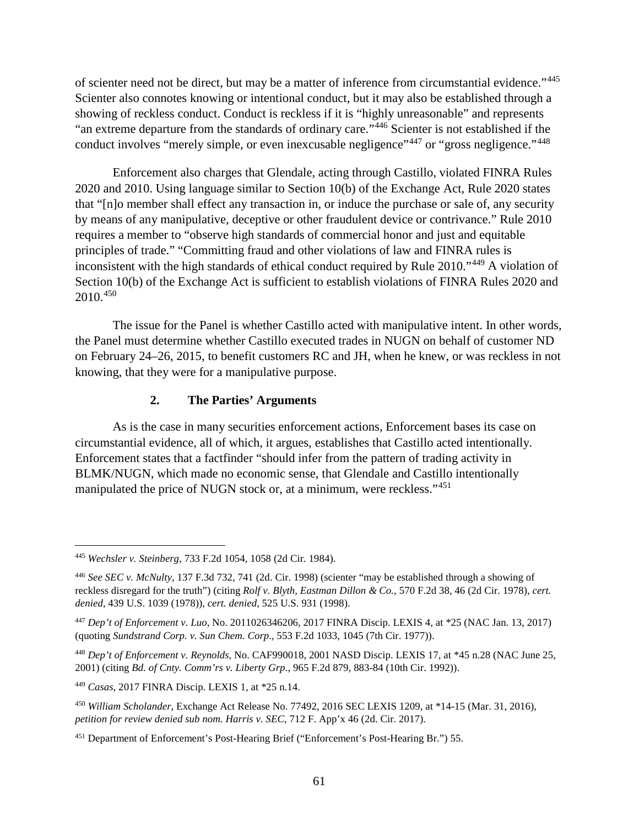of scienter need not be direct, but may be a matter of inference from circumstantial evidence."[445](#page-66-0) Scienter also connotes knowing or intentional conduct, but it may also be established through a showing of reckless conduct. Conduct is reckless if it is "highly unreasonable" and represents "an extreme departure from the standards of ordinary care."[446](#page-66-1) Scienter is not established if the conduct involves "merely simple, or even inexcusable negligence"<sup>[447](#page-66-2)</sup> or "gross negligence."<sup>[448](#page-66-3)</sup>

Enforcement also charges that Glendale, acting through Castillo, violated FINRA Rules 2020 and 2010. Using language similar to Section 10(b) of the Exchange Act, Rule 2020 states that "[n]o member shall effect any transaction in, or induce the purchase or sale of, any security by means of any manipulative, deceptive or other fraudulent device or contrivance." Rule 2010 requires a member to "observe high standards of commercial honor and just and equitable principles of trade." "Committing fraud and other violations of law and FINRA rules is inconsistent with the high standards of ethical conduct required by Rule 2010."[449](#page-66-4) A violation of Section 10(b) of the Exchange Act is sufficient to establish violations of FINRA Rules 2020 and 2010.[450](#page-66-5)

The issue for the Panel is whether Castillo acted with manipulative intent. In other words, the Panel must determine whether Castillo executed trades in NUGN on behalf of customer ND on February 24–26, 2015, to benefit customers RC and JH, when he knew, or was reckless in not knowing, that they were for a manipulative purpose.

# **2. The Parties' Arguments**

As is the case in many securities enforcement actions, Enforcement bases its case on circumstantial evidence, all of which, it argues, establishes that Castillo acted intentionally. Enforcement states that a factfinder "should infer from the pattern of trading activity in BLMK/NUGN, which made no economic sense, that Glendale and Castillo intentionally manipulated the price of NUGN stock or, at a minimum, were reckless."<sup>[451](#page-66-6)</sup>

<span id="page-66-0"></span> <sup>445</sup> *Wechsler v. Steinberg*, 733 F.2d 1054, 1058 (2d Cir. 1984).

<span id="page-66-1"></span><sup>446</sup> *See SEC v. McNulty*, 137 F.3d 732, 741 (2d. Cir. 1998) (scienter "may be established through a showing of reckless disregard for the truth") (citing *Rolf v. Blyth, Eastman Dillon & Co.*, 570 F.2d 38, 46 (2d Cir. 1978), *cert. denied*, 439 U.S. 1039 (1978)), *cert. denied*, 525 U.S. 931 (1998).

<span id="page-66-2"></span><sup>447</sup> *Dep't of Enforcement v. Luo*, No. 2011026346206, 2017 FINRA Discip. LEXIS 4, at \*25 (NAC Jan. 13, 2017) (quoting *Sundstrand Corp. v. Sun Chem. Corp*., 553 F.2d 1033, 1045 (7th Cir. 1977)).

<span id="page-66-3"></span><sup>448</sup> *Dep't of Enforcement v. Reynolds*, No. CAF990018, 2001 NASD Discip. LEXIS 17, at \*45 n.28 (NAC June 25, 2001) (citing *Bd. of Cnty. Comm'rs v. Liberty Grp*., 965 F.2d 879, 883-84 (10th Cir. 1992)).

<span id="page-66-4"></span><sup>449</sup> *Casas*, 2017 FINRA Discip. LEXIS 1, at \*25 n.14.

<span id="page-66-5"></span><sup>450</sup> *William Scholander*, Exchange Act Release No. 77492, 2016 SEC LEXIS 1209, at \*14-15 (Mar. 31, 2016), *petition for review denied sub nom. Harris v. SEC*, 712 F. App'x 46 (2d. Cir. 2017).

<span id="page-66-6"></span><sup>451</sup> Department of Enforcement's Post-Hearing Brief ("Enforcement's Post-Hearing Br.") 55.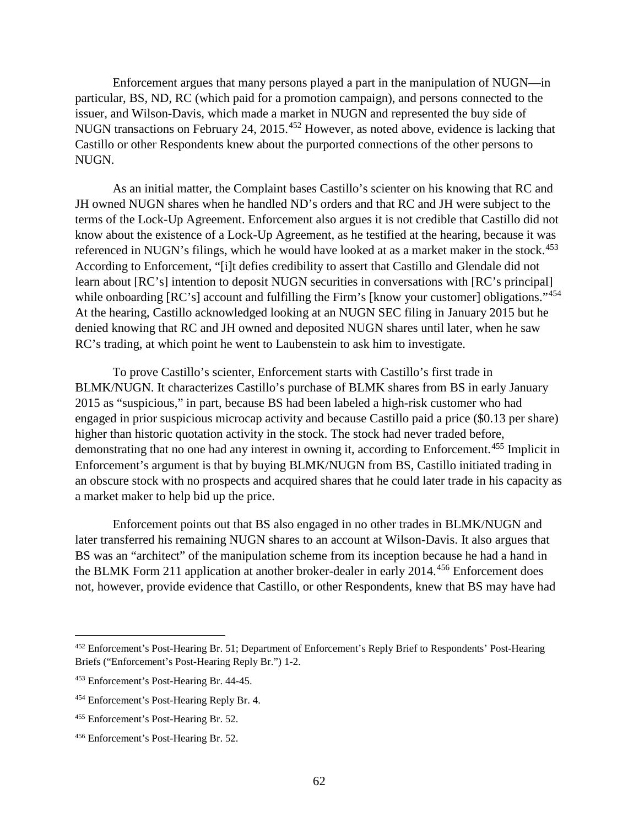Enforcement argues that many persons played a part in the manipulation of NUGN—in particular, BS, ND, RC (which paid for a promotion campaign), and persons connected to the issuer, and Wilson-Davis, which made a market in NUGN and represented the buy side of NUGN transactions on February 24, 2015.<sup>[452](#page-67-0)</sup> However, as noted above, evidence is lacking that Castillo or other Respondents knew about the purported connections of the other persons to NUGN.

As an initial matter, the Complaint bases Castillo's scienter on his knowing that RC and JH owned NUGN shares when he handled ND's orders and that RC and JH were subject to the terms of the Lock-Up Agreement. Enforcement also argues it is not credible that Castillo did not know about the existence of a Lock-Up Agreement, as he testified at the hearing, because it was referenced in NUGN's filings, which he would have looked at as a market maker in the stock.<sup>[453](#page-67-1)</sup> According to Enforcement, "[i]t defies credibility to assert that Castillo and Glendale did not learn about [RC's] intention to deposit NUGN securities in conversations with [RC's principal] while onboarding [RC's] account and fulfilling the Firm's [know your customer] obligations."<sup>[454](#page-67-2)</sup> At the hearing, Castillo acknowledged looking at an NUGN SEC filing in January 2015 but he denied knowing that RC and JH owned and deposited NUGN shares until later, when he saw RC's trading, at which point he went to Laubenstein to ask him to investigate.

To prove Castillo's scienter, Enforcement starts with Castillo's first trade in BLMK/NUGN. It characterizes Castillo's purchase of BLMK shares from BS in early January 2015 as "suspicious," in part, because BS had been labeled a high-risk customer who had engaged in prior suspicious microcap activity and because Castillo paid a price (\$0.13 per share) higher than historic quotation activity in the stock. The stock had never traded before, demonstrating that no one had any interest in owning it, according to Enforcement. [455](#page-67-3) Implicit in Enforcement's argument is that by buying BLMK/NUGN from BS, Castillo initiated trading in an obscure stock with no prospects and acquired shares that he could later trade in his capacity as a market maker to help bid up the price.

Enforcement points out that BS also engaged in no other trades in BLMK/NUGN and later transferred his remaining NUGN shares to an account at Wilson-Davis. It also argues that BS was an "architect" of the manipulation scheme from its inception because he had a hand in the BLMK Form 211 application at another broker-dealer in early 2014.<sup>[456](#page-67-4)</sup> Enforcement does not, however, provide evidence that Castillo, or other Respondents, knew that BS may have had

<span id="page-67-0"></span><sup>452</sup> Enforcement's Post-Hearing Br. 51; Department of Enforcement's Reply Brief to Respondents' Post-Hearing Briefs ("Enforcement's Post-Hearing Reply Br.") 1-2.

<span id="page-67-1"></span><sup>453</sup> Enforcement's Post-Hearing Br. 44-45.

<span id="page-67-2"></span><sup>454</sup> Enforcement's Post-Hearing Reply Br. 4.

<span id="page-67-3"></span><sup>455</sup> Enforcement's Post-Hearing Br. 52.

<span id="page-67-4"></span><sup>456</sup> Enforcement's Post-Hearing Br. 52.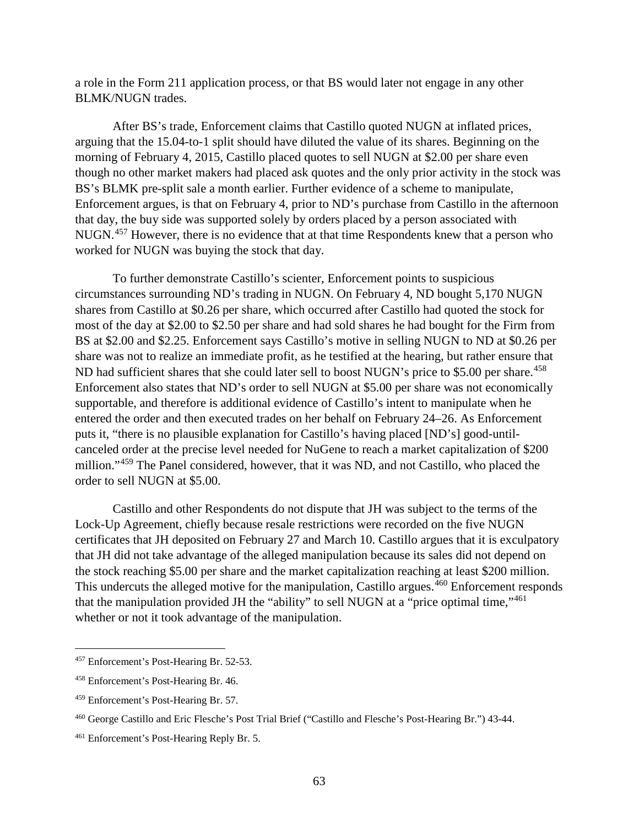a role in the Form 211 application process, or that BS would later not engage in any other BLMK/NUGN trades.

After BS's trade, Enforcement claims that Castillo quoted NUGN at inflated prices, arguing that the 15.04-to-1 split should have diluted the value of its shares. Beginning on the morning of February 4, 2015, Castillo placed quotes to sell NUGN at \$2.00 per share even though no other market makers had placed ask quotes and the only prior activity in the stock was BS's BLMK pre-split sale a month earlier. Further evidence of a scheme to manipulate, Enforcement argues, is that on February 4, prior to ND's purchase from Castillo in the afternoon that day, the buy side was supported solely by orders placed by a person associated with NUGN.[457](#page-68-0) However, there is no evidence that at that time Respondents knew that a person who worked for NUGN was buying the stock that day.

To further demonstrate Castillo's scienter, Enforcement points to suspicious circumstances surrounding ND's trading in NUGN. On February 4, ND bought 5,170 NUGN shares from Castillo at \$0.26 per share, which occurred after Castillo had quoted the stock for most of the day at \$2.00 to \$2.50 per share and had sold shares he had bought for the Firm from BS at \$2.00 and \$2.25. Enforcement says Castillo's motive in selling NUGN to ND at \$0.26 per share was not to realize an immediate profit, as he testified at the hearing, but rather ensure that ND had sufficient shares that she could later sell to boost NUGN's price to \$5.00 per share.<sup>[458](#page-68-1)</sup> Enforcement also states that ND's order to sell NUGN at \$5.00 per share was not economically supportable, and therefore is additional evidence of Castillo's intent to manipulate when he entered the order and then executed trades on her behalf on February 24–26. As Enforcement puts it, "there is no plausible explanation for Castillo's having placed [ND's] good-untilcanceled order at the precise level needed for NuGene to reach a market capitalization of \$200 million."<sup>[459](#page-68-2)</sup> The Panel considered, however, that it was ND, and not Castillo, who placed the order to sell NUGN at \$5.00.

Castillo and other Respondents do not dispute that JH was subject to the terms of the Lock-Up Agreement, chiefly because resale restrictions were recorded on the five NUGN certificates that JH deposited on February 27 and March 10. Castillo argues that it is exculpatory that JH did not take advantage of the alleged manipulation because its sales did not depend on the stock reaching \$5.00 per share and the market capitalization reaching at least \$200 million. This undercuts the alleged motive for the manipulation, Castillo argues.<sup>[460](#page-68-3)</sup> Enforcement responds that the manipulation provided JH the "ability" to sell NUGN at a "price optimal time,"<sup>[461](#page-68-4)</sup> whether or not it took advantage of the manipulation.

<span id="page-68-0"></span> <sup>457</sup> Enforcement's Post-Hearing Br. 52-53.

<span id="page-68-1"></span><sup>458</sup> Enforcement's Post-Hearing Br. 46.

<span id="page-68-2"></span><sup>459</sup> Enforcement's Post-Hearing Br. 57.

<span id="page-68-3"></span><sup>460</sup> George Castillo and Eric Flesche's Post Trial Brief ("Castillo and Flesche's Post-Hearing Br.") 43-44.

<span id="page-68-4"></span><sup>461</sup> Enforcement's Post-Hearing Reply Br. 5.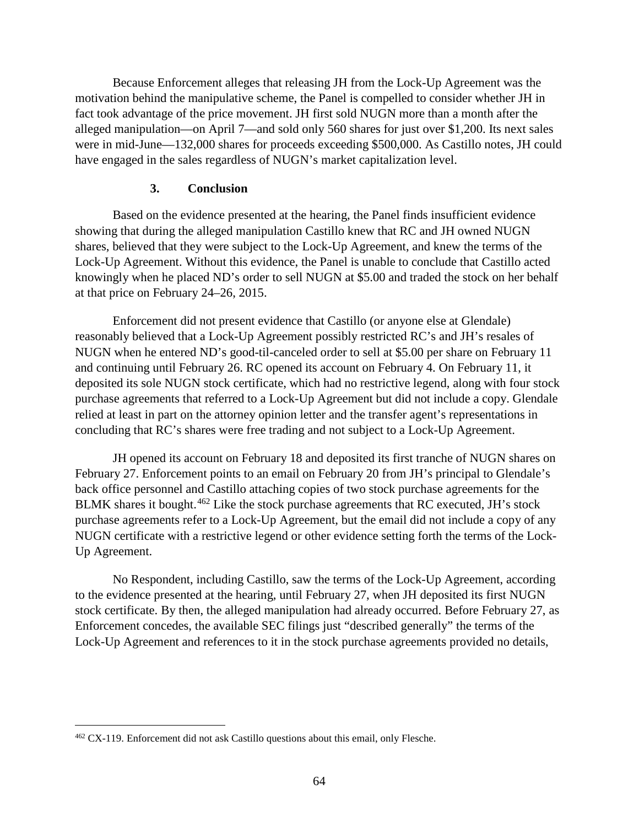Because Enforcement alleges that releasing JH from the Lock-Up Agreement was the motivation behind the manipulative scheme, the Panel is compelled to consider whether JH in fact took advantage of the price movement. JH first sold NUGN more than a month after the alleged manipulation—on April 7—and sold only 560 shares for just over \$1,200. Its next sales were in mid-June—132,000 shares for proceeds exceeding \$500,000. As Castillo notes, JH could have engaged in the sales regardless of NUGN's market capitalization level.

# **3. Conclusion**

Based on the evidence presented at the hearing, the Panel finds insufficient evidence showing that during the alleged manipulation Castillo knew that RC and JH owned NUGN shares, believed that they were subject to the Lock-Up Agreement, and knew the terms of the Lock-Up Agreement. Without this evidence, the Panel is unable to conclude that Castillo acted knowingly when he placed ND's order to sell NUGN at \$5.00 and traded the stock on her behalf at that price on February 24–26, 2015.

Enforcement did not present evidence that Castillo (or anyone else at Glendale) reasonably believed that a Lock-Up Agreement possibly restricted RC's and JH's resales of NUGN when he entered ND's good-til-canceled order to sell at \$5.00 per share on February 11 and continuing until February 26. RC opened its account on February 4. On February 11, it deposited its sole NUGN stock certificate, which had no restrictive legend, along with four stock purchase agreements that referred to a Lock-Up Agreement but did not include a copy. Glendale relied at least in part on the attorney opinion letter and the transfer agent's representations in concluding that RC's shares were free trading and not subject to a Lock-Up Agreement.

JH opened its account on February 18 and deposited its first tranche of NUGN shares on February 27. Enforcement points to an email on February 20 from JH's principal to Glendale's back office personnel and Castillo attaching copies of two stock purchase agreements for the BLMK shares it bought.<sup>[462](#page-69-0)</sup> Like the stock purchase agreements that RC executed, JH's stock purchase agreements refer to a Lock-Up Agreement, but the email did not include a copy of any NUGN certificate with a restrictive legend or other evidence setting forth the terms of the Lock-Up Agreement.

No Respondent, including Castillo, saw the terms of the Lock-Up Agreement, according to the evidence presented at the hearing, until February 27, when JH deposited its first NUGN stock certificate. By then, the alleged manipulation had already occurred. Before February 27, as Enforcement concedes, the available SEC filings just "described generally" the terms of the Lock-Up Agreement and references to it in the stock purchase agreements provided no details,

<span id="page-69-0"></span> <sup>462</sup> CX-119. Enforcement did not ask Castillo questions about this email, only Flesche.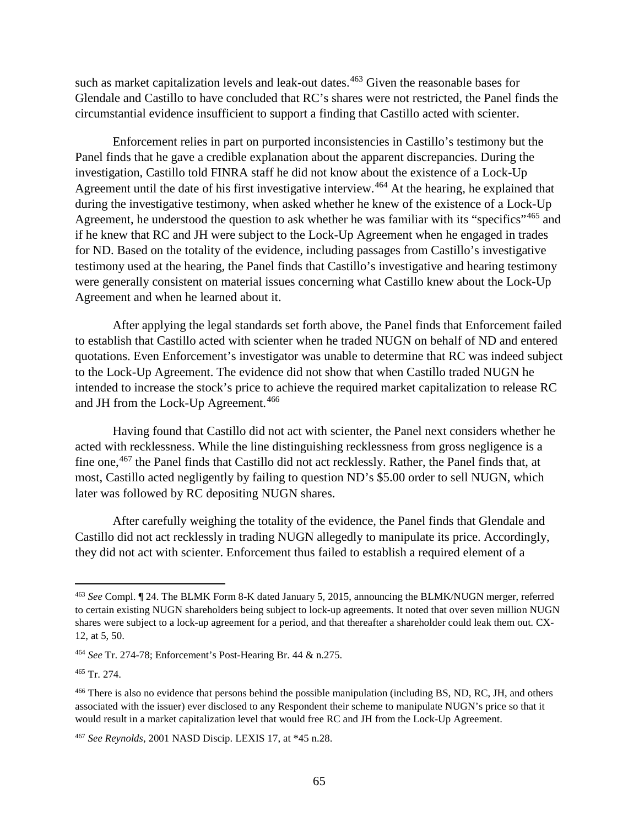such as market capitalization levels and leak-out dates.<sup>[463](#page-70-0)</sup> Given the reasonable bases for Glendale and Castillo to have concluded that RC's shares were not restricted, the Panel finds the circumstantial evidence insufficient to support a finding that Castillo acted with scienter.

Enforcement relies in part on purported inconsistencies in Castillo's testimony but the Panel finds that he gave a credible explanation about the apparent discrepancies. During the investigation, Castillo told FINRA staff he did not know about the existence of a Lock-Up Agreement until the date of his first investigative interview.<sup>[464](#page-70-1)</sup> At the hearing, he explained that during the investigative testimony, when asked whether he knew of the existence of a Lock-Up Agreement, he understood the question to ask whether he was familiar with its "specifics"<sup>[465](#page-70-2)</sup> and if he knew that RC and JH were subject to the Lock-Up Agreement when he engaged in trades for ND. Based on the totality of the evidence, including passages from Castillo's investigative testimony used at the hearing, the Panel finds that Castillo's investigative and hearing testimony were generally consistent on material issues concerning what Castillo knew about the Lock-Up Agreement and when he learned about it.

After applying the legal standards set forth above, the Panel finds that Enforcement failed to establish that Castillo acted with scienter when he traded NUGN on behalf of ND and entered quotations. Even Enforcement's investigator was unable to determine that RC was indeed subject to the Lock-Up Agreement. The evidence did not show that when Castillo traded NUGN he intended to increase the stock's price to achieve the required market capitalization to release RC and JH from the Lock-Up Agreement.<sup>[466](#page-70-3)</sup>

Having found that Castillo did not act with scienter, the Panel next considers whether he acted with recklessness. While the line distinguishing recklessness from gross negligence is a fine one,<sup>[467](#page-70-4)</sup> the Panel finds that Castillo did not act recklessly. Rather, the Panel finds that, at most, Castillo acted negligently by failing to question ND's \$5.00 order to sell NUGN, which later was followed by RC depositing NUGN shares.

After carefully weighing the totality of the evidence, the Panel finds that Glendale and Castillo did not act recklessly in trading NUGN allegedly to manipulate its price. Accordingly, they did not act with scienter. Enforcement thus failed to establish a required element of a

<span id="page-70-0"></span> <sup>463</sup> *See* Compl. ¶ 24. The BLMK Form 8-K dated January 5, 2015, announcing the BLMK/NUGN merger, referred to certain existing NUGN shareholders being subject to lock-up agreements. It noted that over seven million NUGN shares were subject to a lock-up agreement for a period, and that thereafter a shareholder could leak them out. CX-12, at 5, 50.

<span id="page-70-1"></span><sup>464</sup> *See* Tr. 274-78; Enforcement's Post-Hearing Br. 44 & n.275.

<span id="page-70-2"></span><sup>465</sup> Tr. 274.

<span id="page-70-3"></span><sup>&</sup>lt;sup>466</sup> There is also no evidence that persons behind the possible manipulation (including BS, ND, RC, JH, and others associated with the issuer) ever disclosed to any Respondent their scheme to manipulate NUGN's price so that it would result in a market capitalization level that would free RC and JH from the Lock-Up Agreement.

<span id="page-70-4"></span><sup>467</sup> *See Reynolds*, 2001 NASD Discip. LEXIS 17, at \*45 n.28.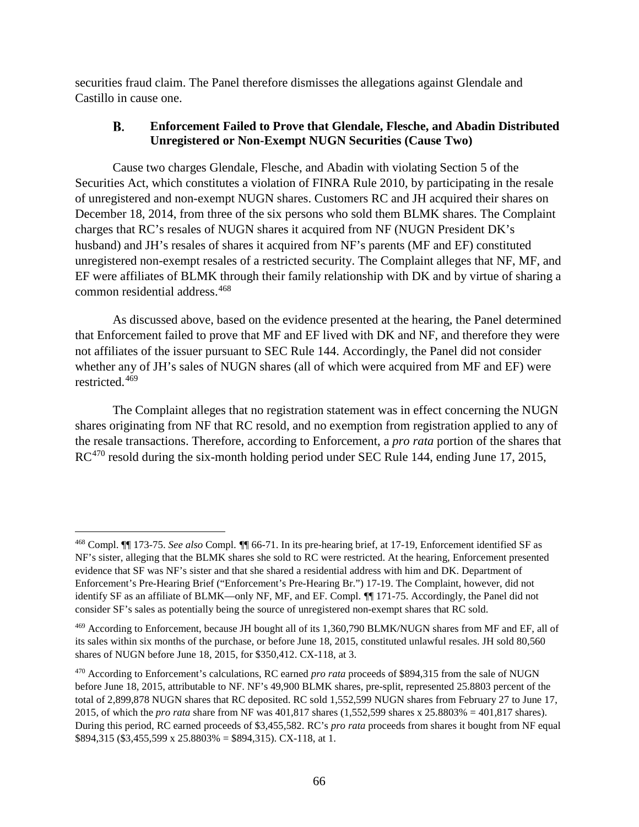securities fraud claim. The Panel therefore dismisses the allegations against Glendale and Castillo in cause one.

#### **B. Enforcement Failed to Prove that Glendale, Flesche, and Abadin Distributed Unregistered or Non-Exempt NUGN Securities (Cause Two)**

Cause two charges Glendale, Flesche, and Abadin with violating Section 5 of the Securities Act, which constitutes a violation of FINRA Rule 2010, by participating in the resale of unregistered and non-exempt NUGN shares. Customers RC and JH acquired their shares on December 18, 2014, from three of the six persons who sold them BLMK shares. The Complaint charges that RC's resales of NUGN shares it acquired from NF (NUGN President DK's husband) and JH's resales of shares it acquired from NF's parents (MF and EF) constituted unregistered non-exempt resales of a restricted security. The Complaint alleges that NF, MF, and EF were affiliates of BLMK through their family relationship with DK and by virtue of sharing a common residential address.[468](#page-71-0) 

As discussed above, based on the evidence presented at the hearing, the Panel determined that Enforcement failed to prove that MF and EF lived with DK and NF, and therefore they were not affiliates of the issuer pursuant to SEC Rule 144. Accordingly, the Panel did not consider whether any of JH's sales of NUGN shares (all of which were acquired from MF and EF) were restricted. [469](#page-71-1)

The Complaint alleges that no registration statement was in effect concerning the NUGN shares originating from NF that RC resold, and no exemption from registration applied to any of the resale transactions. Therefore, according to Enforcement, a *pro rata* portion of the shares that RC<sup>[470](#page-71-2)</sup> resold during the six-month holding period under SEC Rule 144, ending June 17, 2015,

<span id="page-71-0"></span> <sup>468</sup> Compl. ¶¶ 173-75. *See also* Compl. ¶¶ 66-71. In its pre-hearing brief, at 17-19, Enforcement identified SF as NF's sister, alleging that the BLMK shares she sold to RC were restricted. At the hearing, Enforcement presented evidence that SF was NF's sister and that she shared a residential address with him and DK. Department of Enforcement's Pre-Hearing Brief ("Enforcement's Pre-Hearing Br.") 17-19. The Complaint, however, did not identify SF as an affiliate of BLMK—only NF, MF, and EF. Compl. ¶¶ 171-75. Accordingly, the Panel did not consider SF's sales as potentially being the source of unregistered non-exempt shares that RC sold.

<span id="page-71-1"></span><sup>469</sup> According to Enforcement, because JH bought all of its 1,360,790 BLMK/NUGN shares from MF and EF, all of its sales within six months of the purchase, or before June 18, 2015, constituted unlawful resales. JH sold 80,560 shares of NUGN before June 18, 2015, for \$350,412. CX-118, at 3.

<span id="page-71-2"></span><sup>470</sup> According to Enforcement's calculations, RC earned *pro rata* proceeds of \$894,315 from the sale of NUGN before June 18, 2015, attributable to NF. NF's 49,900 BLMK shares, pre-split, represented 25.8803 percent of the total of 2,899,878 NUGN shares that RC deposited. RC sold 1,552,599 NUGN shares from February 27 to June 17, 2015, of which the *pro rata* share from NF was 401,817 shares (1,552,599 shares x 25.8803% = 401,817 shares). During this period, RC earned proceeds of \$3,455,582. RC's *pro rata* proceeds from shares it bought from NF equal \$894,315 (\$3,455,599 x 25.8803% = \$894,315). CX-118, at 1.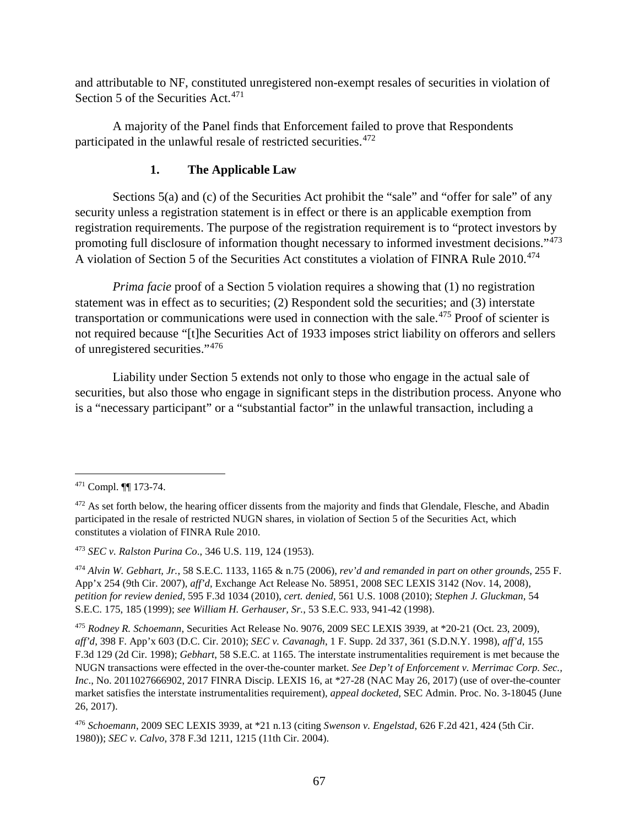and attributable to NF, constituted unregistered non-exempt resales of securities in violation of Section 5 of the Securities Act.<sup>[471](#page-72-0)</sup>

A majority of the Panel finds that Enforcement failed to prove that Respondents participated in the unlawful resale of restricted securities.[472](#page-72-1)

## **1. The Applicable Law**

Sections 5(a) and (c) of the Securities Act prohibit the "sale" and "offer for sale" of any security unless a registration statement is in effect or there is an applicable exemption from registration requirements. The purpose of the registration requirement is to "protect investors by promoting full disclosure of information thought necessary to informed investment decisions."[473](#page-72-2) A violation of Section 5 of the Securities Act constitutes a violation of FINRA Rule 2010.<sup>[474](#page-72-3)</sup>

*Prima facie* proof of a Section 5 violation requires a showing that (1) no registration statement was in effect as to securities; (2) Respondent sold the securities; and (3) interstate transportation or communications were used in connection with the sale.<sup>[475](#page-72-4)</sup> Proof of scienter is not required because "[t]he Securities Act of 1933 imposes strict liability on offerors and sellers of unregistered securities."[476](#page-72-5)

Liability under Section 5 extends not only to those who engage in the actual sale of securities, but also those who engage in significant steps in the distribution process. Anyone who is a "necessary participant" or a "substantial factor" in the unlawful transaction, including a

<span id="page-72-2"></span><sup>473</sup> *SEC v. Ralston Purina Co*., 346 U.S. 119, 124 (1953).

<span id="page-72-0"></span> <sup>471</sup> Compl. ¶¶ 173-74.

<span id="page-72-1"></span><sup>&</sup>lt;sup>472</sup> As set forth below, the hearing officer dissents from the majority and finds that Glendale, Flesche, and Abadin participated in the resale of restricted NUGN shares, in violation of Section 5 of the Securities Act, which constitutes a violation of FINRA Rule 2010.

<span id="page-72-3"></span><sup>474</sup> *Alvin W. Gebhart, Jr.*, 58 S.E.C. 1133, 1165 & n.75 (2006), *rev'd and remanded in part on other grounds*, 255 F. App'x 254 (9th Cir. 2007), *aff'd*, Exchange Act Release No. 58951, 2008 SEC LEXIS 3142 (Nov. 14, 2008), *petition for review denied*, 595 F.3d 1034 (2010), *cert. denied*, 561 U.S. 1008 (2010); *Stephen J. Gluckman*, 54 S.E.C. 175, 185 (1999); *see William H. Gerhauser, Sr.*, 53 S.E.C. 933, 941-42 (1998).

<span id="page-72-4"></span><sup>475</sup> *Rodney R. Schoemann*, Securities Act Release No. 9076, 2009 SEC LEXIS 3939, at \*20-21 (Oct. 23, 2009), *aff'd*, 398 F. App'x 603 (D.C. Cir. 2010); *SEC v. Cavanagh*, 1 F. Supp. 2d 337, 361 (S.D.N.Y. 1998), *aff'd*, 155 F.3d 129 (2d Cir. 1998); *Gebhart*, 58 S.E.C. at 1165. The interstate instrumentalities requirement is met because the NUGN transactions were effected in the over-the-counter market. *See Dep't of Enforcement v. Merrimac Corp. Sec., Inc*., No. 2011027666902, 2017 FINRA Discip. LEXIS 16, at \*27-28 (NAC May 26, 2017) (use of over-the-counter market satisfies the interstate instrumentalities requirement), *appeal docketed*, SEC Admin. Proc. No. 3-18045 (June 26, 2017).

<span id="page-72-5"></span><sup>476</sup> *Schoemann*, 2009 SEC LEXIS 3939, at \*21 n.13 (citing *Swenson v. Engelstad*, 626 F.2d 421, 424 (5th Cir. 1980)); *SEC v. Calvo*, 378 F.3d 1211, 1215 (11th Cir. 2004).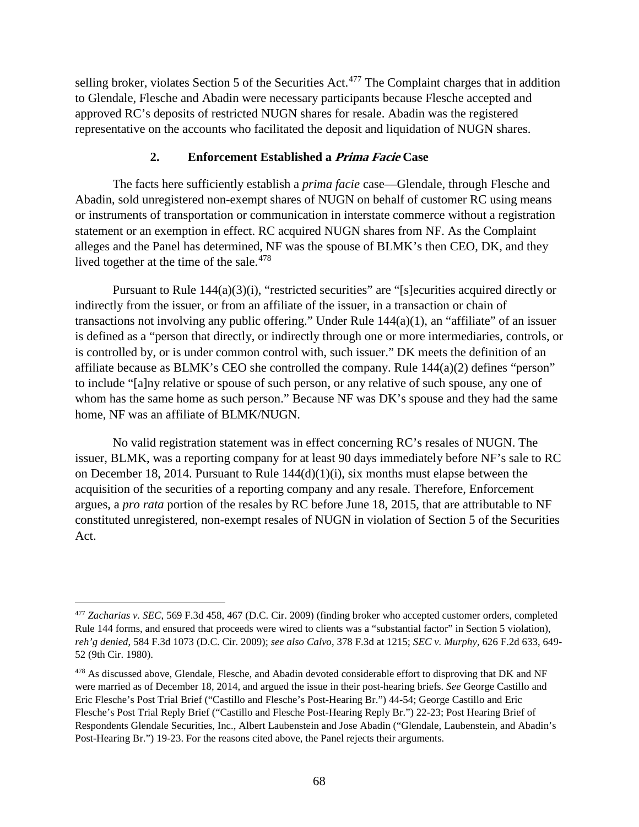selling broker, violates Section 5 of the Securities Act.<sup>[477](#page-73-0)</sup> The Complaint charges that in addition to Glendale, Flesche and Abadin were necessary participants because Flesche accepted and approved RC's deposits of restricted NUGN shares for resale. Abadin was the registered representative on the accounts who facilitated the deposit and liquidation of NUGN shares.

### **2. Enforcement Established a Prima Facie Case**

The facts here sufficiently establish a *prima facie* case—Glendale, through Flesche and Abadin, sold unregistered non-exempt shares of NUGN on behalf of customer RC using means or instruments of transportation or communication in interstate commerce without a registration statement or an exemption in effect. RC acquired NUGN shares from NF. As the Complaint alleges and the Panel has determined, NF was the spouse of BLMK's then CEO, DK, and they lived together at the time of the sale.<sup>[478](#page-73-1)</sup>

Pursuant to Rule 144(a)(3)(i), "restricted securities" are "[s] ecurities acquired directly or indirectly from the issuer, or from an affiliate of the issuer, in a transaction or chain of transactions not involving any public offering." Under Rule 144(a)(1), an "affiliate" of an issuer is defined as a "person that directly, or indirectly through one or more intermediaries, controls, or is controlled by, or is under common control with, such issuer." DK meets the definition of an affiliate because as BLMK's CEO she controlled the company. Rule 144(a)(2) defines "person" to include "[a]ny relative or spouse of such person, or any relative of such spouse, any one of whom has the same home as such person." Because NF was DK's spouse and they had the same home, NF was an affiliate of BLMK/NUGN.

No valid registration statement was in effect concerning RC's resales of NUGN. The issuer, BLMK, was a reporting company for at least 90 days immediately before NF's sale to RC on December 18, 2014. Pursuant to Rule 144(d)(1)(i), six months must elapse between the acquisition of the securities of a reporting company and any resale. Therefore, Enforcement argues, a *pro rata* portion of the resales by RC before June 18, 2015, that are attributable to NF constituted unregistered, non-exempt resales of NUGN in violation of Section 5 of the Securities Act.

<span id="page-73-0"></span> <sup>477</sup> *Zacharias v. SEC*, 569 F.3d 458, 467 (D.C. Cir. 2009) (finding broker who accepted customer orders, completed Rule 144 forms, and ensured that proceeds were wired to clients was a "substantial factor" in Section 5 violation), *reh'g denied*, 584 F.3d 1073 (D.C. Cir. 2009); *see also Calvo*, 378 F.3d at 1215; *SEC v. Murphy*, 626 F.2d 633, 649- 52 (9th Cir. 1980).

<span id="page-73-1"></span><sup>&</sup>lt;sup>478</sup> As discussed above, Glendale, Flesche, and Abadin devoted considerable effort to disproving that DK and NF were married as of December 18, 2014, and argued the issue in their post-hearing briefs. *See* George Castillo and Eric Flesche's Post Trial Brief ("Castillo and Flesche's Post-Hearing Br.") 44-54; George Castillo and Eric Flesche's Post Trial Reply Brief ("Castillo and Flesche Post-Hearing Reply Br.") 22-23; Post Hearing Brief of Respondents Glendale Securities, Inc., Albert Laubenstein and Jose Abadin ("Glendale, Laubenstein, and Abadin's Post-Hearing Br.") 19-23. For the reasons cited above, the Panel rejects their arguments.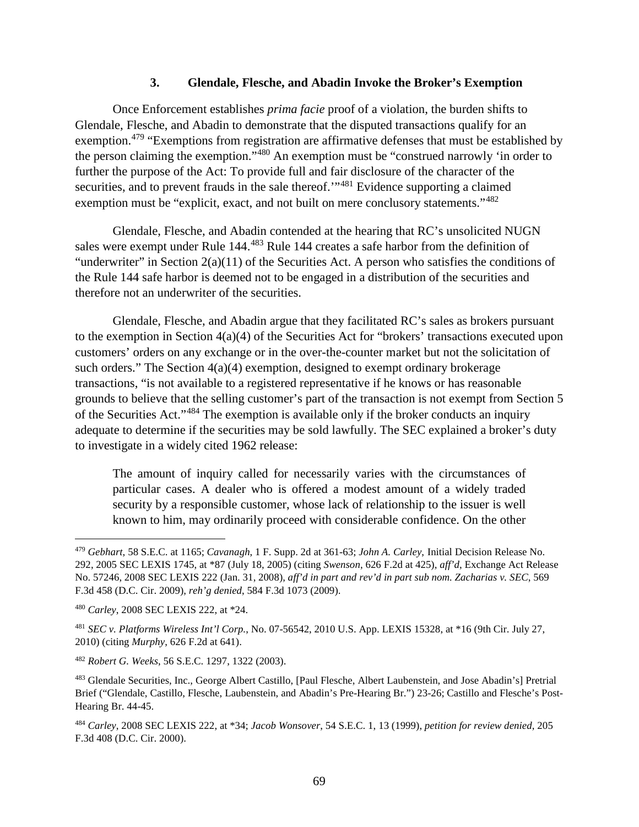### **3. Glendale, Flesche, and Abadin Invoke the Broker's Exemption**

Once Enforcement establishes *prima facie* proof of a violation, the burden shifts to Glendale, Flesche, and Abadin to demonstrate that the disputed transactions qualify for an exemption.<sup>[479](#page-74-0)</sup> "Exemptions from registration are affirmative defenses that must be established by the person claiming the exemption."[480](#page-74-1) An exemption must be "construed narrowly 'in order to further the purpose of the Act: To provide full and fair disclosure of the character of the securities, and to prevent frauds in the sale thereof."<sup>[481](#page-74-2)</sup> Evidence supporting a claimed exemption must be "explicit, exact, and not built on mere conclusory statements."<sup>[482](#page-74-3)</sup>

Glendale, Flesche, and Abadin contended at the hearing that RC's unsolicited NUGN sales were exempt under Rule 144.[483](#page-74-4) Rule 144 creates a safe harbor from the definition of "underwriter" in Section  $2(a)(11)$  of the Securities Act. A person who satisfies the conditions of the Rule 144 safe harbor is deemed not to be engaged in a distribution of the securities and therefore not an underwriter of the securities.

Glendale, Flesche, and Abadin argue that they facilitated RC's sales as brokers pursuant to the exemption in Section 4(a)(4) of the Securities Act for "brokers' transactions executed upon customers' orders on any exchange or in the over-the-counter market but not the solicitation of such orders." The Section 4(a)(4) exemption, designed to exempt ordinary brokerage transactions, "is not available to a registered representative if he knows or has reasonable grounds to believe that the selling customer's part of the transaction is not exempt from Section 5 of the Securities Act."[484](#page-74-5) The exemption is available only if the broker conducts an inquiry adequate to determine if the securities may be sold lawfully. The SEC explained a broker's duty to investigate in a widely cited 1962 release:

The amount of inquiry called for necessarily varies with the circumstances of particular cases. A dealer who is offered a modest amount of a widely traded security by a responsible customer, whose lack of relationship to the issuer is well known to him, may ordinarily proceed with considerable confidence. On the other

<span id="page-74-0"></span> <sup>479</sup> *Gebhart*, 58 S.E.C. at 1165; *Cavanagh*, 1 F. Supp. 2d at 361-63; *John A. Carley*, Initial Decision Release No. 292, 2005 SEC LEXIS 1745, at \*87 (July 18, 2005) (citing *Swenson*, 626 F.2d at 425), *aff'd*, Exchange Act Release No. 57246, 2008 SEC LEXIS 222 (Jan. 31, 2008), *aff'd in part and rev'd in part sub nom. Zacharias v. SEC*, 569 F.3d 458 (D.C. Cir. 2009), *reh'g denied*, 584 F.3d 1073 (2009).

<span id="page-74-1"></span><sup>480</sup> *Carley*, 2008 SEC LEXIS 222, at \*24.

<span id="page-74-2"></span><sup>481</sup> *SEC v. Platforms Wireless Int'l Corp.*, No. 07-56542, 2010 U.S. App. LEXIS 15328, at \*16 (9th Cir. July 27, 2010) (citing *Murphy*, 626 F.2d at 641).

<span id="page-74-3"></span><sup>482</sup> *Robert G. Weeks*, 56 S.E.C. 1297, 1322 (2003).

<span id="page-74-4"></span><sup>483</sup> Glendale Securities, Inc., George Albert Castillo, [Paul Flesche, Albert Laubenstein, and Jose Abadin's] Pretrial Brief ("Glendale, Castillo, Flesche, Laubenstein, and Abadin's Pre-Hearing Br.") 23-26; Castillo and Flesche's Post-Hearing Br. 44-45.

<span id="page-74-5"></span><sup>484</sup> *Carley*, 2008 SEC LEXIS 222, at \*34; *Jacob Wonsover*, 54 S.E.C. 1, 13 (1999), *petition for review denied*, 205 F.3d 408 (D.C. Cir. 2000).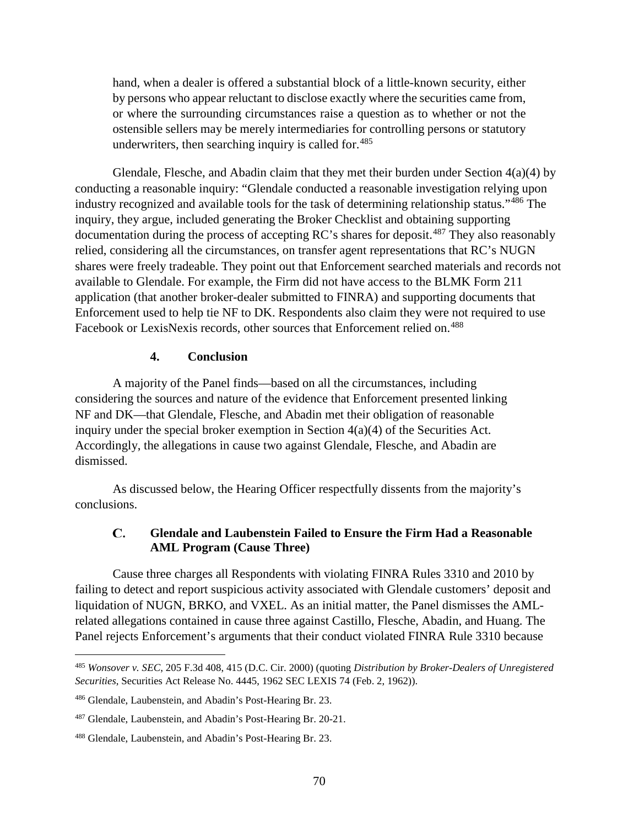hand, when a dealer is offered a substantial block of a little-known security, either by persons who appear reluctant to disclose exactly where the securities came from, or where the surrounding circumstances raise a question as to whether or not the ostensible sellers may be merely intermediaries for controlling persons or statutory underwriters, then searching inquiry is called for.<sup>[485](#page-75-0)</sup>

Glendale, Flesche, and Abadin claim that they met their burden under Section  $4(a)(4)$  by conducting a reasonable inquiry: "Glendale conducted a reasonable investigation relying upon industry recognized and available tools for the task of determining relationship status."[486](#page-75-1) The inquiry, they argue, included generating the Broker Checklist and obtaining supporting documentation during the process of accepting RC's shares for deposit.[487](#page-75-2) They also reasonably relied, considering all the circumstances, on transfer agent representations that RC's NUGN shares were freely tradeable. They point out that Enforcement searched materials and records not available to Glendale. For example, the Firm did not have access to the BLMK Form 211 application (that another broker-dealer submitted to FINRA) and supporting documents that Enforcement used to help tie NF to DK. Respondents also claim they were not required to use Facebook or LexisNexis records, other sources that Enforcement relied on.<sup>[488](#page-75-3)</sup>

### **4. Conclusion**

A majority of the Panel finds—based on all the circumstances, including considering the sources and nature of the evidence that Enforcement presented linking NF and DK—that Glendale, Flesche, and Abadin met their obligation of reasonable inquiry under the special broker exemption in Section 4(a)(4) of the Securities Act. Accordingly, the allegations in cause two against Glendale, Flesche, and Abadin are dismissed.

As discussed below, the Hearing Officer respectfully dissents from the majority's conclusions.

### C. **Glendale and Laubenstein Failed to Ensure the Firm Had a Reasonable AML Program (Cause Three)**

Cause three charges all Respondents with violating FINRA Rules 3310 and 2010 by failing to detect and report suspicious activity associated with Glendale customers' deposit and liquidation of NUGN, BRKO, and VXEL. As an initial matter, the Panel dismisses the AMLrelated allegations contained in cause three against Castillo, Flesche, Abadin, and Huang. The Panel rejects Enforcement's arguments that their conduct violated FINRA Rule 3310 because

<span id="page-75-0"></span> <sup>485</sup> *Wonsover v. SEC*, 205 F.3d 408, 415 (D.C. Cir. 2000) (quoting *Distribution by Broker-Dealers of Unregistered Securities*, Securities Act Release No. 4445, 1962 SEC LEXIS 74 (Feb. 2, 1962)).

<span id="page-75-1"></span><sup>486</sup> Glendale, Laubenstein, and Abadin's Post-Hearing Br. 23.

<span id="page-75-2"></span><sup>487</sup> Glendale, Laubenstein, and Abadin's Post-Hearing Br. 20-21.

<span id="page-75-3"></span><sup>488</sup> Glendale, Laubenstein, and Abadin's Post-Hearing Br. 23.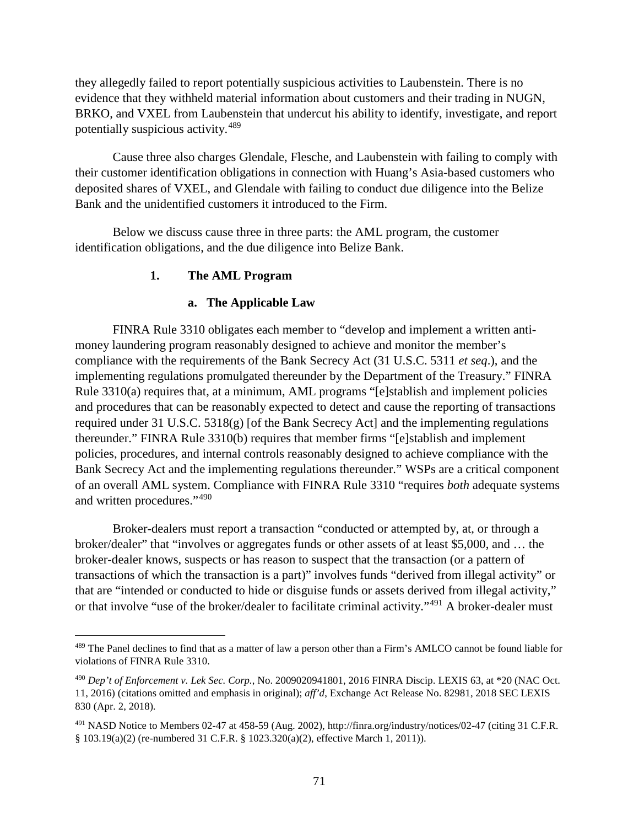they allegedly failed to report potentially suspicious activities to Laubenstein. There is no evidence that they withheld material information about customers and their trading in NUGN, BRKO, and VXEL from Laubenstein that undercut his ability to identify, investigate, and report potentially suspicious activity.[489](#page-76-0)

Cause three also charges Glendale, Flesche, and Laubenstein with failing to comply with their customer identification obligations in connection with Huang's Asia-based customers who deposited shares of VXEL, and Glendale with failing to conduct due diligence into the Belize Bank and the unidentified customers it introduced to the Firm.

Below we discuss cause three in three parts: the AML program, the customer identification obligations, and the due diligence into Belize Bank.

### **1. The AML Program**

### **a. The Applicable Law**

FINRA Rule 3310 obligates each member to "develop and implement a written antimoney laundering program reasonably designed to achieve and monitor the member's compliance with the requirements of the Bank Secrecy Act (31 U.S.C. 5311 *et seq*.), and the implementing regulations promulgated thereunder by the Department of the Treasury." FINRA Rule 3310(a) requires that, at a minimum, AML programs "[e]stablish and implement policies and procedures that can be reasonably expected to detect and cause the reporting of transactions required under 31 U.S.C. 5318(g) [of the Bank Secrecy Act] and the implementing regulations thereunder." FINRA Rule 3310(b) requires that member firms "[e]stablish and implement policies, procedures, and internal controls reasonably designed to achieve compliance with the Bank Secrecy Act and the implementing regulations thereunder." WSPs are a critical component of an overall AML system. Compliance with FINRA Rule 3310 "requires *both* adequate systems and written procedures."[490](#page-76-1)

Broker-dealers must report a transaction "conducted or attempted by, at, or through a broker/dealer" that "involves or aggregates funds or other assets of at least \$5,000, and … the broker-dealer knows, suspects or has reason to suspect that the transaction (or a pattern of transactions of which the transaction is a part)" involves funds "derived from illegal activity" or that are "intended or conducted to hide or disguise funds or assets derived from illegal activity," or that involve "use of the broker/dealer to facilitate criminal activity."<sup>[491](#page-76-2)</sup> A broker-dealer must

<span id="page-76-0"></span><sup>&</sup>lt;sup>489</sup> The Panel declines to find that as a matter of law a person other than a Firm's AMLCO cannot be found liable for violations of FINRA Rule 3310.

<span id="page-76-1"></span><sup>490</sup> *Dep't of Enforcement v. Lek Sec. Corp.*, No. 2009020941801, 2016 FINRA Discip. LEXIS 63, at \*20 (NAC Oct. 11, 2016) (citations omitted and emphasis in original); *aff'd*, Exchange Act Release No. 82981, 2018 SEC LEXIS 830 (Apr. 2, 2018).

<span id="page-76-2"></span><sup>491</sup> NASD Notice to Members 02-47 at 458-59 (Aug. 2002), http://finra.org/industry/notices/02-47 (citing 31 C.F.R. § 103.19(a)(2) (re-numbered 31 C.F.R. § 1023.320(a)(2), effective March 1, 2011)).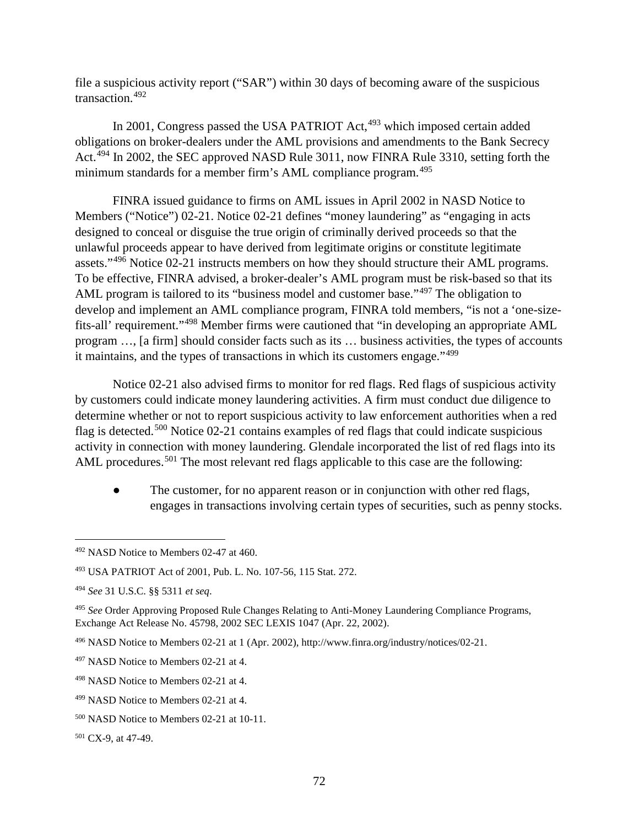file a suspicious activity report ("SAR") within 30 days of becoming aware of the suspicious transaction.[492](#page-77-0)

In 2001, Congress passed the USA PATRIOT Act,<sup>[493](#page-77-1)</sup> which imposed certain added obligations on broker-dealers under the AML provisions and amendments to the Bank Secrecy Act.<sup>[494](#page-77-2)</sup> In 2002, the SEC approved NASD Rule 3011, now FINRA Rule 3310, setting forth the minimum standards for a member firm's AML compliance program.<sup>[495](#page-77-3)</sup>

FINRA issued guidance to firms on AML issues in April 2002 in NASD Notice to Members ("Notice") 02-21. Notice 02-21 defines "money laundering" as "engaging in acts designed to conceal or disguise the true origin of criminally derived proceeds so that the unlawful proceeds appear to have derived from legitimate origins or constitute legitimate assets."[496](#page-77-4) Notice 02-21 instructs members on how they should structure their AML programs. To be effective, FINRA advised, a broker-dealer's AML program must be risk-based so that its AML program is tailored to its "business model and customer base."<sup>[497](#page-77-5)</sup> The obligation to develop and implement an AML compliance program, FINRA told members, "is not a 'one-sizefits-all' requirement."[498](#page-77-6) Member firms were cautioned that "in developing an appropriate AML program …, [a firm] should consider facts such as its … business activities, the types of accounts it maintains, and the types of transactions in which its customers engage."[499](#page-77-7)

Notice 02-21 also advised firms to monitor for red flags. Red flags of suspicious activity by customers could indicate money laundering activities. A firm must conduct due diligence to determine whether or not to report suspicious activity to law enforcement authorities when a red flag is detected.<sup>[500](#page-77-8)</sup> Notice 02-21 contains examples of red flags that could indicate suspicious activity in connection with money laundering. Glendale incorporated the list of red flags into its AML procedures.<sup>[501](#page-77-9)</sup> The most relevant red flags applicable to this case are the following:

The customer, for no apparent reason or in conjunction with other red flags, engages in transactions involving certain types of securities, such as penny stocks.

<span id="page-77-9"></span><sup>501</sup> CX-9, at 47-49.

<span id="page-77-0"></span> <sup>492</sup> NASD Notice to Members 02-47 at 460.

<span id="page-77-1"></span><sup>493</sup> USA PATRIOT Act of 2001, Pub. L. No. 107-56, 115 Stat. 272.

<span id="page-77-2"></span><sup>494</sup> *See* 31 U.S.C. §§ 5311 *et seq*.

<span id="page-77-3"></span><sup>495</sup> *See* Order Approving Proposed Rule Changes Relating to Anti-Money Laundering Compliance Programs, Exchange Act Release No. 45798, 2002 SEC LEXIS 1047 (Apr. 22, 2002).

<span id="page-77-4"></span><sup>496</sup> NASD Notice to Members 02-21 at 1 (Apr. 2002), http://www.finra.org/industry/notices/02-21.

<span id="page-77-5"></span><sup>497</sup> NASD Notice to Members 02-21 at 4.

<span id="page-77-6"></span><sup>498</sup> NASD Notice to Members 02-21 at 4.

<span id="page-77-7"></span><sup>499</sup> NASD Notice to Members 02-21 at 4.

<span id="page-77-8"></span><sup>500</sup> NASD Notice to Members 02-21 at 10-11.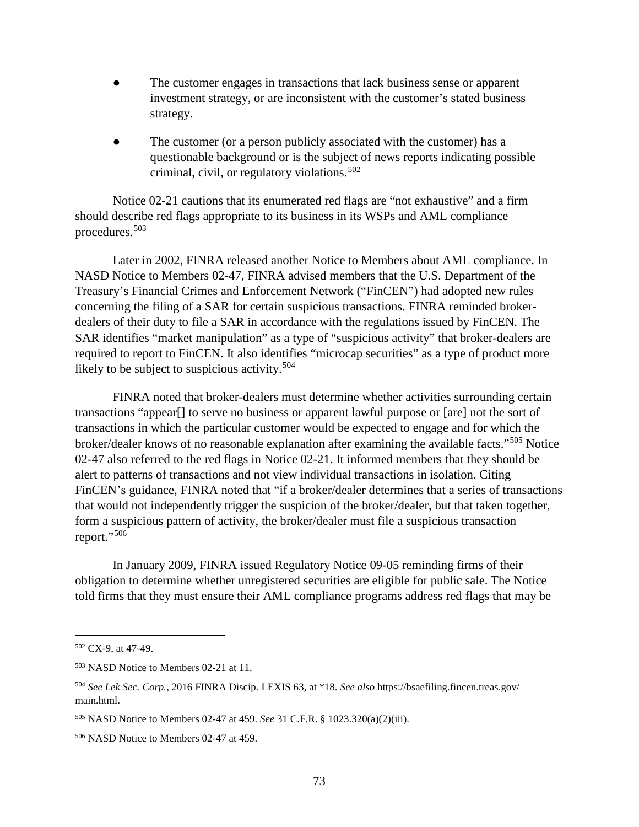- The customer engages in transactions that lack business sense or apparent investment strategy, or are inconsistent with the customer's stated business strategy.
- The customer (or a person publicly associated with the customer) has a questionable background or is the subject of news reports indicating possible criminal, civil, or regulatory violations.  $502$

Notice 02-21 cautions that its enumerated red flags are "not exhaustive" and a firm should describe red flags appropriate to its business in its WSPs and AML compliance procedures.[503](#page-78-1)

Later in 2002, FINRA released another Notice to Members about AML compliance. In NASD Notice to Members 02-47, FINRA advised members that the U.S. Department of the Treasury's Financial Crimes and Enforcement Network ("FinCEN") had adopted new rules concerning the filing of a SAR for certain suspicious transactions. FINRA reminded brokerdealers of their duty to file a SAR in accordance with the regulations issued by FinCEN. The SAR identifies "market manipulation" as a type of "suspicious activity" that broker-dealers are required to report to FinCEN. It also identifies "microcap securities" as a type of product more likely to be subject to suspicious activity.<sup>[504](#page-78-2)</sup>

FINRA noted that broker-dealers must determine whether activities surrounding certain transactions "appear[] to serve no business or apparent lawful purpose or [are] not the sort of transactions in which the particular customer would be expected to engage and for which the broker/dealer knows of no reasonable explanation after examining the available facts."[505](#page-78-3) Notice 02-47 also referred to the red flags in Notice 02-21. It informed members that they should be alert to patterns of transactions and not view individual transactions in isolation. Citing FinCEN's guidance, FINRA noted that "if a broker/dealer determines that a series of transactions that would not independently trigger the suspicion of the broker/dealer, but that taken together, form a suspicious pattern of activity, the broker/dealer must file a suspicious transaction report."<sup>[506](#page-78-4)</sup>

In January 2009, FINRA issued Regulatory Notice 09-05 reminding firms of their obligation to determine whether unregistered securities are eligible for public sale. The Notice told firms that they must ensure their AML compliance programs address red flags that may be

<span id="page-78-0"></span> $502$  CX-9, at 47-49.

<span id="page-78-1"></span><sup>503</sup> NASD Notice to Members 02-21 at 11.

<span id="page-78-2"></span><sup>504</sup> *See Lek Sec. Corp.*, 2016 FINRA Discip. LEXIS 63, at \*18. *See also* https://bsaefiling.fincen.treas.gov/ main.html.

<span id="page-78-3"></span><sup>505</sup> NASD Notice to Members 02-47 at 459. *See* 31 C.F.R. § 1023.320(a)(2)(iii).

<span id="page-78-4"></span><sup>506</sup> NASD Notice to Members 02-47 at 459.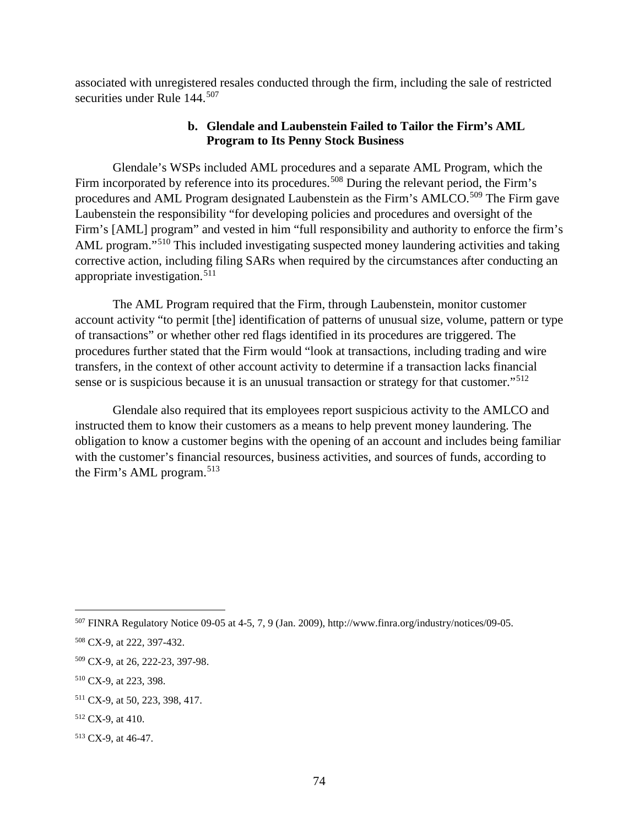associated with unregistered resales conducted through the firm, including the sale of restricted securities under Rule 144.<sup>[507](#page-79-0)</sup>

### **b. Glendale and Laubenstein Failed to Tailor the Firm's AML Program to Its Penny Stock Business**

Glendale's WSPs included AML procedures and a separate AML Program, which the Firm incorporated by reference into its procedures.<sup>[508](#page-79-1)</sup> During the relevant period, the Firm's procedures and AML Program designated Laubenstein as the Firm's AMLCO.<sup>[509](#page-79-2)</sup> The Firm gave Laubenstein the responsibility "for developing policies and procedures and oversight of the Firm's [AML] program" and vested in him "full responsibility and authority to enforce the firm's AML program."<sup>[510](#page-79-3)</sup> This included investigating suspected money laundering activities and taking corrective action, including filing SARs when required by the circumstances after conducting an appropriate investigation.<sup>[511](#page-79-4)</sup>

The AML Program required that the Firm, through Laubenstein, monitor customer account activity "to permit [the] identification of patterns of unusual size, volume, pattern or type of transactions" or whether other red flags identified in its procedures are triggered. The procedures further stated that the Firm would "look at transactions, including trading and wire transfers, in the context of other account activity to determine if a transaction lacks financial sense or is suspicious because it is an unusual transaction or strategy for that customer."<sup>[512](#page-79-5)</sup>

Glendale also required that its employees report suspicious activity to the AMLCO and instructed them to know their customers as a means to help prevent money laundering. The obligation to know a customer begins with the opening of an account and includes being familiar with the customer's financial resources, business activities, and sources of funds, according to the Firm's AML program.<sup>[513](#page-79-6)</sup>

<span id="page-79-0"></span> <sup>507</sup> FINRA Regulatory Notice 09-05 at 4-5, 7, 9 (Jan. 2009), http://www.finra.org/industry/notices/09-05.

<span id="page-79-1"></span><sup>508</sup> CX-9, at 222, 397-432.

<span id="page-79-2"></span><sup>509</sup> CX-9, at 26, 222-23, 397-98.

<span id="page-79-3"></span><sup>510</sup> CX-9, at 223, 398.

<span id="page-79-4"></span><sup>511</sup> CX-9, at 50, 223, 398, 417.

<span id="page-79-5"></span><sup>512</sup> CX-9, at 410.

<span id="page-79-6"></span><sup>513</sup> CX-9, at 46-47.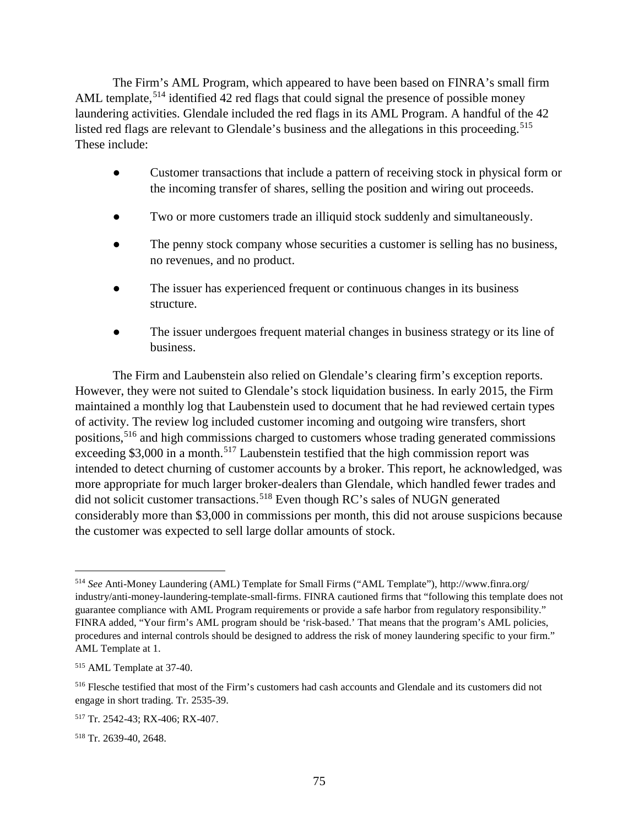The Firm's AML Program, which appeared to have been based on FINRA's small firm AML template,<sup>[514](#page-80-0)</sup> identified 42 red flags that could signal the presence of possible money laundering activities. Glendale included the red flags in its AML Program. A handful of the 42 listed red flags are relevant to Glendale's business and the allegations in this proceeding. [515](#page-80-1) These include:

- Customer transactions that include a pattern of receiving stock in physical form or the incoming transfer of shares, selling the position and wiring out proceeds.
- Two or more customers trade an illiquid stock suddenly and simultaneously.
- The penny stock company whose securities a customer is selling has no business, no revenues, and no product.
- The issuer has experienced frequent or continuous changes in its business structure.
- The issuer undergoes frequent material changes in business strategy or its line of business.

The Firm and Laubenstein also relied on Glendale's clearing firm's exception reports. However, they were not suited to Glendale's stock liquidation business. In early 2015, the Firm maintained a monthly log that Laubenstein used to document that he had reviewed certain types of activity. The review log included customer incoming and outgoing wire transfers, short positions,[516](#page-80-2) and high commissions charged to customers whose trading generated commissions exceeding \$3,000 in a month.<sup>[517](#page-80-3)</sup> Laubenstein testified that the high commission report was intended to detect churning of customer accounts by a broker. This report, he acknowledged, was more appropriate for much larger broker-dealers than Glendale, which handled fewer trades and did not solicit customer transactions. [518](#page-80-4) Even though RC's sales of NUGN generated considerably more than \$3,000 in commissions per month, this did not arouse suspicions because the customer was expected to sell large dollar amounts of stock.

<span id="page-80-0"></span> <sup>514</sup> *See* Anti-Money Laundering (AML) Template for Small Firms ("AML Template"), http://www.finra.org/ industry/anti-money-laundering-template-small-firms. FINRA cautioned firms that "following this template does not guarantee compliance with AML Program requirements or provide a safe harbor from regulatory responsibility." FINRA added, "Your firm's AML program should be 'risk-based.' That means that the program's AML policies, procedures and internal controls should be designed to address the risk of money laundering specific to your firm." AML Template at 1.

<span id="page-80-1"></span><sup>515</sup> AML Template at 37-40.

<span id="page-80-2"></span><sup>516</sup> Flesche testified that most of the Firm's customers had cash accounts and Glendale and its customers did not engage in short trading. Tr. 2535-39.

<span id="page-80-3"></span><sup>517</sup> Tr. 2542-43; RX-406; RX-407.

<span id="page-80-4"></span><sup>518</sup> Tr. 2639-40, 2648.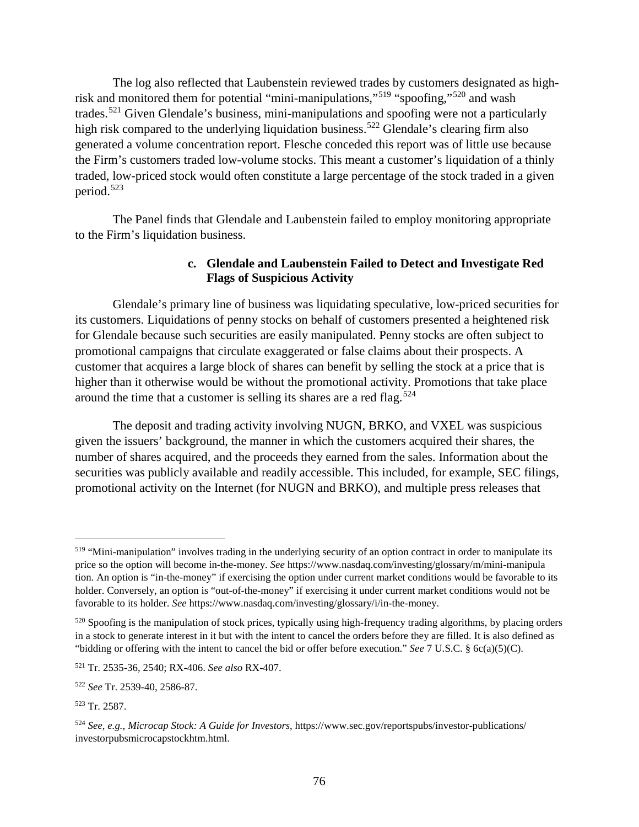The log also reflected that Laubenstein reviewed trades by customers designated as highrisk and monitored them for potential "mini-manipulations,"[519](#page-81-0) "spoofing,"[520](#page-81-1) and wash trades.[521](#page-81-2) Given Glendale's business, mini-manipulations and spoofing were not a particularly high risk compared to the underlying liquidation business.<sup>[522](#page-81-3)</sup> Glendale's clearing firm also generated a volume concentration report. Flesche conceded this report was of little use because the Firm's customers traded low-volume stocks. This meant a customer's liquidation of a thinly traded, low-priced stock would often constitute a large percentage of the stock traded in a given period. [523](#page-81-4)

The Panel finds that Glendale and Laubenstein failed to employ monitoring appropriate to the Firm's liquidation business.

## **c. Glendale and Laubenstein Failed to Detect and Investigate Red Flags of Suspicious Activity**

Glendale's primary line of business was liquidating speculative, low-priced securities for its customers. Liquidations of penny stocks on behalf of customers presented a heightened risk for Glendale because such securities are easily manipulated. Penny stocks are often subject to promotional campaigns that circulate exaggerated or false claims about their prospects. A customer that acquires a large block of shares can benefit by selling the stock at a price that is higher than it otherwise would be without the promotional activity. Promotions that take place around the time that a customer is selling its shares are a red flag.<sup>[524](#page-81-5)</sup>

The deposit and trading activity involving NUGN, BRKO, and VXEL was suspicious given the issuers' background, the manner in which the customers acquired their shares, the number of shares acquired, and the proceeds they earned from the sales. Information about the securities was publicly available and readily accessible. This included, for example, SEC filings, promotional activity on the Internet (for NUGN and BRKO), and multiple press releases that

<span id="page-81-0"></span> <sup>519</sup> "Mini-manipulation" involves trading in the underlying security of an option contract in order to manipulate its price so the option will become in-the-money. *See* https://www.nasdaq.com/investing/glossary/m/mini-manipula tion. An option is "in-the-money" if exercising the option under current market conditions would be favorable to its holder. Conversely, an option is "out-of-the-money" if exercising it under current market conditions would not be favorable to its holder. *See* https://www.nasdaq.com/investing/glossary/i/in-the-money.

<span id="page-81-1"></span><sup>520</sup> Spoofing is the manipulation of stock prices, typically using high-frequency trading algorithms, by placing orders in a stock to generate interest in it but with the intent to cancel the orders before they are filled. It is also defined as "bidding or offering with the intent to cancel the bid or offer before execution." *See* 7 U.S.C. § 6c(a)(5)(C).

<span id="page-81-2"></span><sup>521</sup> Tr. 2535-36, 2540; RX-406. *See also* RX-407.

<span id="page-81-3"></span><sup>522</sup> *See* Tr. 2539-40, 2586-87.

<span id="page-81-4"></span><sup>523</sup> Tr. 2587.

<span id="page-81-5"></span><sup>524</sup> *See, e.g.*, *Microcap Stock: A Guide for Investors*, https://www.sec.gov/reportspubs/investor-publications/ investorpubsmicrocapstockhtm.html.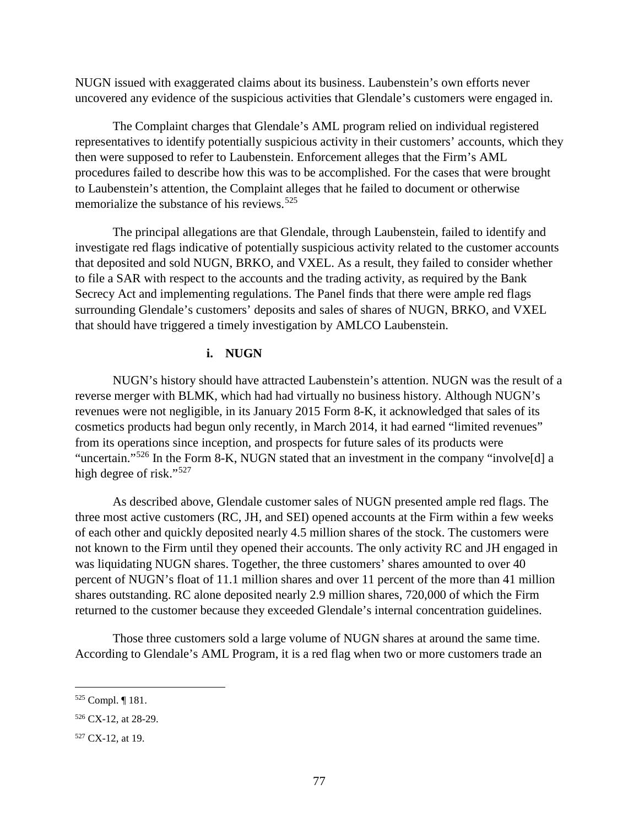NUGN issued with exaggerated claims about its business. Laubenstein's own efforts never uncovered any evidence of the suspicious activities that Glendale's customers were engaged in.

The Complaint charges that Glendale's AML program relied on individual registered representatives to identify potentially suspicious activity in their customers' accounts, which they then were supposed to refer to Laubenstein. Enforcement alleges that the Firm's AML procedures failed to describe how this was to be accomplished. For the cases that were brought to Laubenstein's attention, the Complaint alleges that he failed to document or otherwise memorialize the substance of his reviews.<sup>[525](#page-82-0)</sup>

The principal allegations are that Glendale, through Laubenstein, failed to identify and investigate red flags indicative of potentially suspicious activity related to the customer accounts that deposited and sold NUGN, BRKO, and VXEL. As a result, they failed to consider whether to file a SAR with respect to the accounts and the trading activity, as required by the Bank Secrecy Act and implementing regulations. The Panel finds that there were ample red flags surrounding Glendale's customers' deposits and sales of shares of NUGN, BRKO, and VXEL that should have triggered a timely investigation by AMLCO Laubenstein.

### **i. NUGN**

NUGN's history should have attracted Laubenstein's attention. NUGN was the result of a reverse merger with BLMK, which had had virtually no business history. Although NUGN's revenues were not negligible, in its January 2015 Form 8-K, it acknowledged that sales of its cosmetics products had begun only recently, in March 2014, it had earned "limited revenues" from its operations since inception, and prospects for future sales of its products were "uncertain."<sup>[526](#page-82-1)</sup> In the Form 8-K, NUGN stated that an investment in the company "involve<sup>[d]</sup> a high degree of risk."<sup>[527](#page-82-2)</sup>

As described above, Glendale customer sales of NUGN presented ample red flags. The three most active customers (RC, JH, and SEI) opened accounts at the Firm within a few weeks of each other and quickly deposited nearly 4.5 million shares of the stock. The customers were not known to the Firm until they opened their accounts. The only activity RC and JH engaged in was liquidating NUGN shares. Together, the three customers' shares amounted to over 40 percent of NUGN's float of 11.1 million shares and over 11 percent of the more than 41 million shares outstanding. RC alone deposited nearly 2.9 million shares, 720,000 of which the Firm returned to the customer because they exceeded Glendale's internal concentration guidelines.

Those three customers sold a large volume of NUGN shares at around the same time. According to Glendale's AML Program, it is a red flag when two or more customers trade an

<span id="page-82-0"></span> <sup>525</sup> Compl. ¶ 181.

<span id="page-82-1"></span><sup>&</sup>lt;sup>526</sup> CX-12, at 28-29.

<span id="page-82-2"></span><sup>527</sup> CX-12, at 19.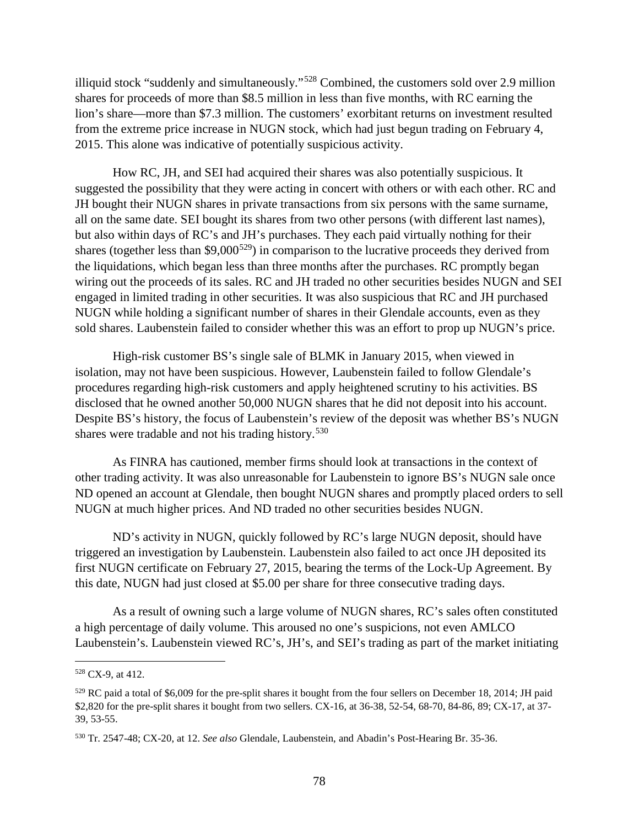illiquid stock "suddenly and simultaneously."[528](#page-83-0) Combined, the customers sold over 2.9 million shares for proceeds of more than \$8.5 million in less than five months, with RC earning the lion's share—more than \$7.3 million. The customers' exorbitant returns on investment resulted from the extreme price increase in NUGN stock, which had just begun trading on February 4, 2015. This alone was indicative of potentially suspicious activity.

How RC, JH, and SEI had acquired their shares was also potentially suspicious. It suggested the possibility that they were acting in concert with others or with each other. RC and JH bought their NUGN shares in private transactions from six persons with the same surname, all on the same date. SEI bought its shares from two other persons (with different last names), but also within days of RC's and JH's purchases. They each paid virtually nothing for their shares (together less than  $$9,000^{529}$ ) in comparison to the lucrative proceeds they derived from the liquidations, which began less than three months after the purchases. RC promptly began wiring out the proceeds of its sales. RC and JH traded no other securities besides NUGN and SEI engaged in limited trading in other securities. It was also suspicious that RC and JH purchased NUGN while holding a significant number of shares in their Glendale accounts, even as they sold shares. Laubenstein failed to consider whether this was an effort to prop up NUGN's price.

High-risk customer BS's single sale of BLMK in January 2015, when viewed in isolation, may not have been suspicious. However, Laubenstein failed to follow Glendale's procedures regarding high-risk customers and apply heightened scrutiny to his activities. BS disclosed that he owned another 50,000 NUGN shares that he did not deposit into his account. Despite BS's history, the focus of Laubenstein's review of the deposit was whether BS's NUGN shares were tradable and not his trading history.<sup>[530](#page-83-2)</sup>

As FINRA has cautioned, member firms should look at transactions in the context of other trading activity. It was also unreasonable for Laubenstein to ignore BS's NUGN sale once ND opened an account at Glendale, then bought NUGN shares and promptly placed orders to sell NUGN at much higher prices. And ND traded no other securities besides NUGN.

ND's activity in NUGN, quickly followed by RC's large NUGN deposit, should have triggered an investigation by Laubenstein. Laubenstein also failed to act once JH deposited its first NUGN certificate on February 27, 2015, bearing the terms of the Lock-Up Agreement. By this date, NUGN had just closed at \$5.00 per share for three consecutive trading days.

As a result of owning such a large volume of NUGN shares, RC's sales often constituted a high percentage of daily volume. This aroused no one's suspicions, not even AMLCO Laubenstein's. Laubenstein viewed RC's, JH's, and SEI's trading as part of the market initiating

<span id="page-83-0"></span> <sup>528</sup> CX-9, at 412.

<span id="page-83-1"></span> $529$  RC paid a total of \$6,009 for the pre-split shares it bought from the four sellers on December 18, 2014; JH paid \$2,820 for the pre-split shares it bought from two sellers. CX-16, at 36-38, 52-54, 68-70, 84-86, 89; CX-17, at 37- 39, 53-55.

<span id="page-83-2"></span><sup>530</sup> Tr. 2547-48; CX-20, at 12. *See also* Glendale, Laubenstein, and Abadin's Post-Hearing Br. 35-36.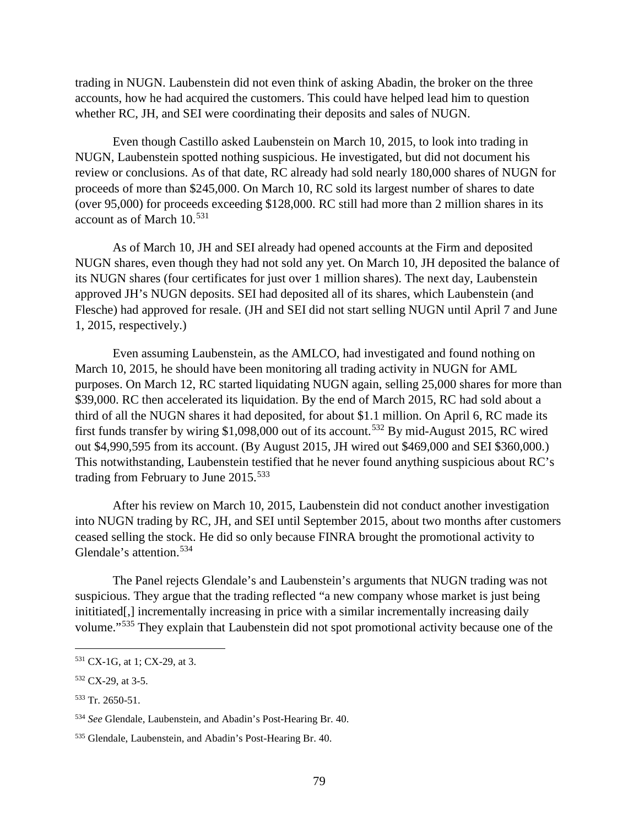trading in NUGN. Laubenstein did not even think of asking Abadin, the broker on the three accounts, how he had acquired the customers. This could have helped lead him to question whether RC, JH, and SEI were coordinating their deposits and sales of NUGN.

Even though Castillo asked Laubenstein on March 10, 2015, to look into trading in NUGN, Laubenstein spotted nothing suspicious. He investigated, but did not document his review or conclusions. As of that date, RC already had sold nearly 180,000 shares of NUGN for proceeds of more than \$245,000. On March 10, RC sold its largest number of shares to date (over 95,000) for proceeds exceeding \$128,000. RC still had more than 2 million shares in its account as of March 10.<sup>[531](#page-84-0)</sup>

As of March 10, JH and SEI already had opened accounts at the Firm and deposited NUGN shares, even though they had not sold any yet. On March 10, JH deposited the balance of its NUGN shares (four certificates for just over 1 million shares). The next day, Laubenstein approved JH's NUGN deposits. SEI had deposited all of its shares, which Laubenstein (and Flesche) had approved for resale. (JH and SEI did not start selling NUGN until April 7 and June 1, 2015, respectively.)

Even assuming Laubenstein, as the AMLCO, had investigated and found nothing on March 10, 2015, he should have been monitoring all trading activity in NUGN for AML purposes. On March 12, RC started liquidating NUGN again, selling 25,000 shares for more than \$39,000. RC then accelerated its liquidation. By the end of March 2015, RC had sold about a third of all the NUGN shares it had deposited, for about \$1.1 million. On April 6, RC made its first funds transfer by wiring \$1,098,000 out of its account.[532](#page-84-1) By mid-August 2015, RC wired out \$4,990,595 from its account. (By August 2015, JH wired out \$469,000 and SEI \$360,000.) This notwithstanding, Laubenstein testified that he never found anything suspicious about RC's trading from February to June 2015.<sup>[533](#page-84-2)</sup>

After his review on March 10, 2015, Laubenstein did not conduct another investigation into NUGN trading by RC, JH, and SEI until September 2015, about two months after customers ceased selling the stock. He did so only because FINRA brought the promotional activity to Glendale's attention.[534](#page-84-3) 

The Panel rejects Glendale's and Laubenstein's arguments that NUGN trading was not suspicious. They argue that the trading reflected "a new company whose market is just being inititiated. I incrementally increasing in price with a similar incrementally increasing daily volume."[535](#page-84-4) They explain that Laubenstein did not spot promotional activity because one of the

<span id="page-84-0"></span> <sup>531</sup> CX-1G, at 1; CX-29, at 3.

<span id="page-84-1"></span><sup>&</sup>lt;sup>532</sup> CX-29, at 3-5.

<span id="page-84-2"></span><sup>533</sup> Tr. 2650-51.

<span id="page-84-3"></span><sup>534</sup> *See* Glendale, Laubenstein, and Abadin's Post-Hearing Br. 40.

<span id="page-84-4"></span><sup>535</sup> Glendale, Laubenstein, and Abadin's Post-Hearing Br. 40.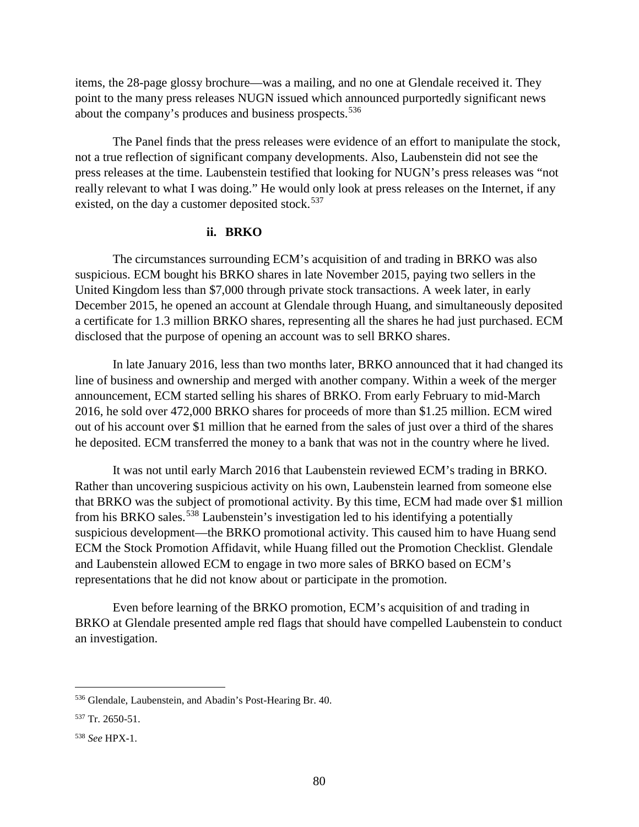items, the 28-page glossy brochure—was a mailing, and no one at Glendale received it. They point to the many press releases NUGN issued which announced purportedly significant news about the company's produces and business prospects.<sup>[536](#page-85-0)</sup>

The Panel finds that the press releases were evidence of an effort to manipulate the stock, not a true reflection of significant company developments. Also, Laubenstein did not see the press releases at the time. Laubenstein testified that looking for NUGN's press releases was "not really relevant to what I was doing." He would only look at press releases on the Internet, if any existed, on the day a customer deposited stock.<sup>[537](#page-85-1)</sup>

### **ii. BRKO**

The circumstances surrounding ECM's acquisition of and trading in BRKO was also suspicious. ECM bought his BRKO shares in late November 2015, paying two sellers in the United Kingdom less than \$7,000 through private stock transactions. A week later, in early December 2015, he opened an account at Glendale through Huang, and simultaneously deposited a certificate for 1.3 million BRKO shares, representing all the shares he had just purchased. ECM disclosed that the purpose of opening an account was to sell BRKO shares.

In late January 2016, less than two months later, BRKO announced that it had changed its line of business and ownership and merged with another company. Within a week of the merger announcement, ECM started selling his shares of BRKO. From early February to mid-March 2016, he sold over 472,000 BRKO shares for proceeds of more than \$1.25 million. ECM wired out of his account over \$1 million that he earned from the sales of just over a third of the shares he deposited. ECM transferred the money to a bank that was not in the country where he lived.

It was not until early March 2016 that Laubenstein reviewed ECM's trading in BRKO. Rather than uncovering suspicious activity on his own, Laubenstein learned from someone else that BRKO was the subject of promotional activity. By this time, ECM had made over \$1 million from his BRKO sales.<sup>[538](#page-85-2)</sup> Laubenstein's investigation led to his identifying a potentially suspicious development—the BRKO promotional activity. This caused him to have Huang send ECM the Stock Promotion Affidavit, while Huang filled out the Promotion Checklist. Glendale and Laubenstein allowed ECM to engage in two more sales of BRKO based on ECM's representations that he did not know about or participate in the promotion.

Even before learning of the BRKO promotion, ECM's acquisition of and trading in BRKO at Glendale presented ample red flags that should have compelled Laubenstein to conduct an investigation.

<span id="page-85-0"></span> <sup>536</sup> Glendale, Laubenstein, and Abadin's Post-Hearing Br. 40.

<span id="page-85-1"></span><sup>537</sup> Tr. 2650-51.

<span id="page-85-2"></span><sup>538</sup> *See* HPX-1.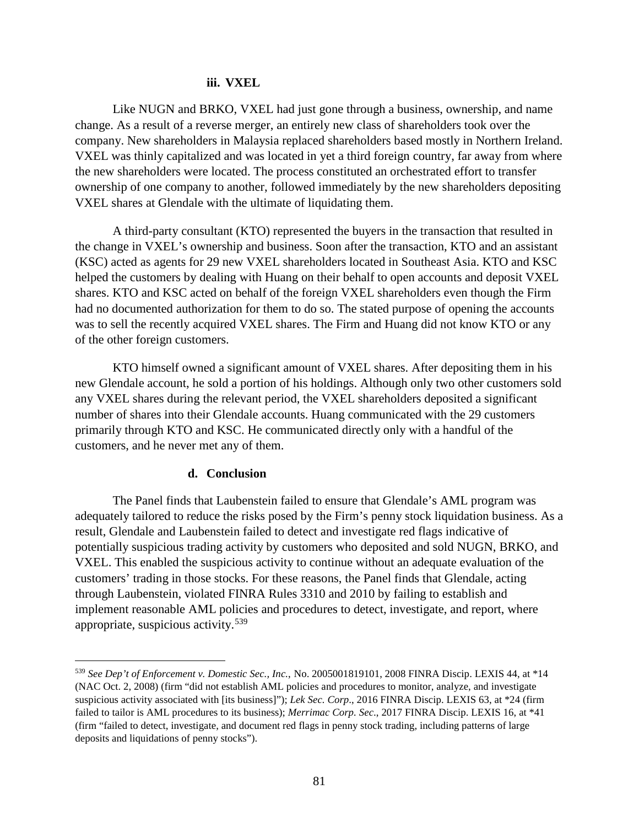### **iii. VXEL**

Like NUGN and BRKO, VXEL had just gone through a business, ownership, and name change. As a result of a reverse merger, an entirely new class of shareholders took over the company. New shareholders in Malaysia replaced shareholders based mostly in Northern Ireland. VXEL was thinly capitalized and was located in yet a third foreign country, far away from where the new shareholders were located. The process constituted an orchestrated effort to transfer ownership of one company to another, followed immediately by the new shareholders depositing VXEL shares at Glendale with the ultimate of liquidating them.

A third-party consultant (KTO) represented the buyers in the transaction that resulted in the change in VXEL's ownership and business. Soon after the transaction, KTO and an assistant (KSC) acted as agents for 29 new VXEL shareholders located in Southeast Asia. KTO and KSC helped the customers by dealing with Huang on their behalf to open accounts and deposit VXEL shares. KTO and KSC acted on behalf of the foreign VXEL shareholders even though the Firm had no documented authorization for them to do so. The stated purpose of opening the accounts was to sell the recently acquired VXEL shares. The Firm and Huang did not know KTO or any of the other foreign customers.

KTO himself owned a significant amount of VXEL shares. After depositing them in his new Glendale account, he sold a portion of his holdings. Although only two other customers sold any VXEL shares during the relevant period, the VXEL shareholders deposited a significant number of shares into their Glendale accounts. Huang communicated with the 29 customers primarily through KTO and KSC. He communicated directly only with a handful of the customers, and he never met any of them.

### **d. Conclusion**

The Panel finds that Laubenstein failed to ensure that Glendale's AML program was adequately tailored to reduce the risks posed by the Firm's penny stock liquidation business. As a result, Glendale and Laubenstein failed to detect and investigate red flags indicative of potentially suspicious trading activity by customers who deposited and sold NUGN, BRKO, and VXEL. This enabled the suspicious activity to continue without an adequate evaluation of the customers' trading in those stocks. For these reasons, the Panel finds that Glendale, acting through Laubenstein, violated FINRA Rules 3310 and 2010 by failing to establish and implement reasonable AML policies and procedures to detect, investigate, and report, where appropriate, suspicious activity.[539](#page-86-0)

<span id="page-86-0"></span> <sup>539</sup> *See Dep't of Enforcement v. Domestic Sec., Inc.*, No. 2005001819101, 2008 FINRA Discip. LEXIS 44, at \*14 (NAC Oct. 2, 2008) (firm "did not establish AML policies and procedures to monitor, analyze, and investigate suspicious activity associated with [its business]"); *Lek Sec. Corp*., 2016 FINRA Discip. LEXIS 63, at \*24 (firm failed to tailor is AML procedures to its business); *Merrimac Corp. Sec*., 2017 FINRA Discip. LEXIS 16, at \*41 (firm "failed to detect, investigate, and document red flags in penny stock trading, including patterns of large deposits and liquidations of penny stocks").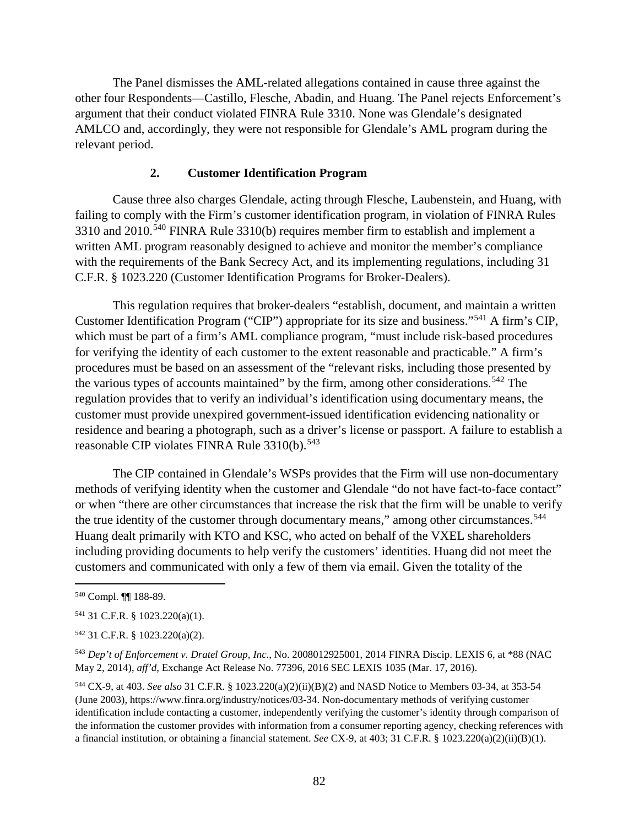The Panel dismisses the AML-related allegations contained in cause three against the other four Respondents—Castillo, Flesche, Abadin, and Huang. The Panel rejects Enforcement's argument that their conduct violated FINRA Rule 3310. None was Glendale's designated AMLCO and, accordingly, they were not responsible for Glendale's AML program during the relevant period.

### **2. Customer Identification Program**

Cause three also charges Glendale, acting through Flesche, Laubenstein, and Huang, with failing to comply with the Firm's customer identification program, in violation of FINRA Rules 3310 and 2010.<sup>[540](#page-87-0)</sup> FINRA Rule 3310(b) requires member firm to establish and implement a written AML program reasonably designed to achieve and monitor the member's compliance with the requirements of the Bank Secrecy Act, and its implementing regulations, including 31 C.F.R. § 1023.220 (Customer Identification Programs for Broker-Dealers).

This regulation requires that broker-dealers "establish, document, and maintain a written Customer Identification Program ("CIP") appropriate for its size and business."[541](#page-87-1) A firm's CIP, which must be part of a firm's AML compliance program, "must include risk-based procedures for verifying the identity of each customer to the extent reasonable and practicable." A firm's procedures must be based on an assessment of the "relevant risks, including those presented by the various types of accounts maintained" by the firm, among other considerations.<sup>[542](#page-87-2)</sup> The regulation provides that to verify an individual's identification using documentary means, the customer must provide unexpired government-issued identification evidencing nationality or residence and bearing a photograph, such as a driver's license or passport. A failure to establish a reasonable CIP violates FINRA Rule 3310(b).<sup>[543](#page-87-3)</sup>

The CIP contained in Glendale's WSPs provides that the Firm will use non-documentary methods of verifying identity when the customer and Glendale "do not have fact-to-face contact" or when "there are other circumstances that increase the risk that the firm will be unable to verify the true identity of the customer through documentary means," among other circumstances.<sup>[544](#page-87-4)</sup> Huang dealt primarily with KTO and KSC, who acted on behalf of the VXEL shareholders including providing documents to help verify the customers' identities. Huang did not meet the customers and communicated with only a few of them via email. Given the totality of the

<span id="page-87-0"></span> <sup>540</sup> Compl. ¶¶ 188-89.

<span id="page-87-1"></span><sup>541</sup> 31 C.F.R. § 1023.220(a)(1).

<span id="page-87-2"></span><sup>542</sup> 31 C.F.R. § 1023.220(a)(2).

<span id="page-87-3"></span><sup>543</sup> *Dep't of Enforcement v. Dratel Group, Inc.*, No. 2008012925001, 2014 FINRA Discip. LEXIS 6, at \*88 (NAC May 2, 2014), *aff'd*, Exchange Act Release No. 77396, 2016 SEC LEXIS 1035 (Mar. 17, 2016).

<span id="page-87-4"></span><sup>544</sup> CX-9, at 403. *See also* 31 C.F.R. § 1023.220(a)(2)(ii)(B)(2) and NASD Notice to Members 03-34, at 353-54 (June 2003), https://www.finra.org/industry/notices/03-34. Non-documentary methods of verifying customer identification include contacting a customer, independently verifying the customer's identity through comparison of the information the customer provides with information from a consumer reporting agency, checking references with a financial institution, or obtaining a financial statement. *See* CX-9, at 403; 31 C.F.R. § 1023.220(a)(2)(ii)(B)(1).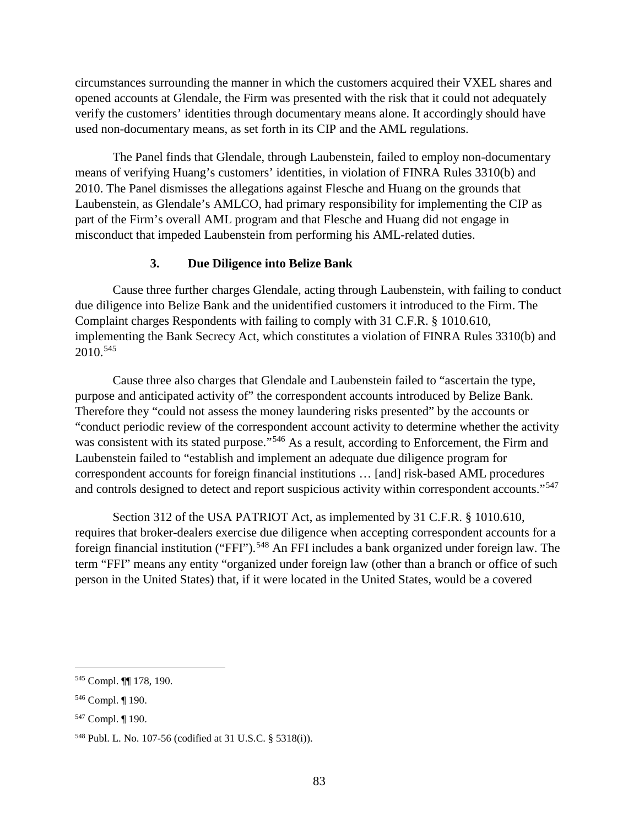circumstances surrounding the manner in which the customers acquired their VXEL shares and opened accounts at Glendale, the Firm was presented with the risk that it could not adequately verify the customers' identities through documentary means alone. It accordingly should have used non-documentary means, as set forth in its CIP and the AML regulations.

The Panel finds that Glendale, through Laubenstein, failed to employ non-documentary means of verifying Huang's customers' identities, in violation of FINRA Rules 3310(b) and 2010. The Panel dismisses the allegations against Flesche and Huang on the grounds that Laubenstein, as Glendale's AMLCO, had primary responsibility for implementing the CIP as part of the Firm's overall AML program and that Flesche and Huang did not engage in misconduct that impeded Laubenstein from performing his AML-related duties.

### **3. Due Diligence into Belize Bank**

Cause three further charges Glendale, acting through Laubenstein, with failing to conduct due diligence into Belize Bank and the unidentified customers it introduced to the Firm. The Complaint charges Respondents with failing to comply with 31 C.F.R. § 1010.610, implementing the Bank Secrecy Act, which constitutes a violation of FINRA Rules 3310(b) and 2010.[545](#page-88-0) 

Cause three also charges that Glendale and Laubenstein failed to "ascertain the type, purpose and anticipated activity of" the correspondent accounts introduced by Belize Bank. Therefore they "could not assess the money laundering risks presented" by the accounts or "conduct periodic review of the correspondent account activity to determine whether the activity was consistent with its stated purpose."<sup>[546](#page-88-1)</sup> As a result, according to Enforcement, the Firm and Laubenstein failed to "establish and implement an adequate due diligence program for correspondent accounts for foreign financial institutions … [and] risk-based AML procedures and controls designed to detect and report suspicious activity within correspondent accounts."<sup>[547](#page-88-2)</sup>

Section 312 of the USA PATRIOT Act, as implemented by 31 C.F.R. § 1010.610, requires that broker-dealers exercise due diligence when accepting correspondent accounts for a foreign financial institution ("FFI").<sup>[548](#page-88-3)</sup> An FFI includes a bank organized under foreign law. The term "FFI" means any entity "organized under foreign law (other than a branch or office of such person in the United States) that, if it were located in the United States, would be a covered

<span id="page-88-0"></span> <sup>545</sup> Compl. ¶¶ 178, 190.

<span id="page-88-1"></span><sup>546</sup> Compl. ¶ 190.

<span id="page-88-2"></span><sup>547</sup> Compl. ¶ 190.

<span id="page-88-3"></span><sup>548</sup> Publ. L. No. 107-56 (codified at 31 U.S.C. § 5318(i)).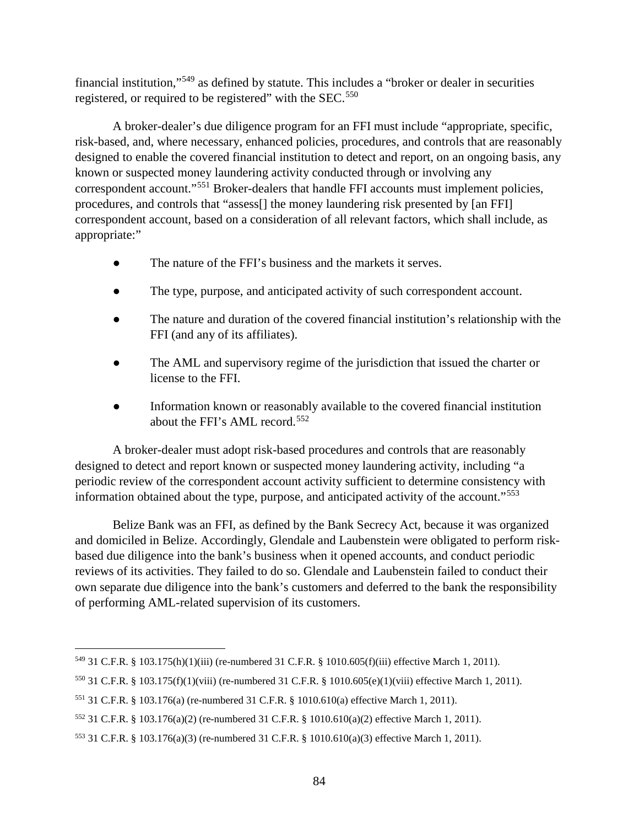financial institution,"[549](#page-89-0) as defined by statute. This includes a "broker or dealer in securities registered, or required to be registered" with the SEC.<sup>[550](#page-89-1)</sup>

A broker-dealer's due diligence program for an FFI must include "appropriate, specific, risk-based, and, where necessary, enhanced policies, procedures, and controls that are reasonably designed to enable the covered financial institution to detect and report, on an ongoing basis, any known or suspected money laundering activity conducted through or involving any correspondent account."[551](#page-89-2) Broker-dealers that handle FFI accounts must implement policies, procedures, and controls that "assess[] the money laundering risk presented by [an FFI] correspondent account, based on a consideration of all relevant factors, which shall include, as appropriate:"

- The nature of the FFI's business and the markets it serves.
- The type, purpose, and anticipated activity of such correspondent account.
- The nature and duration of the covered financial institution's relationship with the FFI (and any of its affiliates).
- The AML and supervisory regime of the jurisdiction that issued the charter or license to the FFI.
- Information known or reasonably available to the covered financial institution about the FFI's AML record.[552](#page-89-3)

A broker-dealer must adopt risk-based procedures and controls that are reasonably designed to detect and report known or suspected money laundering activity, including "a periodic review of the correspondent account activity sufficient to determine consistency with information obtained about the type, purpose, and anticipated activity of the account."[553](#page-89-4)

Belize Bank was an FFI, as defined by the Bank Secrecy Act, because it was organized and domiciled in Belize. Accordingly, Glendale and Laubenstein were obligated to perform riskbased due diligence into the bank's business when it opened accounts, and conduct periodic reviews of its activities. They failed to do so. Glendale and Laubenstein failed to conduct their own separate due diligence into the bank's customers and deferred to the bank the responsibility of performing AML-related supervision of its customers.

<span id="page-89-0"></span> <sup>549</sup> 31 C.F.R. § 103.175(h)(1)(iii) (re-numbered 31 C.F.R. § 1010.605(f)(iii) effective March 1, 2011).

<span id="page-89-1"></span><sup>550</sup> 31 C.F.R. § 103.175(f)(1)(viii) (re-numbered 31 C.F.R. § 1010.605(e)(1)(viii) effective March 1, 2011).

<span id="page-89-2"></span><sup>551</sup> 31 C.F.R. § 103.176(a) (re-numbered 31 C.F.R. § 1010.610(a) effective March 1, 2011).

<span id="page-89-3"></span><sup>552</sup> 31 C.F.R. § 103.176(a)(2) (re-numbered 31 C.F.R. § 1010.610(a)(2) effective March 1, 2011).

<span id="page-89-4"></span><sup>553</sup> 31 C.F.R. § 103.176(a)(3) (re-numbered 31 C.F.R. § 1010.610(a)(3) effective March 1, 2011).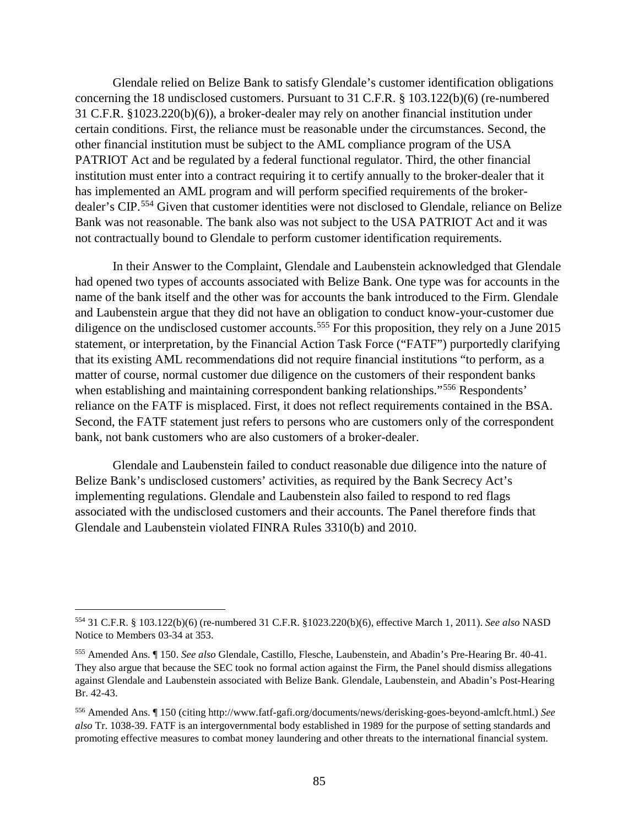Glendale relied on Belize Bank to satisfy Glendale's customer identification obligations concerning the 18 undisclosed customers. Pursuant to 31 C.F.R. § 103.122(b)(6) (re-numbered 31 C.F.R. §1023.220(b)(6)), a broker-dealer may rely on another financial institution under certain conditions. First, the reliance must be reasonable under the circumstances. Second, the other financial institution must be subject to the AML compliance program of the USA PATRIOT Act and be regulated by a federal functional regulator. Third, the other financial institution must enter into a contract requiring it to certify annually to the broker-dealer that it has implemented an AML program and will perform specified requirements of the broker-dealer's CIP.<sup>[554](#page-90-0)</sup> Given that customer identities were not disclosed to Glendale, reliance on Belize Bank was not reasonable. The bank also was not subject to the USA PATRIOT Act and it was not contractually bound to Glendale to perform customer identification requirements.

In their Answer to the Complaint, Glendale and Laubenstein acknowledged that Glendale had opened two types of accounts associated with Belize Bank. One type was for accounts in the name of the bank itself and the other was for accounts the bank introduced to the Firm. Glendale and Laubenstein argue that they did not have an obligation to conduct know-your-customer due diligence on the undisclosed customer accounts.<sup>[555](#page-90-1)</sup> For this proposition, they rely on a June 2015 statement, or interpretation, by the Financial Action Task Force ("FATF") purportedly clarifying that its existing AML recommendations did not require financial institutions "to perform, as a matter of course, normal customer due diligence on the customers of their respondent banks when establishing and maintaining correspondent banking relationships."<sup>[556](#page-90-2)</sup> Respondents' reliance on the FATF is misplaced. First, it does not reflect requirements contained in the BSA. Second, the FATF statement just refers to persons who are customers only of the correspondent bank, not bank customers who are also customers of a broker-dealer.

Glendale and Laubenstein failed to conduct reasonable due diligence into the nature of Belize Bank's undisclosed customers' activities, as required by the Bank Secrecy Act's implementing regulations. Glendale and Laubenstein also failed to respond to red flags associated with the undisclosed customers and their accounts. The Panel therefore finds that Glendale and Laubenstein violated FINRA Rules 3310(b) and 2010.

<span id="page-90-0"></span> <sup>554</sup> 31 C.F.R. § 103.122(b)(6) (re-numbered 31 C.F.R. §1023.220(b)(6), effective March 1, 2011). *See also* NASD Notice to Members 03-34 at 353.

<span id="page-90-1"></span><sup>555</sup> Amended Ans. ¶ 150. *See also* Glendale, Castillo, Flesche, Laubenstein, and Abadin's Pre-Hearing Br. 40-41. They also argue that because the SEC took no formal action against the Firm, the Panel should dismiss allegations against Glendale and Laubenstein associated with Belize Bank. Glendale, Laubenstein, and Abadin's Post-Hearing Br. 42-43.

<span id="page-90-2"></span><sup>556</sup> Amended Ans. ¶ 150 (citing http://www.fatf-gafi.org/documents/news/derisking-goes-beyond-amlcft.html.) *See also* Tr. 1038-39. FATF is an intergovernmental body established in 1989 for the purpose of setting standards and promoting effective measures to combat money laundering and other threats to the international financial system.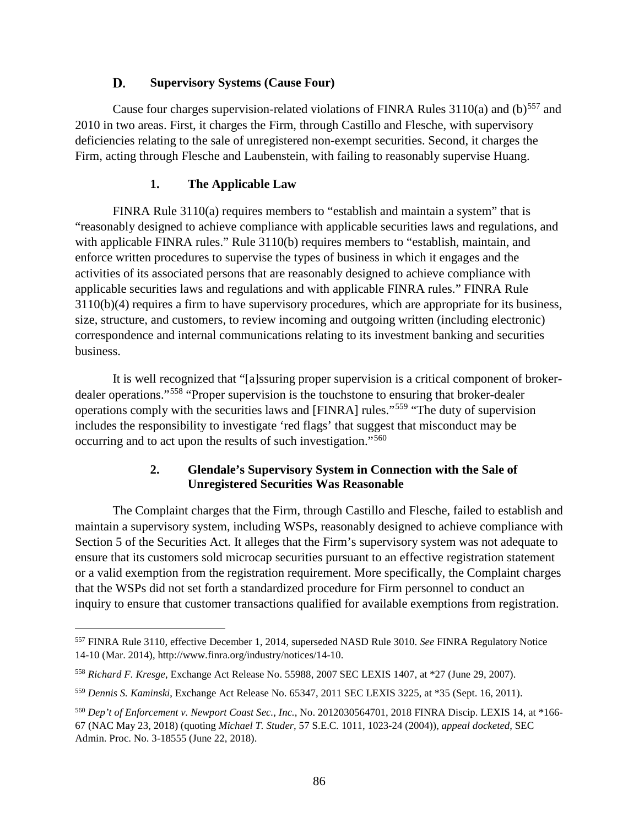#### D. **Supervisory Systems (Cause Four)**

Cause four charges supervision-related violations of FINRA Rules  $3110(a)$  and (b)<sup>[557](#page-91-0)</sup> and 2010 in two areas. First, it charges the Firm, through Castillo and Flesche, with supervisory deficiencies relating to the sale of unregistered non-exempt securities. Second, it charges the Firm, acting through Flesche and Laubenstein, with failing to reasonably supervise Huang.

## **1. The Applicable Law**

FINRA Rule 3110(a) requires members to "establish and maintain a system" that is "reasonably designed to achieve compliance with applicable securities laws and regulations, and with applicable FINRA rules." Rule 3110(b) requires members to "establish, maintain, and enforce written procedures to supervise the types of business in which it engages and the activities of its associated persons that are reasonably designed to achieve compliance with applicable securities laws and regulations and with applicable FINRA rules." FINRA Rule 3110(b)(4) requires a firm to have supervisory procedures, which are appropriate for its business, size, structure, and customers, to review incoming and outgoing written (including electronic) correspondence and internal communications relating to its investment banking and securities business.

It is well recognized that "[a]ssuring proper supervision is a critical component of brokerdealer operations."[558](#page-91-1) "Proper supervision is the touchstone to ensuring that broker-dealer operations comply with the securities laws and [FINRA] rules."[559](#page-91-2) "The duty of supervision includes the responsibility to investigate 'red flags' that suggest that misconduct may be occurring and to act upon the results of such investigation."[560](#page-91-3)

# **2. Glendale's Supervisory System in Connection with the Sale of Unregistered Securities Was Reasonable**

The Complaint charges that the Firm, through Castillo and Flesche, failed to establish and maintain a supervisory system, including WSPs, reasonably designed to achieve compliance with Section 5 of the Securities Act. It alleges that the Firm's supervisory system was not adequate to ensure that its customers sold microcap securities pursuant to an effective registration statement or a valid exemption from the registration requirement. More specifically, the Complaint charges that the WSPs did not set forth a standardized procedure for Firm personnel to conduct an inquiry to ensure that customer transactions qualified for available exemptions from registration.

<span id="page-91-0"></span> <sup>557</sup> FINRA Rule 3110, effective December 1, 2014, superseded NASD Rule 3010. *See* FINRA Regulatory Notice 14-10 (Mar. 2014), http://www.finra.org/industry/notices/14-10.

<span id="page-91-1"></span><sup>558</sup> *Richard F. Kresge*, Exchange Act Release No. 55988, 2007 SEC LEXIS 1407, at \*27 (June 29, 2007).

<span id="page-91-2"></span><sup>559</sup> *Dennis S. Kaminski*, Exchange Act Release No. 65347, 2011 SEC LEXIS 3225, at \*35 (Sept. 16, 2011).

<span id="page-91-3"></span><sup>560</sup> *Dep't of Enforcement v. Newport Coast Sec., Inc.*, No. 2012030564701, 2018 FINRA Discip. LEXIS 14, at \*166- 67 (NAC May 23, 2018) (quoting *Michael T. Studer*, 57 S.E.C. 1011, 1023-24 (2004)), *appeal docketed*, SEC Admin. Proc. No. 3-18555 (June 22, 2018).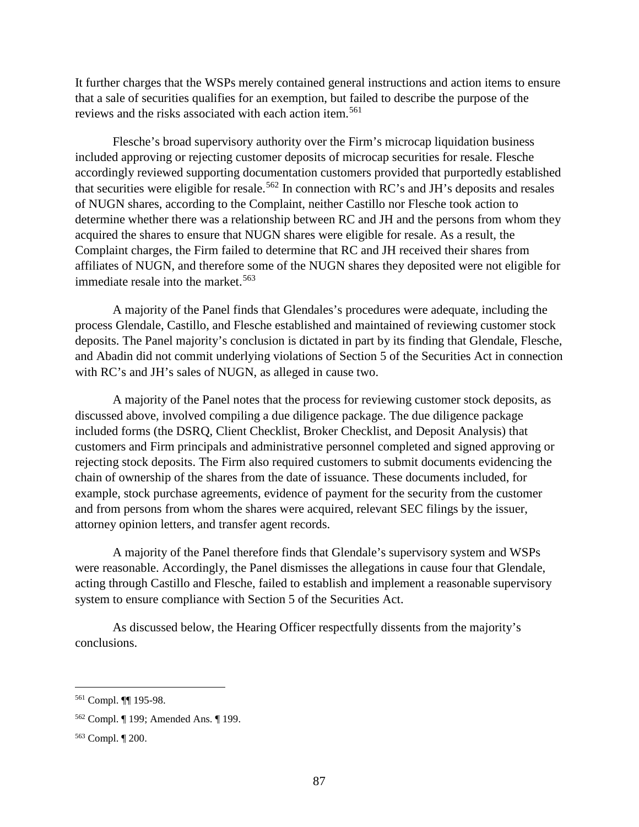It further charges that the WSPs merely contained general instructions and action items to ensure that a sale of securities qualifies for an exemption, but failed to describe the purpose of the reviews and the risks associated with each action item.[561](#page-92-0)

Flesche's broad supervisory authority over the Firm's microcap liquidation business included approving or rejecting customer deposits of microcap securities for resale. Flesche accordingly reviewed supporting documentation customers provided that purportedly established that securities were eligible for resale.<sup>[562](#page-92-1)</sup> In connection with RC's and JH's deposits and resales of NUGN shares, according to the Complaint, neither Castillo nor Flesche took action to determine whether there was a relationship between RC and JH and the persons from whom they acquired the shares to ensure that NUGN shares were eligible for resale. As a result, the Complaint charges, the Firm failed to determine that RC and JH received their shares from affiliates of NUGN, and therefore some of the NUGN shares they deposited were not eligible for immediate resale into the market.<sup>[563](#page-92-2)</sup>

A majority of the Panel finds that Glendales's procedures were adequate, including the process Glendale, Castillo, and Flesche established and maintained of reviewing customer stock deposits. The Panel majority's conclusion is dictated in part by its finding that Glendale, Flesche, and Abadin did not commit underlying violations of Section 5 of the Securities Act in connection with RC's and JH's sales of NUGN, as alleged in cause two.

A majority of the Panel notes that the process for reviewing customer stock deposits, as discussed above, involved compiling a due diligence package. The due diligence package included forms (the DSRQ, Client Checklist, Broker Checklist, and Deposit Analysis) that customers and Firm principals and administrative personnel completed and signed approving or rejecting stock deposits. The Firm also required customers to submit documents evidencing the chain of ownership of the shares from the date of issuance. These documents included, for example, stock purchase agreements, evidence of payment for the security from the customer and from persons from whom the shares were acquired, relevant SEC filings by the issuer, attorney opinion letters, and transfer agent records.

A majority of the Panel therefore finds that Glendale's supervisory system and WSPs were reasonable. Accordingly, the Panel dismisses the allegations in cause four that Glendale, acting through Castillo and Flesche, failed to establish and implement a reasonable supervisory system to ensure compliance with Section 5 of the Securities Act.

As discussed below, the Hearing Officer respectfully dissents from the majority's conclusions.

<span id="page-92-0"></span> <sup>561</sup> Compl. ¶¶ 195-98.

<span id="page-92-1"></span><sup>562</sup> Compl. ¶ 199; Amended Ans. ¶ 199.

<span id="page-92-2"></span><sup>563</sup> Compl. ¶ 200.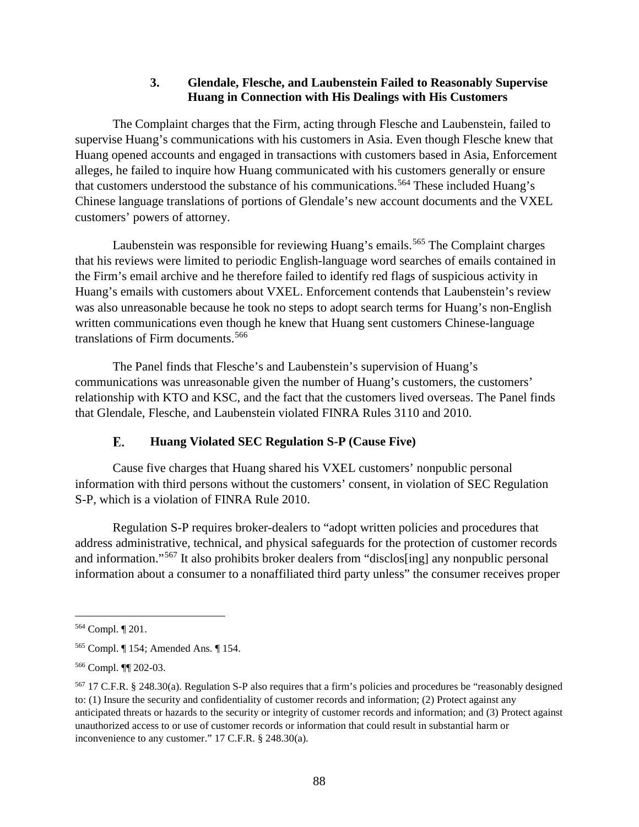### **3. Glendale, Flesche, and Laubenstein Failed to Reasonably Supervise Huang in Connection with His Dealings with His Customers**

The Complaint charges that the Firm, acting through Flesche and Laubenstein, failed to supervise Huang's communications with his customers in Asia. Even though Flesche knew that Huang opened accounts and engaged in transactions with customers based in Asia, Enforcement alleges, he failed to inquire how Huang communicated with his customers generally or ensure that customers understood the substance of his communications. [564](#page-93-0) These included Huang's Chinese language translations of portions of Glendale's new account documents and the VXEL customers' powers of attorney.

Laubenstein was responsible for reviewing Huang's emails. [565](#page-93-1) The Complaint charges that his reviews were limited to periodic English-language word searches of emails contained in the Firm's email archive and he therefore failed to identify red flags of suspicious activity in Huang's emails with customers about VXEL. Enforcement contends that Laubenstein's review was also unreasonable because he took no steps to adopt search terms for Huang's non-English written communications even though he knew that Huang sent customers Chinese-language translations of Firm documents.<sup>[566](#page-93-2)</sup>

The Panel finds that Flesche's and Laubenstein's supervision of Huang's communications was unreasonable given the number of Huang's customers, the customers' relationship with KTO and KSC, and the fact that the customers lived overseas. The Panel finds that Glendale, Flesche, and Laubenstein violated FINRA Rules 3110 and 2010.

#### E. **Huang Violated SEC Regulation S-P (Cause Five)**

Cause five charges that Huang shared his VXEL customers' nonpublic personal information with third persons without the customers' consent, in violation of SEC Regulation S-P, which is a violation of FINRA Rule 2010.

Regulation S-P requires broker-dealers to "adopt written policies and procedures that address administrative, technical, and physical safeguards for the protection of customer records and information."[567](#page-93-3) It also prohibits broker dealers from "disclos[ing] any nonpublic personal information about a consumer to a nonaffiliated third party unless" the consumer receives proper

<span id="page-93-0"></span> <sup>564</sup> Compl. ¶ 201.

<span id="page-93-1"></span><sup>565</sup> Compl. ¶ 154; Amended Ans. ¶ 154.

<span id="page-93-2"></span><sup>566</sup> Compl. ¶¶ 202-03.

<span id="page-93-3"></span><sup>567</sup> 17 C.F.R. § 248.30(a). Regulation S-P also requires that a firm's policies and procedures be "reasonably designed to: (1) Insure the security and confidentiality of customer records and information; (2) Protect against any anticipated threats or hazards to the security or integrity of customer records and information; and (3) Protect against unauthorized access to or use of customer records or information that could result in substantial harm or inconvenience to any customer." 17 C.F.R. § 248.30(a).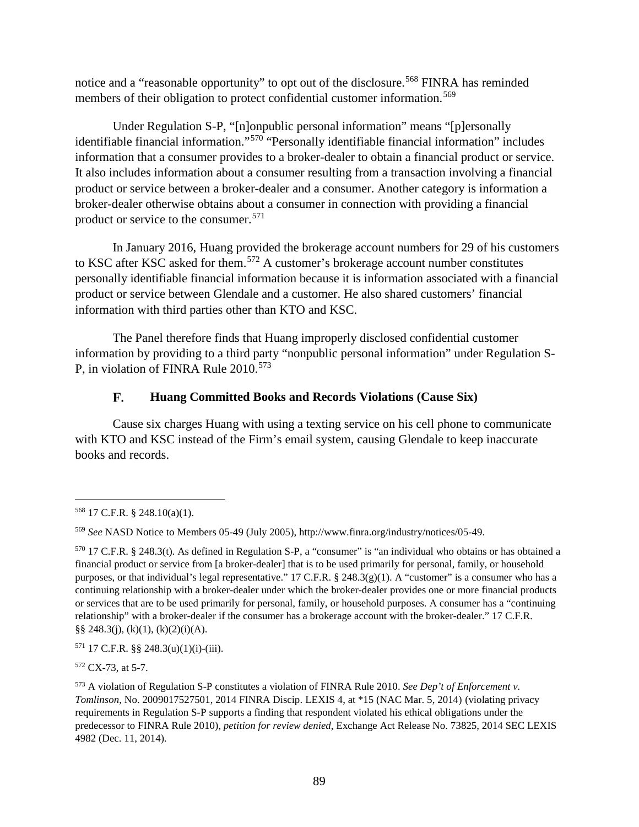notice and a "reasonable opportunity" to opt out of the disclosure.<sup>[568](#page-94-0)</sup> FINRA has reminded members of their obligation to protect confidential customer information.<sup>[569](#page-94-1)</sup>

Under Regulation S-P, "[n]onpublic personal information" means "[p]ersonally identifiable financial information."[570](#page-94-2) "Personally identifiable financial information" includes information that a consumer provides to a broker-dealer to obtain a financial product or service. It also includes information about a consumer resulting from a transaction involving a financial product or service between a broker-dealer and a consumer. Another category is information a broker-dealer otherwise obtains about a consumer in connection with providing a financial product or service to the consumer.[571](#page-94-3)

In January 2016, Huang provided the brokerage account numbers for 29 of his customers to KSC after KSC asked for them. [572](#page-94-4) A customer's brokerage account number constitutes personally identifiable financial information because it is information associated with a financial product or service between Glendale and a customer. He also shared customers' financial information with third parties other than KTO and KSC.

The Panel therefore finds that Huang improperly disclosed confidential customer information by providing to a third party "nonpublic personal information" under Regulation S-P, in violation of FINRA Rule 2010.<sup>[573](#page-94-5)</sup>

#### F. **Huang Committed Books and Records Violations (Cause Six)**

Cause six charges Huang with using a texting service on his cell phone to communicate with KTO and KSC instead of the Firm's email system, causing Glendale to keep inaccurate books and records.

<span id="page-94-0"></span> <sup>568</sup> 17 C.F.R. § 248.10(a)(1).

<span id="page-94-1"></span><sup>569</sup> *See* NASD Notice to Members 05-49 (July 2005), http://www.finra.org/industry/notices/05-49.

<span id="page-94-2"></span> $570$  17 C.F.R. § 248.3(t). As defined in Regulation S-P, a "consumer" is "an individual who obtains or has obtained a financial product or service from [a broker-dealer] that is to be used primarily for personal, family, or household purposes, or that individual's legal representative." 17 C.F.R. § 248.3(g)(1). A "customer" is a consumer who has a continuing relationship with a broker-dealer under which the broker-dealer provides one or more financial products or services that are to be used primarily for personal, family, or household purposes. A consumer has a "continuing relationship" with a broker-dealer if the consumer has a brokerage account with the broker-dealer." 17 C.F.R.  $\S$ § 248.3(j), (k)(1), (k)(2)(i)(A).

<span id="page-94-3"></span> $571$  17 C.F.R. §§ 248.3(u)(1)(i)-(iii).

<span id="page-94-4"></span><sup>572</sup> CX-73, at 5-7.

<span id="page-94-5"></span><sup>573</sup> A violation of Regulation S-P constitutes a violation of FINRA Rule 2010. *See Dep't of Enforcement v. Tomlinson*, No. 2009017527501, 2014 FINRA Discip. LEXIS 4, at \*15 (NAC Mar. 5, 2014) (violating privacy requirements in Regulation S-P supports a finding that respondent violated his ethical obligations under the predecessor to FINRA Rule 2010), *petition for review denied*, Exchange Act Release No. 73825, 2014 SEC LEXIS 4982 (Dec. 11, 2014).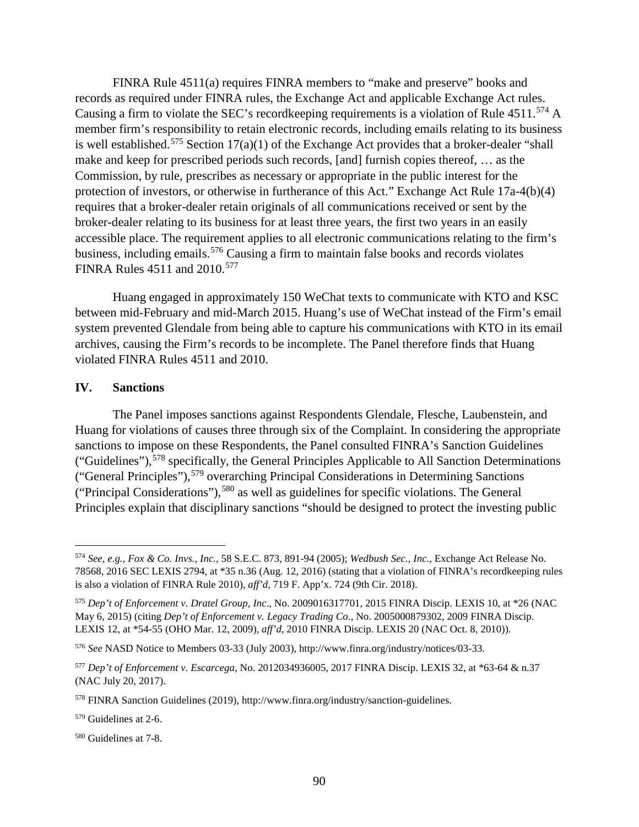FINRA Rule 4511(a) requires FINRA members to "make and preserve" books and records as required under FINRA rules, the Exchange Act and applicable Exchange Act rules. Causing a firm to violate the SEC's recordkeeping requirements is a violation of Rule 4511.<sup>[574](#page-95-0)</sup> A member firm's responsibility to retain electronic records, including emails relating to its business is well established.<sup>[575](#page-95-1)</sup> Section  $17(a)(1)$  of the Exchange Act provides that a broker-dealer "shall" make and keep for prescribed periods such records, [and] furnish copies thereof, … as the Commission, by rule, prescribes as necessary or appropriate in the public interest for the protection of investors, or otherwise in furtherance of this Act." Exchange Act Rule 17a-4(b)(4) requires that a broker-dealer retain originals of all communications received or sent by the broker-dealer relating to its business for at least three years, the first two years in an easily accessible place. The requirement applies to all electronic communications relating to the firm's business, including emails.<sup>[576](#page-95-2)</sup> Causing a firm to maintain false books and records violates FINRA Rules 4511 and 2010.<sup>[577](#page-95-3)</sup>

Huang engaged in approximately 150 WeChat texts to communicate with KTO and KSC between mid-February and mid-March 2015. Huang's use of WeChat instead of the Firm's email system prevented Glendale from being able to capture his communications with KTO in its email archives, causing the Firm's records to be incomplete. The Panel therefore finds that Huang violated FINRA Rules 4511 and 2010.

### **IV. Sanctions**

The Panel imposes sanctions against Respondents Glendale, Flesche, Laubenstein, and Huang for violations of causes three through six of the Complaint. In considering the appropriate sanctions to impose on these Respondents, the Panel consulted FINRA's Sanction Guidelines ("Guidelines"),[578](#page-95-4) specifically, the General Principles Applicable to All Sanction Determinations ("General Principles"),[579](#page-95-5) overarching Principal Considerations in Determining Sanctions ("Principal Considerations"), [580](#page-95-6) as well as guidelines for specific violations. The General Principles explain that disciplinary sanctions "should be designed to protect the investing public

<span id="page-95-6"></span><sup>580</sup> Guidelines at 7-8.

<span id="page-95-0"></span> <sup>574</sup> *See, e.g., Fox & Co. Invs., Inc.*, 58 S.E.C. 873, 891-94 (2005); *Wedbush Sec., Inc.*, Exchange Act Release No. 78568, 2016 SEC LEXIS 2794, at \*35 n.36 (Aug. 12, 2016) (stating that a violation of FINRA's recordkeeping rules is also a violation of FINRA Rule 2010), *aff'd*, 719 F. App'x. 724 (9th Cir. 2018).

<span id="page-95-1"></span><sup>575</sup> *Dep't of Enforcement v. Dratel Group, Inc*., No. 2009016317701, 2015 FINRA Discip. LEXIS 10, at \*26 (NAC May 6, 2015) (citing *Dep't of Enforcement v. Legacy Trading Co.*, No. 2005000879302, 2009 FINRA Discip. LEXIS 12, at \*54-55 (OHO Mar. 12, 2009), *aff'd*, 2010 FINRA Discip. LEXIS 20 (NAC Oct. 8, 2010)).

<span id="page-95-2"></span><sup>576</sup> *See* NASD Notice to Members 03-33 (July 2003), http://www.finra.org/industry/notices/03-33.

<span id="page-95-3"></span><sup>577</sup> *Dep't of Enforcement v. Escarcega*, No. 2012034936005, 2017 FINRA Discip. LEXIS 32, at \*63-64 & n.37 (NAC July 20, 2017).

<span id="page-95-4"></span><sup>578</sup> FINRA Sanction Guidelines (2019), http://www.finra.org/industry/sanction-guidelines.

<span id="page-95-5"></span><sup>579</sup> Guidelines at 2-6.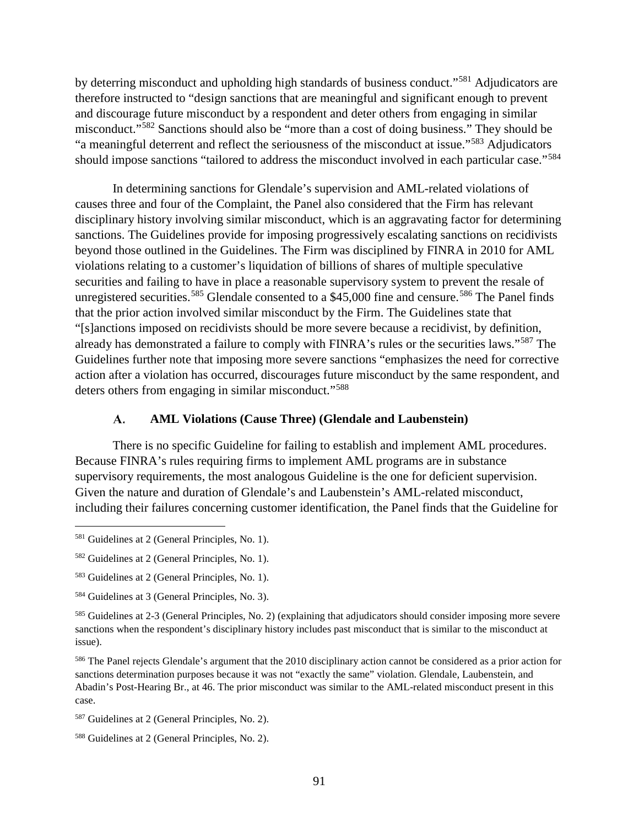by deterring misconduct and upholding high standards of business conduct."[581](#page-96-0) Adjudicators are therefore instructed to "design sanctions that are meaningful and significant enough to prevent and discourage future misconduct by a respondent and deter others from engaging in similar misconduct."[582](#page-96-1) Sanctions should also be "more than a cost of doing business." They should be "a meaningful deterrent and reflect the seriousness of the misconduct at issue."[583](#page-96-2) Adjudicators should impose sanctions "tailored to address the misconduct involved in each particular case."<sup>[584](#page-96-3)</sup>

In determining sanctions for Glendale's supervision and AML-related violations of causes three and four of the Complaint, the Panel also considered that the Firm has relevant disciplinary history involving similar misconduct, which is an aggravating factor for determining sanctions. The Guidelines provide for imposing progressively escalating sanctions on recidivists beyond those outlined in the Guidelines. The Firm was disciplined by FINRA in 2010 for AML violations relating to a customer's liquidation of billions of shares of multiple speculative securities and failing to have in place a reasonable supervisory system to prevent the resale of unregistered securities.<sup>[585](#page-96-4)</sup> Glendale consented to a \$45,000 fine and censure.<sup>[586](#page-96-5)</sup> The Panel finds that the prior action involved similar misconduct by the Firm. The Guidelines state that "[s]anctions imposed on recidivists should be more severe because a recidivist, by definition, already has demonstrated a failure to comply with FINRA's rules or the securities laws."[587](#page-96-6) The Guidelines further note that imposing more severe sanctions "emphasizes the need for corrective action after a violation has occurred, discourages future misconduct by the same respondent, and deters others from engaging in similar misconduct."<sup>[588](#page-96-7)</sup>

#### A. **AML Violations (Cause Three) (Glendale and Laubenstein)**

There is no specific Guideline for failing to establish and implement AML procedures. Because FINRA's rules requiring firms to implement AML programs are in substance supervisory requirements, the most analogous Guideline is the one for deficient supervision. Given the nature and duration of Glendale's and Laubenstein's AML-related misconduct, including their failures concerning customer identification, the Panel finds that the Guideline for

<span id="page-96-5"></span><sup>586</sup> The Panel rejects Glendale's argument that the 2010 disciplinary action cannot be considered as a prior action for sanctions determination purposes because it was not "exactly the same" violation. Glendale, Laubenstein, and Abadin's Post-Hearing Br., at 46. The prior misconduct was similar to the AML-related misconduct present in this case.

<span id="page-96-0"></span> <sup>581</sup> Guidelines at 2 (General Principles, No. 1).

<span id="page-96-1"></span><sup>582</sup> Guidelines at 2 (General Principles, No. 1).

<span id="page-96-2"></span><sup>583</sup> Guidelines at 2 (General Principles, No. 1).

<span id="page-96-3"></span><sup>584</sup> Guidelines at 3 (General Principles, No. 3).

<span id="page-96-4"></span><sup>585</sup> Guidelines at 2-3 (General Principles, No. 2) (explaining that adjudicators should consider imposing more severe sanctions when the respondent's disciplinary history includes past misconduct that is similar to the misconduct at issue).

<span id="page-96-6"></span><sup>587</sup> Guidelines at 2 (General Principles, No. 2).

<span id="page-96-7"></span><sup>588</sup> Guidelines at 2 (General Principles, No. 2).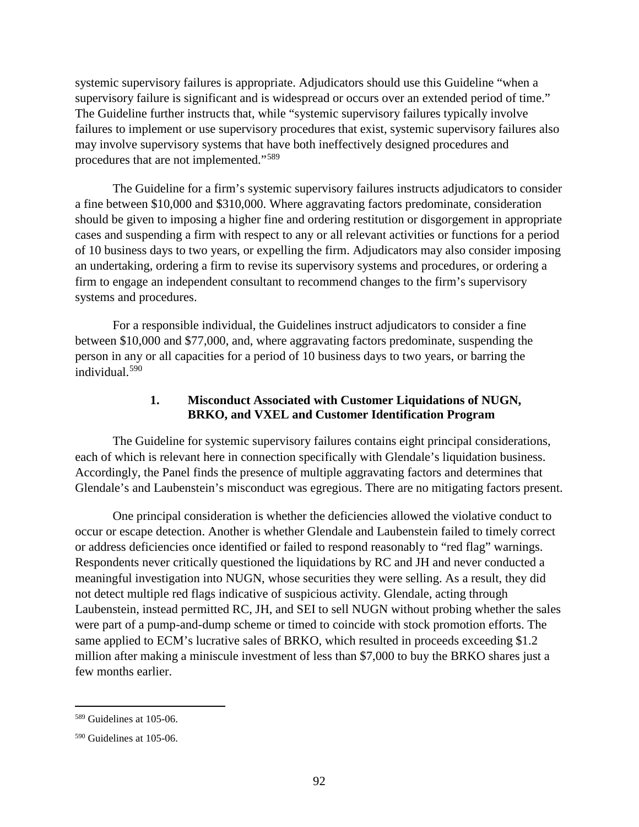systemic supervisory failures is appropriate. Adjudicators should use this Guideline "when a supervisory failure is significant and is widespread or occurs over an extended period of time." The Guideline further instructs that, while "systemic supervisory failures typically involve failures to implement or use supervisory procedures that exist, systemic supervisory failures also may involve supervisory systems that have both ineffectively designed procedures and procedures that are not implemented."[589](#page-97-0)

The Guideline for a firm's systemic supervisory failures instructs adjudicators to consider a fine between \$10,000 and \$310,000. Where aggravating factors predominate, consideration should be given to imposing a higher fine and ordering restitution or disgorgement in appropriate cases and suspending a firm with respect to any or all relevant activities or functions for a period of 10 business days to two years, or expelling the firm. Adjudicators may also consider imposing an undertaking, ordering a firm to revise its supervisory systems and procedures, or ordering a firm to engage an independent consultant to recommend changes to the firm's supervisory systems and procedures.

For a responsible individual, the Guidelines instruct adjudicators to consider a fine between \$10,000 and \$77,000, and, where aggravating factors predominate, suspending the person in any or all capacities for a period of 10 business days to two years, or barring the individual.[590](#page-97-1)

## **1. Misconduct Associated with Customer Liquidations of NUGN, BRKO, and VXEL and Customer Identification Program**

The Guideline for systemic supervisory failures contains eight principal considerations, each of which is relevant here in connection specifically with Glendale's liquidation business. Accordingly, the Panel finds the presence of multiple aggravating factors and determines that Glendale's and Laubenstein's misconduct was egregious. There are no mitigating factors present.

One principal consideration is whether the deficiencies allowed the violative conduct to occur or escape detection. Another is whether Glendale and Laubenstein failed to timely correct or address deficiencies once identified or failed to respond reasonably to "red flag" warnings. Respondents never critically questioned the liquidations by RC and JH and never conducted a meaningful investigation into NUGN, whose securities they were selling. As a result, they did not detect multiple red flags indicative of suspicious activity. Glendale, acting through Laubenstein, instead permitted RC, JH, and SEI to sell NUGN without probing whether the sales were part of a pump-and-dump scheme or timed to coincide with stock promotion efforts. The same applied to ECM's lucrative sales of BRKO, which resulted in proceeds exceeding \$1.2 million after making a miniscule investment of less than \$7,000 to buy the BRKO shares just a few months earlier.

<span id="page-97-0"></span> <sup>589</sup> Guidelines at 105-06.

<span id="page-97-1"></span><sup>590</sup> Guidelines at 105-06.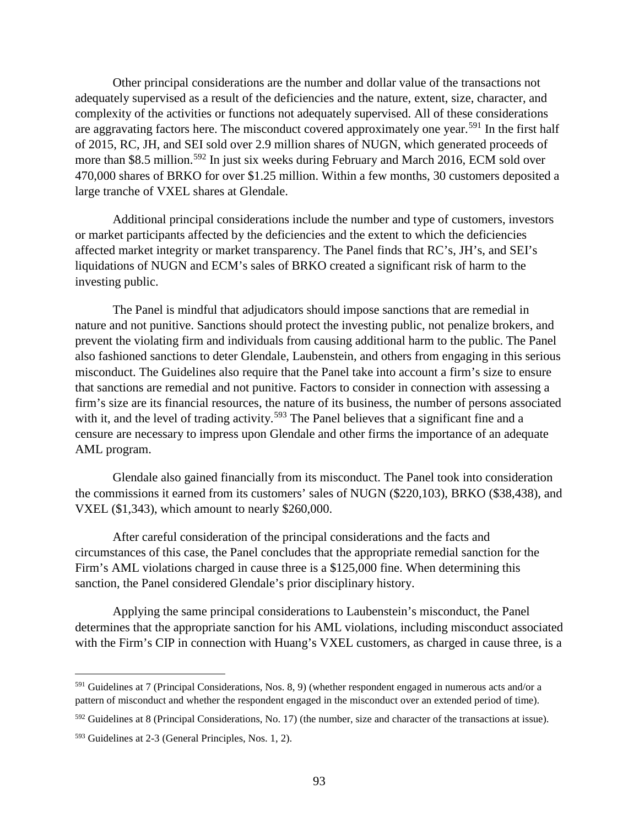Other principal considerations are the number and dollar value of the transactions not adequately supervised as a result of the deficiencies and the nature, extent, size, character, and complexity of the activities or functions not adequately supervised. All of these considerations are aggravating factors here. The misconduct covered approximately one year.<sup>[591](#page-98-0)</sup> In the first half of 2015, RC, JH, and SEI sold over 2.9 million shares of NUGN, which generated proceeds of more than \$8.5 million.<sup>[592](#page-98-1)</sup> In just six weeks during February and March 2016, ECM sold over 470,000 shares of BRKO for over \$1.25 million. Within a few months, 30 customers deposited a large tranche of VXEL shares at Glendale.

Additional principal considerations include the number and type of customers, investors or market participants affected by the deficiencies and the extent to which the deficiencies affected market integrity or market transparency. The Panel finds that RC's, JH's, and SEI's liquidations of NUGN and ECM's sales of BRKO created a significant risk of harm to the investing public.

The Panel is mindful that adjudicators should impose sanctions that are remedial in nature and not punitive. Sanctions should protect the investing public, not penalize brokers, and prevent the violating firm and individuals from causing additional harm to the public. The Panel also fashioned sanctions to deter Glendale, Laubenstein, and others from engaging in this serious misconduct. The Guidelines also require that the Panel take into account a firm's size to ensure that sanctions are remedial and not punitive. Factors to consider in connection with assessing a firm's size are its financial resources, the nature of its business, the number of persons associated with it, and the level of trading activity.<sup>[593](#page-98-2)</sup> The Panel believes that a significant fine and a censure are necessary to impress upon Glendale and other firms the importance of an adequate AML program.

Glendale also gained financially from its misconduct. The Panel took into consideration the commissions it earned from its customers' sales of NUGN (\$220,103), BRKO (\$38,438), and VXEL (\$1,343), which amount to nearly \$260,000.

After careful consideration of the principal considerations and the facts and circumstances of this case, the Panel concludes that the appropriate remedial sanction for the Firm's AML violations charged in cause three is a \$125,000 fine. When determining this sanction, the Panel considered Glendale's prior disciplinary history.

Applying the same principal considerations to Laubenstein's misconduct, the Panel determines that the appropriate sanction for his AML violations, including misconduct associated with the Firm's CIP in connection with Huang's VXEL customers, as charged in cause three, is a

<span id="page-98-0"></span> $591$  Guidelines at 7 (Principal Considerations, Nos. 8, 9) (whether respondent engaged in numerous acts and/or a pattern of misconduct and whether the respondent engaged in the misconduct over an extended period of time).

<span id="page-98-1"></span> $592$  Guidelines at 8 (Principal Considerations, No. 17) (the number, size and character of the transactions at issue).

<span id="page-98-2"></span><sup>593</sup> Guidelines at 2-3 (General Principles, Nos. 1, 2).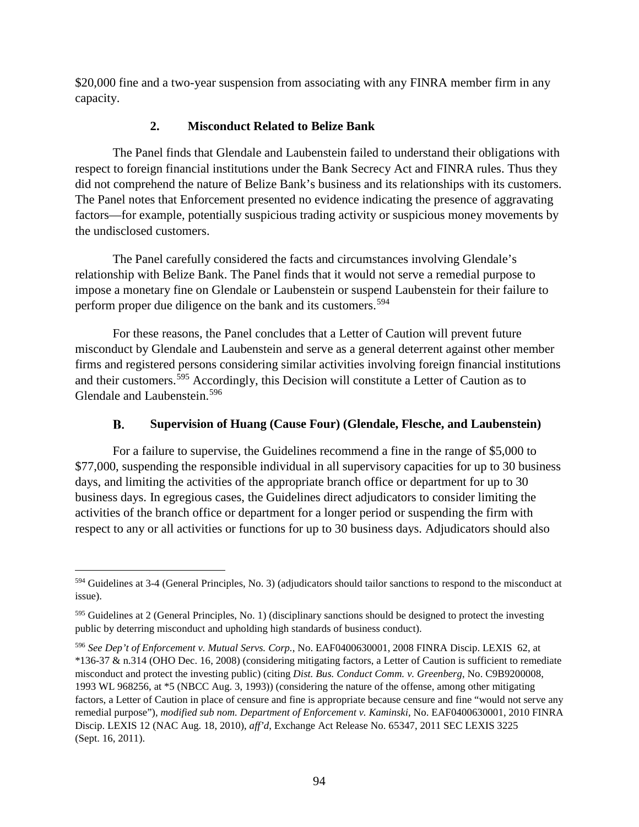\$20,000 fine and a two-year suspension from associating with any FINRA member firm in any capacity.

# **2. Misconduct Related to Belize Bank**

The Panel finds that Glendale and Laubenstein failed to understand their obligations with respect to foreign financial institutions under the Bank Secrecy Act and FINRA rules. Thus they did not comprehend the nature of Belize Bank's business and its relationships with its customers. The Panel notes that Enforcement presented no evidence indicating the presence of aggravating factors—for example, potentially suspicious trading activity or suspicious money movements by the undisclosed customers.

The Panel carefully considered the facts and circumstances involving Glendale's relationship with Belize Bank. The Panel finds that it would not serve a remedial purpose to impose a monetary fine on Glendale or Laubenstein or suspend Laubenstein for their failure to perform proper due diligence on the bank and its customers.<sup>[594](#page-99-0)</sup>

For these reasons, the Panel concludes that a Letter of Caution will prevent future misconduct by Glendale and Laubenstein and serve as a general deterrent against other member firms and registered persons considering similar activities involving foreign financial institutions and their customers.<sup>[595](#page-99-1)</sup> Accordingly, this Decision will constitute a Letter of Caution as to Glendale and Laubenstein.[596](#page-99-2)

#### В. **Supervision of Huang (Cause Four) (Glendale, Flesche, and Laubenstein)**

For a failure to supervise, the Guidelines recommend a fine in the range of \$5,000 to \$77,000, suspending the responsible individual in all supervisory capacities for up to 30 business days, and limiting the activities of the appropriate branch office or department for up to 30 business days. In egregious cases, the Guidelines direct adjudicators to consider limiting the activities of the branch office or department for a longer period or suspending the firm with respect to any or all activities or functions for up to 30 business days. Adjudicators should also

<span id="page-99-0"></span> <sup>594</sup> Guidelines at 3-4 (General Principles, No. 3) (adjudicators should tailor sanctions to respond to the misconduct at issue).

<span id="page-99-1"></span><sup>595</sup> Guidelines at 2 (General Principles, No. 1) (disciplinary sanctions should be designed to protect the investing public by deterring misconduct and upholding high standards of business conduct).

<span id="page-99-2"></span><sup>596</sup> *See Dep't of Enforcement v. Mutual Servs. Corp.*, No. EAF0400630001, 2008 FINRA Discip. LEXIS 62, at \*136-37 & n.314 (OHO Dec. 16, 2008) (considering mitigating factors, a Letter of Caution is sufficient to remediate misconduct and protect the investing public) (citing *Dist. Bus. Conduct Comm. v. Greenberg*, No. C9B9200008, 1993 WL 968256, at \*5 (NBCC Aug. 3, 1993)) (considering the nature of the offense, among other mitigating factors, a Letter of Caution in place of censure and fine is appropriate because censure and fine "would not serve any remedial purpose"), *modified sub nom. Department of Enforcement v. Kaminski*, No. EAF0400630001, 2010 FINRA Discip. LEXIS 12 (NAC Aug. 18, 2010), *aff'd*, Exchange Act Release No. 65347, 2011 SEC LEXIS 3225 (Sept. 16, 2011).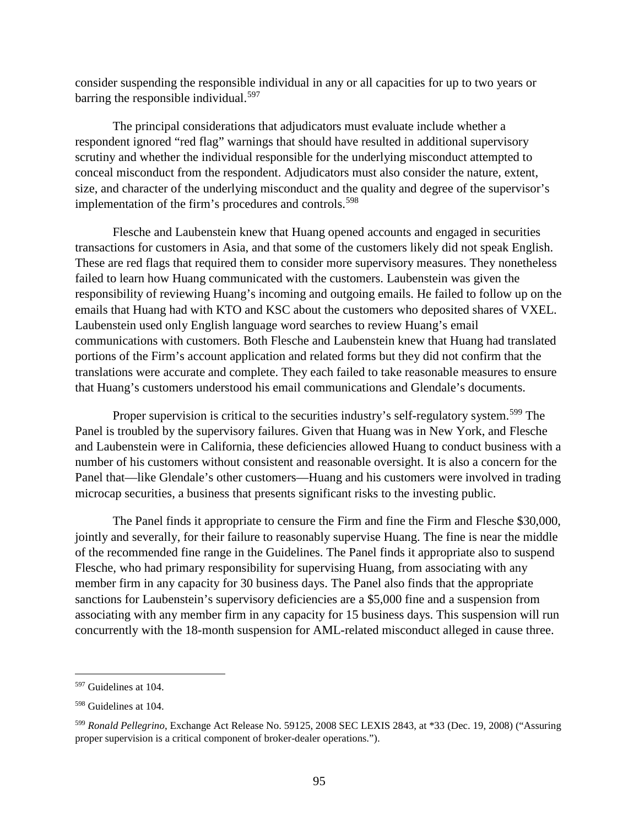consider suspending the responsible individual in any or all capacities for up to two years or barring the responsible individual.<sup>[597](#page-100-0)</sup>

The principal considerations that adjudicators must evaluate include whether a respondent ignored "red flag" warnings that should have resulted in additional supervisory scrutiny and whether the individual responsible for the underlying misconduct attempted to conceal misconduct from the respondent. Adjudicators must also consider the nature, extent, size, and character of the underlying misconduct and the quality and degree of the supervisor's implementation of the firm's procedures and controls.<sup>[598](#page-100-1)</sup>

Flesche and Laubenstein knew that Huang opened accounts and engaged in securities transactions for customers in Asia, and that some of the customers likely did not speak English. These are red flags that required them to consider more supervisory measures. They nonetheless failed to learn how Huang communicated with the customers. Laubenstein was given the responsibility of reviewing Huang's incoming and outgoing emails. He failed to follow up on the emails that Huang had with KTO and KSC about the customers who deposited shares of VXEL. Laubenstein used only English language word searches to review Huang's email communications with customers. Both Flesche and Laubenstein knew that Huang had translated portions of the Firm's account application and related forms but they did not confirm that the translations were accurate and complete. They each failed to take reasonable measures to ensure that Huang's customers understood his email communications and Glendale's documents.

Proper supervision is critical to the securities industry's self-regulatory system.<sup>[599](#page-100-2)</sup> The Panel is troubled by the supervisory failures. Given that Huang was in New York, and Flesche and Laubenstein were in California, these deficiencies allowed Huang to conduct business with a number of his customers without consistent and reasonable oversight. It is also a concern for the Panel that—like Glendale's other customers—Huang and his customers were involved in trading microcap securities, a business that presents significant risks to the investing public.

The Panel finds it appropriate to censure the Firm and fine the Firm and Flesche \$30,000, jointly and severally, for their failure to reasonably supervise Huang. The fine is near the middle of the recommended fine range in the Guidelines. The Panel finds it appropriate also to suspend Flesche, who had primary responsibility for supervising Huang, from associating with any member firm in any capacity for 30 business days. The Panel also finds that the appropriate sanctions for Laubenstein's supervisory deficiencies are a \$5,000 fine and a suspension from associating with any member firm in any capacity for 15 business days. This suspension will run concurrently with the 18-month suspension for AML-related misconduct alleged in cause three.

<span id="page-100-0"></span> <sup>597</sup> Guidelines at 104.

<span id="page-100-1"></span><sup>598</sup> Guidelines at 104.

<span id="page-100-2"></span><sup>599</sup> *Ronald Pellegrino*, Exchange Act Release No. 59125, 2008 SEC LEXIS 2843, at \*33 (Dec. 19, 2008) ("Assuring proper supervision is a critical component of broker-dealer operations.").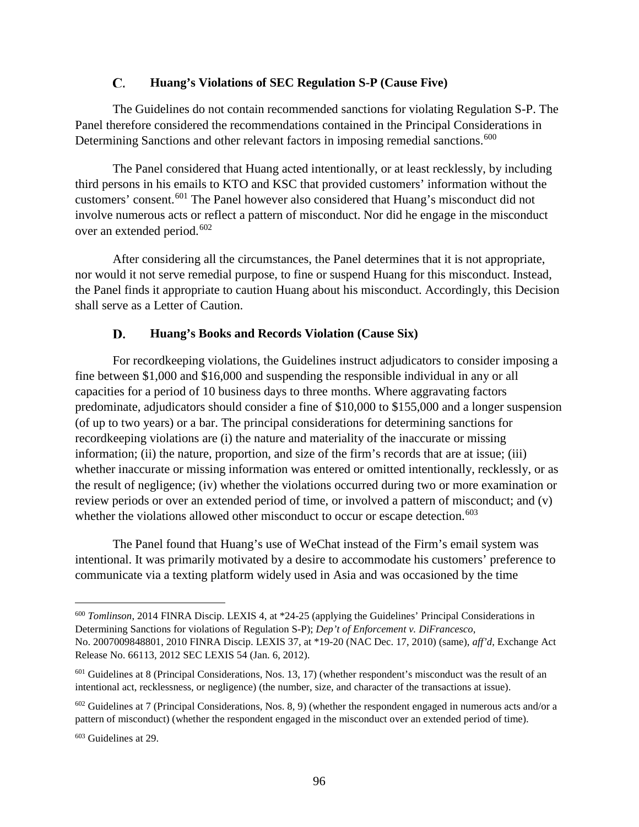#### $\mathbf{C}$ . **Huang's Violations of SEC Regulation S-P (Cause Five)**

The Guidelines do not contain recommended sanctions for violating Regulation S-P. The Panel therefore considered the recommendations contained in the Principal Considerations in Determining Sanctions and other relevant factors in imposing remedial sanctions.<sup>[600](#page-101-0)</sup>

The Panel considered that Huang acted intentionally, or at least recklessly, by including third persons in his emails to KTO and KSC that provided customers' information without the customers' consent.<sup>[601](#page-101-1)</sup> The Panel however also considered that Huang's misconduct did not involve numerous acts or reflect a pattern of misconduct. Nor did he engage in the misconduct over an extended period.<sup>[602](#page-101-2)</sup>

After considering all the circumstances, the Panel determines that it is not appropriate, nor would it not serve remedial purpose, to fine or suspend Huang for this misconduct. Instead, the Panel finds it appropriate to caution Huang about his misconduct. Accordingly, this Decision shall serve as a Letter of Caution.

#### D. **Huang's Books and Records Violation (Cause Six)**

For recordkeeping violations, the Guidelines instruct adjudicators to consider imposing a fine between \$1,000 and \$16,000 and suspending the responsible individual in any or all capacities for a period of 10 business days to three months. Where aggravating factors predominate, adjudicators should consider a fine of \$10,000 to \$155,000 and a longer suspension (of up to two years) or a bar. The principal considerations for determining sanctions for recordkeeping violations are (i) the nature and materiality of the inaccurate or missing information; (ii) the nature, proportion, and size of the firm's records that are at issue; (iii) whether inaccurate or missing information was entered or omitted intentionally, recklessly, or as the result of negligence; (iv) whether the violations occurred during two or more examination or review periods or over an extended period of time, or involved a pattern of misconduct; and (v) whether the violations allowed other misconduct to occur or escape detection.<sup>[603](#page-101-3)</sup>

The Panel found that Huang's use of WeChat instead of the Firm's email system was intentional. It was primarily motivated by a desire to accommodate his customers' preference to communicate via a texting platform widely used in Asia and was occasioned by the time

<span id="page-101-0"></span> <sup>600</sup> *Tomlinson*, 2014 FINRA Discip. LEXIS 4, at \*24-25 (applying the Guidelines' Principal Considerations in Determining Sanctions for violations of Regulation S-P); *Dep't of Enforcement v. DiFrancesco*, No. 2007009848801, 2010 FINRA Discip. LEXIS 37, at \*19-20 (NAC Dec. 17, 2010) (same), *aff'd*, Exchange Act Release No. 66113, 2012 SEC LEXIS 54 (Jan. 6, 2012).

<span id="page-101-1"></span> $601$  Guidelines at 8 (Principal Considerations, Nos. 13, 17) (whether respondent's misconduct was the result of an intentional act, recklessness, or negligence) (the number, size, and character of the transactions at issue).

<span id="page-101-2"></span> $602$  Guidelines at 7 (Principal Considerations, Nos. 8, 9) (whether the respondent engaged in numerous acts and/or a pattern of misconduct) (whether the respondent engaged in the misconduct over an extended period of time).

<span id="page-101-3"></span><sup>603</sup> Guidelines at 29.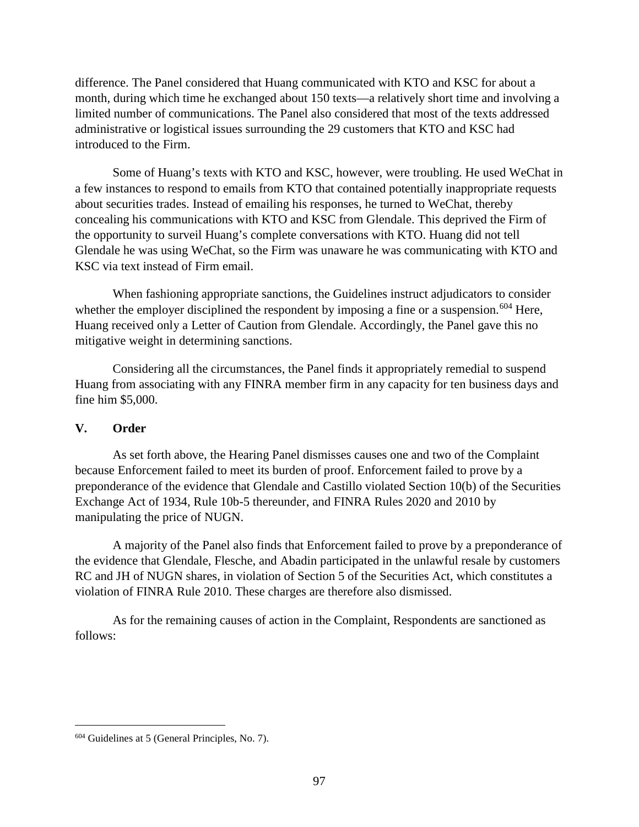difference. The Panel considered that Huang communicated with KTO and KSC for about a month, during which time he exchanged about 150 texts—a relatively short time and involving a limited number of communications. The Panel also considered that most of the texts addressed administrative or logistical issues surrounding the 29 customers that KTO and KSC had introduced to the Firm.

Some of Huang's texts with KTO and KSC, however, were troubling. He used WeChat in a few instances to respond to emails from KTO that contained potentially inappropriate requests about securities trades. Instead of emailing his responses, he turned to WeChat, thereby concealing his communications with KTO and KSC from Glendale. This deprived the Firm of the opportunity to surveil Huang's complete conversations with KTO. Huang did not tell Glendale he was using WeChat, so the Firm was unaware he was communicating with KTO and KSC via text instead of Firm email.

When fashioning appropriate sanctions, the Guidelines instruct adjudicators to consider whether the employer disciplined the respondent by imposing a fine or a suspension.<sup>[604](#page-102-0)</sup> Here, Huang received only a Letter of Caution from Glendale. Accordingly, the Panel gave this no mitigative weight in determining sanctions.

Considering all the circumstances, the Panel finds it appropriately remedial to suspend Huang from associating with any FINRA member firm in any capacity for ten business days and fine him \$5,000.

## **V. Order**

As set forth above, the Hearing Panel dismisses causes one and two of the Complaint because Enforcement failed to meet its burden of proof. Enforcement failed to prove by a preponderance of the evidence that Glendale and Castillo violated Section 10(b) of the Securities Exchange Act of 1934, Rule 10b-5 thereunder, and FINRA Rules 2020 and 2010 by manipulating the price of NUGN.

A majority of the Panel also finds that Enforcement failed to prove by a preponderance of the evidence that Glendale, Flesche, and Abadin participated in the unlawful resale by customers RC and JH of NUGN shares, in violation of Section 5 of the Securities Act, which constitutes a violation of FINRA Rule 2010. These charges are therefore also dismissed.

As for the remaining causes of action in the Complaint, Respondents are sanctioned as follows:

<span id="page-102-0"></span> <sup>604</sup> Guidelines at 5 (General Principles, No. 7).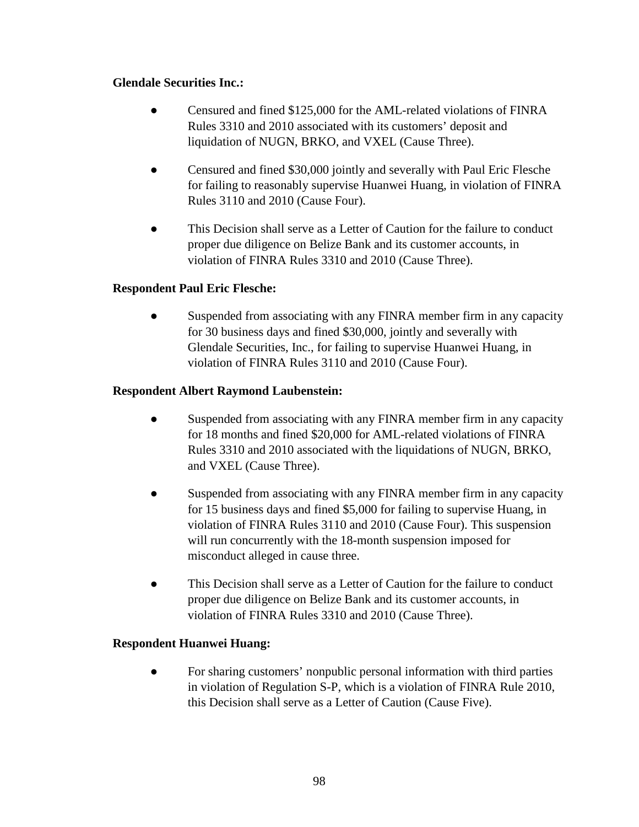## **Glendale Securities Inc.:**

- Censured and fined \$125,000 for the AML-related violations of FINRA Rules 3310 and 2010 associated with its customers' deposit and liquidation of NUGN, BRKO, and VXEL (Cause Three).
- Censured and fined \$30,000 jointly and severally with Paul Eric Flesche for failing to reasonably supervise Huanwei Huang, in violation of FINRA Rules 3110 and 2010 (Cause Four).
- This Decision shall serve as a Letter of Caution for the failure to conduct proper due diligence on Belize Bank and its customer accounts, in violation of FINRA Rules 3310 and 2010 (Cause Three).

# **Respondent Paul Eric Flesche:**

• Suspended from associating with any FINRA member firm in any capacity for 30 business days and fined \$30,000, jointly and severally with Glendale Securities, Inc., for failing to supervise Huanwei Huang, in violation of FINRA Rules 3110 and 2010 (Cause Four).

## **Respondent Albert Raymond Laubenstein:**

- Suspended from associating with any FINRA member firm in any capacity for 18 months and fined \$20,000 for AML-related violations of FINRA Rules 3310 and 2010 associated with the liquidations of NUGN, BRKO, and VXEL (Cause Three).
- Suspended from associating with any FINRA member firm in any capacity for 15 business days and fined \$5,000 for failing to supervise Huang, in violation of FINRA Rules 3110 and 2010 (Cause Four). This suspension will run concurrently with the 18-month suspension imposed for misconduct alleged in cause three.
- This Decision shall serve as a Letter of Caution for the failure to conduct proper due diligence on Belize Bank and its customer accounts, in violation of FINRA Rules 3310 and 2010 (Cause Three).

## **Respondent Huanwei Huang:**

For sharing customers' nonpublic personal information with third parties in violation of Regulation S-P, which is a violation of FINRA Rule 2010, this Decision shall serve as a Letter of Caution (Cause Five).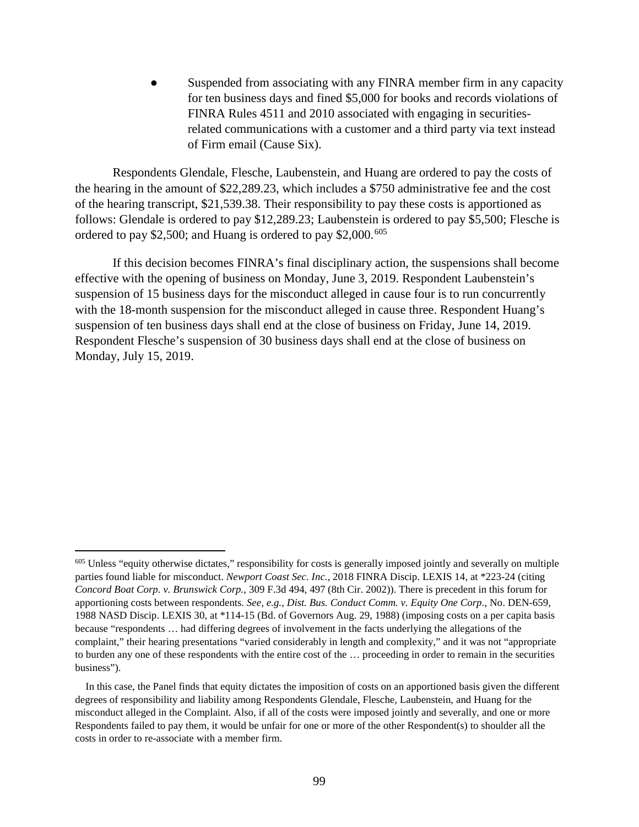Suspended from associating with any FINRA member firm in any capacity for ten business days and fined \$5,000 for books and records violations of FINRA Rules 4511 and 2010 associated with engaging in securitiesrelated communications with a customer and a third party via text instead of Firm email (Cause Six).

Respondents Glendale, Flesche, Laubenstein, and Huang are ordered to pay the costs of the hearing in the amount of \$22,289.23, which includes a \$750 administrative fee and the cost of the hearing transcript, \$21,539.38. Their responsibility to pay these costs is apportioned as follows: Glendale is ordered to pay \$12,289.23; Laubenstein is ordered to pay \$5,500; Flesche is ordered to pay \$2,500; and Huang is ordered to pay \$2,000.<sup>[605](#page-104-0)</sup>

If this decision becomes FINRA's final disciplinary action, the suspensions shall become effective with the opening of business on Monday, June 3, 2019. Respondent Laubenstein's suspension of 15 business days for the misconduct alleged in cause four is to run concurrently with the 18-month suspension for the misconduct alleged in cause three. Respondent Huang's suspension of ten business days shall end at the close of business on Friday, June 14, 2019. Respondent Flesche's suspension of 30 business days shall end at the close of business on Monday, July 15, 2019.

<span id="page-104-0"></span> $605$  Unless "equity otherwise dictates," responsibility for costs is generally imposed jointly and severally on multiple parties found liable for misconduct. *Newport Coast Sec. Inc.*, 2018 FINRA Discip. LEXIS 14, at \*223-24 (citing *Concord Boat Corp. v. Brunswick Corp.*, 309 F.3d 494, 497 (8th Cir. 2002)). There is precedent in this forum for apportioning costs between respondents. *See, e.g.*, *Dist. Bus. Conduct Comm. v. Equity One Corp.*, No. DEN-659, 1988 NASD Discip. LEXIS 30, at \*114-15 (Bd. of Governors Aug. 29, 1988) (imposing costs on a per capita basis because "respondents … had differing degrees of involvement in the facts underlying the allegations of the complaint," their hearing presentations "varied considerably in length and complexity," and it was not "appropriate to burden any one of these respondents with the entire cost of the … proceeding in order to remain in the securities business").

In this case, the Panel finds that equity dictates the imposition of costs on an apportioned basis given the different degrees of responsibility and liability among Respondents Glendale, Flesche, Laubenstein, and Huang for the misconduct alleged in the Complaint. Also, if all of the costs were imposed jointly and severally, and one or more Respondents failed to pay them, it would be unfair for one or more of the other Respondent(s) to shoulder all the costs in order to re-associate with a member firm.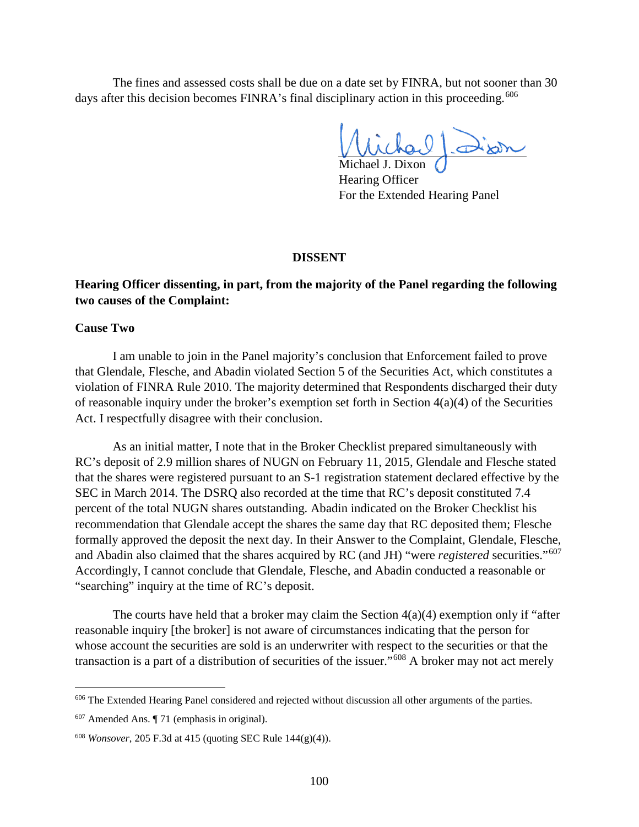The fines and assessed costs shall be due on a date set by FINRA, but not sooner than 30 days after this decision becomes FINRA's final disciplinary action in this proceeding.<sup>[606](#page-105-0)</sup>

Michael J. Dixon

Hearing Officer For the Extended Hearing Panel

### **DISSENT**

### **Hearing Officer dissenting, in part, from the majority of the Panel regarding the following two causes of the Complaint:**

### **Cause Two**

I am unable to join in the Panel majority's conclusion that Enforcement failed to prove that Glendale, Flesche, and Abadin violated Section 5 of the Securities Act, which constitutes a violation of FINRA Rule 2010. The majority determined that Respondents discharged their duty of reasonable inquiry under the broker's exemption set forth in Section 4(a)(4) of the Securities Act. I respectfully disagree with their conclusion.

As an initial matter, I note that in the Broker Checklist prepared simultaneously with RC's deposit of 2.9 million shares of NUGN on February 11, 2015, Glendale and Flesche stated that the shares were registered pursuant to an S-1 registration statement declared effective by the SEC in March 2014. The DSRQ also recorded at the time that RC's deposit constituted 7.4 percent of the total NUGN shares outstanding. Abadin indicated on the Broker Checklist his recommendation that Glendale accept the shares the same day that RC deposited them; Flesche formally approved the deposit the next day. In their Answer to the Complaint, Glendale, Flesche, and Abadin also claimed that the shares acquired by RC (and JH) "were *registered* securities."[607](#page-105-1) Accordingly, I cannot conclude that Glendale, Flesche, and Abadin conducted a reasonable or "searching" inquiry at the time of RC's deposit.

The courts have held that a broker may claim the Section  $4(a)(4)$  exemption only if "after" reasonable inquiry [the broker] is not aware of circumstances indicating that the person for whose account the securities are sold is an underwriter with respect to the securities or that the transaction is a part of a distribution of securities of the issuer."[608](#page-105-2) A broker may not act merely

<span id="page-105-0"></span> <sup>606</sup> The Extended Hearing Panel considered and rejected without discussion all other arguments of the parties.

<span id="page-105-1"></span> $607$  Amended Ans.  $\P$  71 (emphasis in original).

<span id="page-105-2"></span><sup>608</sup> *Wonsover*, 205 F.3d at 415 (quoting SEC Rule 144(g)(4)).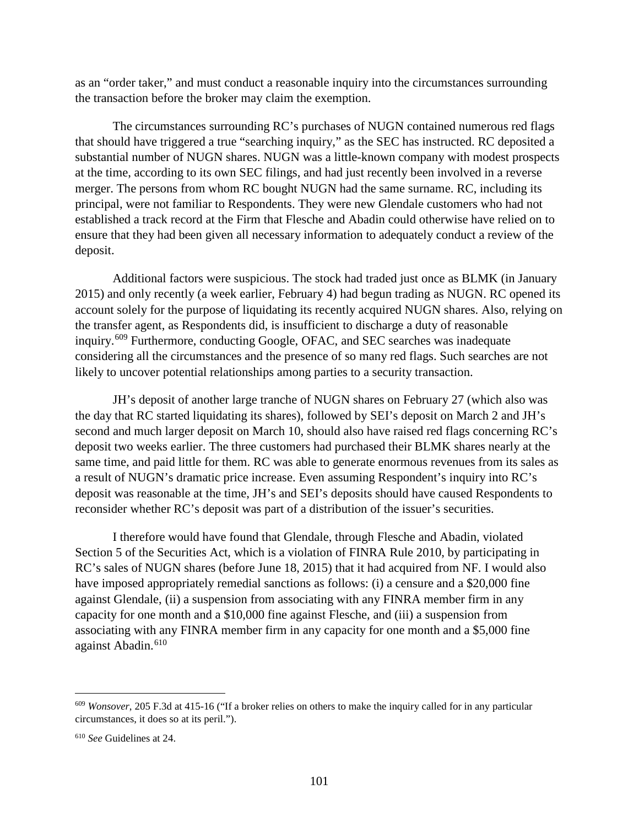as an "order taker," and must conduct a reasonable inquiry into the circumstances surrounding the transaction before the broker may claim the exemption.

The circumstances surrounding RC's purchases of NUGN contained numerous red flags that should have triggered a true "searching inquiry," as the SEC has instructed. RC deposited a substantial number of NUGN shares. NUGN was a little-known company with modest prospects at the time, according to its own SEC filings, and had just recently been involved in a reverse merger. The persons from whom RC bought NUGN had the same surname. RC, including its principal, were not familiar to Respondents. They were new Glendale customers who had not established a track record at the Firm that Flesche and Abadin could otherwise have relied on to ensure that they had been given all necessary information to adequately conduct a review of the deposit.

Additional factors were suspicious. The stock had traded just once as BLMK (in January 2015) and only recently (a week earlier, February 4) had begun trading as NUGN. RC opened its account solely for the purpose of liquidating its recently acquired NUGN shares. Also, relying on the transfer agent, as Respondents did, is insufficient to discharge a duty of reasonable inquiry.[609](#page-106-0) Furthermore, conducting Google, OFAC, and SEC searches was inadequate considering all the circumstances and the presence of so many red flags. Such searches are not likely to uncover potential relationships among parties to a security transaction.

JH's deposit of another large tranche of NUGN shares on February 27 (which also was the day that RC started liquidating its shares), followed by SEI's deposit on March 2 and JH's second and much larger deposit on March 10, should also have raised red flags concerning RC's deposit two weeks earlier. The three customers had purchased their BLMK shares nearly at the same time, and paid little for them. RC was able to generate enormous revenues from its sales as a result of NUGN's dramatic price increase. Even assuming Respondent's inquiry into RC's deposit was reasonable at the time, JH's and SEI's deposits should have caused Respondents to reconsider whether RC's deposit was part of a distribution of the issuer's securities.

I therefore would have found that Glendale, through Flesche and Abadin, violated Section 5 of the Securities Act, which is a violation of FINRA Rule 2010, by participating in RC's sales of NUGN shares (before June 18, 2015) that it had acquired from NF. I would also have imposed appropriately remedial sanctions as follows: (i) a censure and a \$20,000 fine against Glendale, (ii) a suspension from associating with any FINRA member firm in any capacity for one month and a \$10,000 fine against Flesche, and (iii) a suspension from associating with any FINRA member firm in any capacity for one month and a \$5,000 fine against Abadin. [610](#page-106-1)

<span id="page-106-0"></span> <sup>609</sup> *Wonsover*, 205 F.3d at 415-16 ("If a broker relies on others to make the inquiry called for in any particular circumstances, it does so at its peril.").

<span id="page-106-1"></span><sup>610</sup> *See* Guidelines at 24.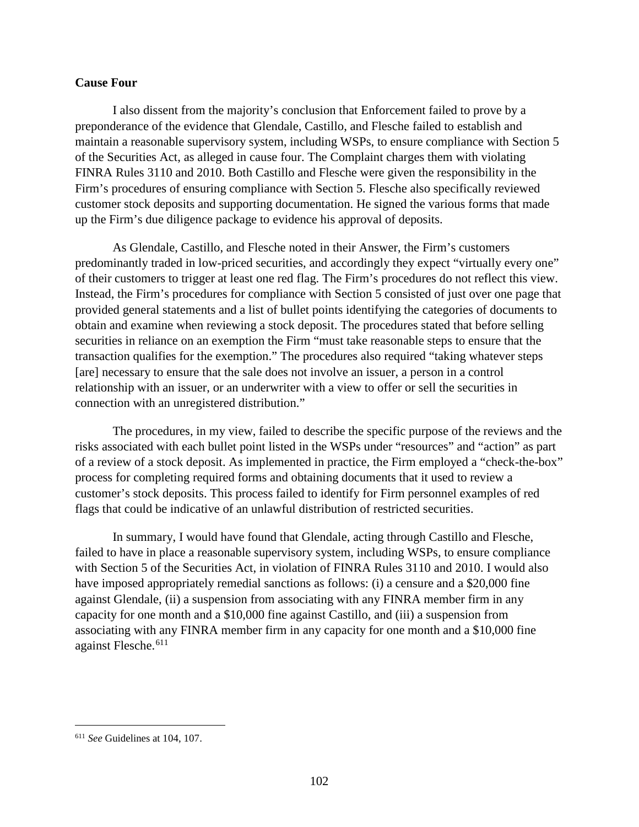### **Cause Four**

I also dissent from the majority's conclusion that Enforcement failed to prove by a preponderance of the evidence that Glendale, Castillo, and Flesche failed to establish and maintain a reasonable supervisory system, including WSPs, to ensure compliance with Section 5 of the Securities Act, as alleged in cause four. The Complaint charges them with violating FINRA Rules 3110 and 2010. Both Castillo and Flesche were given the responsibility in the Firm's procedures of ensuring compliance with Section 5. Flesche also specifically reviewed customer stock deposits and supporting documentation. He signed the various forms that made up the Firm's due diligence package to evidence his approval of deposits.

As Glendale, Castillo, and Flesche noted in their Answer, the Firm's customers predominantly traded in low-priced securities, and accordingly they expect "virtually every one" of their customers to trigger at least one red flag. The Firm's procedures do not reflect this view. Instead, the Firm's procedures for compliance with Section 5 consisted of just over one page that provided general statements and a list of bullet points identifying the categories of documents to obtain and examine when reviewing a stock deposit. The procedures stated that before selling securities in reliance on an exemption the Firm "must take reasonable steps to ensure that the transaction qualifies for the exemption." The procedures also required "taking whatever steps [are] necessary to ensure that the sale does not involve an issuer, a person in a control relationship with an issuer, or an underwriter with a view to offer or sell the securities in connection with an unregistered distribution."

The procedures, in my view, failed to describe the specific purpose of the reviews and the risks associated with each bullet point listed in the WSPs under "resources" and "action" as part of a review of a stock deposit. As implemented in practice, the Firm employed a "check-the-box" process for completing required forms and obtaining documents that it used to review a customer's stock deposits. This process failed to identify for Firm personnel examples of red flags that could be indicative of an unlawful distribution of restricted securities.

In summary, I would have found that Glendale, acting through Castillo and Flesche, failed to have in place a reasonable supervisory system, including WSPs, to ensure compliance with Section 5 of the Securities Act, in violation of FINRA Rules 3110 and 2010. I would also have imposed appropriately remedial sanctions as follows: (i) a censure and a \$20,000 fine against Glendale, (ii) a suspension from associating with any FINRA member firm in any capacity for one month and a \$10,000 fine against Castillo, and (iii) a suspension from associating with any FINRA member firm in any capacity for one month and a \$10,000 fine against Flesche. [611](#page-107-0)

<span id="page-107-0"></span> <sup>611</sup> *See* Guidelines at 104, 107.